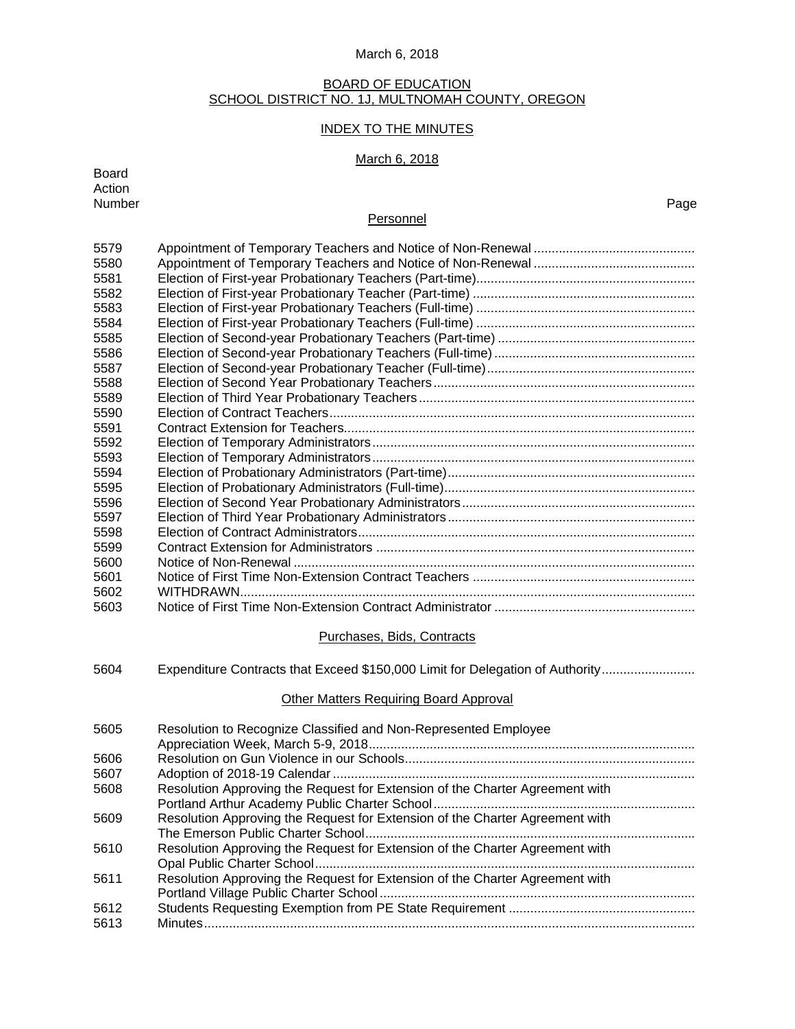## BOARD OF EDUCATION SCHOOL DISTRICT NO. 1J, MULTNOMAH COUNTY, OREGON

# INDEX TO THE MINUTES

# March 6, 2018

| <b>Board</b><br>Action<br>Number | Page                                                                          |
|----------------------------------|-------------------------------------------------------------------------------|
|                                  | Personnel                                                                     |
|                                  |                                                                               |
| 5579                             |                                                                               |
| 5580                             |                                                                               |
| 5581                             |                                                                               |
| 5582<br>5583                     |                                                                               |
| 5584                             |                                                                               |
| 5585                             |                                                                               |
| 5586                             |                                                                               |
| 5587                             |                                                                               |
| 5588                             |                                                                               |
| 5589                             |                                                                               |
| 5590                             |                                                                               |
| 5591                             |                                                                               |
| 5592                             |                                                                               |
| 5593                             |                                                                               |
| 5594                             |                                                                               |
| 5595                             |                                                                               |
| 5596                             |                                                                               |
| 5597                             |                                                                               |
| 5598                             |                                                                               |
| 5599                             |                                                                               |
| 5600<br>5601                     |                                                                               |
| 5602                             |                                                                               |
| 5603                             |                                                                               |
|                                  |                                                                               |
|                                  | Purchases, Bids, Contracts                                                    |
| 5604                             | Expenditure Contracts that Exceed \$150,000 Limit for Delegation of Authority |
|                                  | <b>Other Matters Requiring Board Approval</b>                                 |
| 5605                             | Resolution to Recognize Classified and Non-Represented Employee               |
|                                  |                                                                               |
| 5606                             |                                                                               |
| 5607                             |                                                                               |
| 5608                             | Resolution Approving the Request for Extension of the Charter Agreement with  |
| 5609                             | Resolution Approving the Request for Extension of the Charter Agreement with  |
| 5610                             | Resolution Approving the Request for Extension of the Charter Agreement with  |
| 5611                             | Resolution Approving the Request for Extension of the Charter Agreement with  |
| 5612                             |                                                                               |
| 5613                             |                                                                               |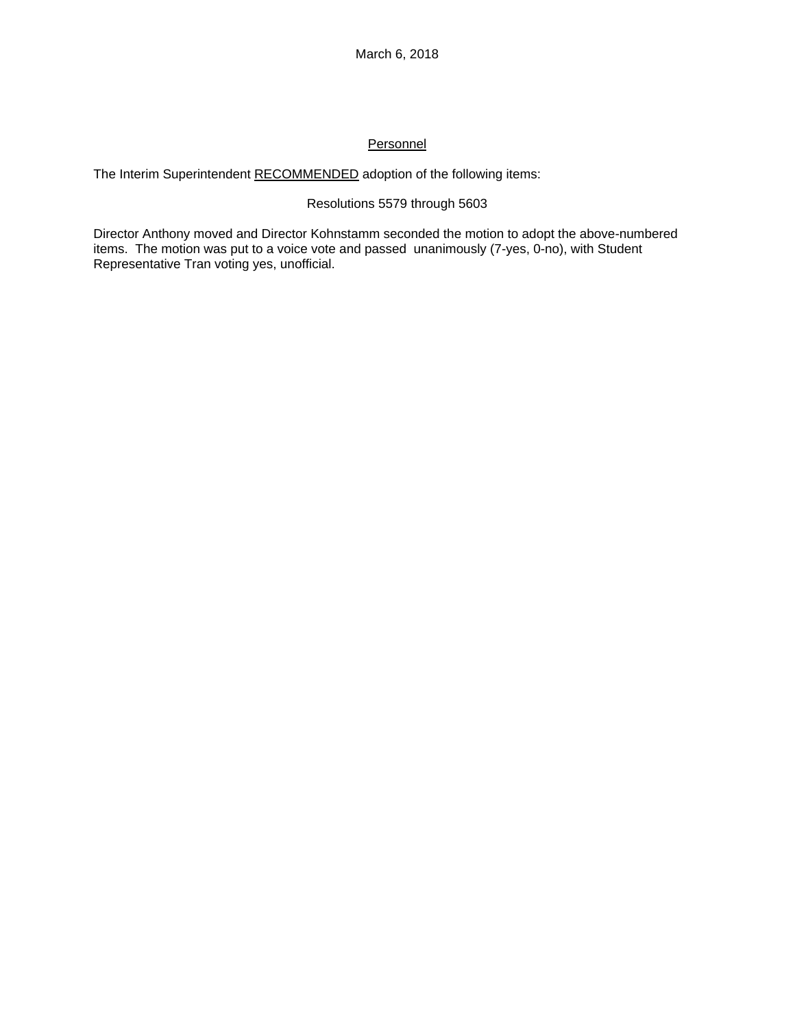# **Personnel**

The Interim Superintendent RECOMMENDED adoption of the following items:

# Resolutions 5579 through 5603

Director Anthony moved and Director Kohnstamm seconded the motion to adopt the above-numbered items. The motion was put to a voice vote and passed unanimously (7-yes, 0-no), with Student Representative Tran voting yes, unofficial.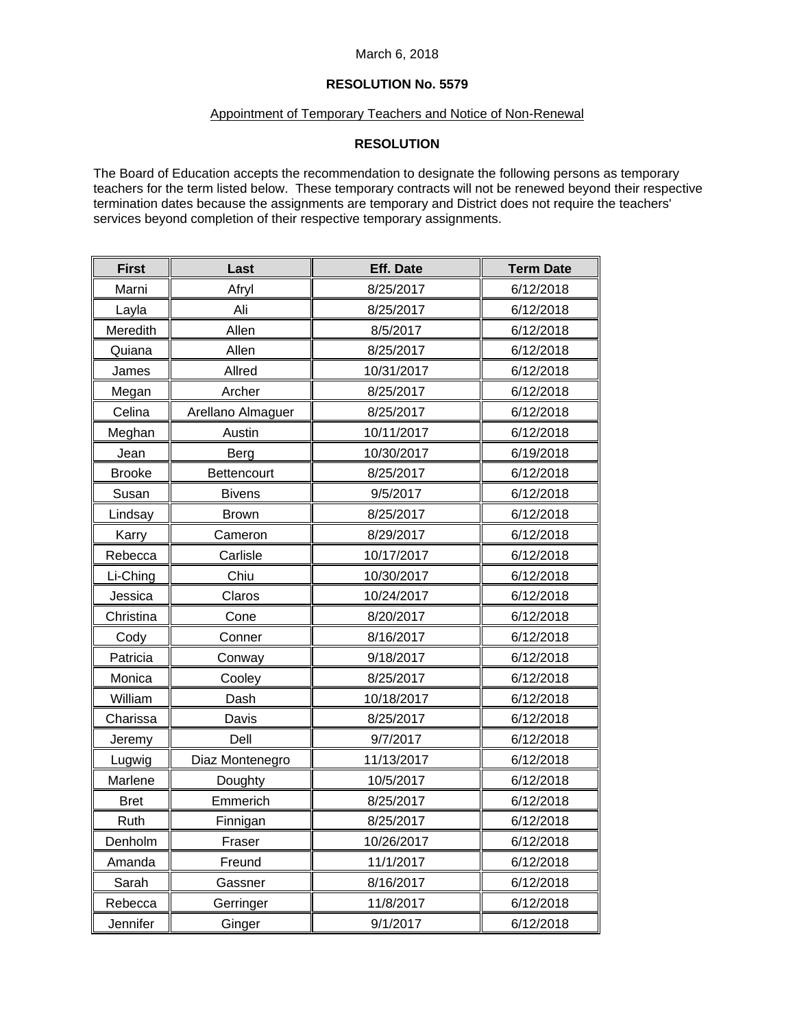# **RESOLUTION No. 5579**

## Appointment of Temporary Teachers and Notice of Non-Renewal

# **RESOLUTION**

The Board of Education accepts the recommendation to designate the following persons as temporary teachers for the term listed below. These temporary contracts will not be renewed beyond their respective termination dates because the assignments are temporary and District does not require the teachers' services beyond completion of their respective temporary assignments.

| <b>First</b>  | Last              | <b>Eff. Date</b> | <b>Term Date</b> |
|---------------|-------------------|------------------|------------------|
| Marni         | Afryl             | 8/25/2017        | 6/12/2018        |
| Layla         | Ali               | 8/25/2017        | 6/12/2018        |
| Meredith      | Allen             | 8/5/2017         | 6/12/2018        |
| Quiana        | Allen             | 8/25/2017        | 6/12/2018        |
| James         | Allred            | 10/31/2017       | 6/12/2018        |
| Megan         | Archer            | 8/25/2017        | 6/12/2018        |
| Celina        | Arellano Almaguer | 8/25/2017        | 6/12/2018        |
| Meghan        | Austin            | 10/11/2017       | 6/12/2018        |
| Jean          | Berg              | 10/30/2017       | 6/19/2018        |
| <b>Brooke</b> | Bettencourt       | 8/25/2017        | 6/12/2018        |
| Susan         | <b>Bivens</b>     | 9/5/2017         | 6/12/2018        |
| Lindsay       | <b>Brown</b>      | 8/25/2017        | 6/12/2018        |
| Karry         | Cameron           | 8/29/2017        | 6/12/2018        |
| Rebecca       | Carlisle          | 10/17/2017       | 6/12/2018        |
| Li-Ching      | Chiu              | 10/30/2017       | 6/12/2018        |
| Jessica       | Claros            | 10/24/2017       | 6/12/2018        |
| Christina     | Cone              | 8/20/2017        | 6/12/2018        |
| Cody          | Conner            | 8/16/2017        | 6/12/2018        |
| Patricia      | Conway            | 9/18/2017        | 6/12/2018        |
| Monica        | Cooley            | 8/25/2017        | 6/12/2018        |
| William       | Dash              | 10/18/2017       | 6/12/2018        |
| Charissa      | Davis             | 8/25/2017        | 6/12/2018        |
| Jeremy        | Dell              | 9/7/2017         | 6/12/2018        |
| Lugwig        | Diaz Montenegro   | 11/13/2017       | 6/12/2018        |
| Marlene       | Doughty           | 10/5/2017        | 6/12/2018        |
| <b>Bret</b>   | Emmerich          | 8/25/2017        | 6/12/2018        |
| Ruth          | Finnigan          | 8/25/2017        | 6/12/2018        |
| Denholm       | Fraser            | 10/26/2017       | 6/12/2018        |
| Amanda        | Freund            | 11/1/2017        | 6/12/2018        |
| Sarah         | Gassner           | 8/16/2017        | 6/12/2018        |
| Rebecca       | Gerringer         | 11/8/2017        | 6/12/2018        |
| Jennifer      | Ginger            | 9/1/2017         | 6/12/2018        |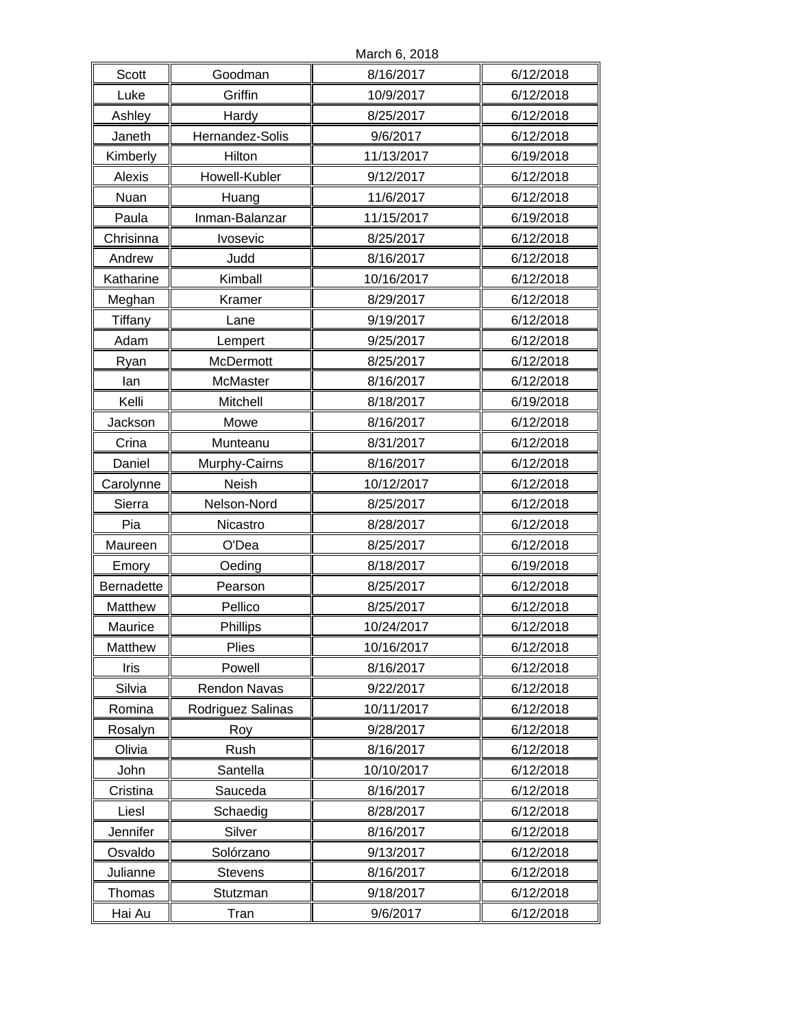|            |                   | March 6, 2018 |           |
|------------|-------------------|---------------|-----------|
| Scott      | Goodman           | 8/16/2017     | 6/12/2018 |
| Luke       | Griffin           | 10/9/2017     | 6/12/2018 |
| Ashley     | Hardy             | 8/25/2017     | 6/12/2018 |
| Janeth     | Hernandez-Solis   | 9/6/2017      | 6/12/2018 |
| Kimberly   | Hilton            | 11/13/2017    | 6/19/2018 |
| Alexis     | Howell-Kubler     | 9/12/2017     | 6/12/2018 |
| Nuan       | Huang             | 11/6/2017     | 6/12/2018 |
| Paula      | Inman-Balanzar    | 11/15/2017    | 6/19/2018 |
| Chrisinna  | Ivosevic          | 8/25/2017     | 6/12/2018 |
| Andrew     | Judd              | 8/16/2017     | 6/12/2018 |
| Katharine  | Kimball           | 10/16/2017    | 6/12/2018 |
| Meghan     | Kramer            | 8/29/2017     | 6/12/2018 |
| Tiffany    | Lane              | 9/19/2017     | 6/12/2018 |
| Adam       | Lempert           | 9/25/2017     | 6/12/2018 |
| Ryan       | McDermott         | 8/25/2017     | 6/12/2018 |
| lan        | McMaster          | 8/16/2017     | 6/12/2018 |
| Kelli      | Mitchell          | 8/18/2017     | 6/19/2018 |
| Jackson    | Mowe              | 8/16/2017     | 6/12/2018 |
| Crina      | Munteanu          | 8/31/2017     | 6/12/2018 |
| Daniel     | Murphy-Cairns     | 8/16/2017     | 6/12/2018 |
| Carolynne  | Neish             | 10/12/2017    | 6/12/2018 |
| Sierra     | Nelson-Nord       | 8/25/2017     | 6/12/2018 |
| Pia        | Nicastro          | 8/28/2017     | 6/12/2018 |
| Maureen    | O'Dea             | 8/25/2017     | 6/12/2018 |
| Emory      | Oeding            | 8/18/2017     | 6/19/2018 |
| Bernadette | Pearson           | 8/25/2017     | 6/12/2018 |
| Matthew    | Pellico           | 8/25/2017     | 6/12/2018 |
| Maurice    | Phillips          | 10/24/2017    | 6/12/2018 |
| Matthew    | <b>Plies</b>      | 10/16/2017    | 6/12/2018 |
| Iris       | Powell            | 8/16/2017     | 6/12/2018 |
| Silvia     | Rendon Navas      | 9/22/2017     | 6/12/2018 |
| Romina     | Rodriguez Salinas | 10/11/2017    | 6/12/2018 |
| Rosalyn    | Roy               | 9/28/2017     | 6/12/2018 |
| Olivia     | Rush              | 8/16/2017     | 6/12/2018 |
| John       | Santella          | 10/10/2017    | 6/12/2018 |
| Cristina   | Sauceda           | 8/16/2017     | 6/12/2018 |
| Liesl      | Schaedig          | 8/28/2017     | 6/12/2018 |
| Jennifer   | Silver            | 8/16/2017     | 6/12/2018 |
| Osvaldo    | Solórzano         | 9/13/2017     | 6/12/2018 |
| Julianne   | <b>Stevens</b>    | 8/16/2017     | 6/12/2018 |
| Thomas     | Stutzman          | 9/18/2017     | 6/12/2018 |
| Hai Au     | Tran              | 9/6/2017      | 6/12/2018 |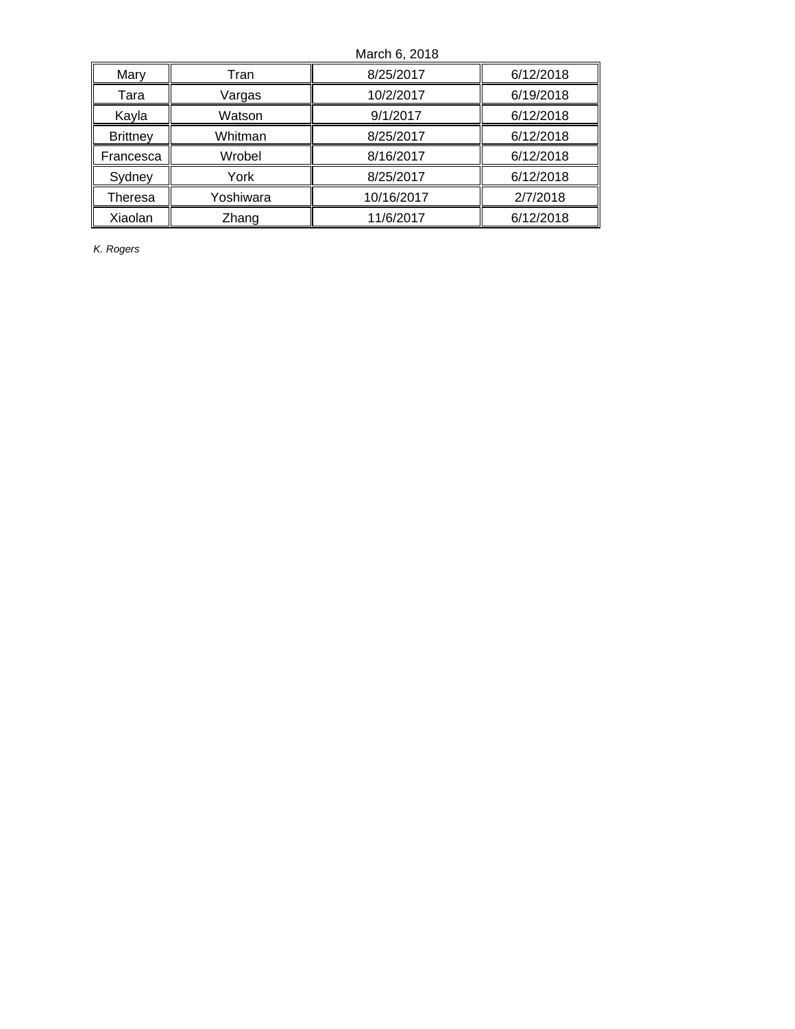|                 |           | March 6, 2018 |           |
|-----------------|-----------|---------------|-----------|
| Mary            | Tran      | 8/25/2017     | 6/12/2018 |
| Tara            | Vargas    | 10/2/2017     | 6/19/2018 |
| Kayla           | Watson    | 9/1/2017      | 6/12/2018 |
| <b>Brittney</b> | Whitman   | 8/25/2017     | 6/12/2018 |
| Francesca       | Wrobel    | 8/16/2017     | 6/12/2018 |
| Sydney          | York      | 8/25/2017     | 6/12/2018 |
| Theresa         | Yoshiwara | 10/16/2017    | 2/7/2018  |
| Xiaolan         | Zhang     | 11/6/2017     | 6/12/2018 |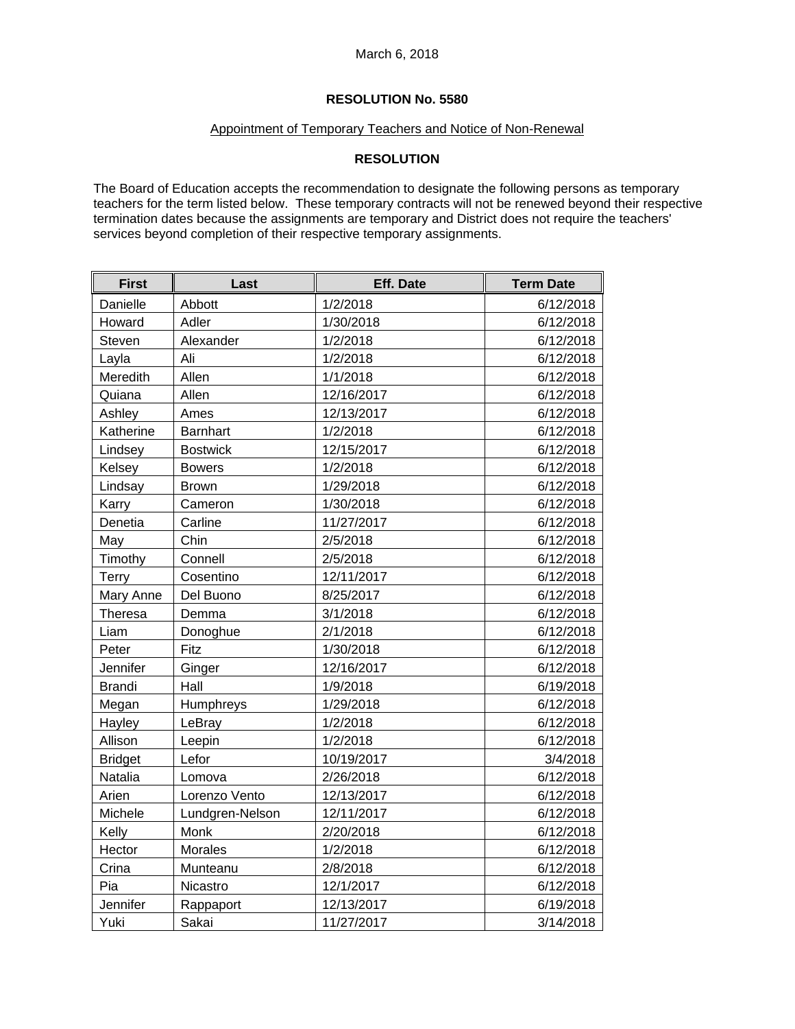# Appointment of Temporary Teachers and Notice of Non-Renewal

# **RESOLUTION**

The Board of Education accepts the recommendation to designate the following persons as temporary teachers for the term listed below. These temporary contracts will not be renewed beyond their respective termination dates because the assignments are temporary and District does not require the teachers' services beyond completion of their respective temporary assignments.

| <b>First</b>   | Last            | Eff. Date  | <b>Term Date</b> |
|----------------|-----------------|------------|------------------|
| Danielle       | Abbott          | 1/2/2018   | 6/12/2018        |
| Howard         | Adler           | 1/30/2018  | 6/12/2018        |
| Steven         | Alexander       | 1/2/2018   | 6/12/2018        |
| Layla          | Ali             | 1/2/2018   | 6/12/2018        |
| Meredith       | Allen           | 1/1/2018   | 6/12/2018        |
| Quiana         | Allen           | 12/16/2017 | 6/12/2018        |
| Ashley         | Ames            | 12/13/2017 | 6/12/2018        |
| Katherine      | Barnhart        | 1/2/2018   | 6/12/2018        |
| Lindsey        | <b>Bostwick</b> | 12/15/2017 | 6/12/2018        |
| Kelsey         | <b>Bowers</b>   | 1/2/2018   | 6/12/2018        |
| Lindsay        | <b>Brown</b>    | 1/29/2018  | 6/12/2018        |
| Karry          | Cameron         | 1/30/2018  | 6/12/2018        |
| Denetia        | Carline         | 11/27/2017 | 6/12/2018        |
| May            | Chin            | 2/5/2018   | 6/12/2018        |
| Timothy        | Connell         | 2/5/2018   | 6/12/2018        |
| Terry          | Cosentino       | 12/11/2017 | 6/12/2018        |
| Mary Anne      | Del Buono       | 8/25/2017  | 6/12/2018        |
| Theresa        | Demma           | 3/1/2018   | 6/12/2018        |
| Liam           | Donoghue        | 2/1/2018   | 6/12/2018        |
| Peter          | Fitz            | 1/30/2018  | 6/12/2018        |
| Jennifer       | Ginger          | 12/16/2017 | 6/12/2018        |
| <b>Brandi</b>  | Hall            | 1/9/2018   | 6/19/2018        |
| Megan          | Humphreys       | 1/29/2018  | 6/12/2018        |
| Hayley         | LeBray          | 1/2/2018   | 6/12/2018        |
| Allison        | Leepin          | 1/2/2018   | 6/12/2018        |
| <b>Bridget</b> | Lefor           | 10/19/2017 | 3/4/2018         |
| Natalia        | Lomova          | 2/26/2018  | 6/12/2018        |
| Arien          | Lorenzo Vento   | 12/13/2017 | 6/12/2018        |
| Michele        | Lundgren-Nelson | 12/11/2017 | 6/12/2018        |
| Kelly          | Monk            | 2/20/2018  | 6/12/2018        |
| Hector         | <b>Morales</b>  | 1/2/2018   | 6/12/2018        |
| Crina          | Munteanu        | 2/8/2018   | 6/12/2018        |
| Pia            | Nicastro        | 12/1/2017  | 6/12/2018        |
| Jennifer       | Rappaport       | 12/13/2017 | 6/19/2018        |
| Yuki           | Sakai           | 11/27/2017 | 3/14/2018        |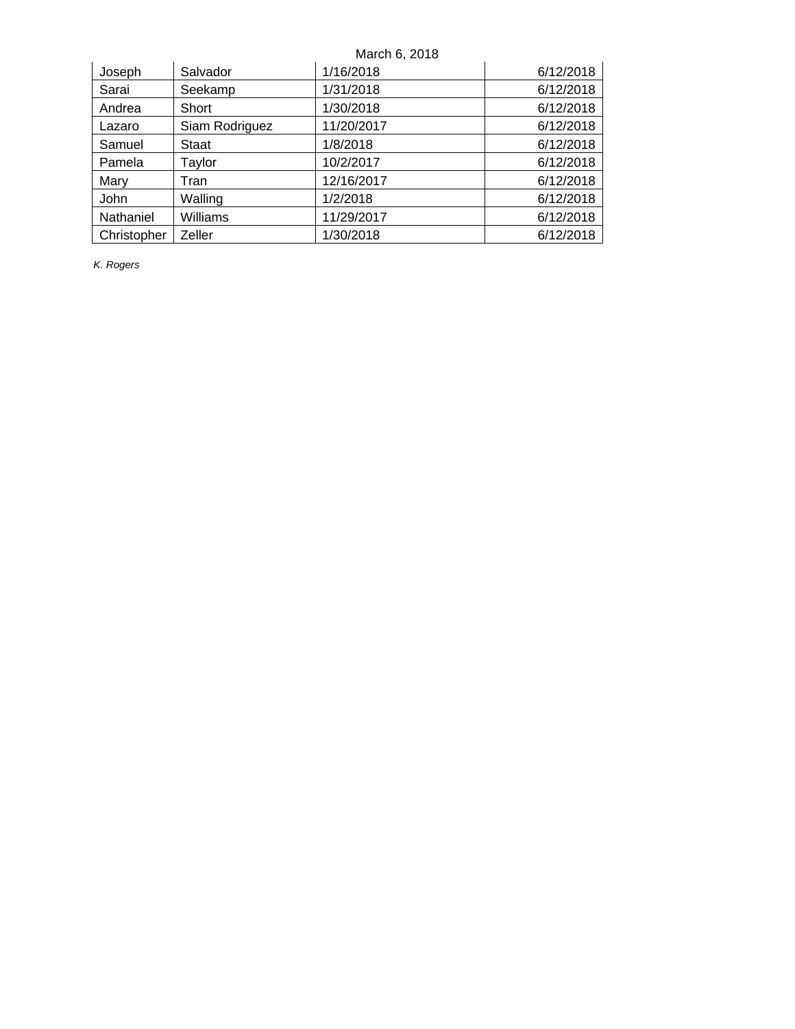| Joseph      | Salvador       | 1/16/2018  | 6/12/2018 |
|-------------|----------------|------------|-----------|
| Sarai       | Seekamp        | 1/31/2018  | 6/12/2018 |
| Andrea      | Short          | 1/30/2018  | 6/12/2018 |
| Lazaro      | Siam Rodriguez | 11/20/2017 | 6/12/2018 |
| Samuel      | Staat          | 1/8/2018   | 6/12/2018 |
| Pamela      | Taylor         | 10/2/2017  | 6/12/2018 |
| Mary        | Tran           | 12/16/2017 | 6/12/2018 |
| John        | Walling        | 1/2/2018   | 6/12/2018 |
| Nathaniel   | Williams       | 11/29/2017 | 6/12/2018 |
| Christopher | Zeller         | 1/30/2018  | 6/12/2018 |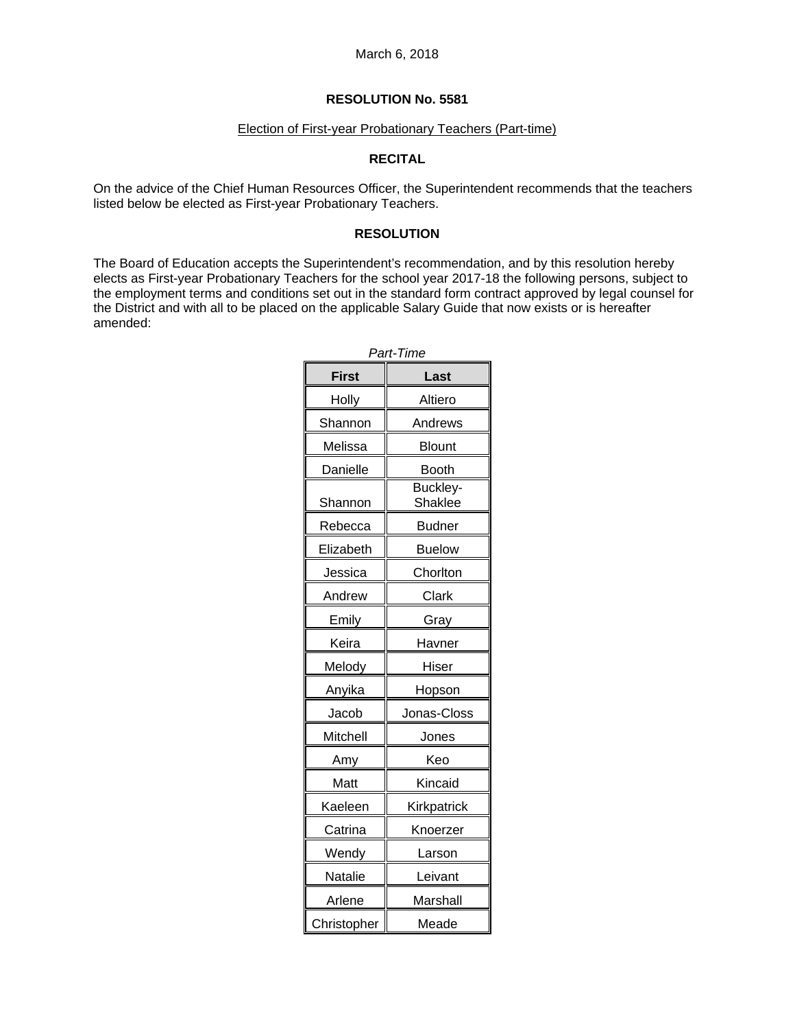### Election of First-year Probationary Teachers (Part-time)

# **RECITAL**

On the advice of the Chief Human Resources Officer, the Superintendent recommends that the teachers listed below be elected as First-year Probationary Teachers.

## **RESOLUTION**

The Board of Education accepts the Superintendent's recommendation, and by this resolution hereby elects as First-year Probationary Teachers for the school year 2017-18 the following persons, subject to the employment terms and conditions set out in the standard form contract approved by legal counsel for the District and with all to be placed on the applicable Salary Guide that now exists or is hereafter amended:

| Part-Time    |                            |  |
|--------------|----------------------------|--|
| <b>First</b> | Last                       |  |
| Holly        | Altiero                    |  |
| Shannon      | Andrews                    |  |
| Melissa      | Blount                     |  |
| Danielle     | <b>Booth</b>               |  |
| Shannon      | Buckley-<br><b>Shaklee</b> |  |
| Rebecca      | <b>Budner</b>              |  |
| Elizabeth    | <b>Buelow</b>              |  |
| Jessica      | Chorlton                   |  |
| Andrew       | Clark                      |  |
| Emily        | Gray                       |  |
| Keira        | Havner                     |  |
| Melody       | Hiser                      |  |
| Anyika       | Hopson                     |  |
| Jacob        | Jonas-Closs                |  |
| Mitchell     | Jones                      |  |
| Amy          | Keo                        |  |
| Matt         | Kincaid                    |  |
| Kaeleen      | Kirkpatrick                |  |
| Catrina      | Knoerzer                   |  |
| Wendy        | Larson                     |  |
| Natalie      | Leivant                    |  |
| Arlene       | Marshall                   |  |
| Christopher  | Meade                      |  |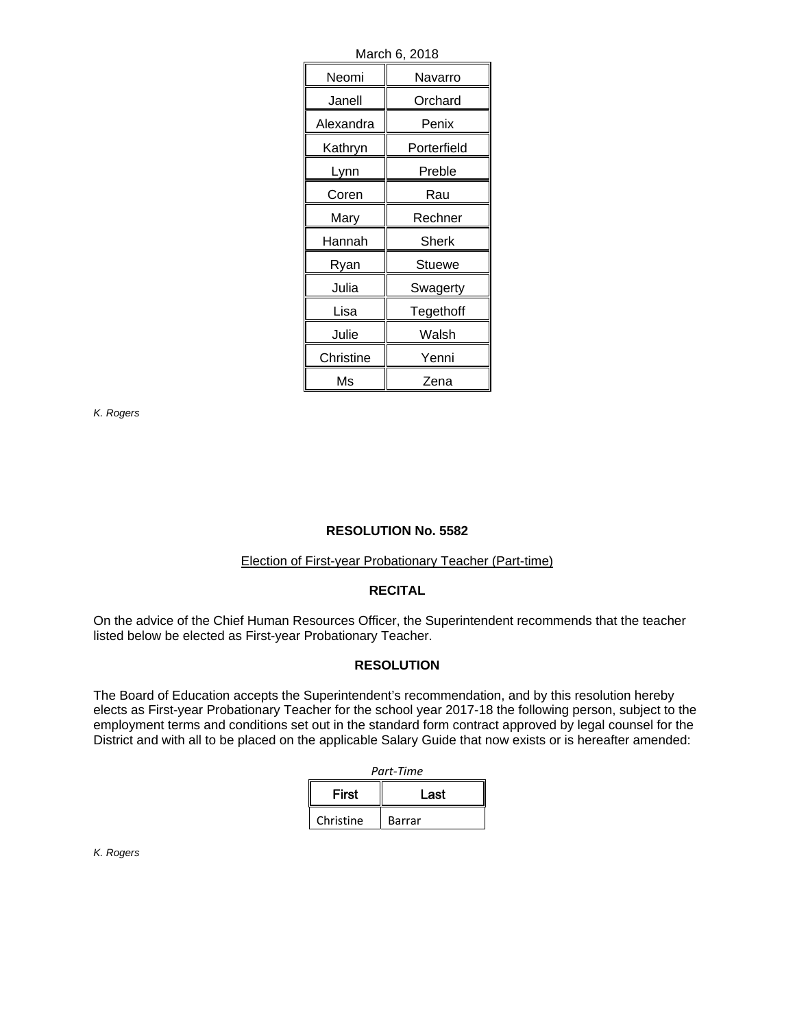| March 6, 2018 |              |  |
|---------------|--------------|--|
| Neomi         | Navarro      |  |
| Janell        | Orchard      |  |
| Alexandra     | Penix        |  |
| Kathryn       | Porterfield  |  |
| Lynn          | Preble       |  |
| Coren         | Rau          |  |
| Mary          | Rechner      |  |
| Hannah        | <b>Sherk</b> |  |
| Ryan          | Stuewe       |  |
| Julia         | Swagerty     |  |
| Lisa          | Tegethoff    |  |
| Julie         | Walsh        |  |
| Christine     | Yenni        |  |
| Ms            | Zena         |  |

# **RESOLUTION No. 5582**

## Election of First-year Probationary Teacher (Part-time)

#### **RECITAL**

On the advice of the Chief Human Resources Officer, the Superintendent recommends that the teacher listed below be elected as First-year Probationary Teacher.

## **RESOLUTION**

The Board of Education accepts the Superintendent's recommendation, and by this resolution hereby elects as First-year Probationary Teacher for the school year 2017-18 the following person, subject to the employment terms and conditions set out in the standard form contract approved by legal counsel for the District and with all to be placed on the applicable Salary Guide that now exists or is hereafter amended:

| Part-Time    |        |  |
|--------------|--------|--|
| <b>First</b> | Last   |  |
| Christine    | Barrar |  |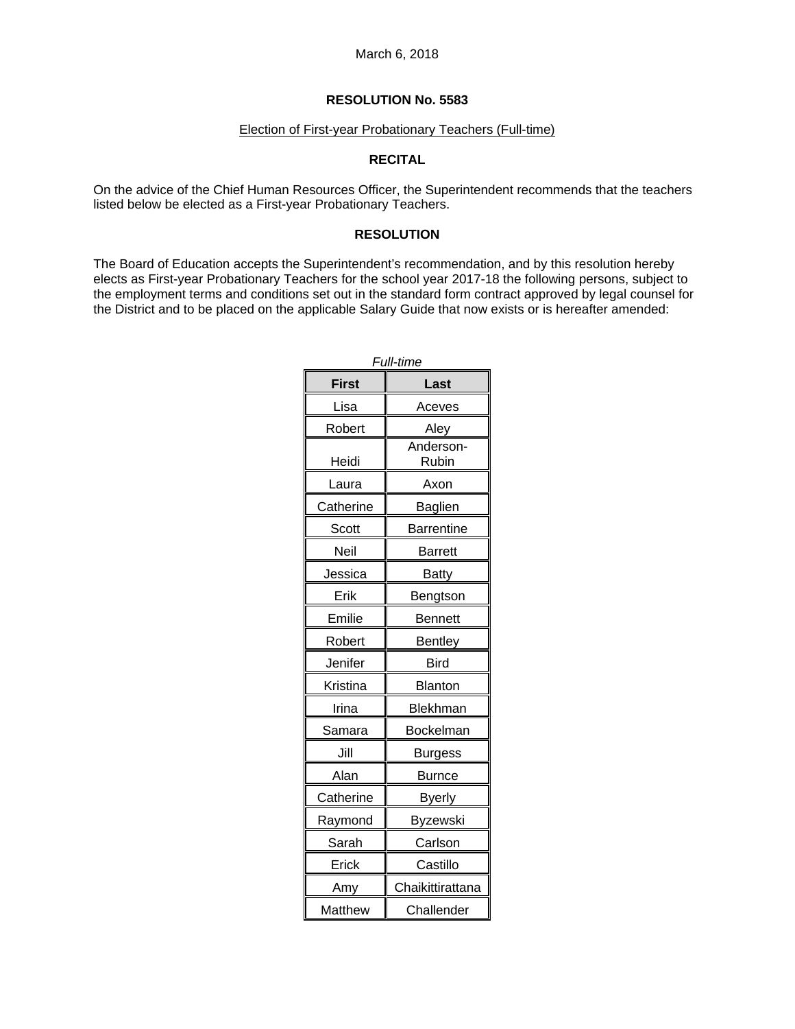### Election of First-year Probationary Teachers (Full-time)

# **RECITAL**

On the advice of the Chief Human Resources Officer, the Superintendent recommends that the teachers listed below be elected as a First-year Probationary Teachers.

### **RESOLUTION**

The Board of Education accepts the Superintendent's recommendation, and by this resolution hereby elects as First-year Probationary Teachers for the school year 2017-18 the following persons, subject to the employment terms and conditions set out in the standard form contract approved by legal counsel for the District and to be placed on the applicable Salary Guide that now exists or is hereafter amended:

| Full-time    |                    |  |
|--------------|--------------------|--|
| <b>First</b> | Last               |  |
| Lisa         | Aceves             |  |
| Robert       | Aley               |  |
| Heidi        | Anderson-<br>Rubin |  |
| Laura        | Axon               |  |
| Catherine    | Baglien            |  |
| Scott        | <b>Barrentine</b>  |  |
| Neil         | <b>Barrett</b>     |  |
| Jessica      | <b>Batty</b>       |  |
| Erik         | Bengtson           |  |
| Emilie       | Bennett            |  |
| Robert       | <b>Bentley</b>     |  |
| Jenifer      | <b>Bird</b>        |  |
| Kristina     | Blanton            |  |
| Irina        | <b>Blekhman</b>    |  |
| Samara       | <b>Bockelman</b>   |  |
| Jill         | Burgess            |  |
| Alan         | <b>Burnce</b>      |  |
| Catherine    | Byerly             |  |
| Raymond      | <b>Byzewski</b>    |  |
| Sarah        | Carlson            |  |
| Erick        | Castillo           |  |
| Amy          | Chaikittirattana   |  |
| Matthew      | Challender         |  |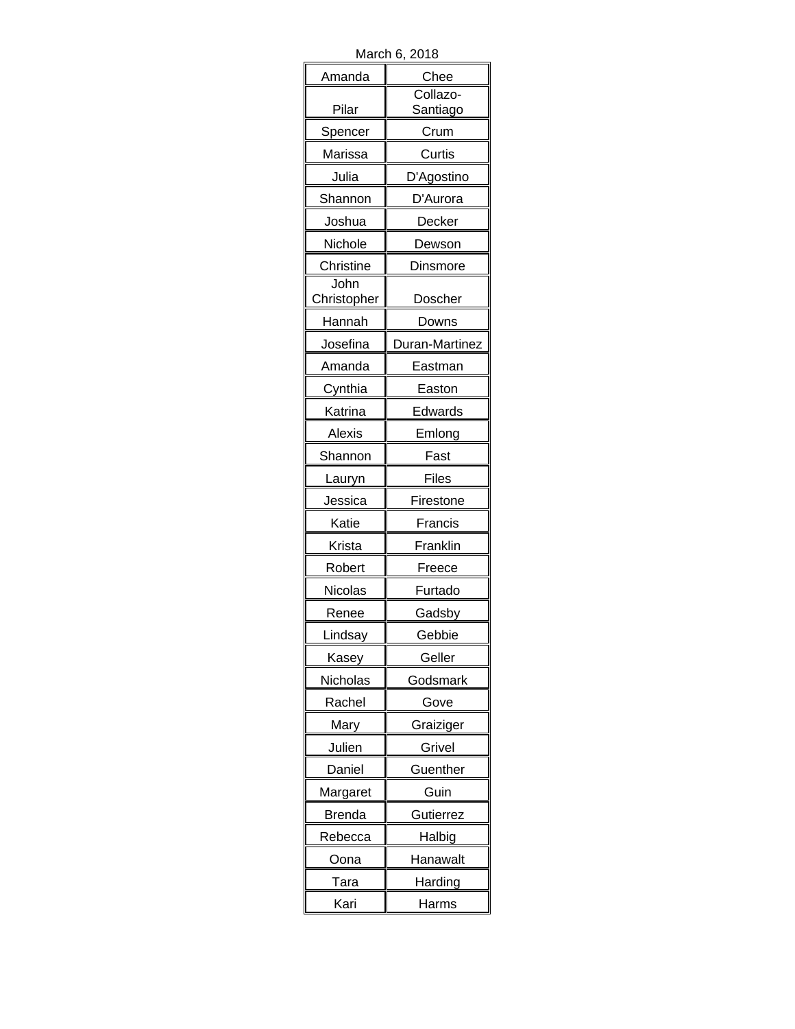| March 6, 2018 |  |
|---------------|--|
|---------------|--|

| ινιαι σι ι σ, | 2010                 |
|---------------|----------------------|
| Amanda        | Chee                 |
| Pilar         | Collazo-<br>Santiago |
| Spencer       | Crum                 |
| Marissa       | Curtis               |
| Julia         | D'Agostino           |
| Shannon       | D'Aurora             |
| Joshua        | Decker               |
| Nichole       | Dewson               |
| Christine     | Dinsmore             |
| John          |                      |
| Christopher   | Doscher              |
| Hannah        | Downs                |
| Josefina      | Duran-Martinez       |
| Amanda        | Eastman              |
| Cynthia       | Easton               |
| Katrina       | Edwards              |
| Alexis        | Emlong               |
| Shannon       | Fast                 |
| Lauryn        | Files                |
| Jessica       | Firestone            |
| Katie         | Francis              |
| Krista        | Franklin             |
| Robert        | Freece               |
| Nicolas       | Furtado              |
| Renee         | Gadsby               |
| Lindsay       | Gebbie               |
| Kasey         | Geller               |
| Nicholas      | Godsmark             |
| Rachel        | Gove                 |
| Mary          | Graiziger            |
| Julien        | Grivel               |
| Daniel        | Guenther             |
| Margaret      | Guin                 |
| <b>Brenda</b> | Gutierrez            |
| Rebecca       | Halbig               |
| Oona          | Hanawalt             |
| Tara          | Harding              |
| Kari          | Harms                |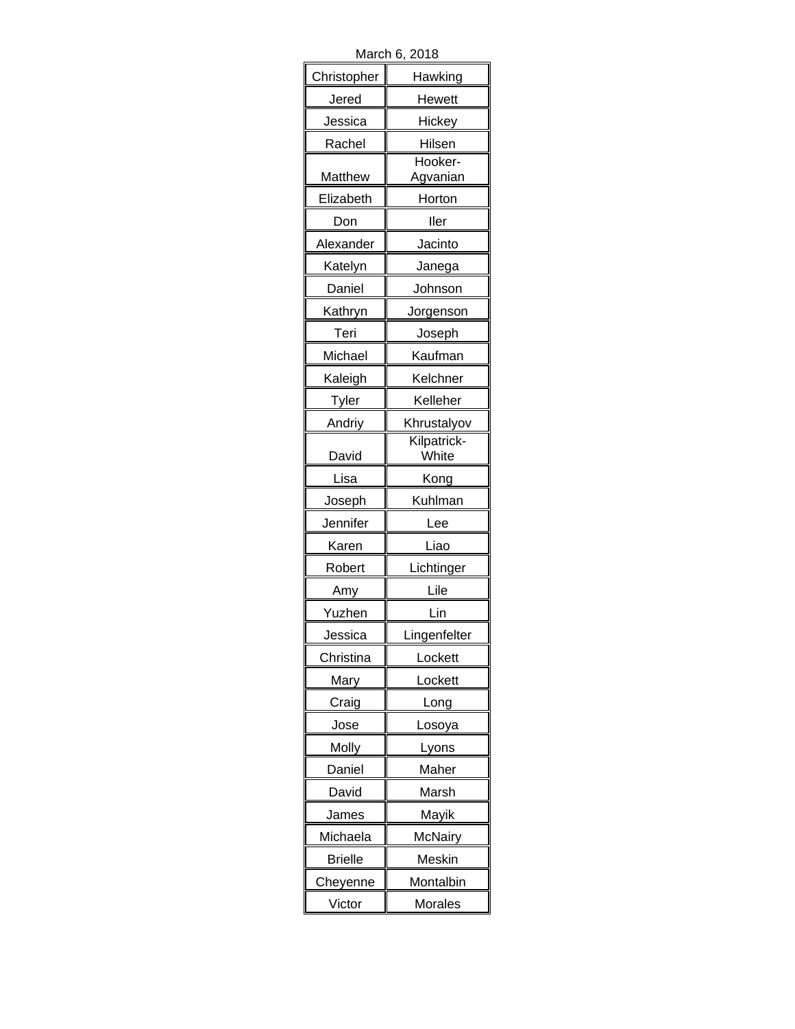| March 6, 2018  |                      |  |
|----------------|----------------------|--|
| Christopher    | Hawking              |  |
| Jered          | Hewett               |  |
| Jessica        | Hickey               |  |
| Rachel         | Hilsen               |  |
| Matthew        | Hooker-<br>Agvanian  |  |
| Elizabeth      | Horton               |  |
| Don            | ller                 |  |
| Alexander      | Jacinto              |  |
| Katelyn        | Janega               |  |
| Daniel         | Johnson              |  |
| Kathryn        | Jorgenson            |  |
| Teri           | Joseph               |  |
| Michael        | Kaufman              |  |
| Kaleigh        | Kelchner             |  |
| Tyler          | Kelleher             |  |
| Andriy         | Khrustalyov          |  |
| David          | Kilpatrick-<br>White |  |
| Lisa           | Kong                 |  |
| Joseph         | Kuhlman              |  |
| Jennifer       | Lee                  |  |
| Karen          | Liao                 |  |
| Robert         | Lichtinger           |  |
| Amy            | Lile                 |  |
| Yuzhen         | Lin                  |  |
| Jessica        | Lingenfelter         |  |
| Christina      | Lockett              |  |
| Mary           | Lockett              |  |
| Craig          | Long                 |  |
| Jose           | Losoya               |  |
| Molly          | Lyons                |  |
| Daniel         | Maher                |  |
| David          | Marsh                |  |
| James          | Mayik                |  |
| Michaela       | McNairy              |  |
| <b>Brielle</b> | Meskin               |  |
| Cheyenne       | Montalbin            |  |
| Victor         | Morales              |  |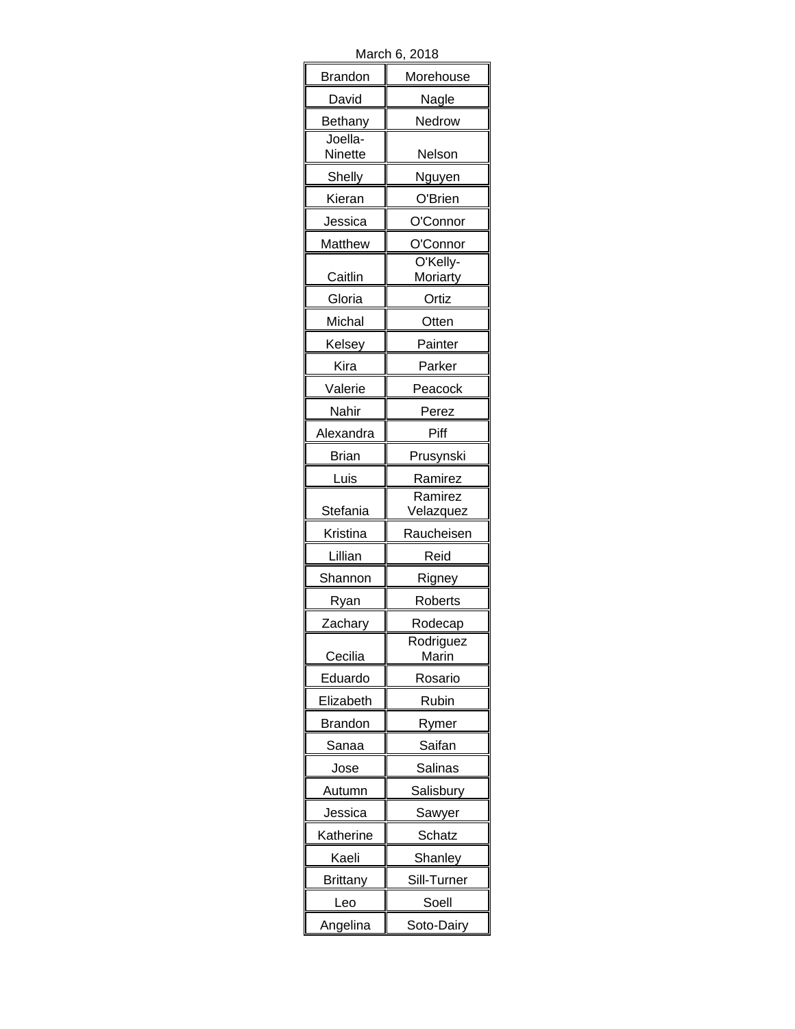| ט וטושויו,     | ں ہے                 |
|----------------|----------------------|
| <b>Brandon</b> | Morehouse            |
| David          | Nagle                |
| Bethany        | Nedrow               |
| Joella-        |                      |
| Ninette        | Nelson               |
| Shelly         | Nguyen               |
| Kieran         | O'Brien              |
| Jessica        | O'Connor             |
| <b>Matthew</b> | O'Connor             |
| Caitlin        | O'Kelly-<br>Moriarty |
| Gloria         | Ortiz                |
| Michal         | Otten                |
| Kelsey         | Painter              |
| Kira           | Parker               |
| Valerie        | Peacock              |
| Nahir          | Perez                |
| Alexandra      | Piff                 |
| Brian          | Prusynski            |
| Luis           | Ramirez              |
|                | Ramirez              |
| Stefania       | Velazquez            |
| Kristina       | Raucheisen           |
| Lillian        | Reid                 |
| Shannon        | Rigney               |
| Ryan           | Roberts              |
| Zachary        | Rodecap              |
| Cecilia        | Rodriguez<br>Marin   |
| Eduardo        | Rosario              |
| Elizabeth      | Rubin                |
| <b>Brandon</b> | Rymer                |
| Sanaa          | Saifan               |
| Jose           | Salinas              |
| Autumn         | Salisbury            |
| Jessica        | Sawyer               |
| Katherine      | Schatz               |
| Kaeli          | Shanley              |
| Brittany       | Sill-Turner          |
| Leo            | Soell                |
| Angelina       | Soto-Dairy           |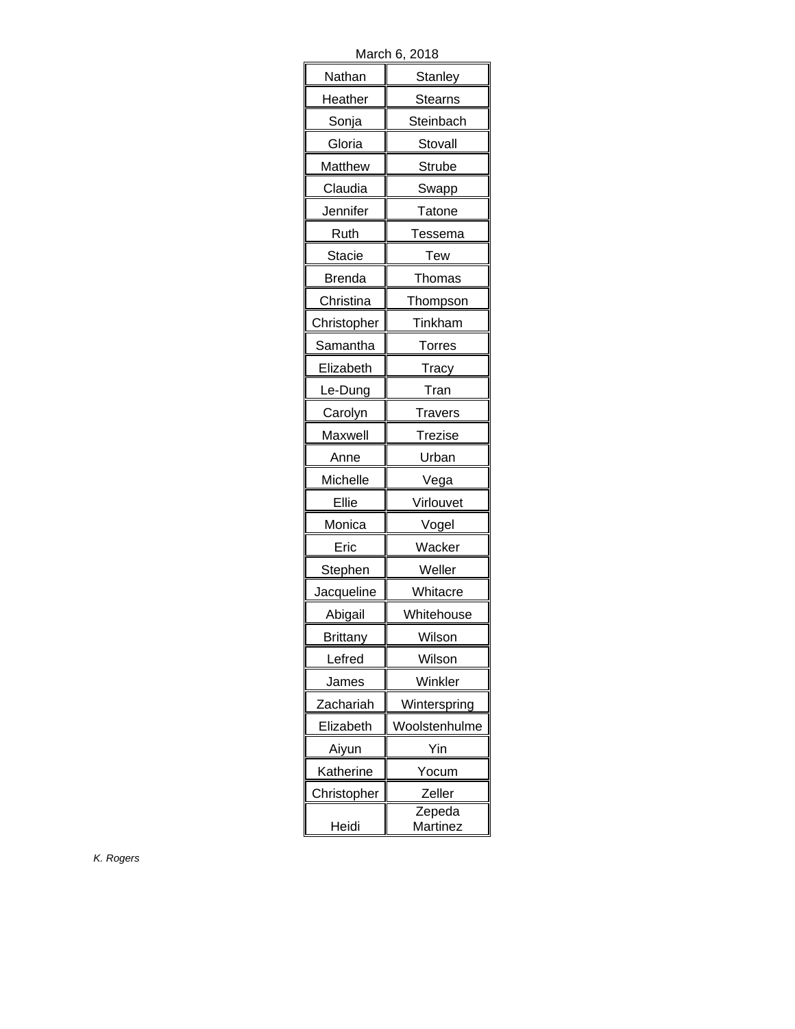March 6, 2018

| iviai vii v,  | 2010           |
|---------------|----------------|
| Nathan        | Stanley        |
| Heather       | Stearns        |
| Sonja         | Steinbach      |
| Gloria        | Stovall        |
| Matthew       | Strube         |
| Claudia       | Swapp          |
| Jennifer      | Tatone         |
| Ruth          | Tessema        |
| <b>Stacie</b> | Tew            |
| Brenda        | Thomas         |
| Christina     | Thompson       |
| Christopher   | Tinkham        |
| Samantha      | Torres         |
| Elizabeth     | Tracy          |
| Le-Dung       | Tran           |
| Carolyn       | <b>Travers</b> |
| Maxwell       | <b>Trezise</b> |
| Anne          | Urban          |
| Michelle      | Vega           |
| Ellie         | Virlouvet      |
| Monica        | Vogel          |
| Eric          | Wacker         |
| Stephen       | Weller         |
| Jacqueline    | Whitacre       |
| Abigail       | Whitehouse     |
| Brittanv      | Wilson         |
| Lefred        | Wilson         |
| James         | Winkler        |
| Zachariah     | Winterspring   |
| Elizabeth     | Woolstenhulme  |
| Aiyun         | Yin            |
| Katherine     | Yocum          |
| Christopher   | Zeller         |
|               | Zepeda         |
| Heidi         | Martinez       |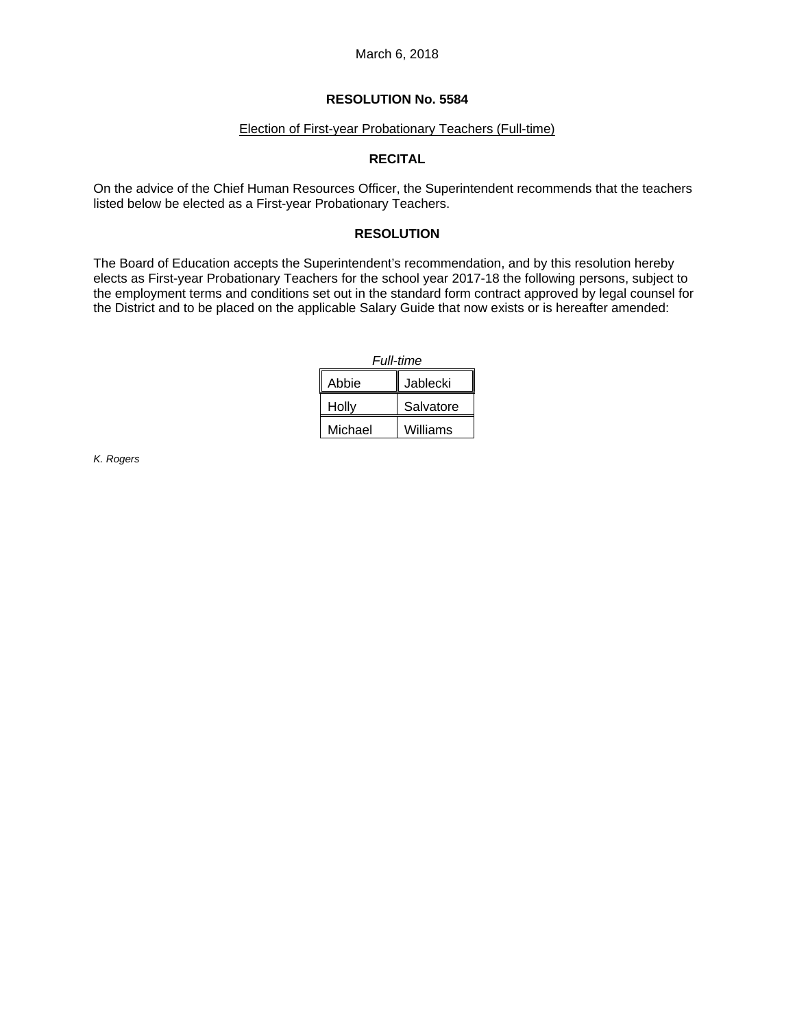#### **RESOLUTION No. 5584**

### Election of First-year Probationary Teachers (Full-time)

## **RECITAL**

On the advice of the Chief Human Resources Officer, the Superintendent recommends that the teachers listed below be elected as a First-year Probationary Teachers.

### **RESOLUTION**

The Board of Education accepts the Superintendent's recommendation, and by this resolution hereby elects as First-year Probationary Teachers for the school year 2017-18 the following persons, subject to the employment terms and conditions set out in the standard form contract approved by legal counsel for the District and to be placed on the applicable Salary Guide that now exists or is hereafter amended:

| Full-time |           |
|-----------|-----------|
| Abbie     | Jablecki  |
| Holly     | Salvatore |
| Michael   | Williams  |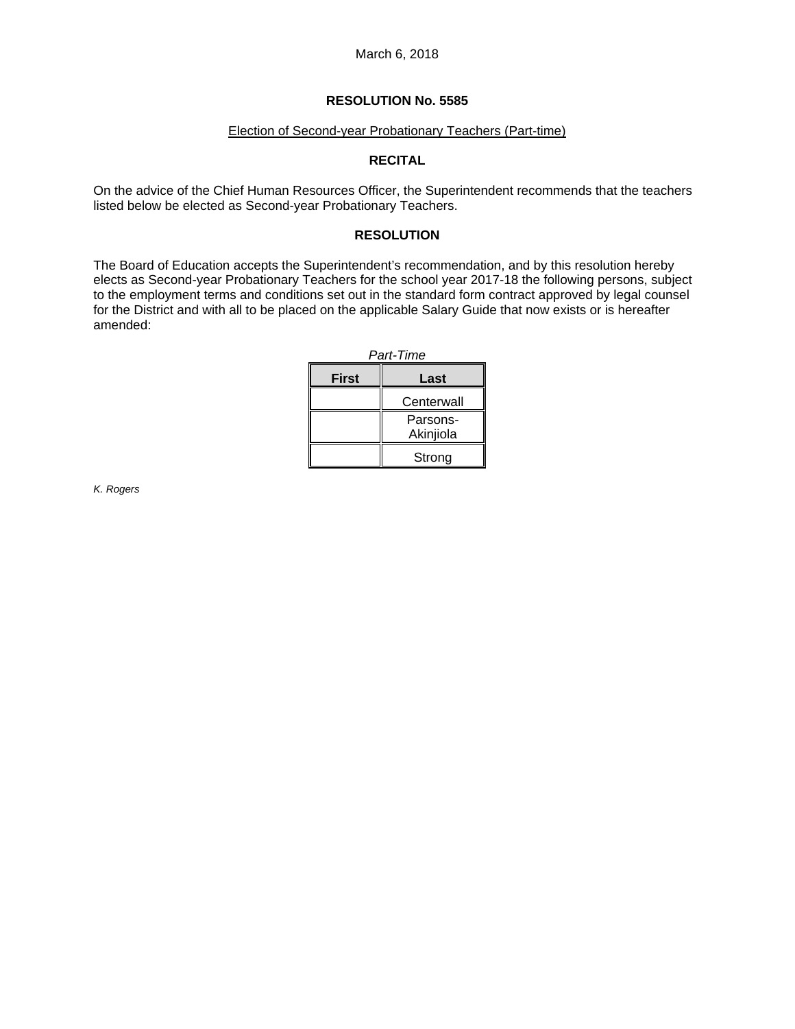## Election of Second-year Probationary Teachers (Part-time)

# **RECITAL**

On the advice of the Chief Human Resources Officer, the Superintendent recommends that the teachers listed below be elected as Second-year Probationary Teachers.

## **RESOLUTION**

The Board of Education accepts the Superintendent's recommendation, and by this resolution hereby elects as Second-year Probationary Teachers for the school year 2017-18 the following persons, subject to the employment terms and conditions set out in the standard form contract approved by legal counsel for the District and with all to be placed on the applicable Salary Guide that now exists or is hereafter amended:

| Part-Time |            |
|-----------|------------|
| First     | Last       |
|           | Centerwall |
|           | Parsons-   |
|           | Akinjiola  |
|           | Strong     |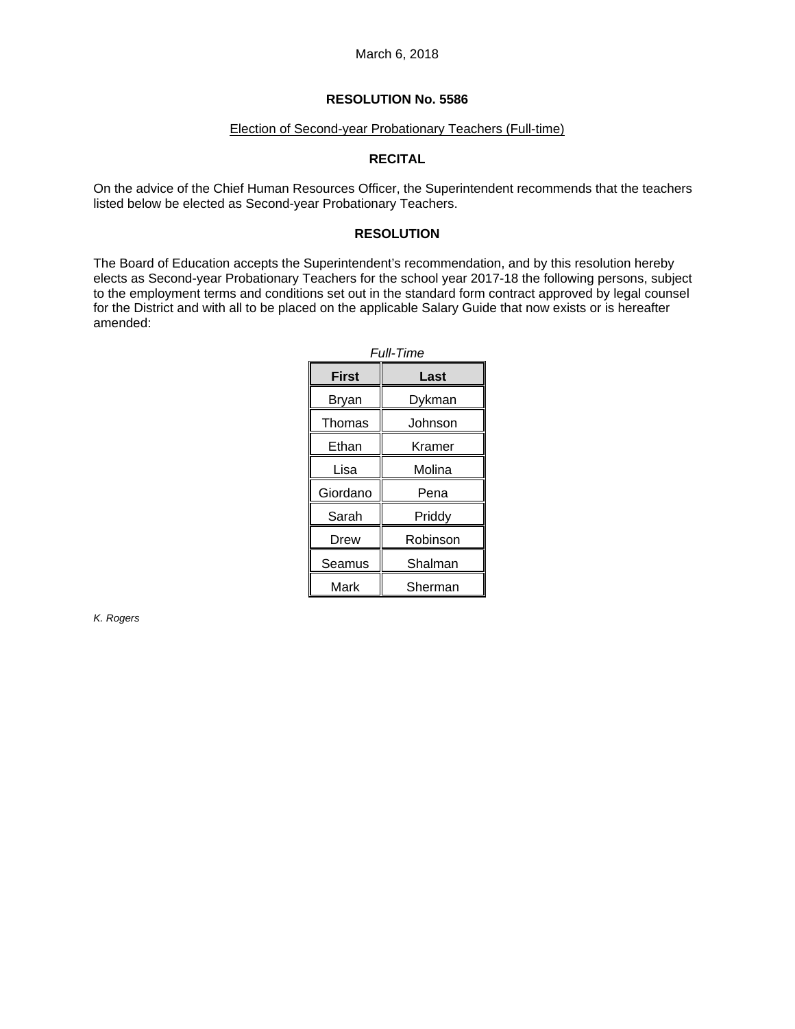# Election of Second-year Probationary Teachers (Full-time)

# **RECITAL**

On the advice of the Chief Human Resources Officer, the Superintendent recommends that the teachers listed below be elected as Second-year Probationary Teachers.

## **RESOLUTION**

The Board of Education accepts the Superintendent's recommendation, and by this resolution hereby elects as Second-year Probationary Teachers for the school year 2017-18 the following persons, subject to the employment terms and conditions set out in the standard form contract approved by legal counsel for the District and with all to be placed on the applicable Salary Guide that now exists or is hereafter amended:

| <b>Full-Time</b> |          |
|------------------|----------|
| First            | Last     |
| Bryan            | Dykman   |
| Thomas           | Johnson  |
| Ethan            | Kramer   |
| Lisa             | Molina   |
| Giordano         | Pena     |
| Sarah            | Priddy   |
| Drew             | Robinson |
| Seamus           | Shalman  |
| Mark             | Sherman  |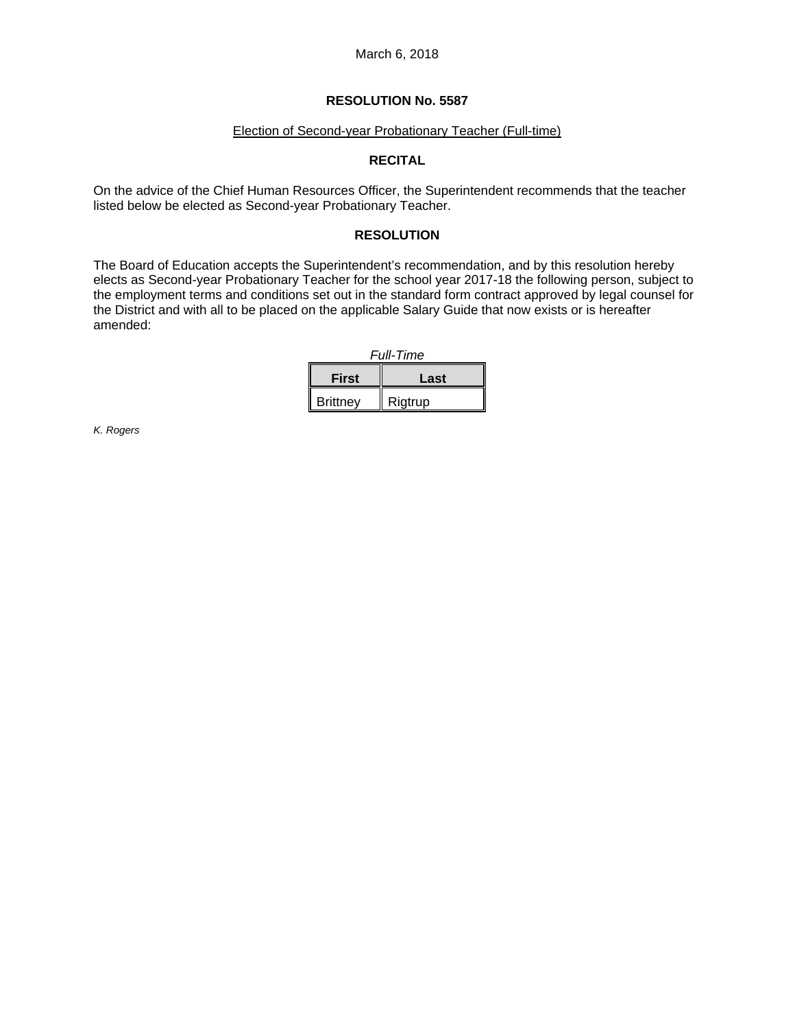#### Election of Second-year Probationary Teacher (Full-time)

# **RECITAL**

On the advice of the Chief Human Resources Officer, the Superintendent recommends that the teacher listed below be elected as Second-year Probationary Teacher.

## **RESOLUTION**

The Board of Education accepts the Superintendent's recommendation, and by this resolution hereby elects as Second-year Probationary Teacher for the school year 2017-18 the following person, subject to the employment terms and conditions set out in the standard form contract approved by legal counsel for the District and with all to be placed on the applicable Salary Guide that now exists or is hereafter amended:

| <b>Full-Time</b> |         |
|------------------|---------|
| <b>First</b>     | Last    |
| <b>Brittney</b>  | Rigtrup |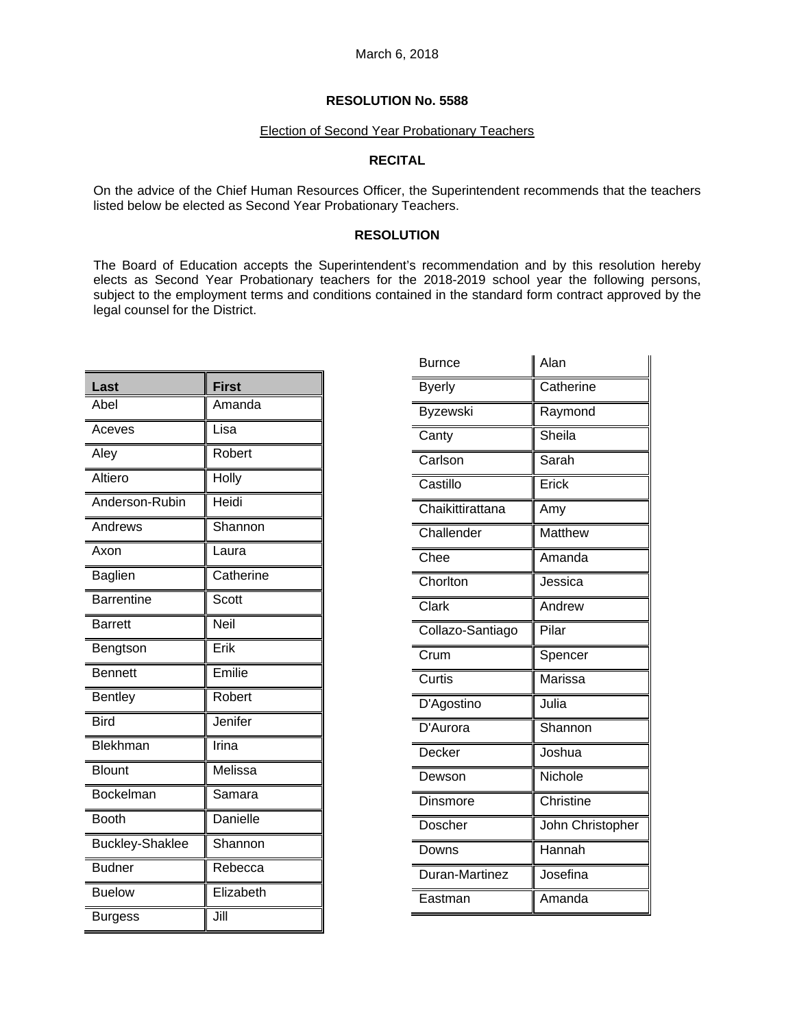### Election of Second Year Probationary Teachers

# **RECITAL**

On the advice of the Chief Human Resources Officer, the Superintendent recommends that the teachers listed below be elected as Second Year Probationary Teachers.

## **RESOLUTION**

The Board of Education accepts the Superintendent's recommendation and by this resolution hereby elects as Second Year Probationary teachers for the 2018-2019 school year the following persons, subject to the employment terms and conditions contained in the standard form contract approved by the legal counsel for the District.

| Last                   | <b>First</b>    |
|------------------------|-----------------|
| Abel                   | Amanda          |
| Aceves                 | Lisa            |
| Aley                   | Robert          |
| Altiero                | <b>Holly</b>    |
| Anderson-Rubin         | Heidi           |
| Andrews                | Shannon         |
| Axon                   | Laura           |
| <b>Baglien</b>         | Catherine       |
| <b>Barrentine</b>      | Scott           |
| <b>Barrett</b>         | Neil            |
| Bengtson               | Erik            |
| <b>Bennett</b>         | Emilie          |
| <b>Bentley</b>         | Robert          |
| Bird                   | Jenifer         |
| Blekhman               | Irina           |
| <b>Blount</b>          | Melissa         |
| <b>Bockelman</b>       | Samara          |
| <b>Booth</b>           | <b>Danielle</b> |
| <b>Buckley-Shaklee</b> | Shannon         |
| <b>Budner</b>          | Rebecca         |
| <b>Buelow</b>          | Elizabeth       |
| <b>Burgess</b>         | Jill            |

| <b>Burnce</b>    | Alan             |
|------------------|------------------|
| <b>Byerly</b>    | Catherine        |
| Byzewski         | Raymond          |
| Canty            | Sheila           |
| Carlson          | Sarah            |
| Castillo         | Erick            |
| Chaikittirattana | Amy              |
| Challender       | Matthew          |
| Chee             | Amanda           |
| Chorlton         | Jessica          |
| Clark            | Andrew           |
| Collazo-Santiago | Pilar            |
| Crum             | Spencer          |
| Curtis           | Marissa          |
| D'Agostino       | Julia            |
| D'Aurora         | Shannon          |
| Decker           | Joshua           |
| Dewson           | Nichole          |
| Dinsmore         | Christine        |
| Doscher          | John Christopher |
| Downs            | Hannah           |
| Duran-Martinez   | Josefina         |
| Eastman          | Amanda           |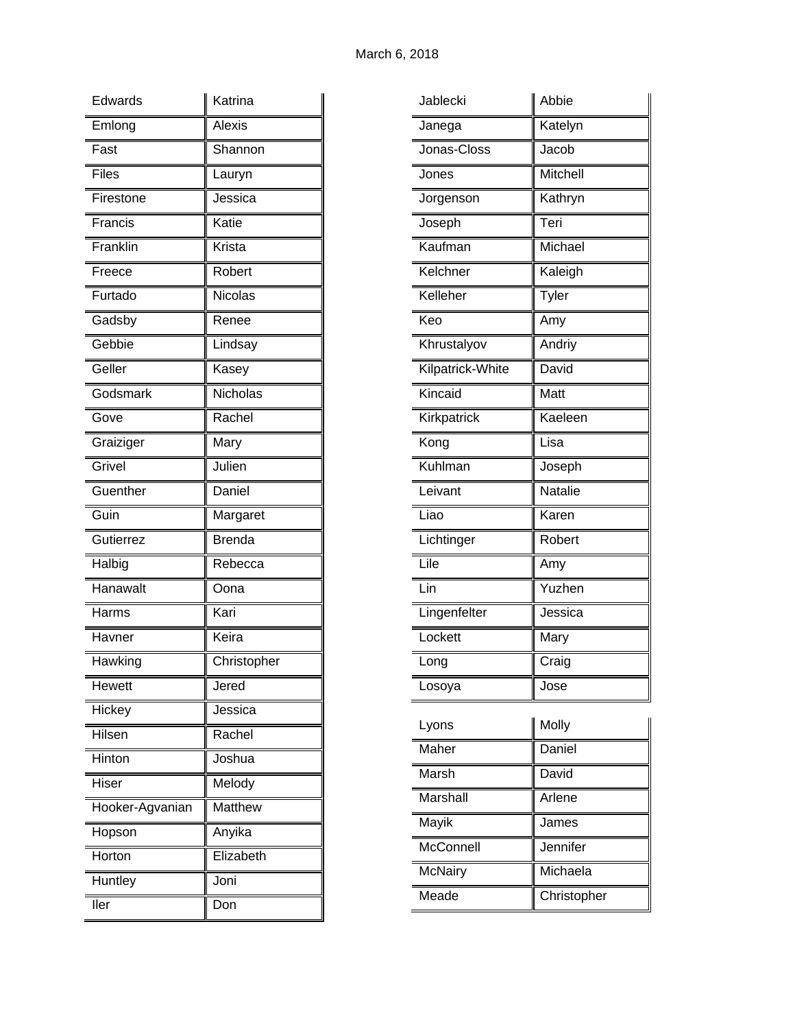| Edwards         | Katrina       |
|-----------------|---------------|
| Emlong          | Alexis        |
| Fast            | Shannon       |
| <b>Files</b>    | Lauryn        |
| Firestone       | Jessica       |
| Francis         | Katie         |
| Franklin        | Krista        |
| Freece          | Robert        |
| Furtado         | Nicolas       |
| Gadsby          | Renee         |
| Gebbie          | Lindsay       |
| Geller          | Kasey         |
| Godsmark        | Nicholas      |
| Gove            | Rachel        |
| Graiziger       | Mary          |
| Grivel          | Julien        |
| Guenther        | Daniel        |
| Guin            | Margaret      |
| Gutierrez       | <b>Brenda</b> |
| Halbig          | Rebecca       |
| Hanawalt        | Oona          |
| Harms           | Kari          |
| Havner          | Keira         |
| Hawking         | Christopher   |
| Hewett          | Jered         |
| Hickey          | Jessica       |
| Hilsen          | Rachel        |
| Hinton          | Joshua        |
| Hiser           | Melody        |
| Hooker-Agvanian | Matthew       |
| Hopson          | Anyika        |
| Horton          | Elizabeth     |
| Huntley         | Joni          |
| ller            | Don           |

| Jablecki         | Abbie          |
|------------------|----------------|
| Janega           | Katelyn        |
| Jonas-Closs      | Jacob          |
| Jones            | Mitchell       |
| Jorgenson        | Kathryn        |
| Joseph           | Teri           |
| Kaufman          | Michael        |
| Kelchner         | Kaleigh        |
| Kelleher         | Tyler          |
| Keo              | Amy            |
| Khrustalyov      | Andriy         |
| Kilpatrick-White | David          |
| Kincaid          | Matt           |
| Kirkpatrick      | Kaeleen        |
| Kong             | Lisa           |
| Kuhlman          | Joseph         |
| Leivant          | Natalie        |
| Liao             | Karen          |
| Lichtinger       | Robert         |
| Lile             | Amy            |
| Lin              | Yuzhen         |
| Lingenfelter     | Jessica        |
| Lockett          | Mary           |
| Long             | Craig          |
| Losoya           | Jose           |
| l vons           | II<br>ll Molly |

| Lyons          | Molly       |
|----------------|-------------|
| Maher          | Daniel      |
| Marsh          | David       |
| Marshall       | Arlene      |
| Mayik          | James       |
| McConnell      | Jennifer    |
| <b>McNairy</b> | Michaela    |
| Meade          | Christopher |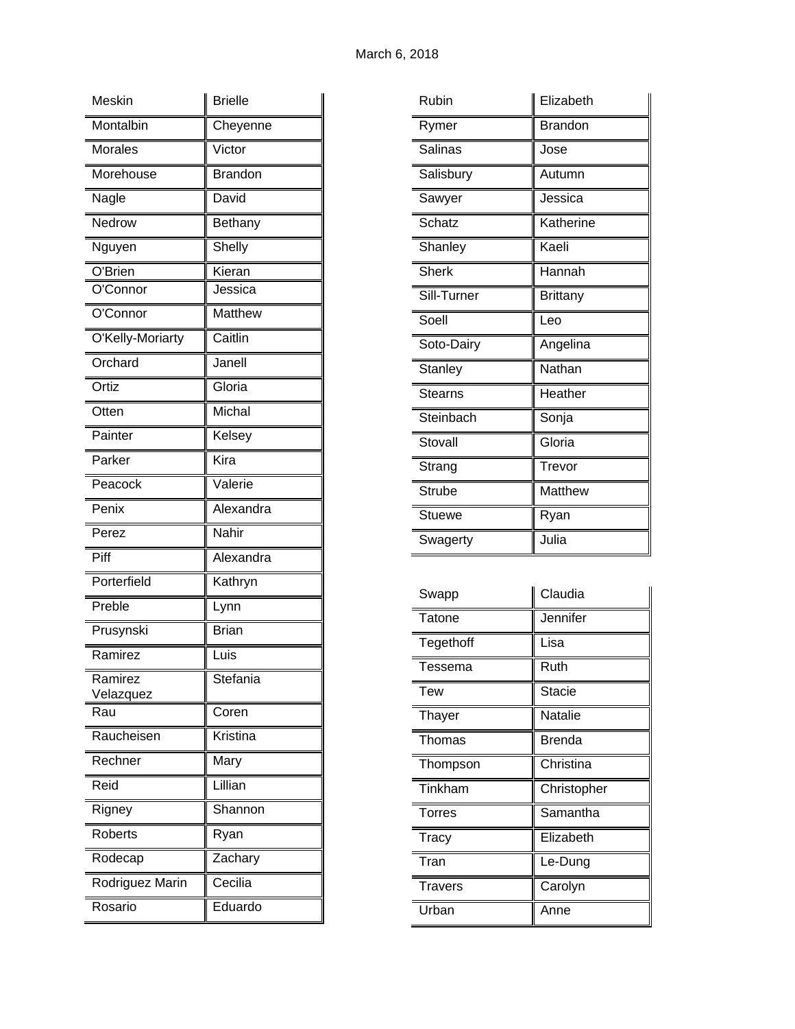| Meskin               | <b>Brielle</b> |
|----------------------|----------------|
| Montalbin            | Cheyenne       |
| <b>Morales</b>       | Victor         |
| Morehouse            | <b>Brandon</b> |
| Nagle                | David          |
| Nedrow               | Bethany        |
| Nguyen               | Shelly         |
| O'Brien              | Kieran         |
| O'Connor             | Jessica        |
| O'Connor             | Matthew        |
| O'Kelly-Moriarty     | Caitlin        |
| Orchard              | Janell         |
| Ortiz                | Gloria         |
| Otten                | Michal         |
| Painter              | Kelsey         |
| Parker               | Kira           |
| Peacock              | Valerie        |
| Penix                | Alexandra      |
| Perez                | Nahir          |
| Piff                 | Alexandra      |
| Porterfield          | Kathryn        |
| Preble               | Lynn           |
| Prusynski            | Brian          |
| Ramirez              | Luis           |
| Ramirez<br>Velazquez | Stefania       |
| Rau                  | Coren          |
| Raucheisen           | Kristina       |
| Rechner              | Mary           |
| Reid                 | Lillian        |
| Rigney               | Shannon        |
| <b>Roberts</b>       | Ryan           |
| Rodecap              | Zachary        |
| Rodriguez Marin      | Cecilia        |
| Rosario              | Eduardo        |

| Rubin          | Elizabeth       |
|----------------|-----------------|
| Rymer          | Brandon         |
| Salinas        | Jose            |
| Salisbury      | Autumn          |
| Sawyer         | Jessica         |
| <b>Schatz</b>  | Katherine       |
| Shanley        | Kaeli           |
| <b>Sherk</b>   | Hannah          |
| Sill-Turner    | <b>Brittany</b> |
| Soell          | Leo             |
| Soto-Dairy     | Angelina        |
| <b>Stanley</b> | Nathan          |
| <b>Stearns</b> | Heather         |
| Steinbach      | Sonja           |
| Stovall        | Gloria          |
| Strang         | Trevor          |
| <b>Strube</b>  | Matthew         |
| Stuewe         | Ryan            |
| Swagerty       | Julia           |
|                |                 |

| Swapp          | Claudia       |
|----------------|---------------|
| Tatone         | Jennifer      |
| Tegethoff      | Lisa          |
| Tessema        | Ruth          |
| <b>Tew</b>     | <b>Stacie</b> |
| <b>Thayer</b>  | Natalie       |
| Thomas         | <b>Brenda</b> |
| Thompson       | Christina     |
| Tinkham        | Christopher   |
| <b>Torres</b>  | Samantha      |
| <b>Tracy</b>   | Elizabeth     |
| Tran           | Le-Dung       |
| <b>Travers</b> | Carolyn       |
| Urban          | Anne          |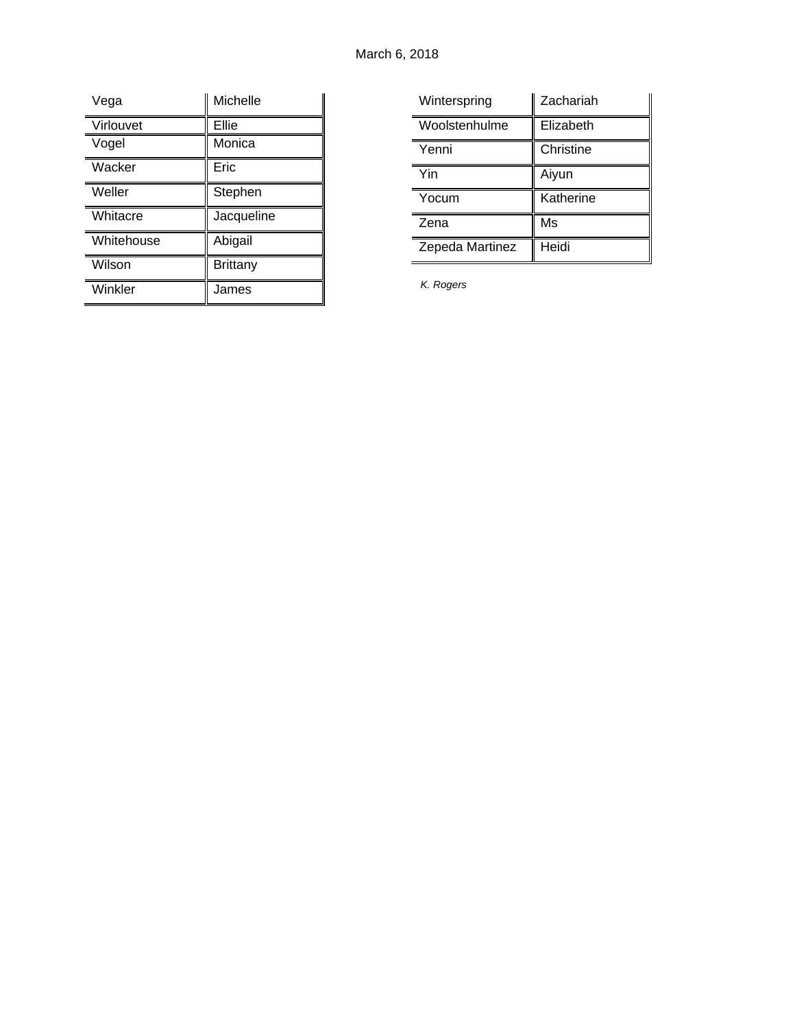| Vega       | Michelle        |
|------------|-----------------|
| Virlouvet  | Ellie           |
| Vogel      | Monica          |
| Wacker     | Eric            |
| Weller     | Stephen         |
| Whitacre   | Jacqueline      |
| Whitehouse | Abigail         |
| Wilson     | <b>Brittany</b> |
| Winkler    | James           |

| Winterspring    | Zachariah |
|-----------------|-----------|
| Woolstenhulme   | Elizabeth |
| Yenni           | Christine |
| Yin             | Aiyun     |
| Yocum           | Katherine |
| Zena            | Ms        |
| Zepeda Martinez | Heidi     |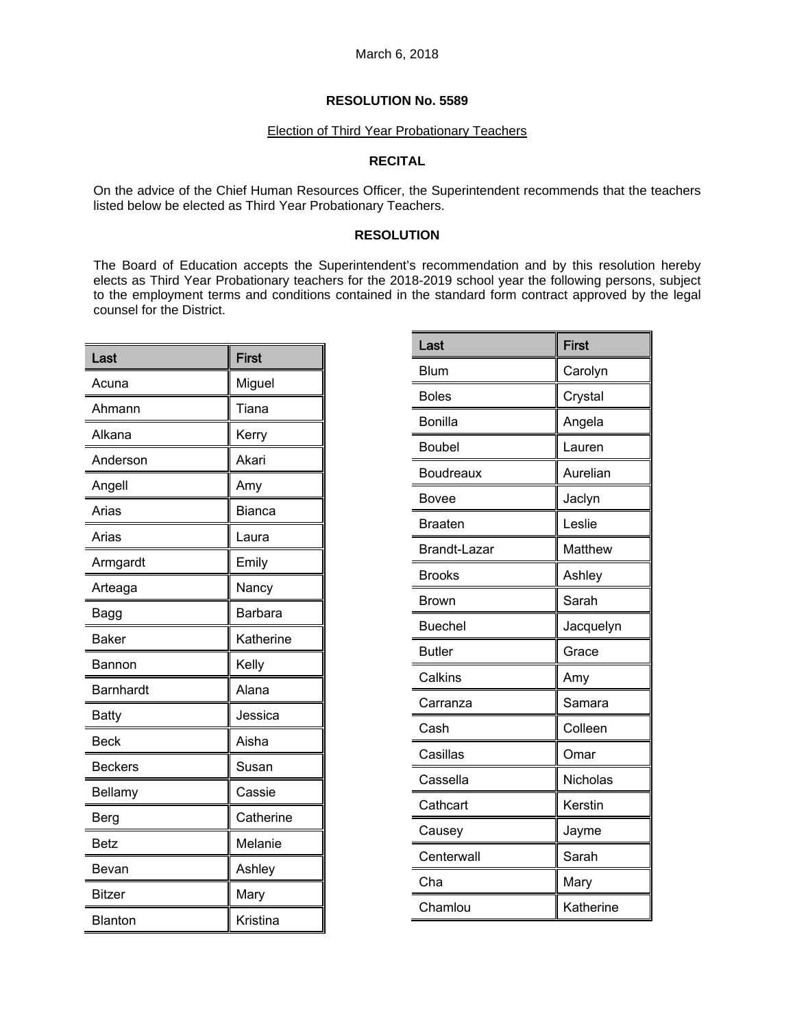### Election of Third Year Probationary Teachers

# **RECITAL**

On the advice of the Chief Human Resources Officer, the Superintendent recommends that the teachers listed below be elected as Third Year Probationary Teachers.

## **RESOLUTION**

The Board of Education accepts the Superintendent's recommendation and by this resolution hereby elects as Third Year Probationary teachers for the 2018-2019 school year the following persons, subject to the employment terms and conditions contained in the standard form contract approved by the legal counsel for the District.

| Last             | <b>First</b>   |
|------------------|----------------|
| Acuna            | Miguel         |
| Ahmann           | Tiana          |
| Alkana           | Kerry          |
| Anderson         | Akari          |
| Angell           | Amy            |
| Arias            | Bianca         |
| Arias            | Laura          |
| Armgardt         | Emily          |
| Arteaga          | Nancy          |
| Bagg             | <b>Barbara</b> |
| Baker            | Katherine      |
| Bannon           | Kelly          |
| <b>Barnhardt</b> | Alana          |
| <b>Batty</b>     | Jessica        |
| <b>Beck</b>      | Aisha          |
| <b>Beckers</b>   | Susan          |
| Bellamy          | Cassie         |
| Berg             | Catherine      |
| Betz             | Melanie        |
| Bevan            | Ashley         |
| <b>Bitzer</b>    | Mary           |
| <b>Blanton</b>   | Kristina       |

| Last                | <b>First</b>   |
|---------------------|----------------|
| <b>Blum</b>         | Carolyn        |
| <b>Boles</b>        | Crystal        |
| <b>Bonilla</b>      | Angela         |
| Boubel              | Lauren         |
| Boudreaux           | Aurelian       |
| Bovee               | Jaclyn         |
| <b>Braaten</b>      | Leslie         |
| <b>Brandt-Lazar</b> | <b>Matthew</b> |
| <b>Brooks</b>       | Ashley         |
| Brown               | Sarah          |
| <b>Buechel</b>      | Jacquelyn      |
| <b>Butler</b>       | Grace          |
| Calkins             | Amy            |
| Carranza            | Samara         |
| Cash                | Colleen        |
| Casillas            | Omar           |
| Cassella            | Nicholas       |
| Cathcart            | Kerstin        |
| Causey              | Jayme          |
| Centerwall          | Sarah          |
| Cha                 | Mary           |
| Chamlou             | Katherine      |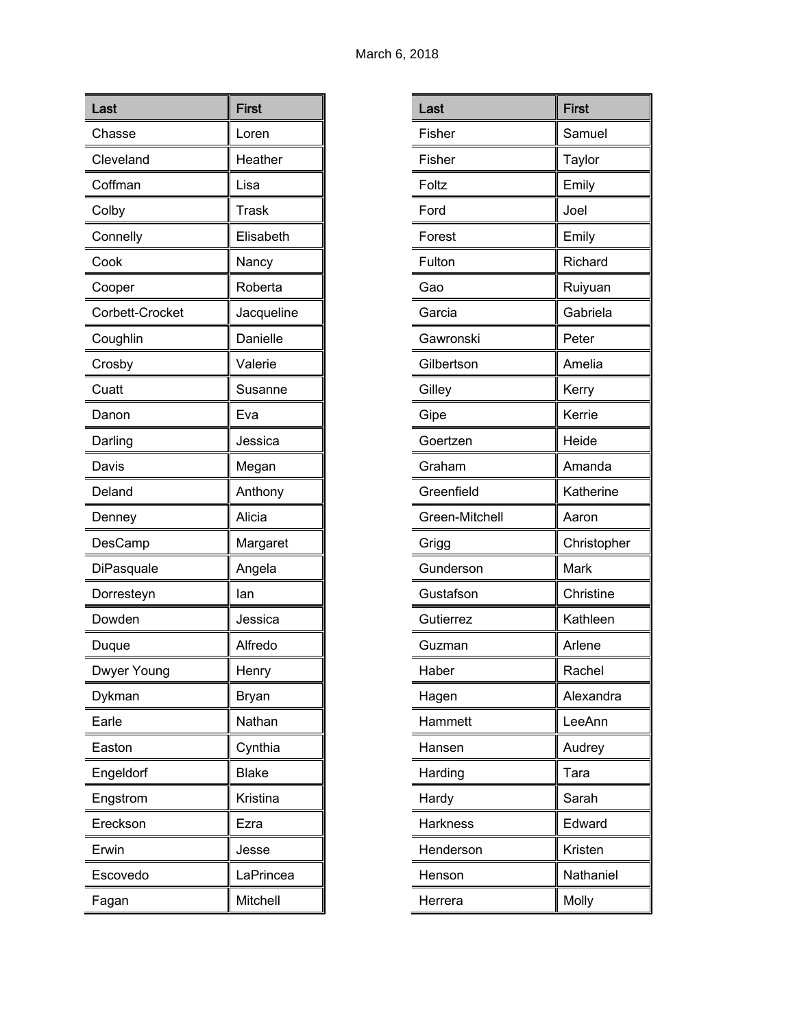| Last            | <b>First</b> |
|-----------------|--------------|
| Chasse          | Loren        |
| Cleveland       | Heather      |
| Coffman         | Lisa         |
| Colby           | <b>Trask</b> |
| Connelly        | Elisabeth    |
| Cook            | Nancy        |
| Cooper          | Roberta      |
| Corbett-Crocket | Jacqueline   |
| Coughlin        | Danielle     |
| Crosby          | Valerie      |
| Cuatt           | Susanne      |
| Danon           | Eva          |
| Darling         | Jessica      |
| Davis           | Megan        |
| Deland          | Anthony      |
| Denney          | Alicia       |
| DesCamp         | Margaret     |
| DiPasquale      | Angela       |
| Dorresteyn      | lan          |
| Dowden          | Jessica      |
| Duque           | Alfredo      |
| Dwyer Young     | Henry        |
| Dykman          | Bryan        |
| Earle           | Nathan       |
| Easton          | Cynthia      |
| Engeldorf       | <b>Blake</b> |
| Engstrom        | Kristina     |
| Ereckson        | Ezra         |
| Erwin           | Jesse        |
| Escovedo        | LaPrincea    |
| Fagan           | Mitchell     |

| Last            | <b>First</b> |
|-----------------|--------------|
| Fisher          | Samuel       |
| Fisher          | Taylor       |
| Foltz           | Emily        |
| Ford            | Joel         |
| Forest          | Emily        |
| Fulton          | Richard      |
| Gao             | Ruiyuan      |
| Garcia          | Gabriela     |
| Gawronski       | Peter        |
| Gilbertson      | Amelia       |
| Gilley          | Kerry        |
| Gipe            | Kerrie       |
| Goertzen        | Heide        |
| Graham          | Amanda       |
| Greenfield      | Katherine    |
| Green-Mitchell  | Aaron        |
| Grigg           | Christopher  |
| Gunderson       | Mark         |
| Gustafson       | Christine    |
| Gutierrez       | Kathleen     |
| Guzman          | Arlene       |
| Haber           | Rachel       |
| Hagen           | Alexandra    |
| Hammett         | LeeAnn       |
| Hansen          | Audrey       |
| Harding         | Tara         |
| Hardy           | Sarah        |
| <b>Harkness</b> | Edward       |
| Henderson       | Kristen      |
| Henson          | Nathaniel    |
| Herrera         | Molly        |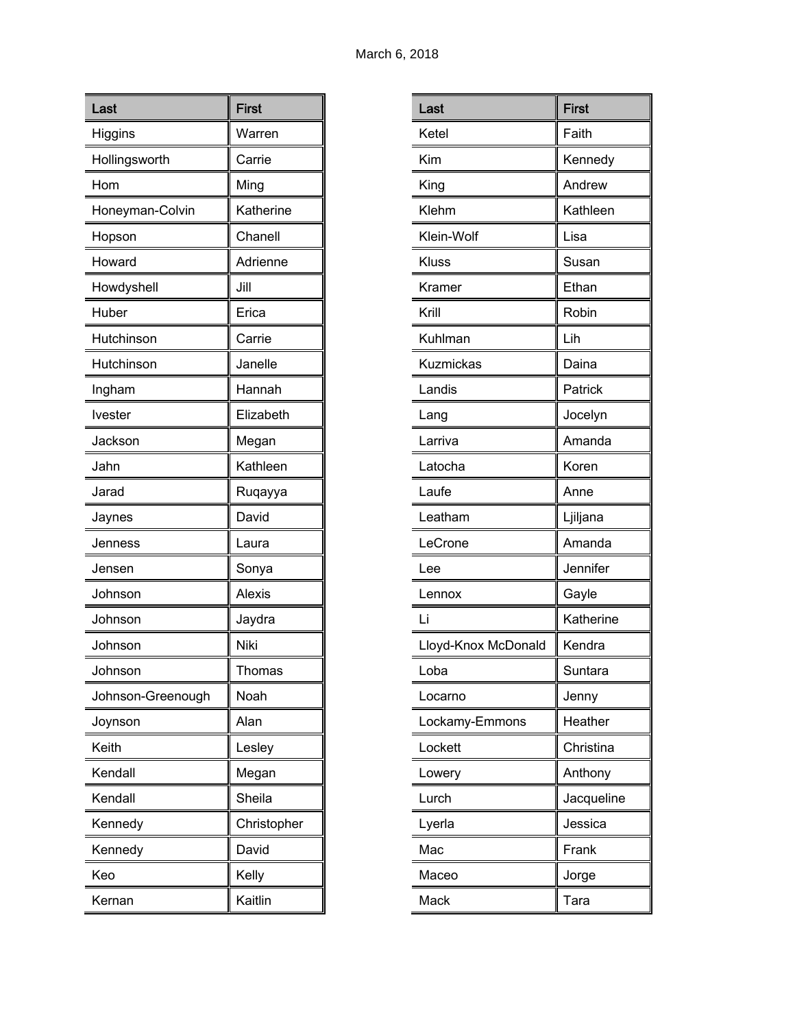| Last              | <b>First</b> |
|-------------------|--------------|
| Higgins           | Warren       |
| Hollingsworth     | Carrie       |
| Hom               | Ming         |
| Honeyman-Colvin   | Katherine    |
| Hopson            | Chanell      |
| Howard            | Adrienne     |
| Howdyshell        | Jill         |
| Huber             | Erica        |
| Hutchinson        | Carrie       |
| Hutchinson        | Janelle      |
| Ingham            | Hannah       |
| Ivester           | Elizabeth    |
| Jackson           | Megan        |
| Jahn              | Kathleen     |
| Jarad             | Ruqayya      |
| Jaynes            | David        |
| Jenness           | Laura        |
| Jensen            | Sonya        |
| Johnson           | Alexis       |
| Johnson           | Jaydra       |
| Johnson           | Niki         |
| Johnson           | Thomas       |
| Johnson-Greenough | Noah         |
| Joynson           | Alan         |
| Keith             | Lesley       |
| Kendall           | Megan        |
| Kendall           | Sheila       |
| Kennedy           | Christopher  |
| Kennedy           | David        |
| Keo               | Kelly        |
| Kernan            | Kaitlin      |

| Last                | <b>First</b> |
|---------------------|--------------|
| Ketel               | Faith        |
| Kim                 | Kennedy      |
| King                | Andrew       |
| Klehm               | Kathleen     |
| Klein-Wolf          | Lisa         |
| Kluss               | Susan        |
| Kramer              | Ethan        |
| Krill               | Robin        |
| Kuhlman             | Lih          |
| Kuzmickas           | Daina        |
| Landis              | Patrick      |
| Lang                | Jocelyn      |
| Larriva             | Amanda       |
| Latocha             | Koren        |
| Laufe               | Anne         |
| Leatham             | Ljiljana     |
| LeCrone             | Amanda       |
| Lee                 | Jennifer     |
| Lennox              | Gayle        |
| Li                  | Katherine    |
| Lloyd-Knox McDonald | Kendra       |
| Loba                | Suntara      |
| Locarno             | Jenny        |
| Lockamy-Emmons      | Heather      |
| Lockett             | Christina    |
| Lowery              | Anthony      |
| Lurch               | Jacqueline   |
| Lyerla              | Jessica      |
| Mac                 | Frank        |
| Maceo               | Jorge        |
| Mack                | Tara         |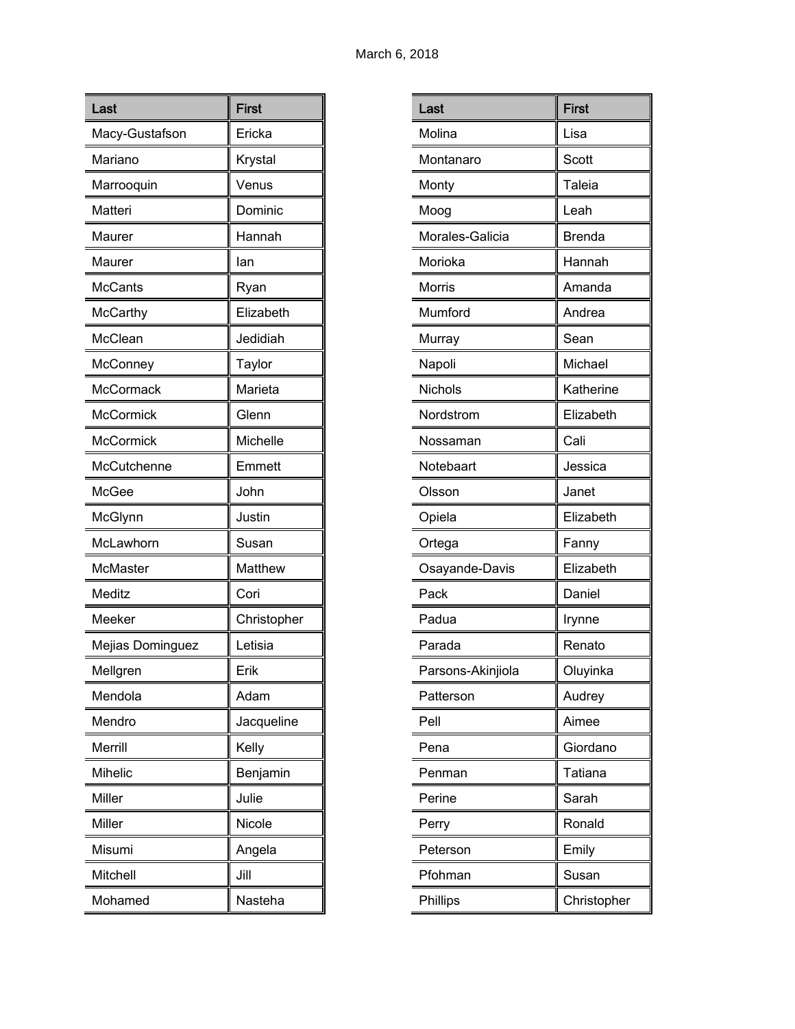| Last             | <b>First</b> |
|------------------|--------------|
| Macy-Gustafson   | Ericka       |
| Mariano          | Krystal      |
| Marrooquin       | Venus        |
| Matteri          | Dominic      |
| Maurer           | Hannah       |
| Maurer           | lan          |
| <b>McCants</b>   | Ryan         |
| McCarthy         | Elizabeth    |
| McClean          | Jedidiah     |
| McConney         | Taylor       |
| McCormack        | Marieta      |
| McCormick        | Glenn        |
| <b>McCormick</b> | Michelle     |
| McCutchenne      | Emmett       |
| McGee            | John         |
| McGlynn          | Justin       |
| McLawhorn        | Susan        |
| McMaster         | Matthew      |
| Meditz           | Cori         |
| Meeker           | Christopher  |
| Mejias Dominguez | Letisia      |
| Mellgren         | Erik         |
| Mendola          | Adam         |
| Mendro           | Jacqueline   |
| Merrill          | Kelly        |
| <b>Mihelic</b>   | Benjamin     |
| Miller           | Julie        |
| Miller           | Nicole       |
| Misumi           | Angela       |
| Mitchell         | Jill         |
| Mohamed          | Nasteha      |

| Last              | <b>First</b>  |
|-------------------|---------------|
| Molina            | Lisa          |
| Montanaro         | Scott         |
| Monty             | Taleia        |
| Moog              | Leah          |
| Morales-Galicia   | <b>Brenda</b> |
| Morioka           | Hannah        |
| Morris            | Amanda        |
| Mumford           | Andrea        |
| Murray            | Sean          |
| Napoli            | Michael       |
| Nichols           | Katherine     |
| Nordstrom         | Elizabeth     |
| Nossaman          | Cali          |
| Notebaart         | Jessica       |
| Olsson            | Janet         |
| Opiela            | Elizabeth     |
| Ortega            | Fanny         |
| Osayande-Davis    | Elizabeth     |
| Pack              | Daniel        |
| Padua             | Irynne        |
| Parada            | Renato        |
| Parsons-Akinjiola | Oluyinka      |
| Patterson         | Audrey        |
| Pell              | Aimee         |
| Pena              | Giordano      |
| Penman            | Tatiana       |
| Perine            | Sarah         |
| Perry             | Ronald        |
| Peterson          | Emily         |
| Pfohman           | Susan         |
| Phillips          | Christopher   |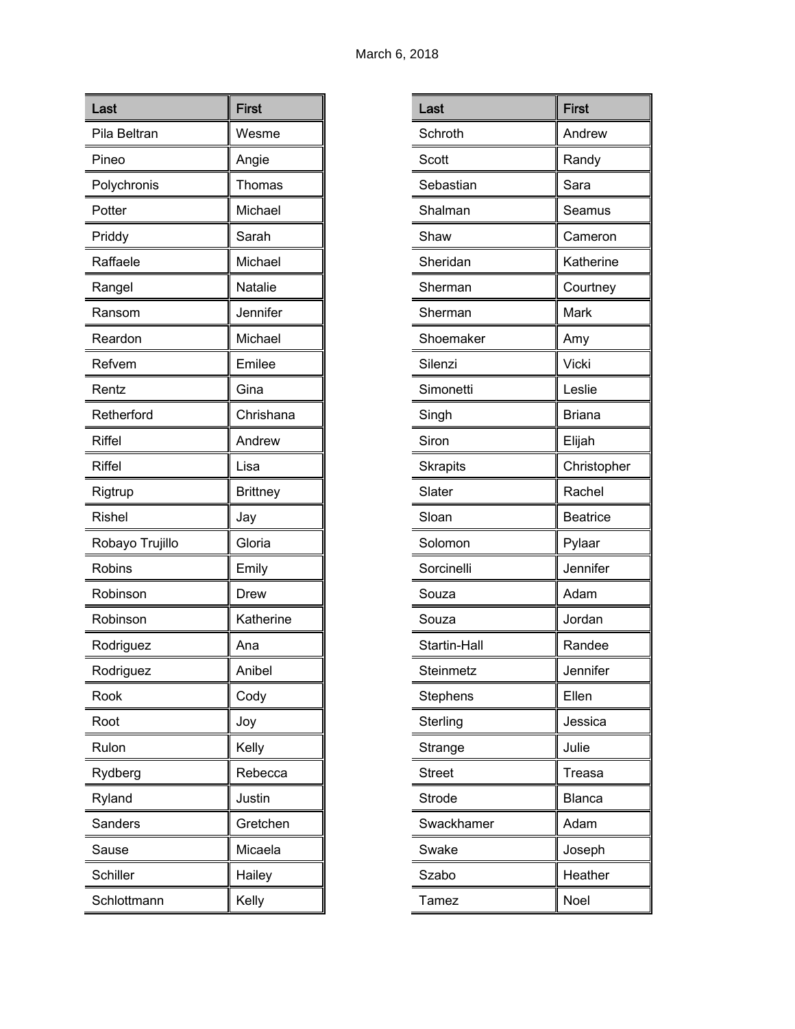| Last            | <b>First</b>    |
|-----------------|-----------------|
| Pila Beltran    | Wesme           |
| Pineo           | Angie           |
| Polychronis     | Thomas          |
| Potter          | Michael         |
| Priddy          | Sarah           |
| Raffaele        | Michael         |
| Rangel          | Natalie         |
| Ransom          | Jennifer        |
| Reardon         | Michael         |
| Refvem          | Emilee          |
| Rentz           | Gina            |
| Retherford      | Chrishana       |
| <b>Riffel</b>   | Andrew          |
| <b>Riffel</b>   | Lisa            |
| Rigtrup         | <b>Brittney</b> |
| <b>Rishel</b>   | Jay             |
| Robayo Trujillo | Gloria          |
| Robins          | Emily           |
| Robinson        | Drew            |
| Robinson        | Katherine       |
| Rodriguez       | Ana             |
| Rodriguez       | Anibel          |
| Rook            | Cody            |
| Root            | Joy             |
| Rulon           | Kelly           |
| Rydberg         | Rebecca         |
| Ryland          | Justin          |
| Sanders         | Gretchen        |
| Sause           | Micaela         |
| Schiller        | Hailey          |
| Schlottmann     | Kelly           |

| Last            | <b>First</b>    |
|-----------------|-----------------|
| Schroth         | Andrew          |
| Scott           | Randy           |
| Sebastian       | Sara            |
| Shalman         | Seamus          |
| Shaw            | Cameron         |
| Sheridan        | Katherine       |
| Sherman         | Courtney        |
| Sherman         | Mark            |
| Shoemaker       | Amy             |
| Silenzi         | Vicki           |
| Simonetti       | Leslie          |
| Singh           | <b>Briana</b>   |
| Siron           | Elijah          |
| <b>Skrapits</b> | Christopher     |
| Slater          | Rachel          |
| Sloan           | <b>Beatrice</b> |
| Solomon         | Pylaar          |
| Sorcinelli      | Jennifer        |
| Souza           | Adam            |
| Souza           | Jordan          |
| Startin-Hall    | Randee          |
| Steinmetz       | Jennifer        |
| Stephens        | Ellen           |
| Sterling        | Jessica         |
| Strange         | Julie           |
| <b>Street</b>   | Treasa          |
| Strode          | <b>Blanca</b>   |
| Swackhamer      | Adam            |
| Swake           | Joseph          |
| Szabo           | Heather         |
| Tamez           | Noel            |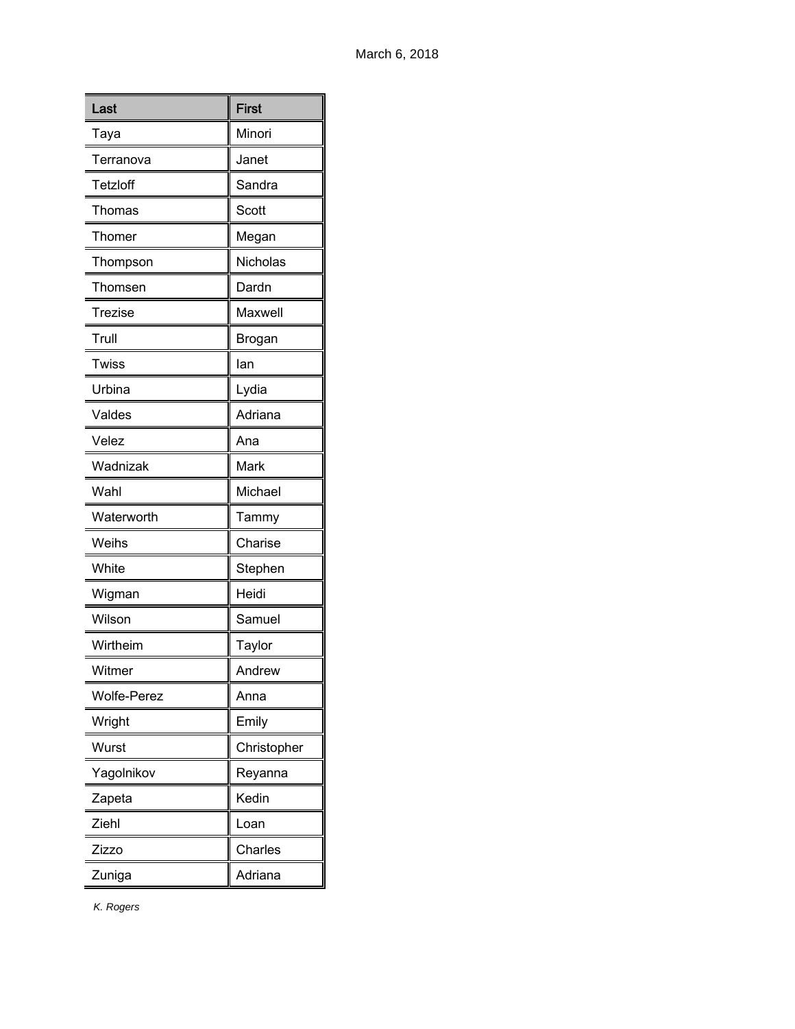| Last               | <b>First</b> |
|--------------------|--------------|
| Taya               | Minori       |
| Terranova          | Janet        |
| Tetzloff           | Sandra       |
| Thomas             | Scott        |
| Thomer             | Megan        |
| Thompson           | Nicholas     |
| Thomsen            | Dardn        |
| <b>Trezise</b>     | Maxwell      |
| Trull              | Brogan       |
| Twiss              | lan          |
| Urbina             | Lydia        |
| Valdes             | Adriana      |
| Velez              | Ana          |
| Wadnizak           | Mark         |
| Wahl               | Michael      |
| Waterworth         | Tammy        |
| Weihs              | Charise      |
| White              | Stephen      |
| Wigman             | Heidi        |
| Wilson             | Samuel       |
| Wirtheim           | Taylor       |
| Witmer             | Andrew       |
| <b>Wolfe-Perez</b> | Anna         |
| Wright             | Emily        |
| Wurst              | Christopher  |
| Yagolnikov         | Reyanna      |
| Zapeta             | Kedin        |
| Ziehl              | Loan         |
| Zizzo              | Charles      |
| Zuniga             | Adriana      |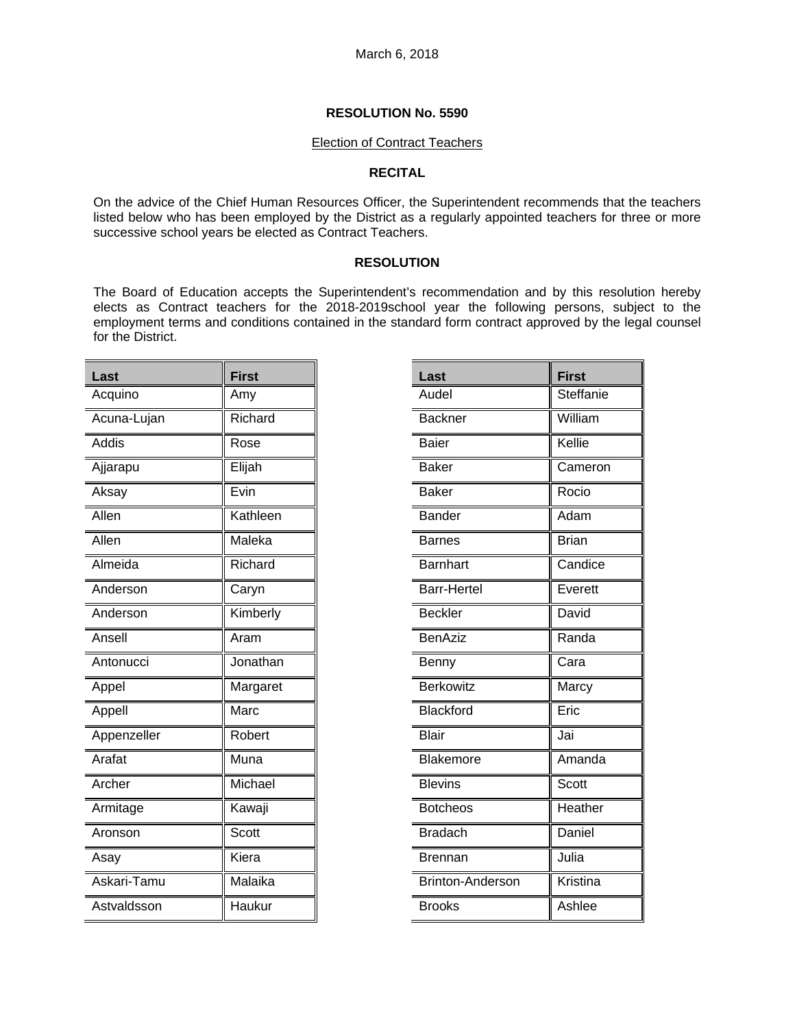### Election of Contract Teachers

## **RECITAL**

On the advice of the Chief Human Resources Officer, the Superintendent recommends that the teachers listed below who has been employed by the District as a regularly appointed teachers for three or more successive school years be elected as Contract Teachers.

## **RESOLUTION**

The Board of Education accepts the Superintendent's recommendation and by this resolution hereby elects as Contract teachers for the 2018-2019school year the following persons, subject to the employment terms and conditions contained in the standard form contract approved by the legal counsel for the District.

| Last        | <b>First</b> |
|-------------|--------------|
| Acquino     | Amy          |
| Acuna-Lujan | Richard      |
| Addis       | Rose         |
| Ajjarapu    | Elijah       |
| Aksay       | Evin         |
| Allen       | Kathleen     |
| Allen       | Maleka       |
| Almeida     | Richard      |
| Anderson    | Caryn        |
| Anderson    | Kimberly     |
| Ansell      | Aram         |
| Antonucci   | Jonathan     |
| Appel       | Margaret     |
| Appell      | Marc         |
| Appenzeller | Robert       |
| Arafat      | Muna         |
| Archer      | Michael      |
| Armitage    | Kawaji       |
| Aronson     | Scott        |
| Asay        | Kiera        |
| Askari-Tamu | Malaika      |
| Astvaldsson | Haukur       |

| Last                    | <b>First</b> |
|-------------------------|--------------|
| Audel                   | Steffanie    |
| <b>Backner</b>          | William      |
| <b>Baier</b>            | Kellie       |
| <b>Baker</b>            | Cameron      |
| <b>Baker</b>            | Rocio        |
| <b>Bander</b>           | Adam         |
| <b>Barnes</b>           | <b>Brian</b> |
| <b>Barnhart</b>         | Candice      |
| Barr-Hertel             | Everett      |
| <b>Beckler</b>          | David        |
| <b>BenAziz</b>          | Randa        |
| Benny                   | Cara         |
| <b>Berkowitz</b>        | Marcy        |
| <b>Blackford</b>        | Eric         |
| Blair                   | Jai          |
| Blakemore               | Amanda       |
| <b>Blevins</b>          | Scott        |
| <b>Botcheos</b>         | Heather      |
| <b>Bradach</b>          | Daniel       |
| <b>Brennan</b>          | Julia        |
| <b>Brinton-Anderson</b> | Kristina     |
| <b>Brooks</b>           | Ashlee       |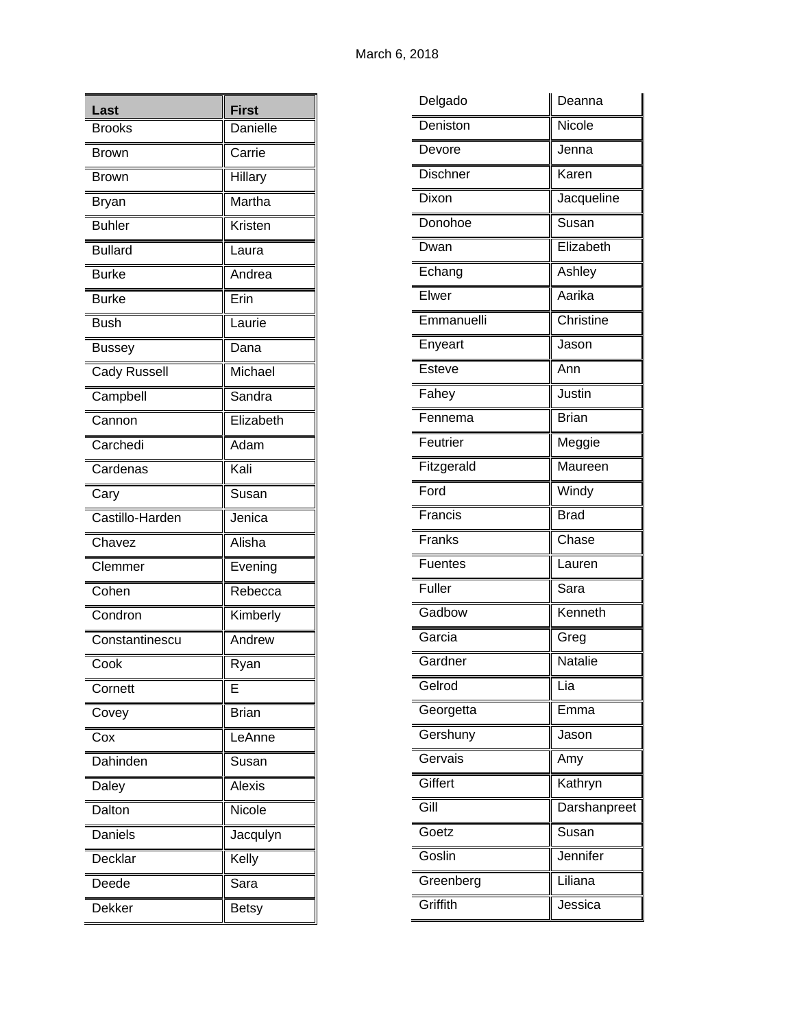| Last                       | <b>First</b>  |
|----------------------------|---------------|
| <b>Brooks</b>              | Danielle      |
| <b>Brown</b>               | Carrie        |
| <b>Brown</b>               | Hillary       |
| Bryan                      | Martha        |
| <b>Buhler</b>              | Kristen       |
| <b>Bullard</b>             | Laura         |
| <b>Burke</b>               | Andrea        |
| <b>Burke</b>               | Erin          |
| <b>Bush</b>                | Laurie        |
| <b>Bussey</b>              | Dana          |
| Cady Russell               | Michael       |
| Campbell                   | Sandra        |
| Cannon                     | Elizabeth     |
| Carchedi                   | Adam          |
| Cardenas                   | Kali          |
| Cary                       | Susan         |
| Castillo-Harden            | Jenica        |
| $\overline{\text{Chaves}}$ | Alisha        |
| Clemmer                    | Evening       |
| Cohen                      | Rebecca       |
| Condron                    | Kimberly      |
| Constantinescu             | Andrew        |
| Cook                       | Ryan          |
| Cornett                    | E             |
| Covey                      | <b>Brian</b>  |
| Cox                        | LeAnne        |
| Dahinden                   | Susan         |
| Daley                      | <b>Alexis</b> |
| Dalton                     | Nicole        |
| Daniels                    | Jacqulyn      |
| Decklar                    | Kelly         |
| Deede                      | Sara          |
| Dekker                     | <b>Betsy</b>  |

| Delgado         | Deanna       |
|-----------------|--------------|
| Deniston        | Nicole       |
| Devore          | Jenna        |
| <b>Dischner</b> | Karen        |
| Dixon           | Jacqueline   |
| Donohoe         | Susan        |
| Dwan            | Elizabeth    |
| Echang          | Ashley       |
| Elwer           | Aarika       |
| Emmanuelli      | Christine    |
| Enyeart         | Jason        |
| Esteve          | Ann          |
| Fahey           | Justin       |
| Fennema         | <b>Brian</b> |
| Feutrier        | Meggie       |
| Fitzgerald      | Maureen      |
| Ford            | Windy        |
| Francis         | <b>Brad</b>  |
| Franks          | Chase        |
| Fuentes         | Lauren       |
| <b>Fuller</b>   | Sara         |
| Gadbow          | Kenneth      |
| Garcia          | Greg         |
| Gardner         | Natalie      |
| Gelrod          | Lia          |
| Georgetta       | Emma         |
| Gershuny        | Jason        |
| Gervais         | Amy          |
| Giffert         | Kathryn      |
| Gill            | Darshanpreet |
| Goetz           | Susan        |
| Goslin          | Jennifer     |
| Greenberg       | Liliana      |
| Griffith        | Jessica      |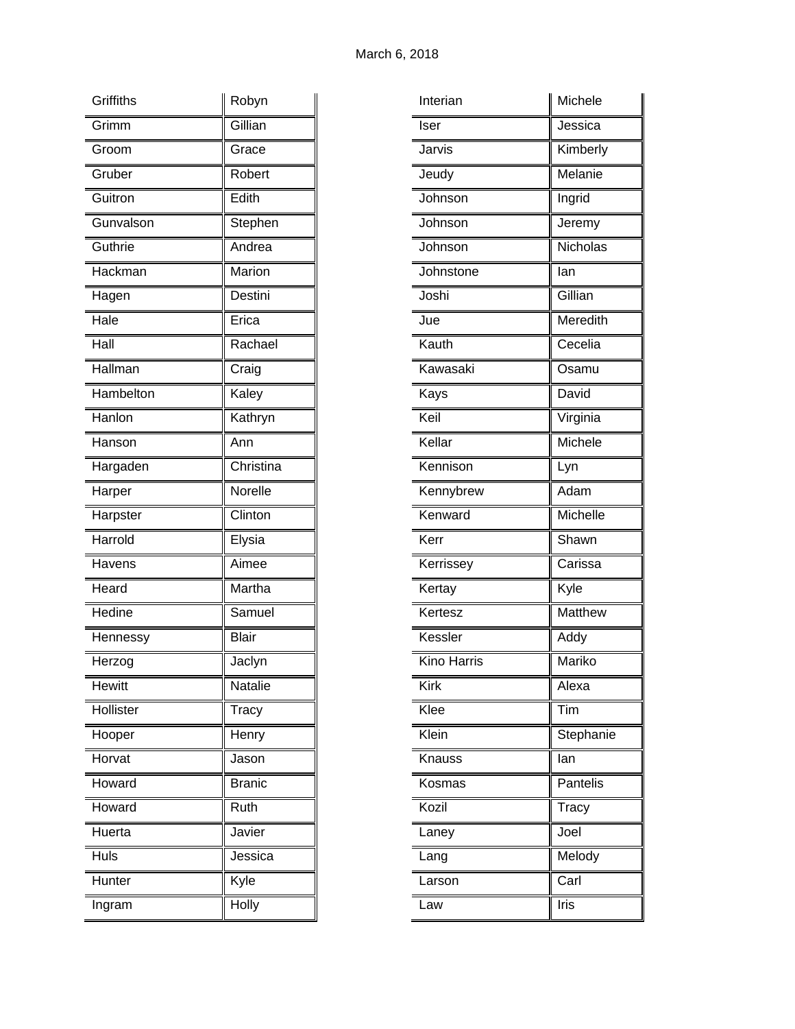| Griffiths     | Robyn         |
|---------------|---------------|
| Grimm         | Gillian       |
| Groom         | Grace         |
| Gruber        | Robert        |
| Guitron       | Edith         |
| Gunvalson     | Stephen       |
| Guthrie       | Andrea        |
| Hackman       | Marion        |
| Hagen         | Destini       |
| Hale          | Erica         |
| Hall          | Rachael       |
| Hallman       | Craig         |
| Hambelton     | Kaley         |
| Hanlon        | Kathryn       |
| Hanson        | Ann           |
| Hargaden      | Christina     |
| Harper        | Norelle       |
| Harpster      | Clinton       |
| Harrold       | Elysia        |
| Havens        | Aimee         |
| Heard         | Martha        |
| Hedine        | Samuel        |
| Hennessy      | <b>Blair</b>  |
| Herzog        | Jaclyn        |
| <b>Hewitt</b> | Natalie       |
| Hollister     | Tracy         |
| Hooper        | Henry         |
| Horvat        | Jason         |
| Howard        | <b>Branic</b> |
| Howard        | Ruth          |
| Huerta        | Javier        |
| Huls          | Jessica       |
| Hunter        | Kyle          |
| Ingram        | Holly         |

| Interian           | Michele   |
|--------------------|-----------|
| Iser               | Jessica   |
| Jarvis             | Kimberly  |
| Jeudy              | Melanie   |
| Johnson            | Ingrid    |
| Johnson            | Jeremy    |
| Johnson            | Nicholas  |
| Johnstone          | lan       |
| Joshi              | Gillian   |
| Jue                | Meredith  |
| Kauth              | Cecelia   |
| Kawasaki           | Osamu     |
| Kays               | David     |
| Keil               | Virginia  |
| Kellar             | Michele   |
| Kennison           | Lyn       |
| Kennybrew          | Adam      |
| Kenward            | Michelle  |
| Kerr               | Shawn     |
| Kerrissey          | Carissa   |
| Kertay             | Kyle      |
| Kertesz            | Matthew   |
| Kessler            | Addy      |
| <b>Kino Harris</b> | Mariko    |
| Kirk               | Alexa     |
| Klee               | Tim       |
| Klein              | Stephanie |
| Knauss             | lan       |
| Kosmas             | Pantelis  |
| Kozil              | Tracy     |
| Laney              | Joel      |
| Lang               | Melody    |
| Larson             | Carl      |
| Law                | Iris      |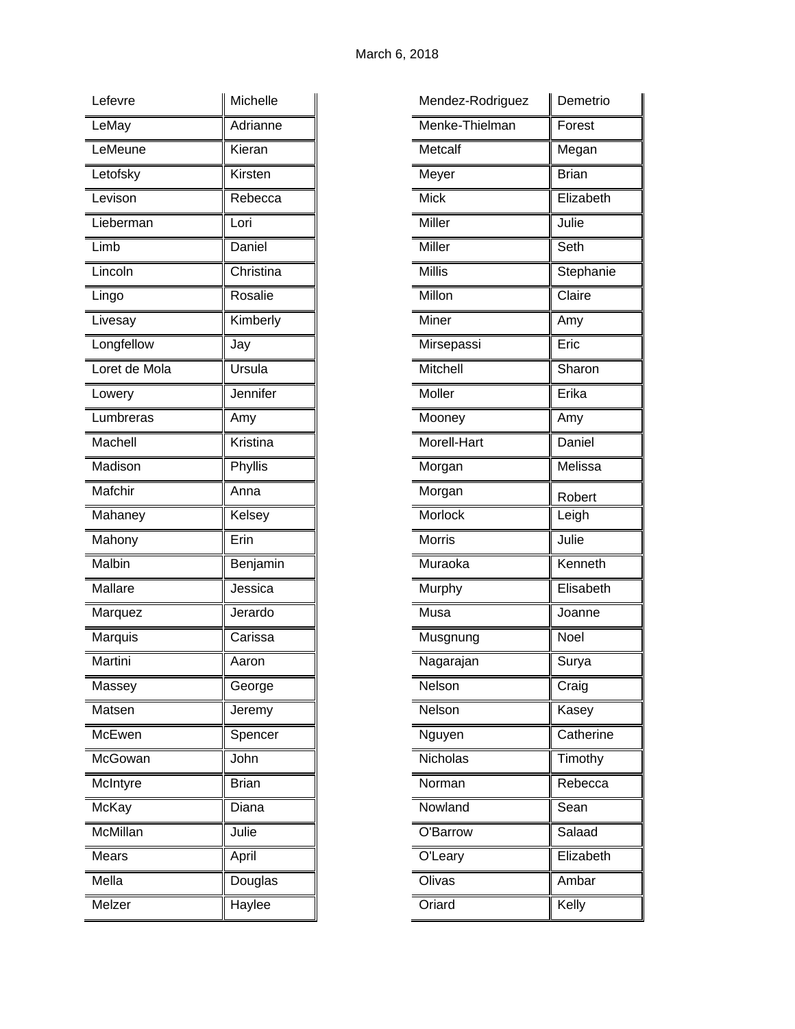| Lefevre        | Michelle     |
|----------------|--------------|
| LeMay          | Adrianne     |
| LeMeune        | Kieran       |
| Letofsky       | Kirsten      |
| Levison        | Rebecca      |
| Lieberman      | Lori         |
| Limb           | Daniel       |
| Lincoln        | Christina    |
| Lingo          | Rosalie      |
| Livesay        | Kimberly     |
| Longfellow     | Jay          |
| Loret de Mola  | Ursula       |
| Lowery         | Jennifer     |
| Lumbreras      | Amy          |
| Machell        | Kristina     |
| Madison        | Phyllis      |
| Mafchir        | Anna         |
| Mahaney        | Kelsey       |
| Mahony         | Erin         |
| Malbin         | Benjamin     |
| <b>Mallare</b> | Jessica      |
| Marquez        | Jerardo      |
| Marquis        | Carissa      |
| Martini        | Aaron        |
| Massey         | George       |
| Matsen         | Jeremy       |
| McEwen         | Spencer      |
| McGowan        | John         |
| McIntyre       | <b>Brian</b> |
| McKay          | Diana        |
| McMillan       | Julie        |
| Mears          | April        |
| Mella          | Douglas      |
| Melzer         | Haylee       |

| Mendez-Rodriguez   | Demetrio     |
|--------------------|--------------|
| Menke-Thielman     | Forest       |
| Metcalf            | Megan        |
| Meyer              | <b>Brian</b> |
| Mick               | Elizabeth    |
| Miller             | Julie        |
| Miller             | Seth         |
| <b>Millis</b>      | Stephanie    |
| Millon             | Claire       |
| Miner              | Amy          |
| Mirsepassi         | Eric         |
| Mitchell           | Sharon       |
| Moller             | Erika        |
| Mooney             | Amy          |
| <b>Morell-Hart</b> | Daniel       |
| Morgan             | Melissa      |
| Morgan             | Robert       |
| Morlock            | Leigh        |
| <b>Morris</b>      | Julie        |
| Muraoka            | Kenneth      |
| Murphy             | Elisabeth    |
| Musa               | Joanne       |
| Musgnung           | Noel         |
| Nagarajan          | Surya        |
| Nelson             | Craig        |
| Nelson             | Kasey        |
| Nguyen             | Catherine    |
| <b>Nicholas</b>    | Timothy      |
| Norman             | Rebecca      |
| Nowland            | Sean         |
| O'Barrow           | Salaad       |
| O'Leary            | Elizabeth    |
| Olivas             | Ambar        |
| Oriard             | Kelly        |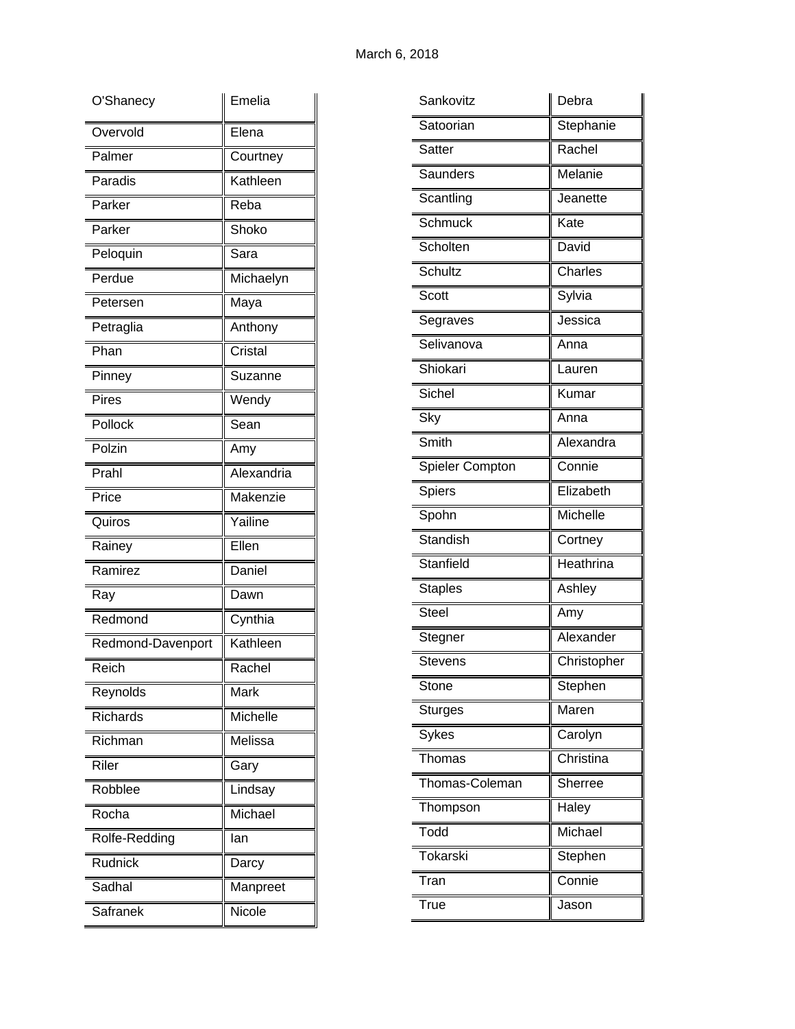| O'Shanecy                     | Emelia     |
|-------------------------------|------------|
| Overvold                      | Elena      |
| Palmer                        | Courtney   |
| Paradis                       | Kathleen   |
| Parker                        | Reba       |
| Parker                        | Shoko      |
| Peloquin                      | Sara       |
| $\overline{\mathsf{P}}$ erdue | Michaelyn  |
| Petersen                      | Maya       |
| Petraglia                     | Anthony    |
| Phan                          | Cristal    |
| Pinney                        | Suzanne    |
| <b>Pires</b>                  | Wendy      |
| Pollock                       | Sean       |
| Polzin                        | Amy        |
| Prahl                         | Alexandria |
| Price                         | Makenzie   |
| Quiros                        | Yailine    |
| Rainey                        | Ellen      |
| Ramirez                       | Daniel     |
| Ray                           | Dawn       |
| Redmond                       | Cynthia    |
| Redmond-Davenport             | Kathleen   |
| Reich                         | Rachel     |
| Reynolds                      | Mark       |
| Richards                      | Michelle   |
| Richman                       | Melissa    |
| Riler                         | Gary       |
| Robblee                       | Lindsay    |
| Rocha                         | Michael    |
| Rolfe-Redding                 | lan        |
| Rudnick                       | Darcy      |
| Sadhal                        | Manpreet   |
| <b>Safranek</b>               | Nicole     |

| Sankovitz       | Debra          |
|-----------------|----------------|
| Satoorian       | Stephanie      |
| Satter          | Rachel         |
| Saunders        | Melanie        |
| Scantling       | Jeanette       |
| Schmuck         | Kate           |
| Scholten        | David          |
| Schultz         | Charles        |
| Scott           | Sylvia         |
| Segraves        | Jessica        |
| Selivanova      | Anna           |
| Shiokari        | Lauren         |
| Sichel          | Kumar          |
| Sky             | Anna           |
| Smith           | Alexandra      |
| Spieler Compton | Connie         |
| Spiers          | Elizabeth      |
| Spohn           | Michelle       |
| Standish        | Cortney        |
| Stanfield       | Heathrina      |
| <b>Staples</b>  | Ashley         |
| <b>Steel</b>    | Amy            |
| Stegner         | Alexander      |
| Stevens         | Christopher    |
| Stone           | Stephen        |
| <b>Sturges</b>  | Maren          |
| <b>Sykes</b>    | Carolyn        |
| Thomas          | Christina      |
| Thomas-Coleman  | <b>Sherree</b> |
| Thompson        | Haley          |
| Todd            | Michael        |
| Tokarski        | Stephen        |
| Tran            | Connie         |
| True            | Jason          |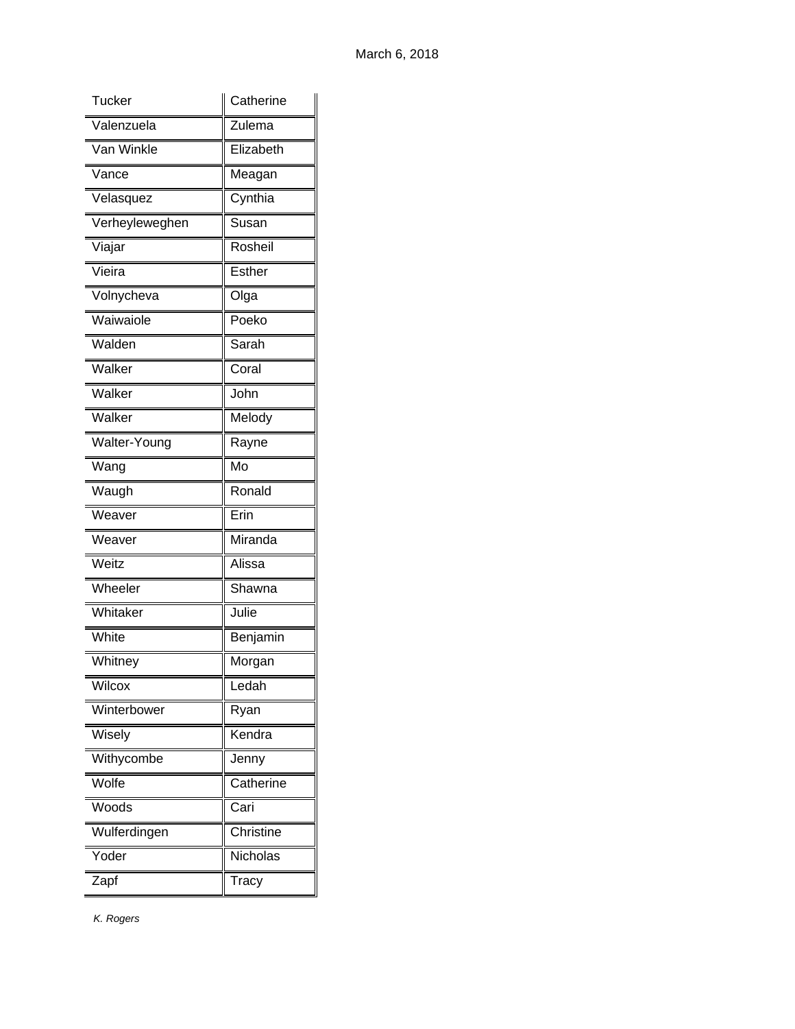| Tucker         | Catherine |
|----------------|-----------|
| Valenzuela     | Zulema    |
| Van Winkle     | Elizabeth |
| Vance          | Meagan    |
| Velasquez      | Cynthia   |
| Verheyleweghen | Susan     |
| Viajar         | Rosheil   |
| Vieira         | Esther    |
| Volnycheva     | Olga      |
| Waiwaiole      | Poeko     |
| Walden         | Sarah     |
| Walker         | Coral     |
| Walker         | John      |
| Walker         | Melody    |
| Walter-Young   | Rayne     |
| Wang           | Mo        |
| Waugh          | Ronald    |
| Weaver         | Erin      |
| Weaver         | Miranda   |
| Weitz          | Alissa    |
| Wheeler        | Shawna    |
| Whitaker       | Julie     |
| White          | Benjamin  |
| Whitney        | Morgan    |
| Wilcox         | Ledah     |
| Winterbower    | Ryan      |
| Wisely         | Kendra    |
| Withycombe     | Jenny     |
| Wolfe          | Catherine |
| Woods          | Cari      |
| Wulferdingen   | Christine |
| Yoder          | Nicholas  |
| Zapf           | Tracy     |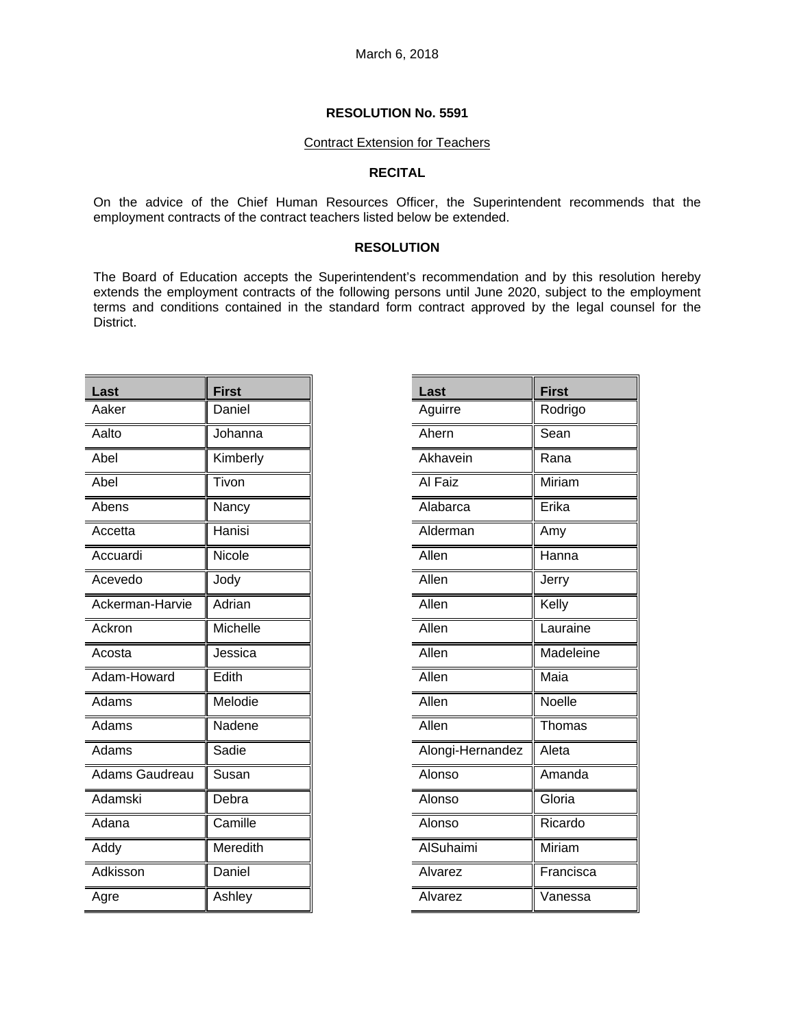#### Contract Extension for Teachers

### **RECITAL**

On the advice of the Chief Human Resources Officer, the Superintendent recommends that the employment contracts of the contract teachers listed below be extended.

#### **RESOLUTION**

The Board of Education accepts the Superintendent's recommendation and by this resolution hereby extends the employment contracts of the following persons until June 2020, subject to the employment terms and conditions contained in the standard form contract approved by the legal counsel for the District.

| Last            | <b>First</b> |
|-----------------|--------------|
| Aaker           | Daniel       |
| Aalto           | Johanna      |
| Abel            | Kimberly     |
| Abel            | Tivon        |
| Abens           | Nancy        |
| Accetta         | Hanisi       |
| Accuardi        | Nicole       |
| Acevedo         | Jody         |
| Ackerman-Harvie | Adrian       |
| Ackron          | Michelle     |
| Acosta          | Jessica      |
| Adam-Howard     | Edith        |
| Adams           | Melodie      |
| Adams           | Nadene       |
| Adams           | Sadie        |
| Adams Gaudreau  | Susan        |
| Adamski         | Debra        |
| Adana           | Camille      |
| Addy            | Meredith     |
| Adkisson        | Daniel       |
| Agre            | Ashley       |

| Last             | <b>First</b> |
|------------------|--------------|
| Aguirre          | Rodrigo      |
| Ahern            | Sean         |
| Akhavein         | Rana         |
| Al Faiz          | Miriam       |
| Alabarca         | Erika        |
| Alderman         | Amy          |
| Allen            | _<br>Hanna   |
| Allen            | Jerry        |
| Allen            | Kelly        |
| Allen            | Lauraine     |
| Allen            | Madeleine    |
| Allen            | Maia         |
| Allen            | Noelle       |
| Allen            | Thomas       |
| Alongi-Hernandez | Aleta        |
| Alonso           | Amanda       |
| Alonso           | Gloria       |
| Alonso           | Ricardo      |
| AlSuhaimi        | Miriam       |
| Alvarez          | Francisca    |
| Alvarez          | Vanessa      |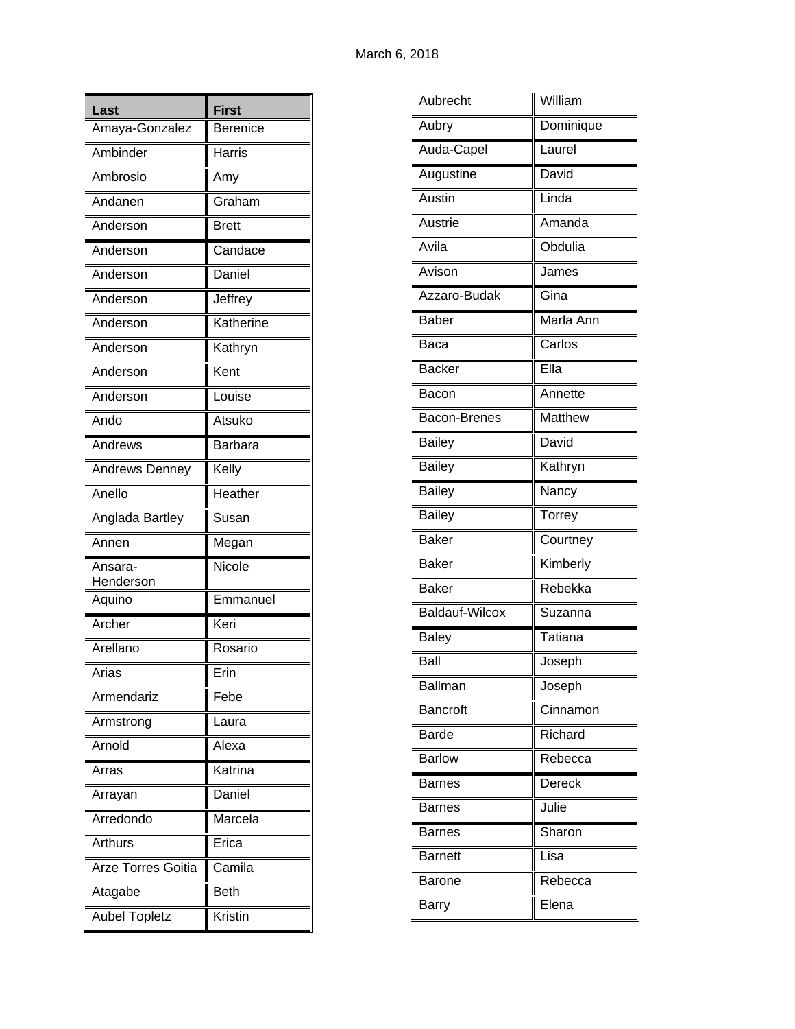| Last                  | <b>First</b>    |
|-----------------------|-----------------|
| Amaya-Gonzalez        | <b>Berenice</b> |
| Ambinder              | Harris          |
| Ambrosio              | Amy             |
| Andanen               | Graham          |
| Anderson              | <b>Brett</b>    |
| Anderson              | Candace         |
| Anderson              | Daniel          |
| Anderson              | Jeffrey         |
| Anderson              | Katherine       |
| Anderson              | Kathryn         |
| Anderson              | Kent            |
| Anderson              | Louise          |
| Ando                  | Atsuko          |
| Andrews               | <b>Barbara</b>  |
| <b>Andrews Denney</b> | Kelly           |
| Anello                | Heather         |
| Anglada Bartley       | Susan           |
| Annen                 | Megan           |
| Ansara-<br>Henderson  | Nicole          |
| Aquino                | Emmanuel        |
| Archer                | Keri            |
| Arellano              | Rosario         |
| Arias                 | Erin            |
| Armendariz            | Febe            |
| Armstrong             | Laura           |
| Arnold                | Alexa           |
| Arras                 | Katrina         |
| Arrayan               | Daniel          |
| Arredondo             | Marcela         |
| Arthurs               | Erica           |
| Arze Torres Goitia    | Camila          |
| Atagabe               | <b>Beth</b>     |
| <b>Aubel Topletz</b>  | Kristin         |

| Aubrecht            | William       |
|---------------------|---------------|
| Aubry               | Dominique     |
| Auda-Capel          | Laurel        |
| Augustine           | David         |
| Austin              | Linda         |
| Austrie             | Amanda        |
| Avila               | Obdulia       |
| Avison              | James         |
| Azzaro-Budak        | Gina          |
| <b>Baber</b>        | Marla Ann     |
| Baca                | Carlos        |
| <b>Backer</b>       | Ella          |
| Bacon               | Annette       |
| <b>Bacon-Brenes</b> | Matthew       |
| <b>Bailey</b>       | David         |
| Bailey              | Kathryn       |
| <b>Bailey</b>       | Nancy         |
| <b>Bailey</b>       | Torrey        |
| <b>Baker</b>        | Courtney      |
| <b>Baker</b>        | Kimberly      |
| <b>Baker</b>        | Rebekka       |
| Baldauf-Wilcox      | Suzanna       |
| <b>Baley</b>        | Tatiana       |
| Ball                | Joseph        |
| Ballman             | Joseph        |
| <b>Bancroft</b>     | Cinnamon      |
| <b>Barde</b>        | Richard       |
| <b>Barlow</b>       | Rebecca       |
| <b>Barnes</b>       | <b>Dereck</b> |
| Barnes              | Julie         |
| <b>Barnes</b>       | Sharon        |
| <b>Barnett</b>      | Lisa          |
| Barone              | Rebecca       |
| Barry               | Elena         |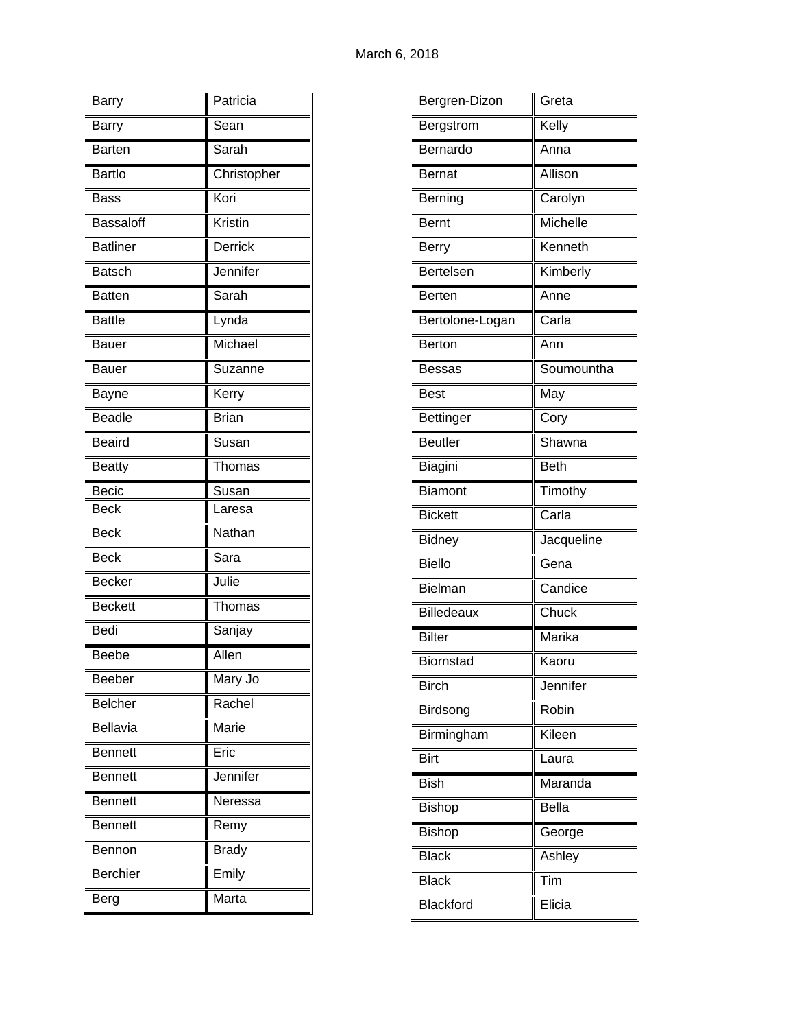| Barry            | Patricia     |
|------------------|--------------|
| <b>Barry</b>     | Sean         |
| <b>Barten</b>    | Sarah        |
| <b>Bartlo</b>    | Christopher  |
| <b>Bass</b>      | Kori         |
| <b>Bassaloff</b> | Kristin      |
| <b>Batliner</b>  | Derrick      |
| <b>Batsch</b>    | Jennifer     |
| <b>Batten</b>    | Sarah        |
| <b>Battle</b>    | Lynda        |
| Bauer            | Michael      |
| <b>Bauer</b>     | Suzanne      |
| Bayne            | Kerry        |
| <b>Beadle</b>    | <b>Brian</b> |
| Beaird           | Susan        |
| <b>Beatty</b>    | Thomas       |
| <b>Becic</b>     | Susan        |
| <b>Beck</b>      | Laresa       |
| <b>Beck</b>      | Nathan       |
| <b>Beck</b>      | Sara         |
| <b>Becker</b>    | Julie        |
| <b>Beckett</b>   | Thomas       |
| <b>Bedi</b>      | Sanjay       |
| <b>Beebe</b>     | Allen        |
| Beeber           | Mary Jo      |
| <b>Belcher</b>   | Rachel       |
| <b>Bellavia</b>  | Marie        |
| <b>Bennett</b>   | Eric         |
| <b>Bennett</b>   | Jennifer     |
| <b>Bennett</b>   | Neressa      |
| <b>Bennett</b>   | Remy         |
| <b>Bennon</b>    | <b>Brady</b> |
| <b>Berchier</b>  | Emily        |
| Berg             | Marta        |

| Bergren-Dizon     | Greta        |
|-------------------|--------------|
| Bergstrom         | Kelly        |
| Bernardo          | Anna         |
| <b>Bernat</b>     | Allison      |
| Berning           | Carolyn      |
| <b>Bernt</b>      | Michelle     |
| Berry             | Kenneth      |
| <b>Bertelsen</b>  | Kimberly     |
| <b>Berten</b>     | Anne         |
| Bertolone-Logan   | Carla        |
| Berton            | Ann          |
| Bessas            | Soumountha   |
| <b>Best</b>       | May          |
| <b>Bettinger</b>  | Cory         |
| <b>Beutler</b>    | Shawna       |
| Biagini           | Beth         |
| <b>Biamont</b>    | Timothy      |
| <b>Bickett</b>    | Carla        |
| <b>Bidney</b>     | Jacqueline   |
| <b>Biello</b>     | Gena         |
| <b>Bielman</b>    | Candice      |
| <b>Billedeaux</b> | Chuck        |
| <b>Bilter</b>     | Marika       |
| Biornstad         | Kaoru        |
| <b>Birch</b>      | Jennifer     |
| Birdsong          | Robin        |
| Birmingham        | Kileen       |
| <b>Birt</b>       | Laura        |
| <b>Bish</b>       | Maranda      |
| <b>Bishop</b>     | <b>Bella</b> |
| <b>Bishop</b>     | George       |
| <b>Black</b>      | Ashley       |
| <b>Black</b>      | Tim          |
| <b>Blackford</b>  | Elicia       |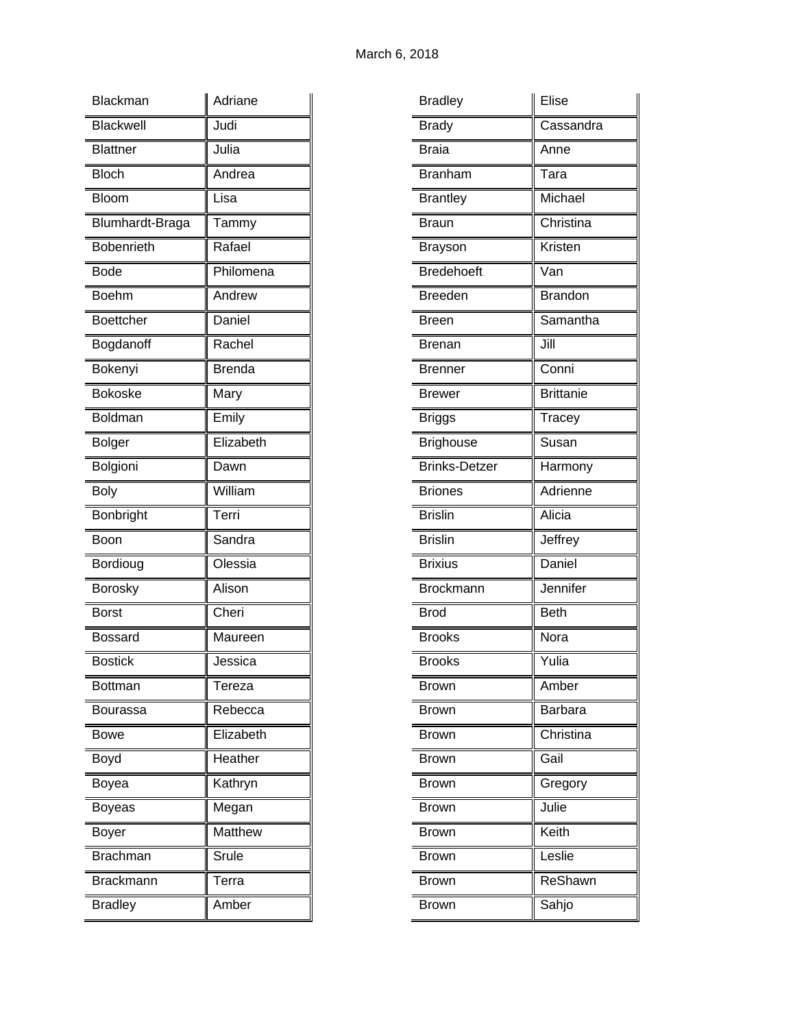| <b>Blackman</b>   | Adriane       |
|-------------------|---------------|
| <b>Blackwell</b>  | Judi          |
| <b>Blattner</b>   | Julia         |
| <b>Bloch</b>      | Andrea        |
| Bloom             | Lisa          |
| Blumhardt-Braga   | Tammy         |
| <b>Bobenrieth</b> | Rafael        |
| <b>Bode</b>       | Philomena     |
| <b>Boehm</b>      | Andrew        |
| <b>Boettcher</b>  | Daniel        |
| Bogdanoff         | Rachel        |
| Bokenyi           | <b>Brenda</b> |
| <b>Bokoske</b>    | Mary          |
| <b>Boldman</b>    | Emily         |
| <b>Bolger</b>     | Elizabeth     |
| Bolgioni          | Dawn          |
| <b>Boly</b>       | William       |
|                   |               |
| Bonbright         | Terri         |
| Boon              | Sandra        |
| Bordioug          | Olessia       |
| <b>Borosky</b>    | Alison        |
| <b>Borst</b>      | Cheri         |
| Bossard           | Maureen       |
| <b>Bostick</b>    | Jessica       |
| <b>Bottman</b>    | Tereza        |
| Bourassa          | Rebecca       |
| Bowe              | Elizabeth     |
| Boyd              | Heather       |
| Boyea             | Kathryn       |
| Boyeas            | Megan         |
| Boyer             | Matthew       |
| <b>Brachman</b>   | Srule         |
| <b>Brackmann</b>  | Terra         |

| <b>Bradley</b>       | Elise            |
|----------------------|------------------|
| <b>Brady</b>         | Cassandra        |
| <b>Braia</b>         | Anne             |
| <b>Branham</b>       | Tara             |
| <b>Brantley</b>      | Michael          |
| <b>Braun</b>         | Christina        |
| Brayson              | Kristen          |
| <b>Bredehoeft</b>    | Van              |
| <b>Breeden</b>       | <b>Brandon</b>   |
| Breen                | Samantha         |
| <b>Brenan</b>        | Jill             |
| Brenner              | Conni            |
| <b>Brewer</b>        | <b>Brittanie</b> |
| <b>Briggs</b>        | Tracey           |
| <b>Brighouse</b>     | Susan            |
| <b>Brinks-Detzer</b> | Harmony          |
| <b>Briones</b>       | Adrienne         |
| <b>Brislin</b>       | Alicia           |
| <b>Brislin</b>       | Jeffrey          |
| <b>Brixius</b>       | Daniel           |
| <b>Brockmann</b>     | Jennifer         |
| <b>Brod</b>          | <b>Beth</b>      |
| <b>Brooks</b>        | Nora             |
| Brooks               | Yulia            |
| Brown                | Amber            |
| <b>Brown</b>         | Barbara          |
| Brown                | Christina        |
| Brown                | Gail             |
| Brown                | Gregory          |
| Brown                | Julie            |
| Brown                | Keith            |
| Brown                | Leslie           |
| <b>Brown</b>         | ReShawn          |
| Brown                | Sahjo            |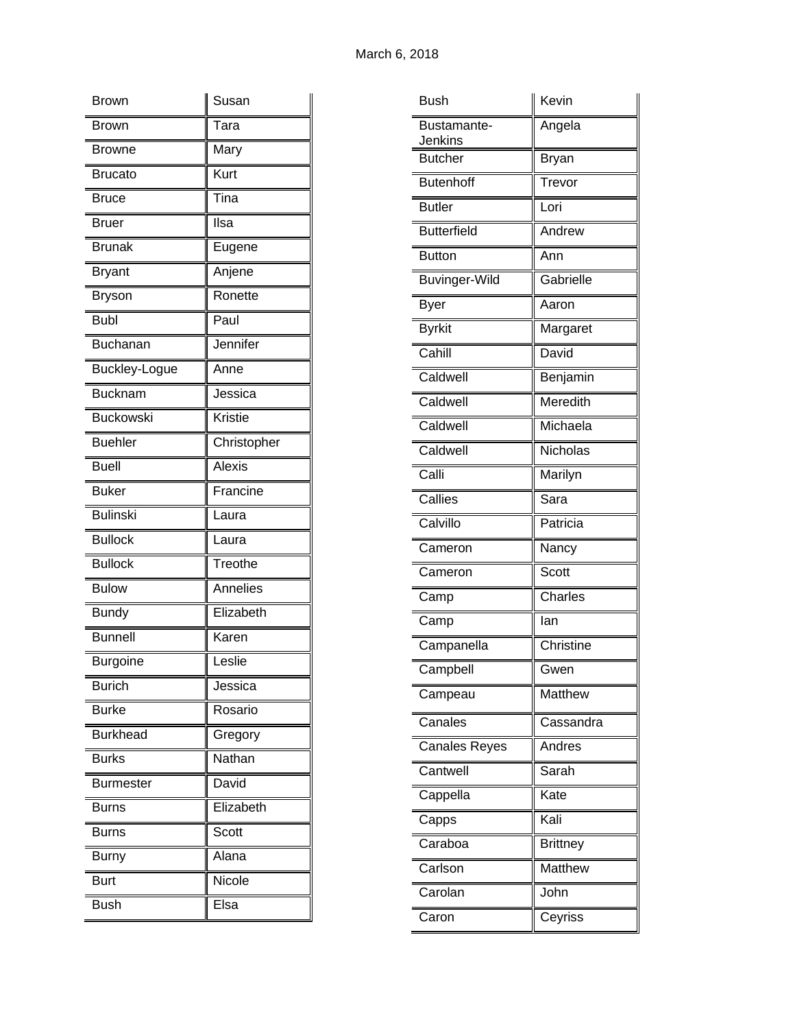| Brown            | Susan          |
|------------------|----------------|
| <b>Brown</b>     | Tara           |
| Browne           | Mary           |
| <b>Brucato</b>   | Kurt           |
| Bruce            | Tina           |
| Bruer            | Ilsa           |
| <b>Brunak</b>    | Eugene         |
| <b>Bryant</b>    | Anjene         |
| <b>Bryson</b>    | Ronette        |
| <b>Bubl</b>      | Paul           |
| <b>Buchanan</b>  | Jennifer       |
| Buckley-Logue    | Anne           |
| <b>Bucknam</b>   | Jessica        |
| <b>Buckowski</b> | <b>Kristie</b> |
| <b>Buehler</b>   | Christopher    |
| <b>Buell</b>     | <b>Alexis</b>  |
| <b>Buker</b>     | Francine       |
| <b>Bulinski</b>  | Laura          |
| <b>Bullock</b>   | Laura          |
| <b>Bullock</b>   | Treothe        |
| <b>Bulow</b>     | Annelies       |
| <b>Bundy</b>     | Elizabeth      |
| <b>Bunnell</b>   | Karen          |
| <b>Burgoine</b>  | Leslie         |
| <b>Burich</b>    | Jessica        |
| <b>Burke</b>     | Rosario        |
| <b>Burkhead</b>  | Gregory        |
| <b>Burks</b>     | Nathan         |
| <b>Burmester</b> | David          |
| <b>Burns</b>     | Elizabeth      |
| Burns            | Scott          |
| <b>Burny</b>     | Alana          |
| <b>Burt</b>      | Nicole         |
| <b>Bush</b>      | Elsa           |

| Bush                   | Kevin           |
|------------------------|-----------------|
| Bustamante-<br>Jenkins | Angela          |
| <b>Butcher</b>         | <b>Bryan</b>    |
| <b>Butenhoff</b>       | Trevor          |
| <b>Butler</b>          | Lori            |
| <b>Butterfield</b>     | Andrew          |
| <b>Button</b>          | Ann             |
| <b>Buvinger-Wild</b>   | Gabrielle       |
| Byer                   | Aaron           |
| <b>Byrkit</b>          | Margaret        |
| Cahill                 | David           |
| Caldwell               | Benjamin        |
| Caldwell               | Meredith        |
| Caldwell               | Michaela        |
| Caldwell               | Nicholas        |
| Calli                  | Marilyn         |
| Callies                | Sara            |
| Calvillo               | Patricia        |
| Cameron                | Nancy           |
| Cameron                | Scott           |
| Camp                   | Charles         |
| Camp                   | lan             |
| Campanella             | Christine       |
| Campbell               | Gwen            |
| Campeau                | Matthew         |
| Canales                | Cassandra       |
| <b>Canales Reyes</b>   | Andres          |
| Cantwell               | Sarah           |
| Cappella               | Kate            |
| Capps                  | Kali            |
| Caraboa                | <b>Brittney</b> |
| Carlson                | Matthew         |
| Carolan                | John            |
| Caron                  | Ceyriss         |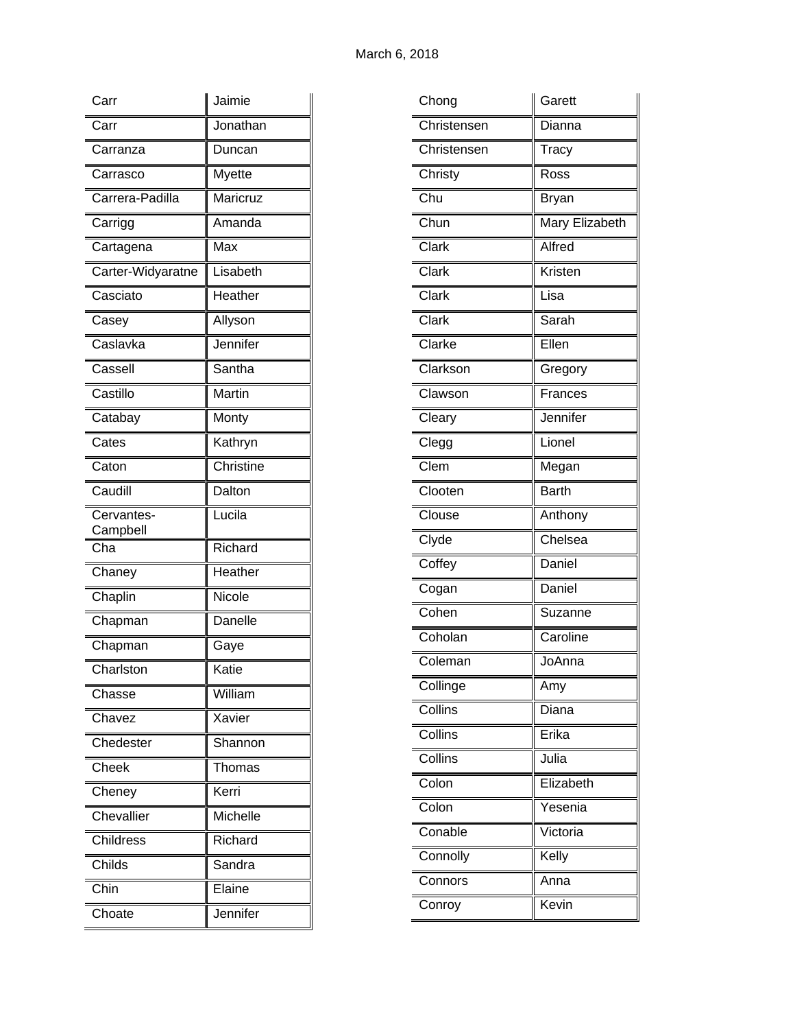| Carr                   | Jaimie                       |
|------------------------|------------------------------|
| Carr                   | Jonathan                     |
| Carranza               | Duncan                       |
| Carrasco               | <b>Myette</b>                |
| Carrera-Padilla        | Maricruz                     |
| Carrigg                | Amanda                       |
| Cartagena              | Max                          |
| Carter-Widyaratne      | Lisabeth                     |
| Casciato               | Heather                      |
| Casey                  | Allyson                      |
| Caslavka               | Jennifer                     |
| Cassell                | Santha                       |
| Castillo               | Martin                       |
| Catabay                | Monty                        |
| Cates                  | Kathryn                      |
| Caton                  | Christine                    |
| Caudill                | Dalton                       |
| Cervantes-<br>Campbell | Lucila                       |
| Cha                    | Richard                      |
| Chaney                 | $\overline{\text{He}}$ ather |
| Chaplin                | Nicole                       |
| Chapman                | Danelle                      |
| Chapman                | Gaye                         |
| Charlston              | Katie                        |
| Chasse                 | William                      |
| Chavez                 | Xavier                       |
| Chedester              | Shannon                      |
| Cheek                  | Thomas                       |
| Cheney                 | Kerri                        |
| Chevallier             | Michelle                     |
| Childress              | Richard                      |
| Childs                 | Sandra                       |
| Chin                   | Elaine                       |
| Choate                 | Jennifer                     |

| Chong                     | Garett         |
|---------------------------|----------------|
| Christensen               | Dianna         |
| Christensen               | Tracy          |
| Christy                   | Ross           |
| $\overline{\text{Chu}}$   | Bryan          |
| Chun                      | Mary Elizabeth |
| Clark                     | Alfred         |
| $\overline{\text{Clark}}$ | Kristen        |
| Clark                     | Lisa           |
| Clark                     | Sarah          |
| Clarke                    | Ellen          |
| Clarkson                  | Gregory        |
| Clawson                   | Frances        |
| Cleary                    | Jennifer       |
| Clegg                     | Lionel         |
| Clem                      | Megan          |
| Clooten                   | <b>Barth</b>   |
| Clouse                    | Anthony        |
| Clyde                     | Chelsea        |
| Coffey                    | Daniel         |
| Cogan                     | Daniel         |
| Cohen                     | Suzanne        |
| Coholan                   | Caroline       |
| Coleman                   | JoAnna         |
| Collinge                  | Amy            |
| Collins                   | Diana          |
| Collins                   | Erika          |
| Collins                   | Julia          |
| Colon                     | Elizabeth      |
| Colon                     | Yesenia        |
| Conable                   | Victoria       |
| Connolly                  | Kelly          |
| Connors                   | Anna           |
| Conroy                    | Kevin          |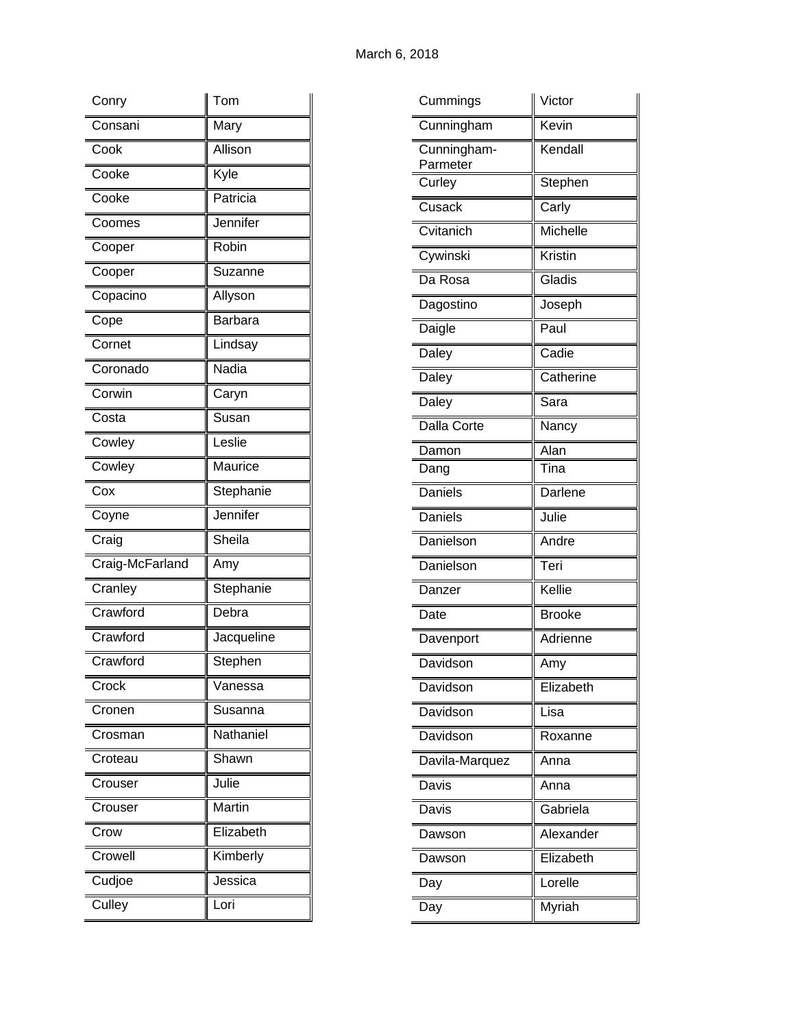| Conry           | Tom            |
|-----------------|----------------|
| Consani         | Mary           |
| Cook            | Allison        |
| Cooke           | Kyle           |
| Cooke           | Patricia       |
| Coomes          | Jennifer       |
| Cooper          | Robin          |
| Cooper          | Suzanne        |
| Copacino        | <u>Allyson</u> |
| Cope            | <b>Barbara</b> |
| Cornet          | Lindsay        |
| Coronado        | Nadia          |
| Corwin          | Caryn          |
| Costa           | Susan          |
| Cowley          | Leslie         |
| Cowley          | Maurice        |
| Cox             | Stephanie      |
|                 |                |
| Coyne           | Jennifer       |
| Craig           | Sheila         |
| Craig-McFarland | Amy            |
| Cranley         | Stephanie      |
| Crawford        | Debra          |
| Crawford        | Jacqueline     |
| Crawford        | Stephen        |
| Crock           | Vanessa        |
| Cronen          | Susanna        |
| Crosman         | Nathaniel      |
| Croteau         | Shawn          |
| Crouser         | Julie          |
| Crouser         | Martin         |
| Crow            | Elizabeth      |
| Crowell         | Kimberly       |
| Cudjoe          | Jessica        |

| Cummings                | Victor        |
|-------------------------|---------------|
| Cunningham              | Kevin         |
| Cunningham-<br>Parmeter | Kendall       |
| Curley                  | Stephen       |
| Cusack                  | Carly         |
| Cvitanich               | Michelle      |
| Cywinski                | Kristin       |
| Da Rosa                 | Gladis        |
| Dagostino               | Joseph        |
| Daigle                  | Paul          |
| Daley                   | Cadie         |
| Daley                   | Catherine     |
| Daley                   | Sara          |
| Dalla Corte             | Nancy         |
| Damon                   | Alan          |
| Dang                    | Tina          |
| Daniels                 | Darlene       |
| Daniels                 | Julie         |
| Danielson               | Andre         |
| Danielson               | Teri          |
| Danzer                  | Kellie        |
| Date                    | <b>Brooke</b> |
| Davenport               | Adrienne      |
| Davidson                | Amy           |
| Davidson                | Elizabeth     |
| Davidson                | Lisa          |
| Davidson                | Roxanne       |
| Davila-Marquez          | Anna          |
| Davis                   | Anna          |
| Davis                   | Gabriela      |
| Dawson                  | Alexander     |
| Dawson                  | Elizabeth     |
| Day                     | Lorelle       |
| Day                     | Myriah        |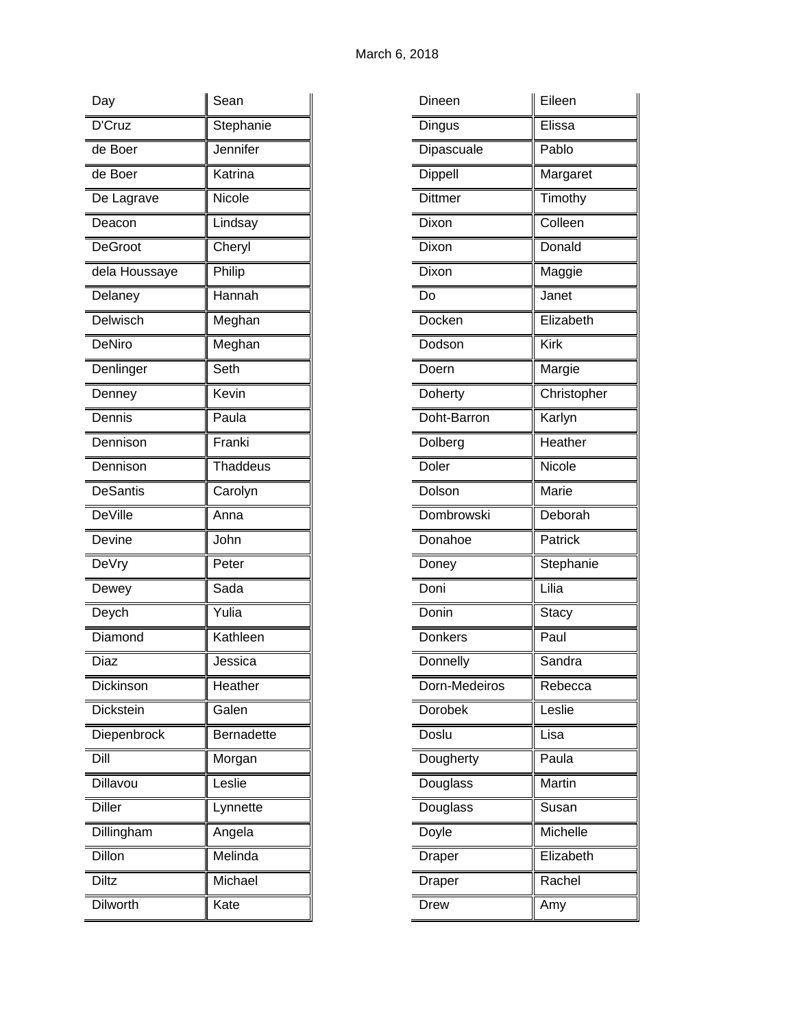| Day             | Sean              |
|-----------------|-------------------|
| D'Cruz          | Stephanie         |
| de Boer         | Jennifer          |
| de Boer         | Katrina           |
| De Lagrave      | Nicole            |
| Deacon          | Lindsay           |
| <b>DeGroot</b>  | Cheryl            |
| dela Houssaye   | Philip            |
| Delaney         | Hannah            |
| Delwisch        | Meghan            |
| <b>DeNiro</b>   | Meghan            |
| Denlinger       | Seth              |
| Denney          | Kevin             |
| Dennis          | Paula             |
| Dennison        | Franki            |
| Dennison        | Thaddeus          |
| <b>DeSantis</b> | Carolyn           |
| <b>DeVille</b>  | Anna              |
| Devine          | John              |
| <b>DeVry</b>    | Peter             |
| Dewey           | Sada              |
| Deych           | Yulia             |
| Diamond         | Kathleen          |
| Diaz            | Jessica           |
| Dickinson       | Heather           |
| Dickstein       | Galen             |
| Diepenbrock     | <b>Bernadette</b> |
| Dill            | Morgan            |
| Dillavou        | Leslie            |
| <b>Diller</b>   | Lynnette          |
| Dillingham      | Angela            |
| Dillon          | Melinda           |
| <b>Diltz</b>    | Michael           |
| <b>Dilworth</b> | Kate              |

| Dineen            | Eileen       |
|-------------------|--------------|
| Dingus            | Elissa       |
| Dipascuale        | Pablo        |
| Dippell           | Margaret     |
| <b>Dittmer</b>    | Timothy      |
| Dixon             | Colleen      |
| Dixon             | Donald       |
| Dixon             | Maggie       |
| Do                | Janet        |
| Docken            | Elizabeth    |
| Dodson            | Kirk         |
| Doern             | Margie       |
| Doherty           | Christopher  |
| Doht-Barron       | Karlyn       |
| Dolberg           | Heather      |
| Doler             | Nicole       |
| Dolson            | Marie        |
| <b>Dombrowski</b> | Deborah      |
| Donahoe           | Patrick      |
| Doney             | Stephanie    |
| Doni              | Lilia        |
| Donin             | <b>Stacy</b> |
| <b>Donkers</b>    | Paul         |
| Donnelly          | Sandra       |
| Dorn-Medeiros     | Rebecca      |
| Dorobek           | Leslie       |
| Doslu             | Lisa         |
| Dougherty         | Paula        |
| Douglass          | Martin       |
| Douglass          | Susan        |
| Doyle             | Michelle     |
| Draper            | Elizabeth    |
| Draper            | Rachel       |
| Drew              | Amy          |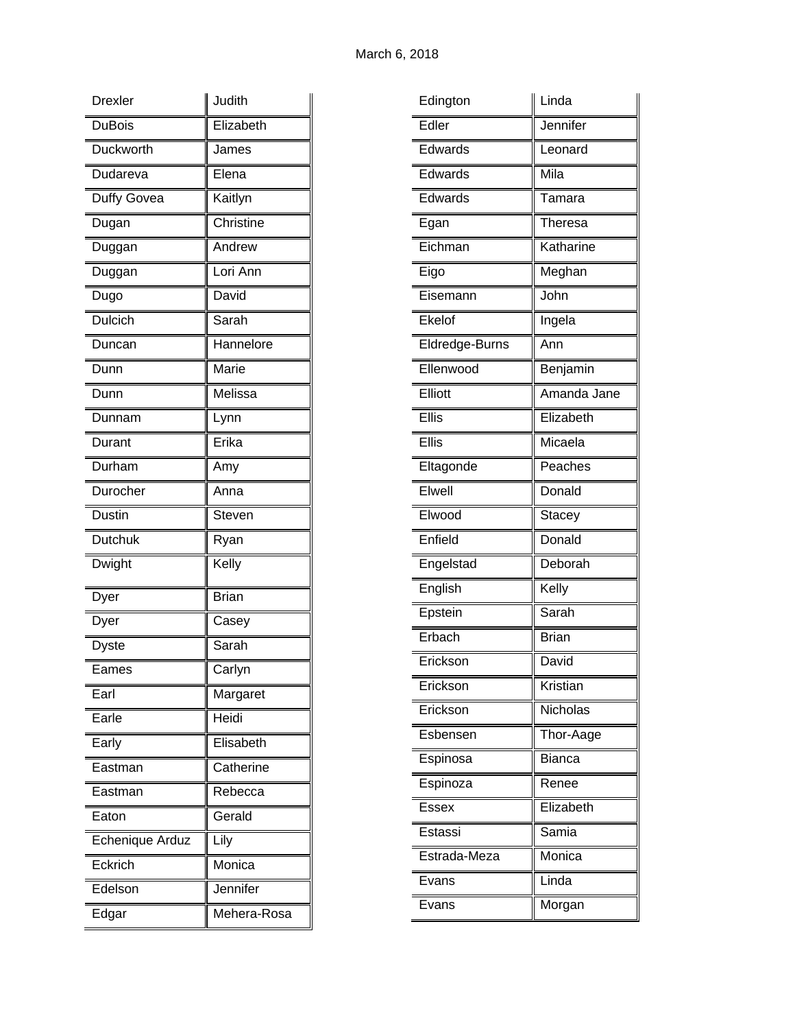| <b>Drexler</b>  | Judith       |
|-----------------|--------------|
| <b>DuBois</b>   | Elizabeth    |
| Duckworth       | James        |
| Dudareva        | Elena        |
| Duffy Govea     | Kaitlyn      |
| Dugan           | Christine    |
| Duggan          | Andrew       |
| Duggan          | Lori Ann     |
| Dugo            | David        |
| Dulcich         | Sarah        |
| Duncan          | Hannelore    |
| Dunn            | Marie        |
| Dunn            | Melissa      |
| Dunnam          | Lynn         |
| Durant          | Erika        |
| Durham          | Amy          |
| Durocher        | Anna         |
| <b>Dustin</b>   | Steven       |
| Dutchuk         | Ryan         |
| Dwight          | Kelly        |
| Dyer            | <b>Brian</b> |
| Dyer            | Casey        |
| Dyste           | Sarah        |
| Eames           | Carlyn       |
| Earl            | Margaret     |
| Earle           | Heidi        |
| Early           | Elisabeth    |
| Eastman         | Catherine    |
| Eastman         | Rebecca      |
| Eaton           | Gerald       |
| Echenique Arduz | Lily         |
| Eckrich         | Monica       |
| Edelson         | Jennifer     |
| Edgar           | Mehera-Rosa  |

| Edington       | Linda         |
|----------------|---------------|
| Edler          | Jennifer      |
| Edwards        | Leonard       |
| Edwards        | Mila          |
| Edwards        | Tamara        |
| Egan           | Theresa       |
| Eichman        | Katharine     |
| Eigo           | Meghan        |
| Eisemann       | John          |
| Ekelof         | Ingela        |
| Eldredge-Burns | Ann           |
| Ellenwood      | Benjamin      |
| Elliott        | Amanda Jane   |
| Ellis          | Elizabeth     |
| Ellis          | Micaela       |
| Eltagonde      | Peaches       |
| Elwell         | Donald        |
| Elwood         | <b>Stacey</b> |
| Enfield        | Donald        |
| Engelstad      | Deborah       |
| English        | Kelly         |
| Epstein        | Sarah         |
| Erbach         | <b>Brian</b>  |
| Erickson       | David         |
| Erickson       | Kristian      |
| Erickson       | Nicholas      |
| Esbensen       | Thor-Aage     |
| Espinosa       | <b>Bianca</b> |
| Espinoza       | Renee         |
| Essex          | Elizabeth     |
| Estassi        | Samia         |
| Estrada-Meza   | Monica        |
| Evans          | Linda         |
| Evans          | Morgan        |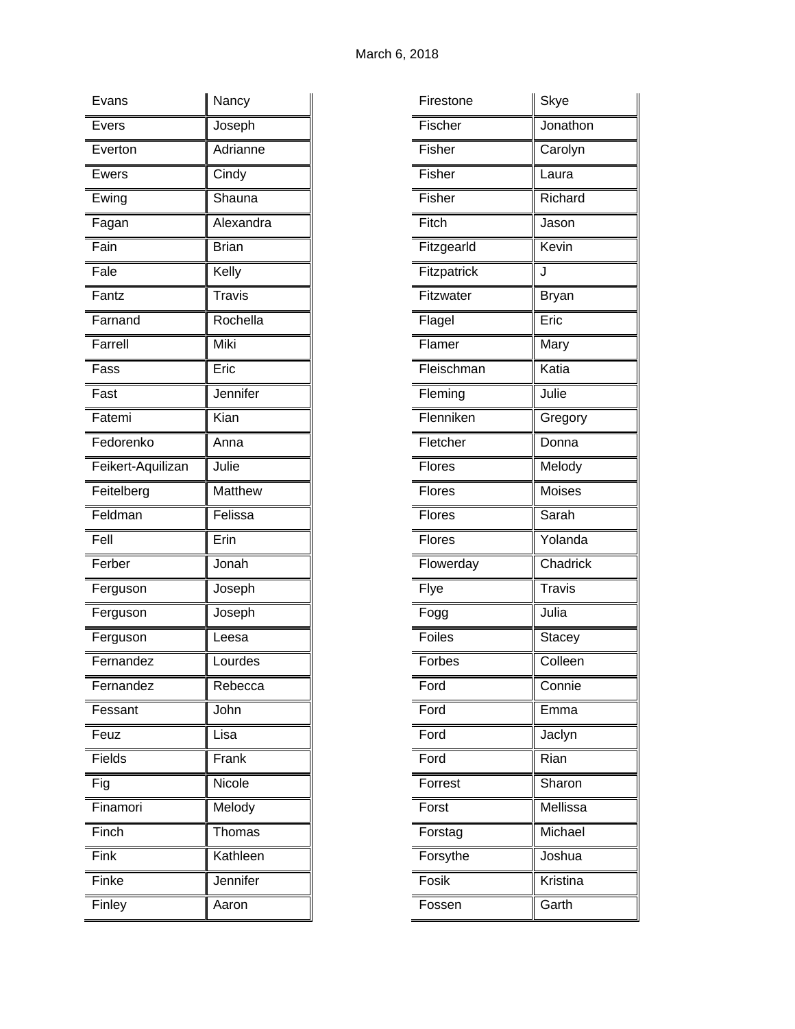| Evans             | Nancy        |
|-------------------|--------------|
| Evers             | Joseph       |
| Everton           | Adrianne     |
| Ewers             | Cindy        |
| Ewing             | Shauna       |
| Fagan             | Alexandra    |
| Fain              | <b>Brian</b> |
| Fale              | Kelly        |
| Fantz             | Travis       |
| Farnand           | Rochella     |
| Farrell           | Miki         |
| Fass              | Eric         |
| Fast              | Jennifer     |
| Fatemi            | Kian         |
| Fedorenko         | Anna         |
| Feikert-Aquilizan | Julie        |
| Feitelberg        | Matthew      |
|                   |              |
| Feldman           | Felissa      |
| Fell              | Erin         |
| $F$ erber         | Jonah        |
| Ferguson          | Joseph       |
| Ferguson          | Joseph       |
| Ferguson          | Leesa        |
| Fernandez         | Lourdes      |
| Fernandez         | Rebecca      |
| Fessant           | John         |
| Feuz              | Lisa         |
| Fields            | Frank        |
| Fig               | Nicole       |
| Finamori          | Melody       |
| Finch             | Thomas       |
| Fink              | Kathleen     |
| Finke             | Jennifer     |

| Firestone     | Skye          |
|---------------|---------------|
| Fischer       | Jonathon      |
| Fisher        | Carolyn       |
| Fisher        | Laura         |
| Fisher        | Richard       |
| Fitch         | Jason         |
| Fitzgearld    | Kevin         |
| Fitzpatrick   | J             |
| Fitzwater     | Bryan         |
| Flagel        | Eric          |
| Flamer        | Mary          |
| Fleischman    | Katia         |
| Fleming       | Julie         |
| Flenniken     | Gregory       |
| Fletcher      | Donna         |
| <b>Flores</b> | Melody        |
| Flores        | Moises        |
| Flores        | Sarah         |
| Flores        | Yolanda       |
| Flowerday     | Chadrick      |
| Flye          | <b>Travis</b> |
| Fogg          | Julia         |
| <b>Foiles</b> | <b>Stacey</b> |
| Forbes        | Colleen       |
| Ford          | Connie        |
| Ford          | Emma          |
| Ford          | Jaclyn        |
| Ford          | Rian          |
| Forrest       | Sharon        |
| Forst         | Mellissa      |
| Forstag       | Michael       |
| Forsythe      | Joshua        |
| Fosik         | Kristina      |
| Fossen        | Garth         |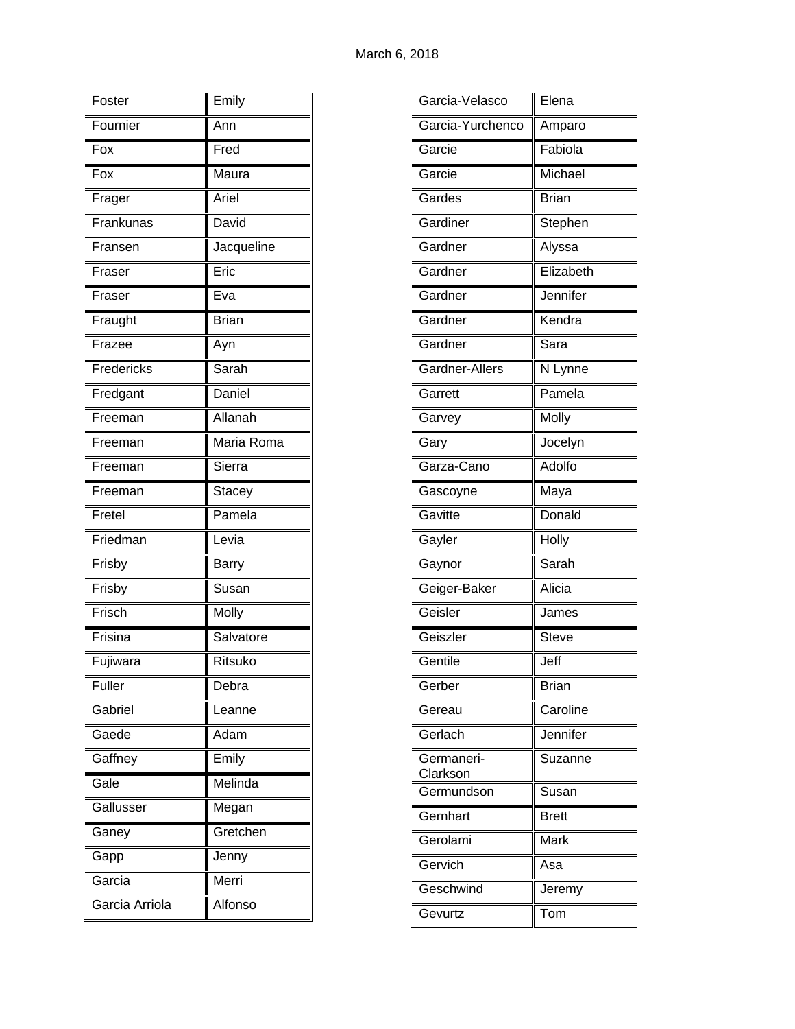| Foster     | Emily        |
|------------|--------------|
| Fournier   | Ann          |
| Fox        | Fred         |
| Fox        | Maura        |
| Frager     | Ariel        |
| Frankunas  | David        |
| Fransen    | Jacqueline   |
| Fraser     | Eric         |
| Fraser     | Eva          |
| Fraught    | <b>Brian</b> |
| Frazee     | Ayn          |
| Fredericks | Sarah        |
| Fredgant   | Daniel       |
| Freeman    | Allanah      |
| Freeman    | Maria Roma   |
| Freeman    | Sierra       |
| Freeman    | Stacey       |
| Fretel     | Pamela       |
| Friedman   | Levia        |
| Frisby     | Barry        |
| Frisby     | Susan        |
| Frisch     | Molly        |
| Frisina    | Salvatore    |
| Fujiwara   | Ritsuko      |
| Fuller     | Debra        |
| Gabriel    | Leanne       |
| Gaede      | Adam         |
| Gaffney    | Emily        |
| Gale       | Melinda      |
| Gallusser  | Megan        |
|            | Gretchen     |
| Ganey      |              |
| Gapp       | Jenny        |
| Garcia     | Merri        |

| Garcia-Yurchenco<br>Amparo<br>Fabiola<br>Garcie<br>Michael<br>Garcie<br>Gardes<br><b>Brian</b><br>Gardiner<br>Stephen<br>Gardner<br>Alyssa<br>Elizabeth<br>Gardner<br>Jennifer<br>Gardner<br>Kendra<br>Gardner<br>Gardner<br>Sara<br>Gardner-Allers<br>N Lynne<br>Pamela<br>Garrett<br>Molly<br>Garvey<br>Jocelyn<br>Gary<br>Adolfo<br>Garza-Cano<br>Maya<br>Gascoyne<br>Gavitte<br>Donald<br>Holly<br>Gayler<br>Sarah<br>Gaynor<br>Geiger-Baker<br>Alicia<br>Geisler<br>James<br>Geiszler<br><b>Steve</b><br>Gentile<br>Jeff<br><b>Brian</b><br>Gerber<br>Caroline<br>Gereau<br>Jennifer<br>Gerlach<br>Germaneri-<br>Suzanne<br>Clarkson<br>Germundson<br>Susan<br>Gernhart<br><b>Brett</b><br>Gerolami<br>Mark<br>Gervich<br>Asa<br>Geschwind<br>Jeremy<br>Gevurtz<br>Tom | Garcia-Velasco | Elena |
|-----------------------------------------------------------------------------------------------------------------------------------------------------------------------------------------------------------------------------------------------------------------------------------------------------------------------------------------------------------------------------------------------------------------------------------------------------------------------------------------------------------------------------------------------------------------------------------------------------------------------------------------------------------------------------------------------------------------------------------------------------------------------------|----------------|-------|
|                                                                                                                                                                                                                                                                                                                                                                                                                                                                                                                                                                                                                                                                                                                                                                             |                |       |
|                                                                                                                                                                                                                                                                                                                                                                                                                                                                                                                                                                                                                                                                                                                                                                             |                |       |
|                                                                                                                                                                                                                                                                                                                                                                                                                                                                                                                                                                                                                                                                                                                                                                             |                |       |
|                                                                                                                                                                                                                                                                                                                                                                                                                                                                                                                                                                                                                                                                                                                                                                             |                |       |
|                                                                                                                                                                                                                                                                                                                                                                                                                                                                                                                                                                                                                                                                                                                                                                             |                |       |
|                                                                                                                                                                                                                                                                                                                                                                                                                                                                                                                                                                                                                                                                                                                                                                             |                |       |
|                                                                                                                                                                                                                                                                                                                                                                                                                                                                                                                                                                                                                                                                                                                                                                             |                |       |
|                                                                                                                                                                                                                                                                                                                                                                                                                                                                                                                                                                                                                                                                                                                                                                             |                |       |
|                                                                                                                                                                                                                                                                                                                                                                                                                                                                                                                                                                                                                                                                                                                                                                             |                |       |
|                                                                                                                                                                                                                                                                                                                                                                                                                                                                                                                                                                                                                                                                                                                                                                             |                |       |
|                                                                                                                                                                                                                                                                                                                                                                                                                                                                                                                                                                                                                                                                                                                                                                             |                |       |
|                                                                                                                                                                                                                                                                                                                                                                                                                                                                                                                                                                                                                                                                                                                                                                             |                |       |
|                                                                                                                                                                                                                                                                                                                                                                                                                                                                                                                                                                                                                                                                                                                                                                             |                |       |
|                                                                                                                                                                                                                                                                                                                                                                                                                                                                                                                                                                                                                                                                                                                                                                             |                |       |
|                                                                                                                                                                                                                                                                                                                                                                                                                                                                                                                                                                                                                                                                                                                                                                             |                |       |
|                                                                                                                                                                                                                                                                                                                                                                                                                                                                                                                                                                                                                                                                                                                                                                             |                |       |
|                                                                                                                                                                                                                                                                                                                                                                                                                                                                                                                                                                                                                                                                                                                                                                             |                |       |
|                                                                                                                                                                                                                                                                                                                                                                                                                                                                                                                                                                                                                                                                                                                                                                             |                |       |
|                                                                                                                                                                                                                                                                                                                                                                                                                                                                                                                                                                                                                                                                                                                                                                             |                |       |
|                                                                                                                                                                                                                                                                                                                                                                                                                                                                                                                                                                                                                                                                                                                                                                             |                |       |
|                                                                                                                                                                                                                                                                                                                                                                                                                                                                                                                                                                                                                                                                                                                                                                             |                |       |
|                                                                                                                                                                                                                                                                                                                                                                                                                                                                                                                                                                                                                                                                                                                                                                             |                |       |
|                                                                                                                                                                                                                                                                                                                                                                                                                                                                                                                                                                                                                                                                                                                                                                             |                |       |
|                                                                                                                                                                                                                                                                                                                                                                                                                                                                                                                                                                                                                                                                                                                                                                             |                |       |
|                                                                                                                                                                                                                                                                                                                                                                                                                                                                                                                                                                                                                                                                                                                                                                             |                |       |
|                                                                                                                                                                                                                                                                                                                                                                                                                                                                                                                                                                                                                                                                                                                                                                             |                |       |
|                                                                                                                                                                                                                                                                                                                                                                                                                                                                                                                                                                                                                                                                                                                                                                             |                |       |
|                                                                                                                                                                                                                                                                                                                                                                                                                                                                                                                                                                                                                                                                                                                                                                             |                |       |
|                                                                                                                                                                                                                                                                                                                                                                                                                                                                                                                                                                                                                                                                                                                                                                             |                |       |
|                                                                                                                                                                                                                                                                                                                                                                                                                                                                                                                                                                                                                                                                                                                                                                             |                |       |
|                                                                                                                                                                                                                                                                                                                                                                                                                                                                                                                                                                                                                                                                                                                                                                             |                |       |
|                                                                                                                                                                                                                                                                                                                                                                                                                                                                                                                                                                                                                                                                                                                                                                             |                |       |
|                                                                                                                                                                                                                                                                                                                                                                                                                                                                                                                                                                                                                                                                                                                                                                             |                |       |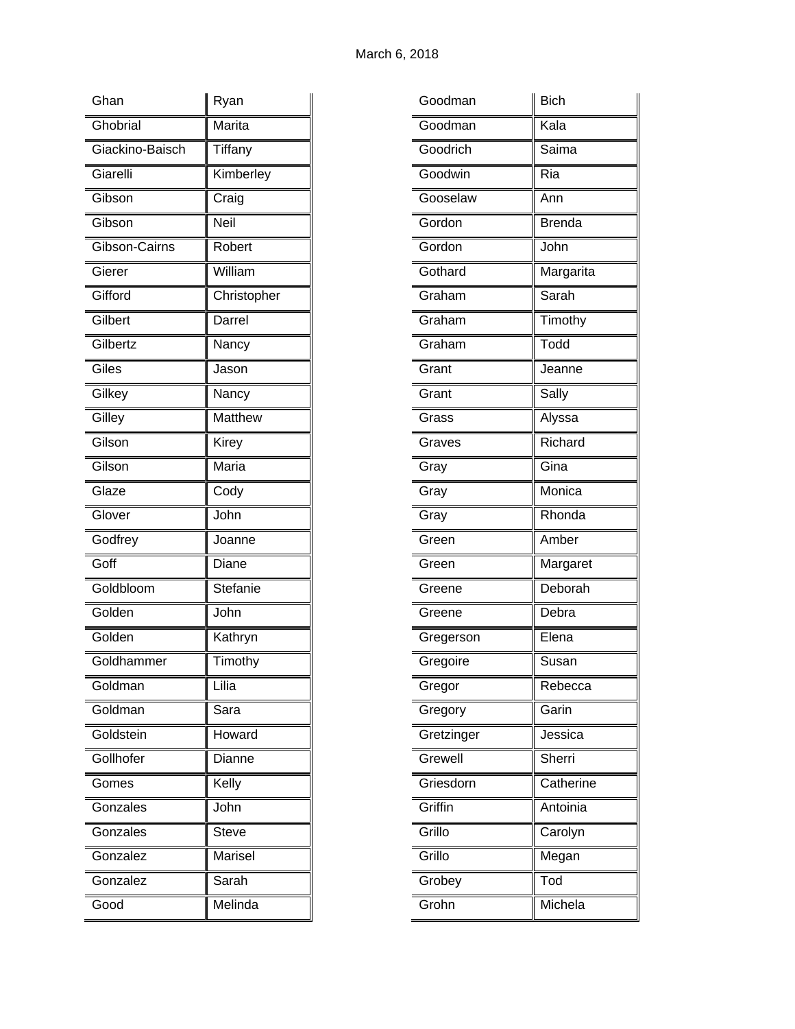| Ghan            | Ryan         |
|-----------------|--------------|
| Ghobrial        | Marita       |
| Giackino-Baisch | Tiffany      |
| Giarelli        | Kimberley    |
| Gibson          | Craig        |
| Gibson          | Neil         |
| Gibson-Cairns   | Robert       |
| Gierer          | William      |
| Gifford         | Christopher  |
| Gilbert         | Darrel       |
| Gilbertz        | Nancy        |
| Giles           | Jason        |
| Gilkey          | Nancy        |
| Gilley          | Matthew      |
| Gilson          | Kirey        |
| Gilson          | Maria        |
| Glaze           | Cody         |
| Glover          | John         |
| Godfrey         | Joanne       |
| Goff            | Diane        |
| Goldbloom       | Stefanie     |
| Golden          | John         |
| Golden          | Kathryn      |
| Goldhammer      | Timothy      |
| Goldman         | Lilia        |
| Goldman         | Sara         |
| Goldstein       | Howard       |
| Gollhofer       | Dianne       |
| Gomes           | Kelly        |
| Gonzales        | John         |
| Gonzales        | <b>Steve</b> |
| Gonzalez        | Marisel      |
| Gonzalez        | Sarah        |
| Good            | Melinda      |

| Goodman    | <b>Bich</b>   |
|------------|---------------|
| Goodman    | Kala          |
| Goodrich   | Saima         |
| Goodwin    | Ria           |
| Gooselaw   | Ann           |
| Gordon     | <b>Brenda</b> |
| Gordon     | John          |
| Gothard    | Margarita     |
| Graham     | Sarah         |
| Graham     | Timothy       |
| Graham     | Todd          |
| Grant      | Jeanne        |
| Grant      | Sally         |
| Grass      | Alyssa        |
| Graves     | Richard       |
| Gray       | Gina          |
| Gray       | Monica        |
| Gray       | Rhonda        |
| Green      | Amber         |
| Green      | Margaret      |
| Greene     | Deborah       |
| Greene     | Debra         |
| Gregerson  | Elena         |
| Gregoire   | Susan         |
| Gregor     | Rebecca       |
| Gregory    | Garin         |
| Gretzinger | Jessica       |
| Grewell    | Sherri        |
| Griesdorn  | Catherine     |
| Griffin    | Antoinia      |
| Grillo     | Carolyn       |
| Grillo     | Megan         |
| Grobey     | Tod           |
|            |               |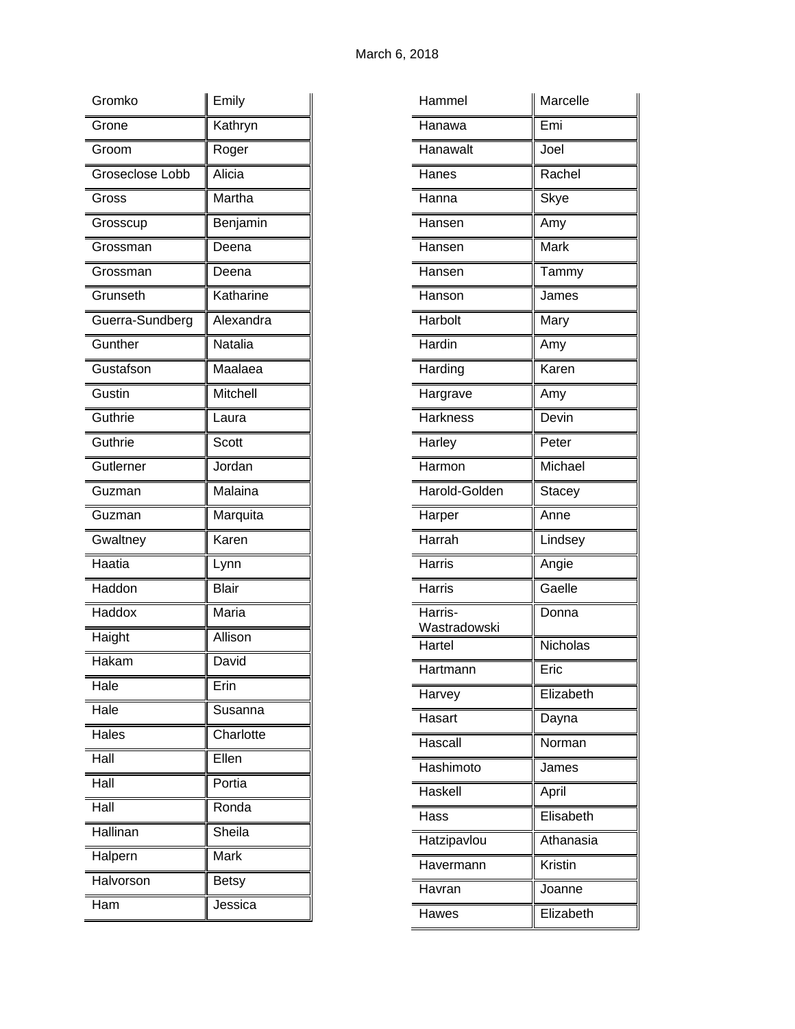| Gromko                        | Emily        |
|-------------------------------|--------------|
| Grone                         | Kathryn      |
| Groom                         | Roger        |
| Groseclose Lobb               | Alicia       |
| Gross                         | Martha       |
| Grosscup                      | Benjamin     |
| Grossman                      | Deena        |
| Grossman                      | Deena        |
| Grunseth                      | Katharine    |
| Guerra-Sundberg               | Alexandra    |
| Gunther                       | Natalia      |
| Gustafson                     | Maalaea      |
| $\overline{\mathsf{G}}$ ustin | Mitchell     |
| Guthrie                       | Laura        |
| Guthrie                       | Scott        |
| Gutlerner                     | Jordan       |
| Guzman                        | Malaina      |
| Guzman                        | Marquita     |
| Gwaltney                      | Karen        |
| Haatia                        | Lynn         |
| Haddon                        | <b>Blair</b> |
| Haddox                        | Maria        |
| Haight                        | Allison      |
| Hakam                         | David        |
| Hale                          | Erin         |
| Hale                          | Susanna      |
| Hales                         | Charlotte    |
| Hall                          | Ellen        |
| Hall                          | Portia       |
| Hall                          | Ronda        |
| Hallinan                      | Sheila       |
| Halpern                       | Mark         |
| Halvorson                     | Betsy        |
| Ham                           | Jessica      |

| Hammel                  | Marcelle      |
|-------------------------|---------------|
| Hanawa                  | Emi           |
| Hanawalt                | Joel          |
| Hanes                   | Rachel        |
| Hanna                   | Skye          |
| Hansen                  | Amy           |
| Hansen                  | <b>Mark</b>   |
| Hansen                  | Tammy         |
| Hanson                  | James         |
| Harbolt                 | Mary          |
| Hardin                  | Amy           |
| Harding                 | Karen         |
| Hargrave                | Amy           |
| <b>Harkness</b>         | Devin         |
| Harley                  | Peter         |
| Harmon                  | Michael       |
| Harold-Golden           | <b>Stacey</b> |
| Harper                  | Anne          |
| Harrah                  | Lindsey       |
| Harris                  | Angie         |
| <b>Harris</b>           | Gaelle        |
| Harris-<br>Wastradowski | Donna         |
| Hartel                  | Nicholas      |
| Hartmann                | Eric          |
| Harvey                  | Elizabeth     |
| Hasart                  | Dayna         |
| Hascall                 | Norman        |
| Hashimoto               | James         |
| Haskell                 | April         |
| Hass                    | Elisabeth     |
| Hatzipavlou             | Athanasia     |
| Havermann               | Kristin       |
| Havran                  | Joanne        |
| Hawes                   | Elizabeth     |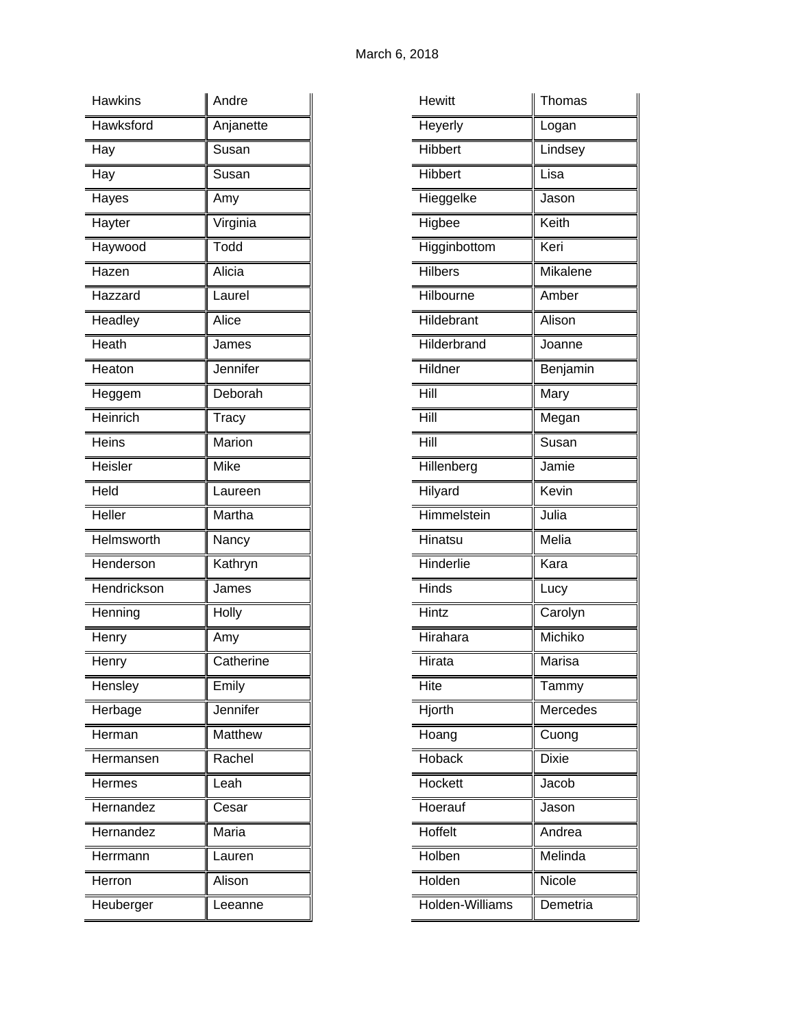| <b>Hawkins</b> | Andre     |
|----------------|-----------|
| Hawksford      | Anjanette |
| Hay            | Susan     |
| Hay            | Susan     |
| Hayes          | Amy       |
| Hayter         | Virginia  |
| Haywood        | Todd      |
| Hazen          | Alicia    |
| Hazzard        | Laurel    |
| Headley        | Alice     |
| Heath          | James     |
| Heaton         | Jennifer  |
| Heggem         | Deborah   |
| Heinrich       | Tracy     |
| Heins          | Marion    |
| Heisler        | Mike      |
| Held           | Laureen   |
| Heller         | Martha    |
| Helmsworth     | Nancy     |
| Henderson      | Kathryn   |
| Hendrickson    | James     |
| Henning        | Holly     |
| Henry          | Amy       |
| Henry          | Catherine |
| Hensley        | Emily     |
| Herbage        | Jennifer  |
| Herman         | Matthew   |
| Hermansen      | Rachel    |
| Hermes         | Leah      |
| Hernandez      | Cesar     |
| Hernandez      | Maria     |
| Herrmann       | Lauren    |
| Herron         | Alison    |
| Heuberger      | Leeanne   |

| <b>Hewitt</b>   | Thomas          |
|-----------------|-----------------|
| Heyerly         | Logan           |
| Hibbert         | Lindsey         |
| <b>Hibbert</b>  | Lisa            |
| Hieggelke       | Jason           |
| Higbee          | Keith           |
| Higginbottom    | Keri            |
| <b>Hilbers</b>  | <b>Mikalene</b> |
| Hilbourne       | Amber           |
| Hildebrant      | Alison          |
| Hilderbrand     | Joanne          |
| Hildner         | Benjamin        |
| Hill            | Mary            |
| Hill            | Megan           |
| Hill            | Susan           |
| Hillenberg      | Jamie           |
| Hilyard         | Kevin           |
| Himmelstein     | Julia           |
| Hinatsu         | Melia           |
| Hinderlie       | Kara            |
| <b>Hinds</b>    | Lucy            |
| Hintz           | Carolyn         |
| Hirahara        | Michiko         |
| Hirata          | Marisa          |
| Hite            | Tammy           |
| Hjorth          | Mercedes        |
| Hoang           | Cuong           |
| Hoback          | <b>Dixie</b>    |
| Hockett         | Jacob           |
| Hoerauf         | Jason           |
| Hoffelt         | Andrea          |
| Holben          | Melinda         |
| Holden          | Nicole          |
| Holden-Williams | Demetria        |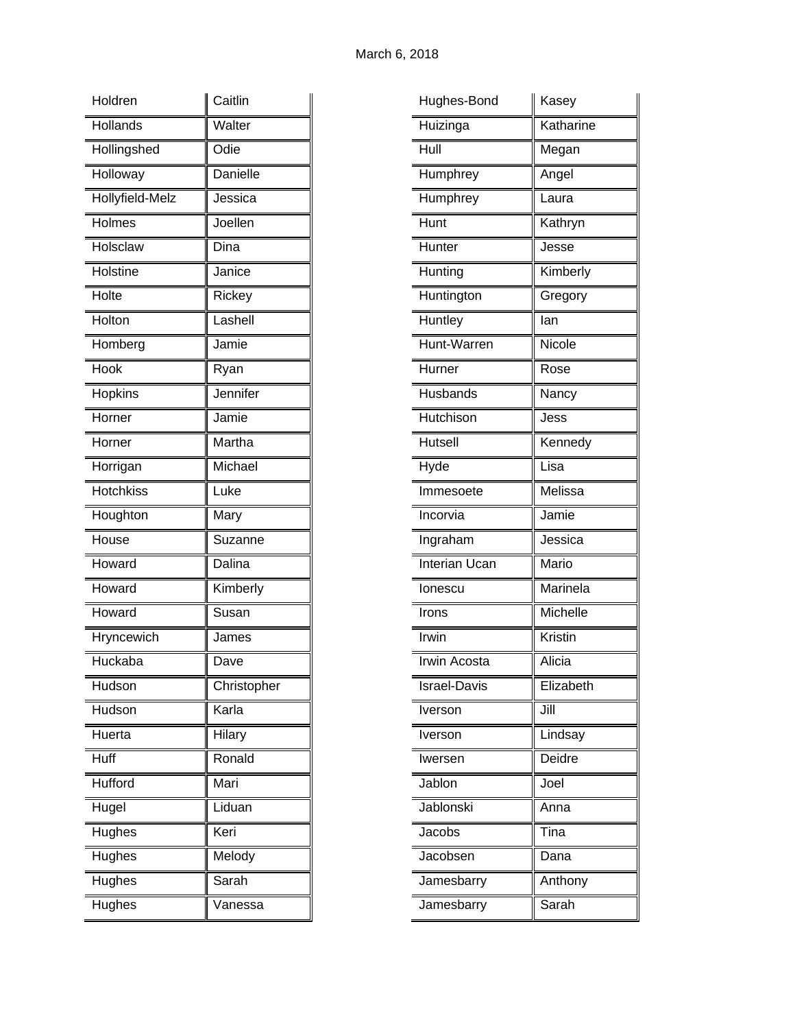| Holdren          | Caitlin     |
|------------------|-------------|
| Hollands         | Walter      |
| Hollingshed      | Odie        |
| Holloway         | Danielle    |
| Hollyfield-Melz  | Jessica     |
| Holmes           | Joellen     |
| Holsclaw         | Dina        |
| Holstine         | Janice      |
| Holte            | Rickey      |
| Holton           | Lashell     |
| Homberg          | Jamie       |
| Hook             | Ryan        |
| Hopkins          | Jennifer    |
| Horner           | Jamie       |
| Horner           | Martha      |
| Horrigan         | Michael     |
| <b>Hotchkiss</b> | Luke        |
| Houghton         | Mary        |
| House            | Suzanne     |
| Howard           | Dalina      |
| Howard           | Kimberly    |
| Howard           | Susan       |
| Hryncewich       | James       |
| Huckaba          | Dave        |
| Hudson           | Christopher |
| Hudson           | Karla       |
| Huerta           | Hilary      |
| Huff             | Ronald      |
| Hufford          | Mari        |
| Hugel            | Liduan      |
| Hughes           | Keri        |
| Hughes           | Melody      |
| Hughes           | Sarah       |
| Hughes           | Vanessa     |

| Katharine<br>Huizinga<br>Hull<br>Megan<br>Humphrey<br>Angel<br>Humphrey<br>Laura<br>Hunt<br>Kathryn<br>Hunter<br>Jesse<br>Hunting<br>Kimberly<br>Huntington<br>Gregory<br>Huntley<br>lan<br>Hunt-Warren<br>Nicole<br>Hurner<br>Rose<br>Husbands<br>Nancy<br>Hutchison<br>Jess<br>Hutsell<br>Kennedy<br>Hyde<br>Lisa<br>Melissa<br>Immesoete<br>Jamie<br>Incorvia<br>Jessica<br>Ingraham<br><b>Interian Ucan</b><br>Mario<br>Marinela<br>lonescu<br>Michelle<br>Irons<br>Kristin<br>Irwin<br>Alicia<br>Irwin Acosta<br>Elizabeth<br><b>Israel-Davis</b><br>Jill<br>Iverson<br>Lindsay<br>Iverson<br>Deidre<br>Iwersen<br>Jablon<br>Joel<br>Jablonski<br>Anna<br>Jacobs<br>Tina<br>Jacobsen<br>Dana<br>Jamesbarry<br>Anthony<br>Sarah<br>Jamesbarry | Hughes-Bond | Kasey |
|---------------------------------------------------------------------------------------------------------------------------------------------------------------------------------------------------------------------------------------------------------------------------------------------------------------------------------------------------------------------------------------------------------------------------------------------------------------------------------------------------------------------------------------------------------------------------------------------------------------------------------------------------------------------------------------------------------------------------------------------------|-------------|-------|
|                                                                                                                                                                                                                                                                                                                                                                                                                                                                                                                                                                                                                                                                                                                                                   |             |       |
|                                                                                                                                                                                                                                                                                                                                                                                                                                                                                                                                                                                                                                                                                                                                                   |             |       |
|                                                                                                                                                                                                                                                                                                                                                                                                                                                                                                                                                                                                                                                                                                                                                   |             |       |
|                                                                                                                                                                                                                                                                                                                                                                                                                                                                                                                                                                                                                                                                                                                                                   |             |       |
|                                                                                                                                                                                                                                                                                                                                                                                                                                                                                                                                                                                                                                                                                                                                                   |             |       |
|                                                                                                                                                                                                                                                                                                                                                                                                                                                                                                                                                                                                                                                                                                                                                   |             |       |
|                                                                                                                                                                                                                                                                                                                                                                                                                                                                                                                                                                                                                                                                                                                                                   |             |       |
|                                                                                                                                                                                                                                                                                                                                                                                                                                                                                                                                                                                                                                                                                                                                                   |             |       |
|                                                                                                                                                                                                                                                                                                                                                                                                                                                                                                                                                                                                                                                                                                                                                   |             |       |
|                                                                                                                                                                                                                                                                                                                                                                                                                                                                                                                                                                                                                                                                                                                                                   |             |       |
|                                                                                                                                                                                                                                                                                                                                                                                                                                                                                                                                                                                                                                                                                                                                                   |             |       |
|                                                                                                                                                                                                                                                                                                                                                                                                                                                                                                                                                                                                                                                                                                                                                   |             |       |
|                                                                                                                                                                                                                                                                                                                                                                                                                                                                                                                                                                                                                                                                                                                                                   |             |       |
|                                                                                                                                                                                                                                                                                                                                                                                                                                                                                                                                                                                                                                                                                                                                                   |             |       |
|                                                                                                                                                                                                                                                                                                                                                                                                                                                                                                                                                                                                                                                                                                                                                   |             |       |
|                                                                                                                                                                                                                                                                                                                                                                                                                                                                                                                                                                                                                                                                                                                                                   |             |       |
|                                                                                                                                                                                                                                                                                                                                                                                                                                                                                                                                                                                                                                                                                                                                                   |             |       |
|                                                                                                                                                                                                                                                                                                                                                                                                                                                                                                                                                                                                                                                                                                                                                   |             |       |
|                                                                                                                                                                                                                                                                                                                                                                                                                                                                                                                                                                                                                                                                                                                                                   |             |       |
|                                                                                                                                                                                                                                                                                                                                                                                                                                                                                                                                                                                                                                                                                                                                                   |             |       |
|                                                                                                                                                                                                                                                                                                                                                                                                                                                                                                                                                                                                                                                                                                                                                   |             |       |
|                                                                                                                                                                                                                                                                                                                                                                                                                                                                                                                                                                                                                                                                                                                                                   |             |       |
|                                                                                                                                                                                                                                                                                                                                                                                                                                                                                                                                                                                                                                                                                                                                                   |             |       |
|                                                                                                                                                                                                                                                                                                                                                                                                                                                                                                                                                                                                                                                                                                                                                   |             |       |
|                                                                                                                                                                                                                                                                                                                                                                                                                                                                                                                                                                                                                                                                                                                                                   |             |       |
|                                                                                                                                                                                                                                                                                                                                                                                                                                                                                                                                                                                                                                                                                                                                                   |             |       |
|                                                                                                                                                                                                                                                                                                                                                                                                                                                                                                                                                                                                                                                                                                                                                   |             |       |
|                                                                                                                                                                                                                                                                                                                                                                                                                                                                                                                                                                                                                                                                                                                                                   |             |       |
|                                                                                                                                                                                                                                                                                                                                                                                                                                                                                                                                                                                                                                                                                                                                                   |             |       |
|                                                                                                                                                                                                                                                                                                                                                                                                                                                                                                                                                                                                                                                                                                                                                   |             |       |
|                                                                                                                                                                                                                                                                                                                                                                                                                                                                                                                                                                                                                                                                                                                                                   |             |       |
|                                                                                                                                                                                                                                                                                                                                                                                                                                                                                                                                                                                                                                                                                                                                                   |             |       |
|                                                                                                                                                                                                                                                                                                                                                                                                                                                                                                                                                                                                                                                                                                                                                   |             |       |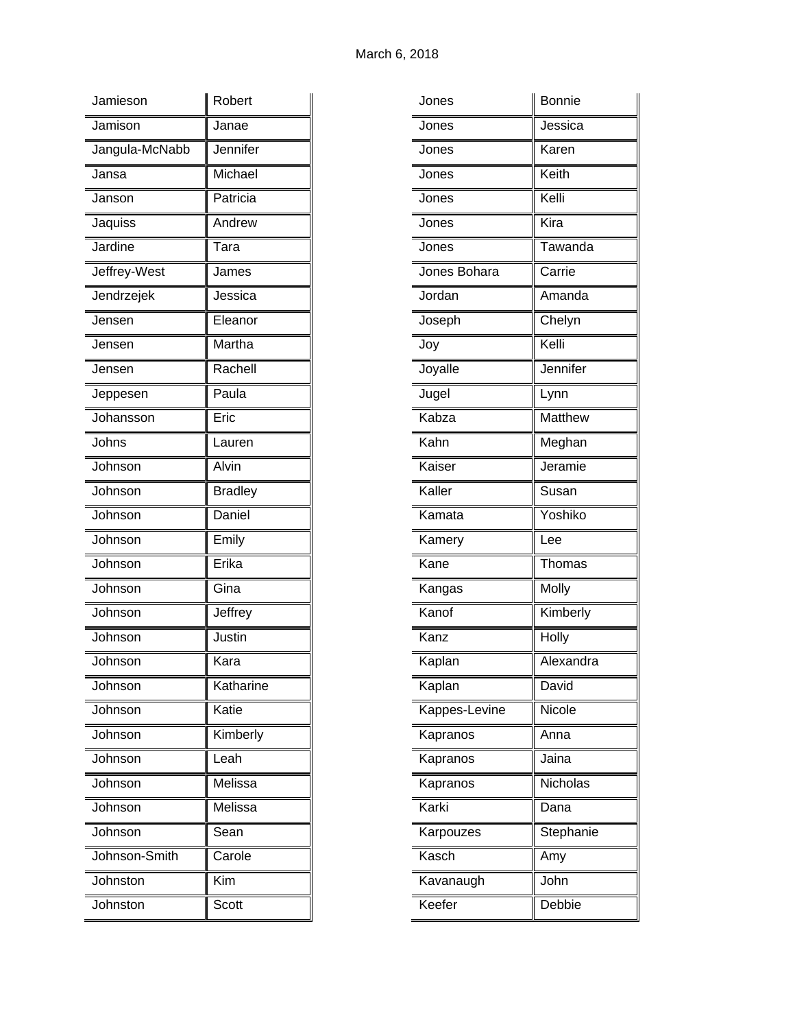| Jamieson       | Robert         |
|----------------|----------------|
| Jamison        | Janae          |
| Jangula-McNabb | Jennifer       |
| Jansa          | Michael        |
| Janson         | Patricia       |
| Jaquiss        | Andrew         |
| Jardine        | Tara           |
| Jeffrey-West   | James          |
| Jendrzejek     | Jessica        |
| Jensen         | Eleanor        |
| Jensen         | Martha         |
| Jensen         | Rachell        |
| Jeppesen       | Paula          |
| Johansson      | Eric           |
| Johns          | Lauren         |
| Johnson        | Alvin          |
| Johnson        | <b>Bradley</b> |
| Johnson        | Daniel         |
| Johnson        | Emily          |
| Johnson        | Erika          |
| Johnson        | Gina           |
| Johnson        | Jeffrey        |
| Johnson        | Justin         |
| Johnson        | Kara           |
| Johnson        | Katharine      |
| Johnson        | Katie          |
| Johnson        | Kimberly       |
| Johnson        | Leah           |
| Johnson        | Melissa        |
| Johnson        | Melissa        |
| Johnson        | Sean           |
| Johnson-Smith  | Carole         |
| Johnston       | Kim            |
| Johnston       | Scott          |

| Jones         | <b>Bonnie</b> |
|---------------|---------------|
| Jones         | Jessica       |
| Jones         | Karen         |
| Jones         | Keith         |
| Jones         | Kelli         |
| Jones         | Kira          |
| Jones         | Tawanda       |
| Jones Bohara  | Carrie        |
| Jordan        | Amanda        |
| Joseph        | Chelyn        |
| Joy           | Kelli         |
| Joyalle       | Jennifer      |
| Jugel         | Lynn          |
| Kabza         | Matthew       |
| Kahn          | Meghan        |
| Kaiser        | Jeramie       |
| Kaller        | Susan         |
| Kamata        | Yoshiko       |
| Kamery        | Lee           |
| Kane          | Thomas        |
| Kangas        | Molly         |
| Kanof         | Kimberly      |
| Kanz          | Holly         |
| Kaplan        | Alexandra     |
| Kaplan        | David         |
| Kappes-Levine | Nicole        |
| Kapranos      | Anna          |
| Kapranos      | Jaina         |
| Kapranos      | Nicholas      |
| Karki         | Dana          |
| Karpouzes     | Stephanie     |
| Kasch         | Amy           |
| Kavanaugh     | John          |
| Keefer        | Debbie        |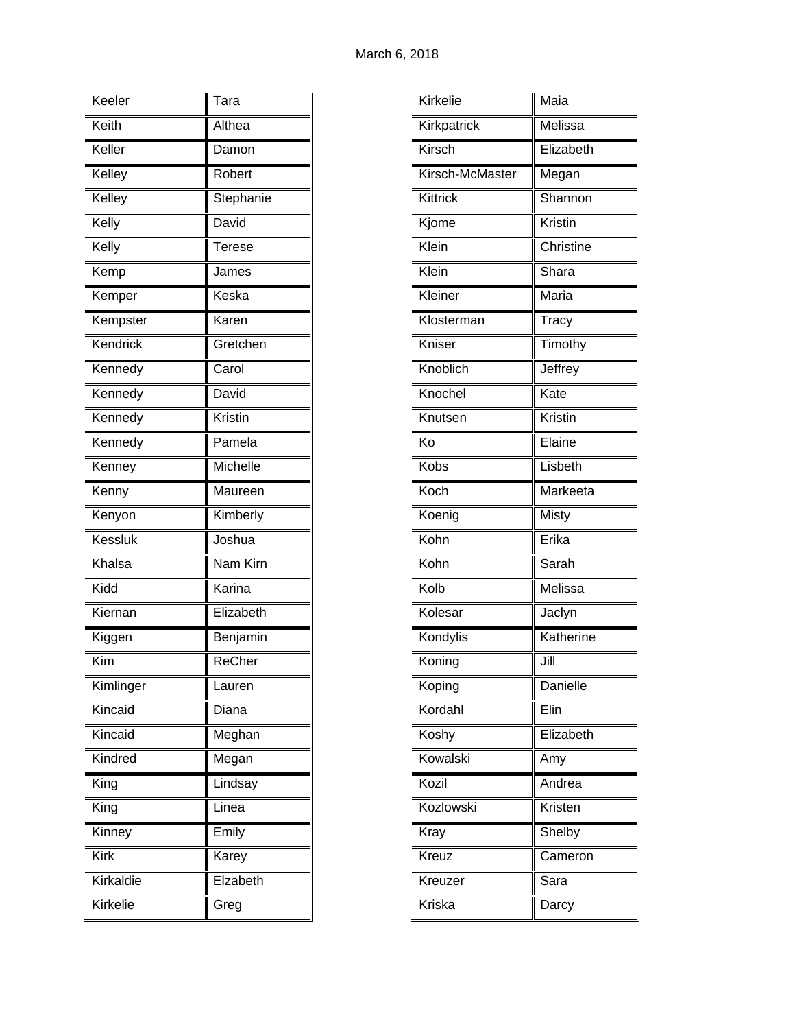| Keeler    | Tara          |
|-----------|---------------|
| Keith     | Althea        |
| Keller    | Damon         |
| Kelley    | Robert        |
| Kelley    | Stephanie     |
| Kelly     | David         |
| Kelly     | Terese        |
| Kemp      | James         |
| Kemper    | Keska         |
| Kempster  | Karen         |
| Kendrick  | Gretchen      |
| Kennedy   | Carol         |
| Kennedy   | David         |
| Kennedy   | Kristin       |
| Kennedy   | Pamela        |
| Kenney    | Michelle      |
| Kenny     | Maureen       |
| Kenyon    | Kimberly      |
| Kessluk   | Joshua        |
| Khalsa    | Nam Kirn      |
| Kidd      | Karina        |
| Kiernan   | Elizabeth     |
| Kiggen    | Benjamin      |
| Kim       | <b>ReCher</b> |
| Kimlinger | Lauren        |
| Kincaid   | Diana         |
| Kincaid   | Meghan        |
| Kindred   | Megan         |
| King      | Lindsay       |
| King      | Linea         |
| Kinney    | Emily         |
| Kirk      | Karey         |
| Kirkaldie | Elzabeth      |
| Kirkelie  | Greg          |

| Kirkelie        | Maia           |
|-----------------|----------------|
| Kirkpatrick     | Melissa        |
| Kirsch          | Elizabeth      |
| Kirsch-McMaster | Megan          |
| Kittrick        | Shannon        |
| Kjome           | <b>Kristin</b> |
| Klein           | Christine      |
| Klein           | Shara          |
| Kleiner         | Maria          |
| Klosterman      | Tracy          |
| Kniser          | Timothy        |
| Knoblich        | Jeffrey        |
| Knochel         | Kate           |
| Knutsen         | Kristin        |
| Ko              | Elaine         |
| Kobs            | Lisbeth        |
| Koch            | Markeeta       |
| Koenig          | Misty          |
| Kohn            | Erika          |
| Kohn            | Sarah          |
| Kolb            | Melissa        |
| Kolesar         | Jaclyn         |
| Kondylis        | Katherine      |
| Koning          | Jill           |
| Koping          | Danielle       |
| Kordahl         | Elin           |
| Koshy           | Elizabeth      |
| Kowalski        | Amy            |
| Kozil           | Andrea         |
| Kozlowski       | Kristen        |
| Kray            | Shelby         |
| Kreuz           | Cameron        |
| Kreuzer         | Sara           |
| Kriska          | Darcy          |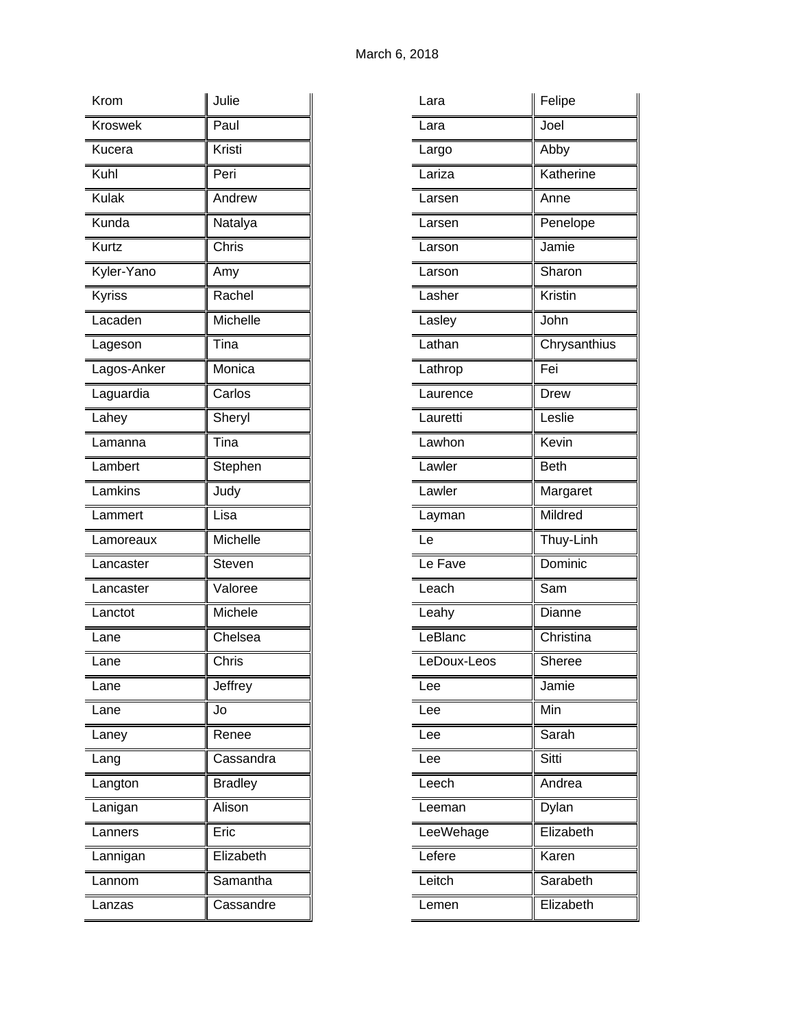| Krom        | Julie          |
|-------------|----------------|
| Kroswek     | Paul           |
| Kucera      | Kristi         |
| Kuhl        | Peri           |
| Kulak       | Andrew         |
| Kunda       | Natalya        |
| Kurtz       | Chris          |
| Kyler-Yano  | Amy            |
| Kyriss      | Rachel         |
| Lacaden     | Michelle       |
| Lageson     | Tina           |
| Lagos-Anker | Monica         |
| Laguardia   | Carlos         |
| Lahey       | Sheryl         |
| Lamanna     | Tina           |
| Lambert     | Stephen        |
| Lamkins     | Judy           |
| Lammert     | Lisa           |
| Lamoreaux   | Michelle       |
| Lancaster   | Steven         |
| Lancaster   | Valoree        |
| Lanctot     | Michele        |
| Lane        | Chelsea        |
| Lane        | Chris          |
| Lane        | Jeffrey        |
| Lane        | Jo             |
| Laney       | Renee          |
| Lang        | Cassandra      |
| Langton     | <b>Bradley</b> |
| Lanigan     | Alison         |
| Lanners     | Eric           |
| Lannigan    | Elizabeth      |
| Lannom      | Samantha       |
| Lanzas      | Cassandre      |

| Lara        | Felipe       |
|-------------|--------------|
| Lara        | Joel         |
| Largo       | Abby         |
| Lariza      | Katherine    |
| Larsen      | Anne         |
| Larsen      | Penelope     |
| Larson      | Jamie        |
| Larson      | Sharon       |
| Lasher      | Kristin      |
| Lasley      | John         |
| Lathan      | Chrysanthius |
| Lathrop     | Fei          |
| Laurence    | Drew         |
| Lauretti    | Leslie       |
| Lawhon      | Kevin        |
| Lawler      | <b>Beth</b>  |
| Lawler      | Margaret     |
| Layman      | Mildred      |
| Le          | Thuy-Linh    |
| Le Fave     | Dominic      |
| Leach       | Sam          |
| Leahy       | Dianne       |
| LeBlanc     | Christina    |
| LeDoux-Leos | Sheree       |
| Lee         | Jamie        |
| Lee         | Min          |
| Lee         | Sarah        |
| Lee         | Sitti        |
| Leech       | Andrea       |
| Leeman      | Dylan        |
| LeeWehage   | Elizabeth    |
| Lefere      | Karen        |
|             | Sarabeth     |
| Leitch      |              |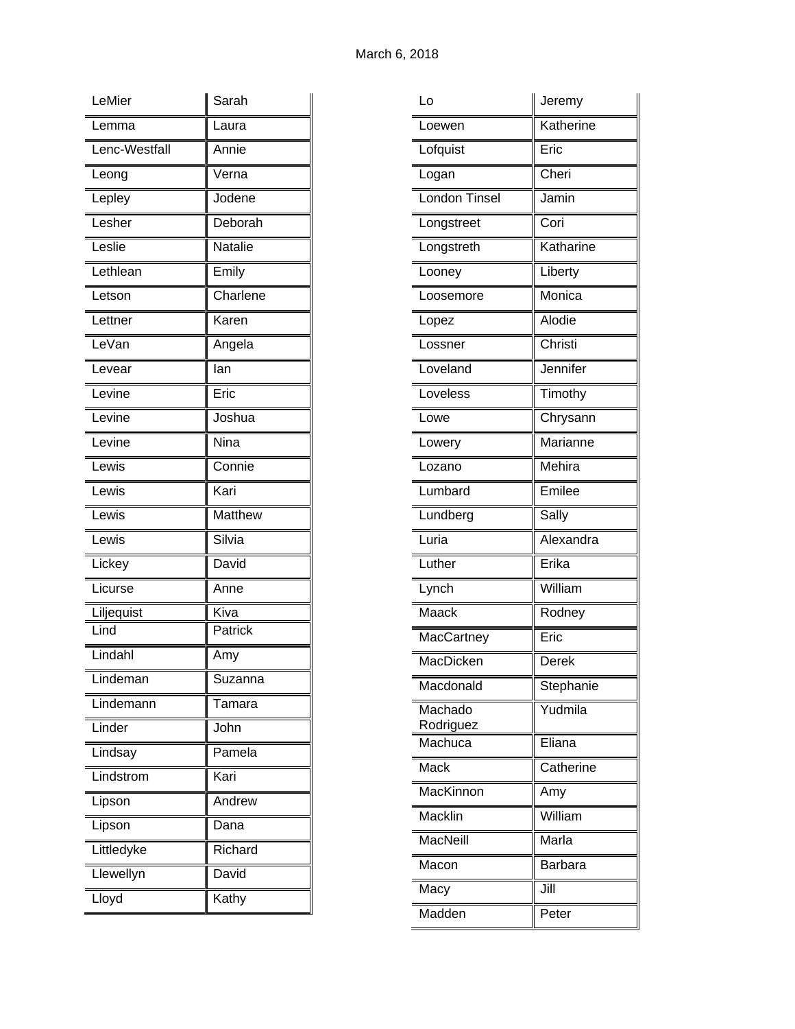| LeMier                        | Sarah    |
|-------------------------------|----------|
| Lemma                         | Laura    |
| Lenc-Westfall                 | Annie    |
| Leong                         | Verna    |
| Lepley                        | Jodene   |
| Lesher                        | Deborah  |
| Leslie                        | Natalie  |
| Lethlean                      | Emily    |
| Letson                        | Charlene |
| Lettner                       | Karen    |
| LeVan                         | Angela   |
| Levear                        | lan      |
| $\overline{\mathsf{L}}$ evine | Eric     |
| Levine                        | Joshua   |
| Levine                        | Nina     |
| Lewis                         | Connie   |
| Lewis                         | Kari     |
| Lewis                         | Matthew  |
| Lewis                         | Silvia   |
| Lickey                        | David    |
| Licurse                       | Anne     |
| Liljequist                    | Kiva     |
| Lind                          | Patrick  |
| Lindahl                       | Amy      |
| Lindeman                      | Suzanna  |
| Lindemann                     | Tamara   |
| Linder                        | John     |
| Lindsay                       | Pamela   |
| Lindstrom                     | Kari     |
| Lipson                        | Andrew   |
| Lipson                        | Dana     |
| Littledyke                    | Richard  |
| Llewellyn                     | David    |
| Lloyd                         | Kathy    |

| Lo                   | Jeremy         |
|----------------------|----------------|
| Loewen               | Katherine      |
| Lofquist             | Eric           |
| Logan                | Cheri          |
| London Tinsel        | Jamin          |
| Longstreet           | Cori           |
| Longstreth           | Katharine      |
| Looney               | Liberty        |
| Loosemore            | Monica         |
| Lopez                | Alodie         |
| Lossner              | Christi        |
| Loveland             | Jennifer       |
| Loveless             | Timothy        |
| Lowe                 | Chrysann       |
| Lowery               | Marianne       |
| Lozano               | Mehira         |
| Lumbard              | Emilee         |
| Lundberg             | Sally          |
| Luria                | Alexandra      |
| Luther               | Erika          |
| Lynch                | William        |
| Maack                | Rodney         |
| MacCartney           | Eric           |
| MacDicken            | Derek          |
| Macdonald            | Stephanie      |
| Machado<br>Rodriguez | Yudmila        |
| Machuca              | Eliana         |
| Mack                 | Catherine      |
| MacKinnon            | Amy            |
| Macklin              | William        |
| MacNeill             | Marla          |
| Macon                | <b>Barbara</b> |
| Macy                 | Jill           |
| Madden               | Peter          |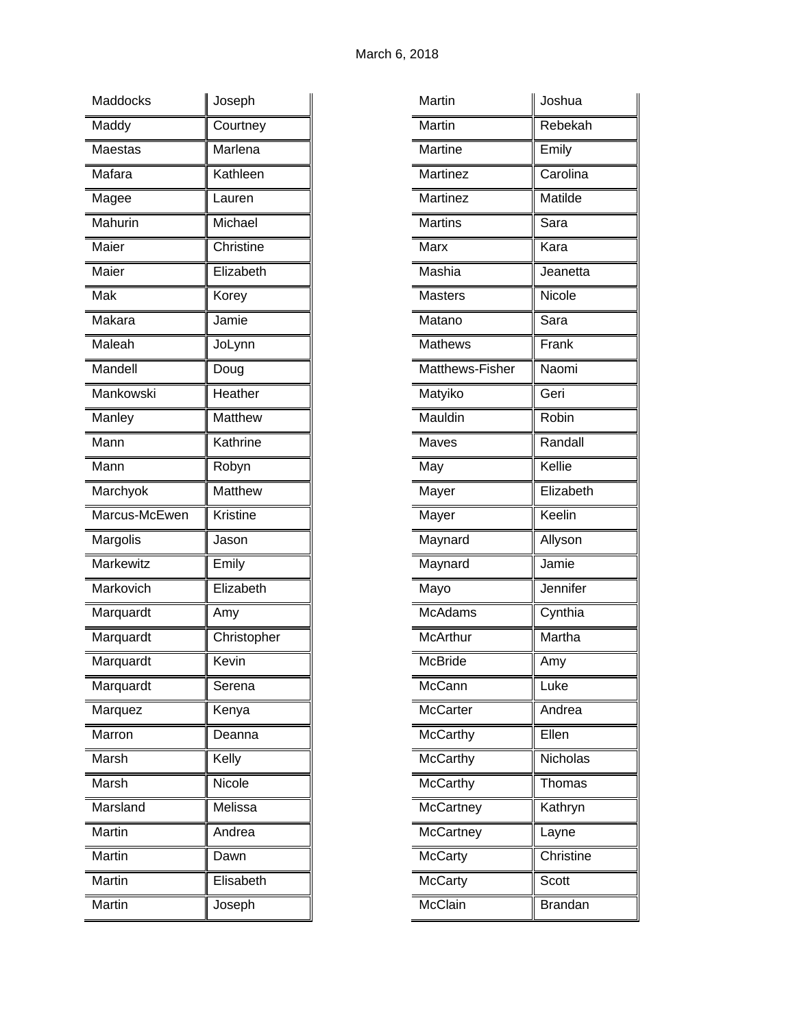| Maddocks      | Joseph                       |
|---------------|------------------------------|
| Maddy         | Courtney                     |
| Maestas       | Marlena                      |
| Mafara        | Kathleen                     |
| Magee         | Lauren                       |
| Mahurin       | Michael                      |
| Maier         | Christine                    |
| Maier         | Elizabeth                    |
| Mak           | Korey                        |
| Makara        | Jamie                        |
| Maleah        | JoLynn                       |
| Mandell       | Doug                         |
| Mankowski     | $\overline{\text{He}}$ ather |
| Manley        | Matthew                      |
| Mann          | Kathrine                     |
| Mann          | Robyn                        |
| Marchyok      | Matthew                      |
|               |                              |
| Marcus-McEwen | <b>Kristine</b>              |
| Margolis      | Jason                        |
| Markewitz     | Emily                        |
| Markovich     | Elizabeth                    |
| Marquardt     | Amy                          |
| Marquardt     | Christopher                  |
| Marquardt     | Kevin                        |
| Marquardt     | Serena                       |
| Marquez       | Kenya                        |
| Marron        | Deanna                       |
| Marsh         | Kelly                        |
| Marsh         | Nicole                       |
| Marsland      | Melissa                      |
| Martin        | Andrea                       |
| Martin        | Dawn                         |
| Martin        | Elisabeth                    |

| Martin          | Joshua         |
|-----------------|----------------|
| Martin          | Rebekah        |
| Martine         | Emily          |
| Martinez        | Carolina       |
| Martinez        | Matilde        |
| <b>Martins</b>  | Sara           |
| Marx            | Kara           |
| Mashia          | Jeanetta       |
| <b>Masters</b>  | Nicole         |
| Matano          | Sara           |
| <b>Mathews</b>  | Frank          |
| Matthews-Fisher | Naomi          |
| Matyiko         | Geri           |
| Mauldin         | Robin          |
| Maves           | Randall        |
| May             | Kellie         |
| Mayer           | Elizabeth      |
| Mayer           | Keelin         |
| Maynard         | Allyson        |
| Maynard         | Jamie          |
| Mayo            | Jennifer       |
| <b>McAdams</b>  | Cynthia        |
| <b>McArthur</b> | Martha         |
| McBride         | Amy            |
| McCann          | Luke           |
| <b>McCarter</b> | Andrea         |
| <b>McCarthy</b> | Ellen          |
| McCarthy        | Nicholas       |
| <b>McCarthy</b> | Thomas         |
| McCartney       | Kathryn        |
| McCartney       | Layne          |
| McCarty         | Christine      |
| <b>McCarty</b>  | Scott          |
| <b>McClain</b>  | <b>Brandan</b> |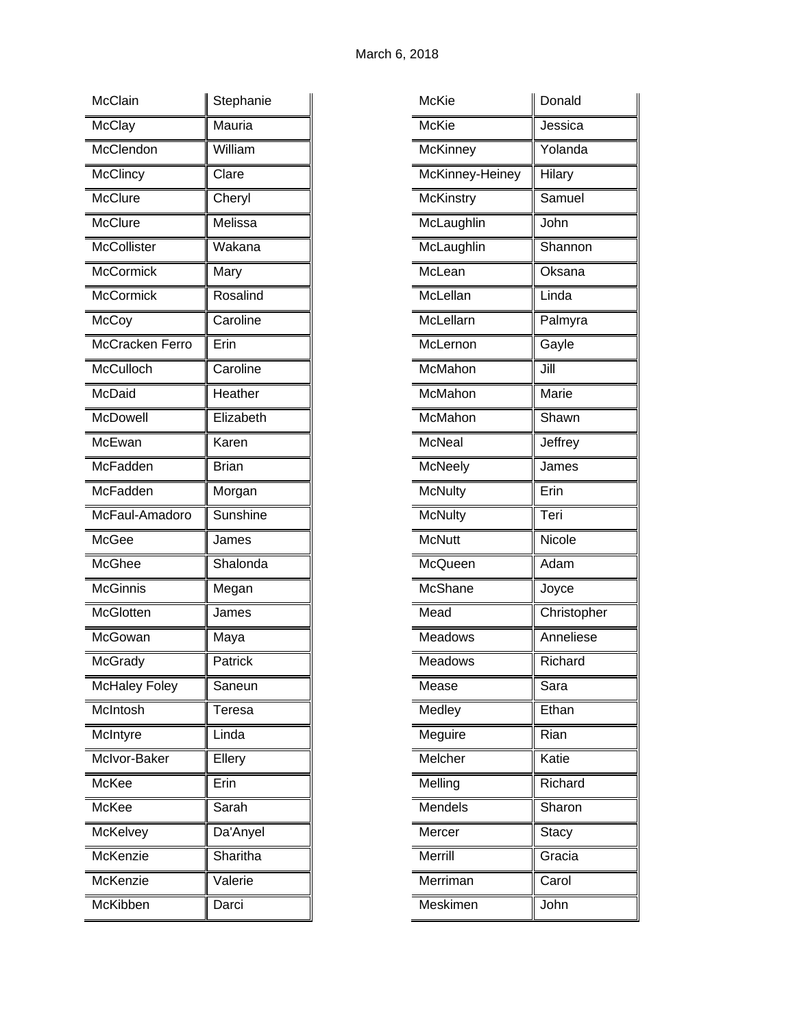| <b>McClain</b>         | Stephanie    |
|------------------------|--------------|
| McClay                 | Mauria       |
| McClendon              | William      |
| <b>McClincy</b>        | Clare        |
| McClure                | Cheryl       |
| McClure                | Melissa      |
| <b>McCollister</b>     | Wakana       |
| <b>McCormick</b>       | Mary         |
| <b>McCormick</b>       | Rosalind     |
| McCoy                  | Caroline     |
| <b>McCracken Ferro</b> | Erin         |
| McCulloch              | Caroline     |
| McDaid                 | Heather      |
| <b>McDowell</b>        | Elizabeth    |
| McEwan                 | Karen        |
| McFadden               | <b>Brian</b> |
| McFadden               | Morgan       |
| McFaul-Amadoro         | Sunshine     |
| McGee                  | James        |
| McGhee                 | Shalonda     |
| <b>McGinnis</b>        | Megan        |
| <b>McGlotten</b>       | James        |
| McGowan                | Maya         |
| McGrady                | Patrick      |
| McHaley Foley          | Saneun       |
| McIntosh               | Teresa       |
| McIntyre               | Linda        |
| McIvor-Baker           | Ellery       |
| McKee                  | Erin         |
| McKee                  | Sarah        |
| McKelvey               | Da'Anyel     |
| McKenzie               | Sharitha     |
| McKenzie               | Valerie      |
|                        |              |

| McKie            | Donald       |
|------------------|--------------|
| <b>McKie</b>     | Jessica      |
| <b>McKinney</b>  | Yolanda      |
| McKinney-Heiney  | Hilary       |
| <b>McKinstry</b> | Samuel       |
| McLaughlin       | John         |
| McLaughlin       | Shannon      |
| McLean           | Oksana       |
| McLellan         | Linda        |
| McLellarn        | Palmyra      |
| McLernon         | Gayle        |
| McMahon          | Jill         |
| McMahon          | Marie        |
| McMahon          | Shawn        |
| <b>McNeal</b>    | Jeffrey      |
| McNeely          | James        |
| <b>McNulty</b>   | Erin         |
| <b>McNulty</b>   | Teri         |
| <b>McNutt</b>    | Nicole       |
| McQueen          | Adam         |
| McShane          | Joyce        |
| Mead             | Christopher  |
| Meadows          | Anneliese    |
| Meadows          | Richard      |
| Mease            | Sara         |
| Medley           | Ethan        |
| Meguire          | Rian         |
| Melcher          | Katie        |
| Melling          | Richard      |
| Mendels          | Sharon       |
| Mercer           | <b>Stacy</b> |
| Merrill          | Gracia       |
| Merriman         | Carol        |
| Meskimen         | John         |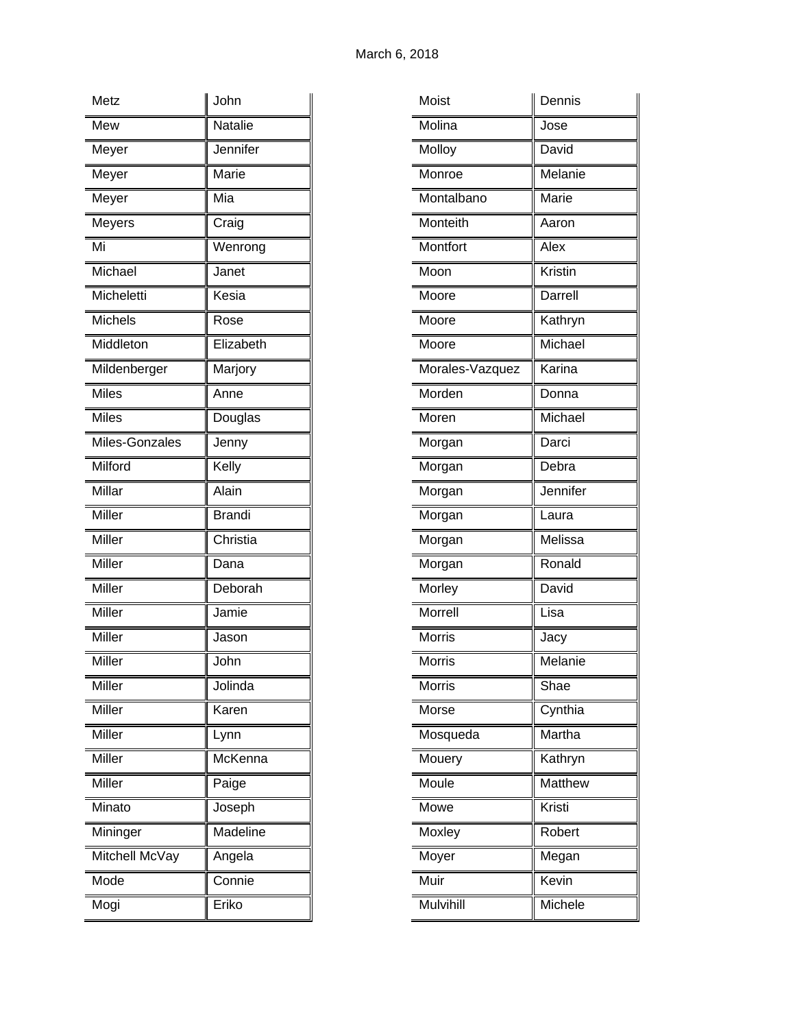| Metz           | John            |
|----------------|-----------------|
| Mew            | <b>Natalie</b>  |
| Meyer          | Jennifer        |
| Meyer          | Marie           |
| Meyer          | Mia             |
| Meyers         | Craig           |
| Mi             | Wenrong         |
| Michael        | Janet           |
| Micheletti     | Kesia           |
| <b>Michels</b> | Rose            |
| Middleton      | Elizabeth       |
| Mildenberger   | Marjory         |
| Miles          | Anne            |
| Miles          | Douglas         |
| Miles-Gonzales | Jenny           |
| Milford        | Kelly           |
| Millar         | Alain           |
| Miller         | <b>Brandi</b>   |
| Miller         | Christia        |
| Miller         | Dana            |
| Miller         | Deborah         |
| Miller         | Jamie           |
| Miller         | Jason           |
| Miller         | John            |
| Miller         | Jolinda         |
| Miller         | Karen           |
| Miller         | Lynn            |
| Miller         | McKenna         |
| Miller         | Paige           |
| Minato         | Joseph          |
| Mininger       | <b>Madeline</b> |
| Mitchell McVay | Angela          |
| Mode           | Connie          |
| Mogi           | Eriko           |

| Moist           | Dennis   |
|-----------------|----------|
| Molina          | Jose     |
| Molloy          | David    |
| Monroe          | Melanie  |
| Montalbano      | Marie    |
| Monteith        | Aaron    |
| Montfort        | Alex     |
| Moon            | Kristin  |
| Moore           | Darrell  |
| Moore           | Kathryn  |
| Moore           | Michael  |
| Morales-Vazquez | Karina   |
| Morden          | Donna    |
| Moren           | Michael  |
| Morgan          | Darci    |
| Morgan          | Debra    |
| Morgan          | Jennifer |
| Morgan          | Laura    |
| Morgan          | Melissa  |
| Morgan          | Ronald   |
| Morley          | David    |
| Morrell         | Lisa     |
| <b>Morris</b>   | Jacy     |
| <b>Morris</b>   | Melanie  |
| <b>Morris</b>   | Shae     |
| Morse           | Cynthia  |
| Mosqueda        | Martha   |
| Mouery          | Kathryn  |
| Moule           | Matthew  |
| Mowe            | Kristi   |
| Moxley          | Robert   |
| Moyer           | Megan    |
| Muir            | Kevin    |
| Mulvihill       | Michele  |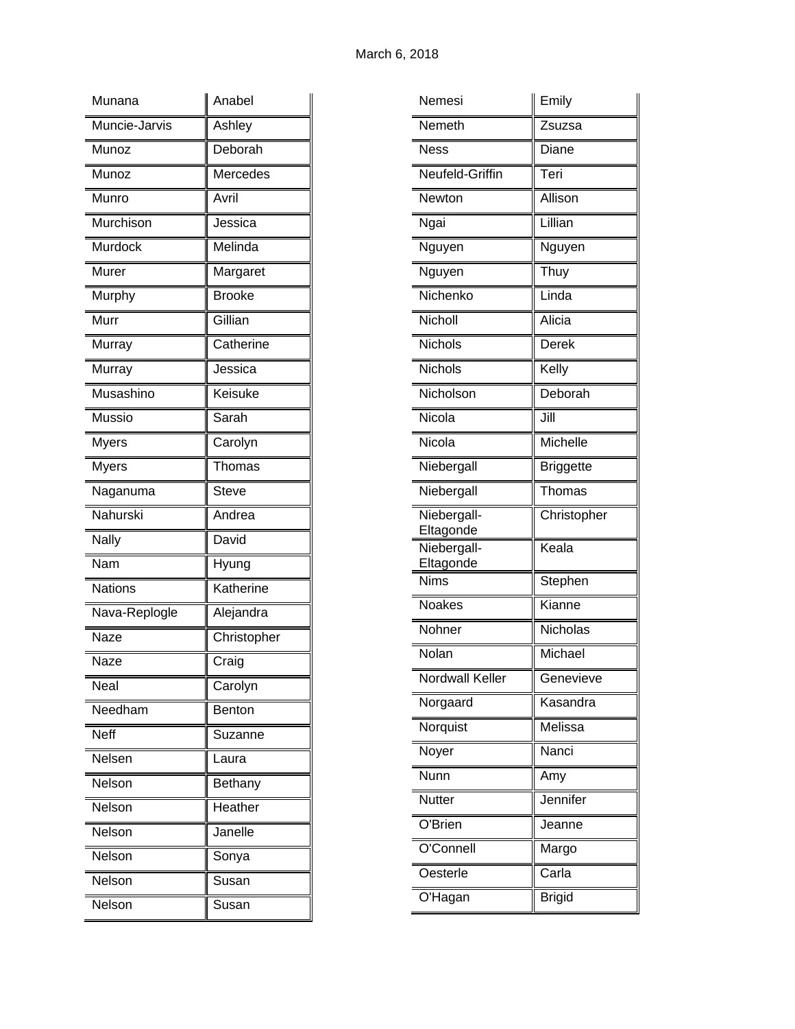| Munana         | Anabel         |
|----------------|----------------|
| Muncie-Jarvis  | Ashley         |
| Munoz          | Deborah        |
| Munoz          | Mercedes       |
| Munro          | Avril          |
| Murchison      | Jessica        |
| Murdock        | Melinda        |
| Murer          | Margaret       |
| Murphy         | <b>Brooke</b>  |
| Murr           | Gillian        |
| Murray         | Catherine      |
| Murray         | Jessica        |
| Musashino      | Keisuke        |
| Mussio         | Sarah          |
| <b>Myers</b>   | Carolyn        |
| <b>Myers</b>   | Thomas         |
| Naganuma       | Steve          |
| Nahurski       | Andrea         |
| <b>Nally</b>   | David          |
| Nam            | Hyung          |
| <b>Nations</b> | Katherine      |
| Nava-Replogle  | Alejandra      |
| Naze           | Christopher    |
| Naze           | Craig          |
| Neal           | Carolyn        |
| Needham        | Benton         |
| <b>Neff</b>    | Suzanne        |
| Nelsen         | Laura          |
| Nelson         | <b>Bethany</b> |
| Nelson         | Heather        |
| Nelson         | Janelle        |
| Nelson         | Sonya          |
| Nelson         | Susan          |
| Nelson         | Susan          |

| Nemeth<br>Zsuzsa<br><b>Ness</b><br>Diane<br>Neufeld-Griffin<br>Teri<br>Allison<br>Newton<br>Lillian<br>Ngai<br>Nguyen<br>Nguyen<br>Nguyen<br>Thuy<br>Nichenko<br>Linda<br>Nicholl<br>Alicia<br><b>Nichols</b><br>Derek<br>Nichols<br>Kelly<br>Nicholson<br>Deborah<br>Nicola<br>Jill<br>Nicola<br>Michelle<br><b>Briggette</b><br>Niebergall<br>Niebergall<br>Thomas<br>Niebergall-<br>Christopher<br>Eltagonde<br>Niebergall-<br>Keala<br>Eltagonde<br><b>Nims</b><br>Stephen<br><b>Noakes</b><br>Kianne<br>Nohner<br>Nicholas<br>Nolan<br>Michael<br><b>Nordwall Keller</b><br>Genevieve<br>Norgaard<br>Kasandra<br>Norquist<br>Melissa<br>Nanci<br>Noyer<br><b>Nunn</b><br>Amy<br>Jennifer<br><b>Nutter</b><br>O'Brien<br>Jeanne<br>O'Connell<br>Margo<br>Oesterle<br>Carla<br>O'Hagan<br><b>Brigid</b> | Nemesi | Emily |
|------------------------------------------------------------------------------------------------------------------------------------------------------------------------------------------------------------------------------------------------------------------------------------------------------------------------------------------------------------------------------------------------------------------------------------------------------------------------------------------------------------------------------------------------------------------------------------------------------------------------------------------------------------------------------------------------------------------------------------------------------------------------------------------------------------|--------|-------|
|                                                                                                                                                                                                                                                                                                                                                                                                                                                                                                                                                                                                                                                                                                                                                                                                            |        |       |
|                                                                                                                                                                                                                                                                                                                                                                                                                                                                                                                                                                                                                                                                                                                                                                                                            |        |       |
|                                                                                                                                                                                                                                                                                                                                                                                                                                                                                                                                                                                                                                                                                                                                                                                                            |        |       |
|                                                                                                                                                                                                                                                                                                                                                                                                                                                                                                                                                                                                                                                                                                                                                                                                            |        |       |
|                                                                                                                                                                                                                                                                                                                                                                                                                                                                                                                                                                                                                                                                                                                                                                                                            |        |       |
|                                                                                                                                                                                                                                                                                                                                                                                                                                                                                                                                                                                                                                                                                                                                                                                                            |        |       |
|                                                                                                                                                                                                                                                                                                                                                                                                                                                                                                                                                                                                                                                                                                                                                                                                            |        |       |
|                                                                                                                                                                                                                                                                                                                                                                                                                                                                                                                                                                                                                                                                                                                                                                                                            |        |       |
|                                                                                                                                                                                                                                                                                                                                                                                                                                                                                                                                                                                                                                                                                                                                                                                                            |        |       |
|                                                                                                                                                                                                                                                                                                                                                                                                                                                                                                                                                                                                                                                                                                                                                                                                            |        |       |
|                                                                                                                                                                                                                                                                                                                                                                                                                                                                                                                                                                                                                                                                                                                                                                                                            |        |       |
|                                                                                                                                                                                                                                                                                                                                                                                                                                                                                                                                                                                                                                                                                                                                                                                                            |        |       |
|                                                                                                                                                                                                                                                                                                                                                                                                                                                                                                                                                                                                                                                                                                                                                                                                            |        |       |
|                                                                                                                                                                                                                                                                                                                                                                                                                                                                                                                                                                                                                                                                                                                                                                                                            |        |       |
|                                                                                                                                                                                                                                                                                                                                                                                                                                                                                                                                                                                                                                                                                                                                                                                                            |        |       |
|                                                                                                                                                                                                                                                                                                                                                                                                                                                                                                                                                                                                                                                                                                                                                                                                            |        |       |
|                                                                                                                                                                                                                                                                                                                                                                                                                                                                                                                                                                                                                                                                                                                                                                                                            |        |       |
|                                                                                                                                                                                                                                                                                                                                                                                                                                                                                                                                                                                                                                                                                                                                                                                                            |        |       |
|                                                                                                                                                                                                                                                                                                                                                                                                                                                                                                                                                                                                                                                                                                                                                                                                            |        |       |
|                                                                                                                                                                                                                                                                                                                                                                                                                                                                                                                                                                                                                                                                                                                                                                                                            |        |       |
|                                                                                                                                                                                                                                                                                                                                                                                                                                                                                                                                                                                                                                                                                                                                                                                                            |        |       |
|                                                                                                                                                                                                                                                                                                                                                                                                                                                                                                                                                                                                                                                                                                                                                                                                            |        |       |
|                                                                                                                                                                                                                                                                                                                                                                                                                                                                                                                                                                                                                                                                                                                                                                                                            |        |       |
|                                                                                                                                                                                                                                                                                                                                                                                                                                                                                                                                                                                                                                                                                                                                                                                                            |        |       |
|                                                                                                                                                                                                                                                                                                                                                                                                                                                                                                                                                                                                                                                                                                                                                                                                            |        |       |
|                                                                                                                                                                                                                                                                                                                                                                                                                                                                                                                                                                                                                                                                                                                                                                                                            |        |       |
|                                                                                                                                                                                                                                                                                                                                                                                                                                                                                                                                                                                                                                                                                                                                                                                                            |        |       |
|                                                                                                                                                                                                                                                                                                                                                                                                                                                                                                                                                                                                                                                                                                                                                                                                            |        |       |
|                                                                                                                                                                                                                                                                                                                                                                                                                                                                                                                                                                                                                                                                                                                                                                                                            |        |       |
|                                                                                                                                                                                                                                                                                                                                                                                                                                                                                                                                                                                                                                                                                                                                                                                                            |        |       |
|                                                                                                                                                                                                                                                                                                                                                                                                                                                                                                                                                                                                                                                                                                                                                                                                            |        |       |
|                                                                                                                                                                                                                                                                                                                                                                                                                                                                                                                                                                                                                                                                                                                                                                                                            |        |       |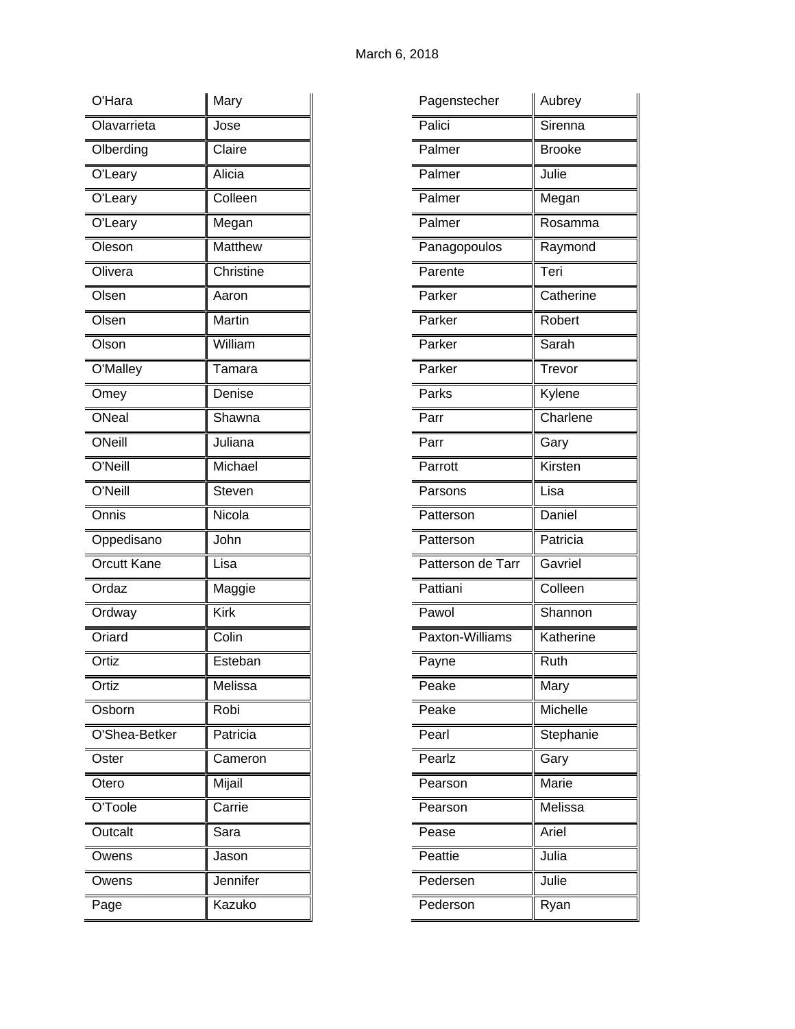| O'Hara             | Mary           |
|--------------------|----------------|
| Olavarrieta        | Jose           |
| Olberding          | Claire         |
| O'Leary            | Alicia         |
| O'Leary            | Colleen        |
| O'Leary            | Megan          |
| Oleson             | <b>Matthew</b> |
| Olivera            | Christine      |
| Olsen              | Aaron          |
| Olsen              | Martin         |
| Olson              | William        |
| O'Malley           | Tamara         |
| Omey               | Denise         |
| ONeal              | Shawna         |
| ONeill             | Juliana        |
| O'Neill            | Michael        |
| O'Neill            | Steven         |
| Onnis              | Nicola         |
| Oppedisano         | John           |
| <b>Orcutt Kane</b> | Lisa           |
| Ordaz              | Maggie         |
| Ordway             | <b>Kirk</b>    |
| Oriard             | Colin          |
| Ortiz              | Esteban        |
| Ortiz              | Melissa        |
| Osborn             | Robi           |
| O'Shea-Betker      | Patricia       |
| Oster              | Cameron        |
| Otero              | Mijail         |
| O'Toole            | Carrie         |
| Outcalt            | Sara           |
| Owens              | Jason          |
| Owens              | Jennifer       |
| Page               | Kazuko         |

| Pagenstecher      | Aubrey        |
|-------------------|---------------|
| Palici            | Sirenna       |
| Palmer            | <b>Brooke</b> |
| Palmer            | Julie         |
| Palmer            | Megan         |
| Palmer            | Rosamma       |
| Panagopoulos      | Raymond       |
| Parente           | Teri          |
| Parker            | Catherine     |
| Parker            | Robert        |
| Parker            | Sarah         |
| Parker            | Trevor        |
| Parks             | Kylene        |
| Parr              | Charlene      |
| Parr              | Gary          |
| Parrott           | Kirsten       |
| Parsons           | Lisa          |
| Patterson         | Daniel        |
| Patterson         | Patricia      |
| Patterson de Tarr | Gavriel       |
| Pattiani          | Colleen       |
| Pawol             | Shannon       |
| Paxton-Williams   | Katherine     |
| Payne             | Ruth          |
| Peake             | Mary          |
| Peake             | Michelle      |
| Pearl             | Stephanie     |
| Pearlz            | Gary          |
| Pearson           | Marie         |
| Pearson           | Melissa       |
| Pease             | Ariel         |
| Peattie           | Julia         |
| Pedersen          | Julie         |
| Pederson          | Ryan          |
|                   |               |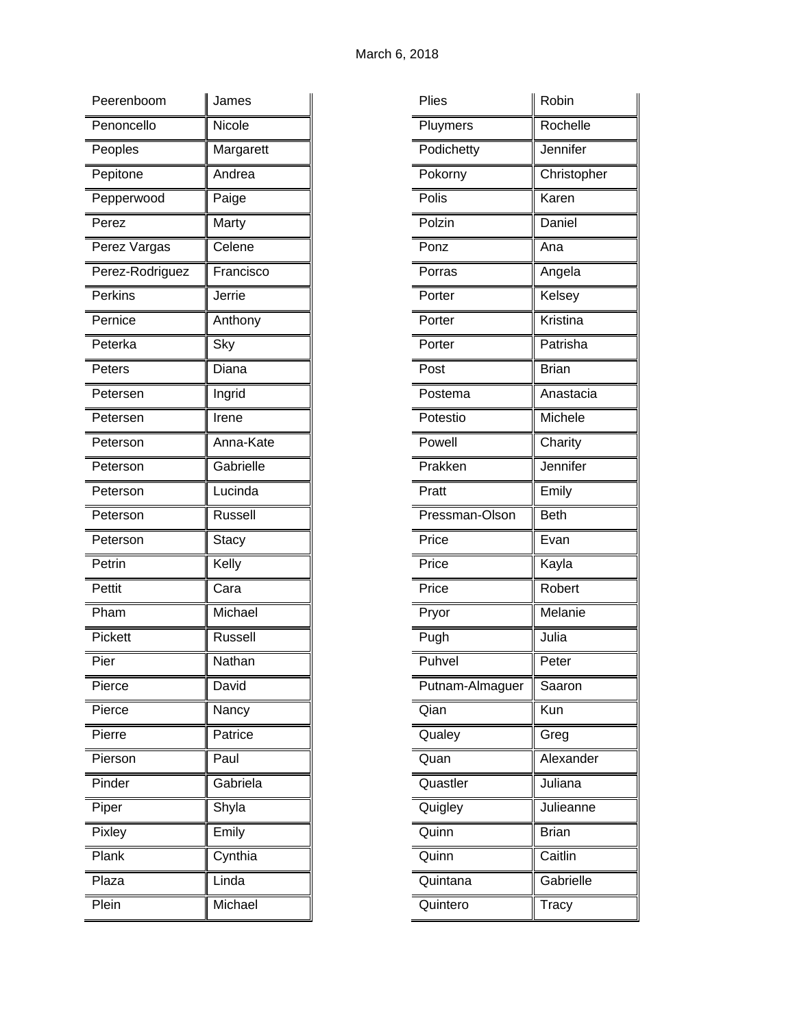| Peerenboom      | James          |
|-----------------|----------------|
| Penoncello      | Nicole         |
| Peoples         | Margarett      |
| Pepitone        | Andrea         |
| Pepperwood      | Paige          |
| Perez           | Marty          |
| Perez Vargas    | Celene         |
| Perez-Rodriguez | Francisco      |
| Perkins         | Jerrie         |
| Pernice         | Anthony        |
| Peterka         | Sky            |
| Peters          | Diana          |
| Petersen        | Ingrid         |
| Petersen        | Irene          |
| Peterson        | Anna-Kate      |
| Peterson        | Gabrielle      |
| Peterson        | Lucinda        |
| Peterson        | <b>Russell</b> |
| Peterson        | Stacy          |
| Petrin          | Kelly          |
| Pettit          | Cara           |
| Pham            | Michael        |
| Pickett         | Russell        |
| Pier            | Nathan         |
| Pierce          | David          |
| Pierce          | Nancy          |
| Pierre          | Patrice        |
| Pierson         | Paul           |
| Pinder          | Gabriela       |
| Piper           | Shyla          |
| Pixley          | Emily          |
| Plank           | Cynthia        |
| Plaza           | Linda          |
| Plein           | Michael        |

| Plies           | Robin        |
|-----------------|--------------|
| Pluymers        | Rochelle     |
| Podichetty      | Jennifer     |
| Pokorny         | Christopher  |
| Polis           | Karen        |
| Polzin          | Daniel       |
| Ponz            | Ana          |
| Porras          | Angela       |
| Porter          | Kelsey       |
| Porter          | Kristina     |
| Porter          | Patrisha     |
| Post            | <b>Brian</b> |
| Postema         | Anastacia    |
| Potestio        | Michele      |
| Powell          | Charity      |
| Prakken         | Jennifer     |
| Pratt           | Emily        |
| Pressman-Olson  | <b>Beth</b>  |
| Price           | Evan         |
| Price           | Kayla        |
| Price           | Robert       |
| Pryor           | Melanie      |
| Pugh            | Julia        |
| Puhvel          | Peter        |
| Putnam-Almaguer | Saaron       |
| Qian            | Kun          |
| Qualey          | Greg         |
| Quan            | Alexander    |
| Quastler        | Juliana      |
| Quigley         | Julieanne    |
| Quinn           | <b>Brian</b> |
| Quinn           | Caitlin      |
| Quintana        | Gabrielle    |
| Quintero        | Tracy        |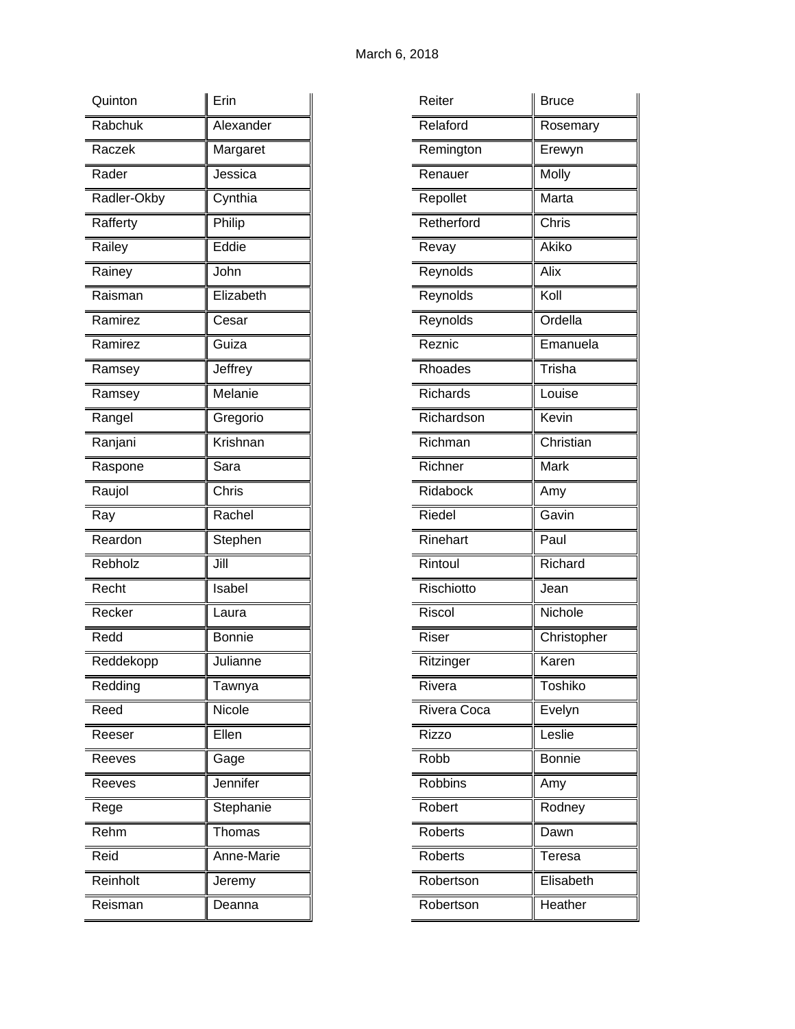| Quinton     | Erin          |
|-------------|---------------|
| Rabchuk     | Alexander     |
| Raczek      | Margaret      |
| Rader       | Jessica       |
| Radler-Okby | Cynthia       |
| Rafferty    | Philip        |
| Railey      | Eddie         |
| Rainey      | John          |
| Raisman     | Elizabeth     |
| Ramirez     | Cesar         |
| Ramirez     | Guiza         |
| Ramsey      | Jeffrey       |
| Ramsey      | Melanie       |
| Rangel      | Gregorio      |
| Ranjani     | Krishnan      |
| Raspone     | Sara          |
| Raujol      | Chris         |
|             |               |
| Ray         | Rachel        |
| Reardon     | Stephen       |
| Rebholz     | Jill          |
| Recht       | Isabel        |
| Recker      | Laura         |
| Redd        | <b>Bonnie</b> |
| Reddekopp   | Julianne      |
| Redding     | Tawnya        |
| Reed        | Nicole        |
| Reeser      | Ellen         |
| Reeves      | Gage          |
| Reeves      | Jennifer      |
| Rege        | Stephanie     |
| Rehm        | Thomas        |
| Reid        | Anne-Marie    |
| Reinholt    | Jeremy        |

| Reiter         | Bruce         |
|----------------|---------------|
| Relaford       | Rosemary      |
| Remington      | Erewyn        |
| Renauer        | Molly         |
| Repollet       | Marta         |
| Retherford     | Chris         |
| Revay          | Akiko         |
| Reynolds       | Alix          |
| Reynolds       | Koll          |
| Reynolds       | Ordella       |
| Reznic         | Emanuela      |
| <b>Rhoades</b> | Trisha        |
| Richards       | Louise        |
| Richardson     | Kevin         |
| Richman        | Christian     |
| Richner        | Mark          |
| Ridabock       | Amy           |
| <b>Riedel</b>  | Gavin         |
| Rinehart       | Paul          |
| Rintoul        | Richard       |
| Rischiotto     | Jean          |
| Riscol         | Nichole       |
| <b>Riser</b>   | Christopher   |
| Ritzinger      | Karen         |
| Rivera         | Toshiko       |
| Rivera Coca    | Evelyn        |
| Rizzo          | Leslie        |
| Robb           | <b>Bonnie</b> |
| <b>Robbins</b> | Amy           |
| Robert         | Rodney        |
| <b>Roberts</b> | Dawn          |
| <b>Roberts</b> | Teresa        |
| Robertson      | Elisabeth     |
| Robertson      | Heather       |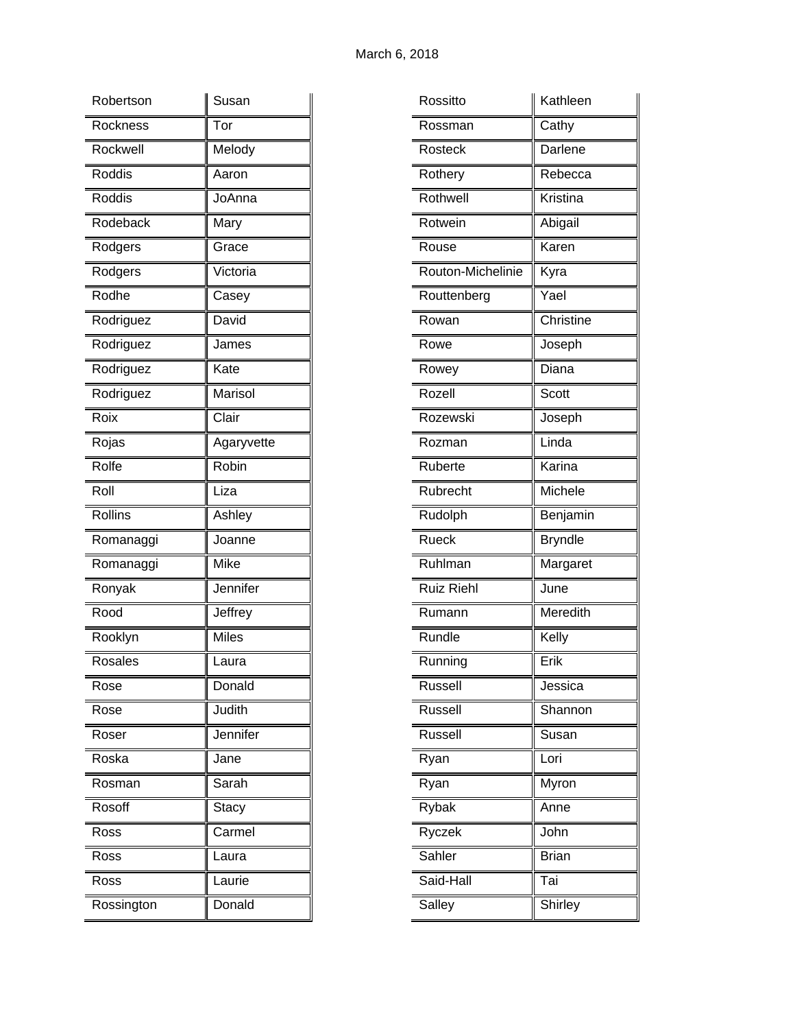| Robertson  | Susan        |
|------------|--------------|
| Rockness   | Tor          |
| Rockwell   | Melody       |
| Roddis     | Aaron        |
| Roddis     | JoAnna       |
| Rodeback   | Mary         |
| Rodgers    | Grace        |
| Rodgers    | Victoria     |
| Rodhe      | Casey        |
| Rodriguez  | David        |
| Rodriguez  | James        |
| Rodriguez  | Kate         |
| Rodriguez  | Marisol      |
| Roix       | Clair        |
| Rojas      | Agaryvette   |
| Rolfe      | Robin        |
| Roll       | Liza         |
| Rollins    | Ashley       |
| Romanaggi  | Joanne       |
| Romanaggi  | Mike         |
| Ronyak     | Jennifer     |
| Rood       | Jeffrey      |
| Rooklyn    | <b>Miles</b> |
| Rosales    | Laura        |
| Rose       | Donald       |
| Rose       | Judith       |
| Roser      | Jennifer     |
| Roska      | Jane         |
| Rosman     | Sarah        |
| Rosoff     | Stacy        |
| Ross       | Carmel       |
| Ross       | Laura        |
| Ross       | Laurie       |
| Rossington | Donald       |

| Rossitto          | Kathleen                       |
|-------------------|--------------------------------|
| Rossman           | Cathy                          |
| Rosteck           | Darlene                        |
| Rothery           | $\overline{\mathsf{Re}}$ becca |
| Rothwell          | Kristina                       |
| Rotwein           | Abigail                        |
| Rouse             | Karen                          |
| Routon-Michelinie | Kyra                           |
| Routtenberg       | Yael                           |
| Rowan             | Christine                      |
| Rowe              | Joseph                         |
| Rowey             | Diana                          |
| Rozell            | Scott                          |
| Rozewski          | Joseph                         |
| Rozman            | Linda                          |
| Ruberte           | Karina                         |
| Rubrecht          | Michele                        |
| Rudolph           | Benjamin                       |
| <b>Rueck</b>      | <b>Bryndle</b>                 |
| Ruhlman           | Margaret                       |
| <b>Ruiz Riehl</b> | June                           |
| Rumann            | Meredith                       |
| Rundle            | Kelly                          |
| Running           | Erik                           |
| Russell           | Jessica                        |
| Russell           | Shannon                        |
| <b>Russell</b>    | Susan                          |
| Ryan              | Lori                           |
| Ryan              | Myron                          |
| Rybak             | Anne                           |
| Ryczek            | John                           |
| Sahler            | <b>Brian</b>                   |
| Said-Hall         | Tai                            |
| Salley            | Shirley                        |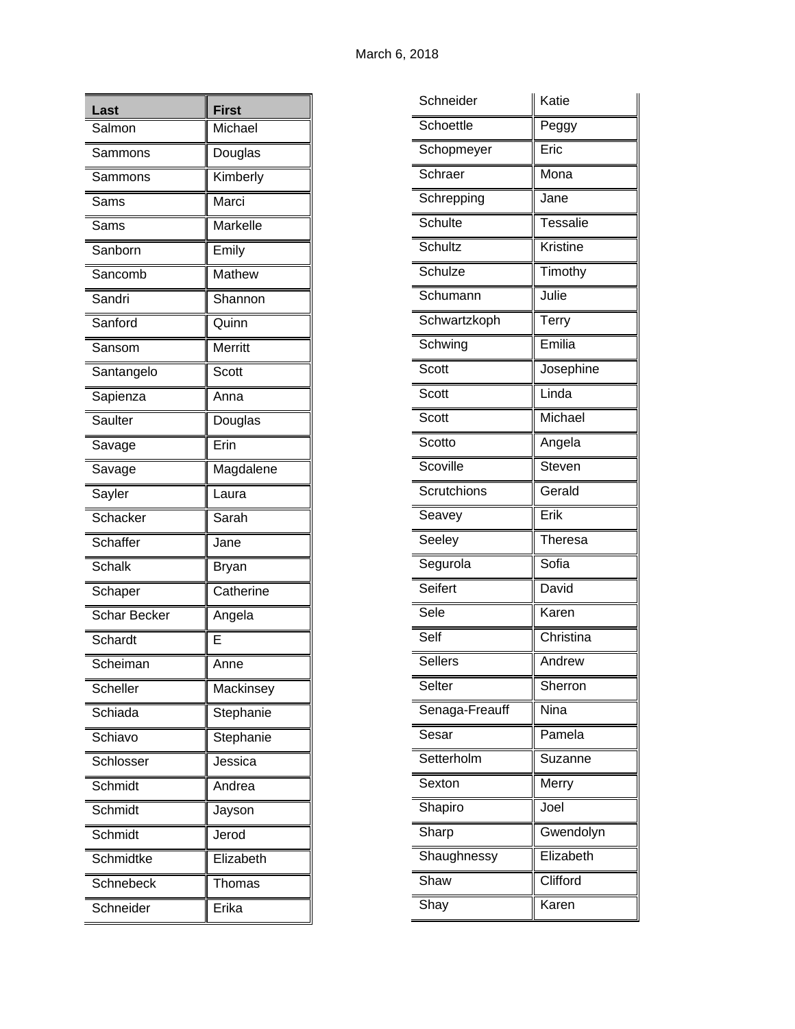| Last                | <b>First</b> |
|---------------------|--------------|
| Salmon              | Michael      |
| Sammons             | Douglas      |
| Sammons             | Kimberly     |
| Sams                | Marci        |
| Sams                | Markelle     |
| Sanborn             | Emily        |
| Sancomb             | Mathew       |
| Sandri              | Shannon      |
| Sanford             | Quinn        |
| Sansom              | Merritt      |
| Santangelo          | Scott        |
| Sapienza            | Anna         |
| Saulter             | Douglas      |
| Savage              | Erin         |
| Savage              | Magdalene    |
| Sayler              | Laura        |
| Schacker            | Sarah        |
| Schaffer            | Jane         |
| Schalk              | Bryan        |
| Schaper             | Catherine    |
| <b>Schar Becker</b> | Angela       |
| Schardt             | E            |
| Scheiman            | Anne         |
| Scheller            | Mackinsey    |
| Schiada             | Stephanie    |
| Schiavo             | Stephanie    |
| Schlosser           | Jessica      |
| Schmidt             | Andrea       |
| Schmidt             | Jayson       |
| Schmidt             | Jerod        |
| Schmidtke           | Elizabeth    |
| Schnebeck           | Thomas       |
| Schneider           | Erika        |

| Schneider      | Katie           |
|----------------|-----------------|
| Schoettle      | Peggy           |
| Schopmeyer     | Eric            |
| Schraer        | Mona            |
| Schrepping     | Jane            |
| Schulte        | <b>Tessalie</b> |
| Schultz        | Kristine        |
| Schulze        | Timothy         |
| Schumann       | Julie           |
| Schwartzkoph   | <b>Terry</b>    |
| Schwing        | Emilia          |
| Scott          | Josephine       |
| Scott          | Linda           |
| Scott          | Michael         |
| Scotto         | Angela          |
| Scoville       | <b>Steven</b>   |
| Scrutchions    | Gerald          |
| Seavey         | Erik            |
| Seeley         | Theresa         |
| Segurola       | Sofia           |
| Seifert        | David           |
| Sele           | Karen           |
| Self           | Christina       |
| <b>Sellers</b> | Andrew          |
| Selter         | Sherron         |
| Senaga-Freauff | Nina            |
| Sesar          | Pamela          |
| Setterholm     | Suzanne         |
| Sexton         | Merry           |
| Shapiro        | Joel            |
| Sharp          | Gwendolyn       |
| Shaughnessy    | Elizabeth       |
| Shaw           | Clifford        |
| Shay           | Karen           |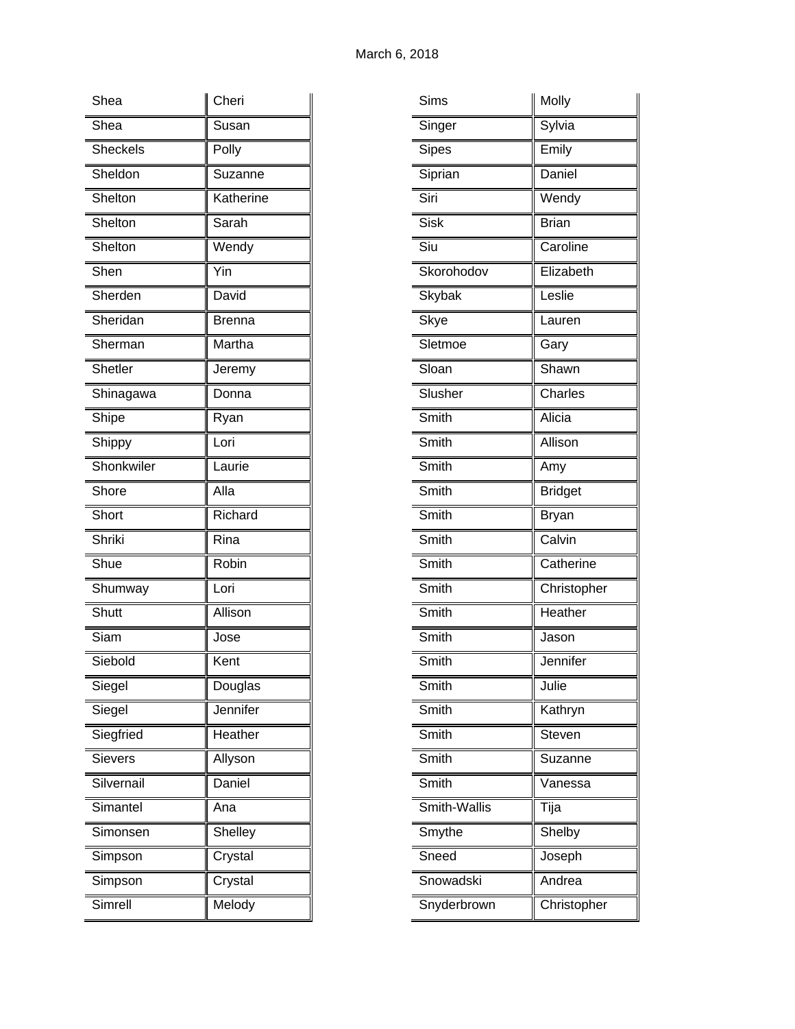| Shea            | Cheri          |
|-----------------|----------------|
| Shea            | Susan          |
| <b>Sheckels</b> | Polly          |
| Sheldon         | Suzanne        |
| Shelton         | Katherine      |
| Shelton         | Sarah          |
| Shelton         | Wendy          |
| Shen            | Yin            |
| Sherden         | David          |
| Sheridan        | Brenna         |
| Sherman         | Martha         |
| Shetler         | Jeremy         |
| Shinagawa       | Donna          |
| Shipe           | Ryan           |
| Shippy          | Lori           |
| Shonkwiler      | Laurie         |
| Shore           | Alla           |
| Short           | Richard        |
| Shriki          | Rina           |
| Shue            | Robin          |
| Shumway         | Lori           |
| Shutt           | Allison        |
| Siam            | Jose           |
| Siebold         | Kent           |
| Siegel          | Douglas        |
| Siegel          | Jennifer       |
| Siegfried       | Heather        |
| <b>Sievers</b>  | Allyson        |
| Silvernail      | Daniel         |
| Simantel        | Ana            |
| Simonsen        | <b>Shelley</b> |
| Simpson         | Crystal        |
| Simpson         | Crystal        |
| Simrell         | Melody         |

| Sims          | Molly          |
|---------------|----------------|
| Singer        | Sylvia         |
| <b>Sipes</b>  | Emily          |
| Siprian       | Daniel         |
| Siri          | Wendy          |
| Sisk          | <b>Brian</b>   |
| Siu           | Caroline       |
| Skorohodov    | Elizabeth      |
| <b>Skybak</b> | Leslie         |
| Skye          | Lauren         |
| Sletmoe       | Gary           |
| Sloan         | Shawn          |
| Slusher       | Charles        |
| Smith         | Alicia         |
| Smith         | Allison        |
| Smith         | Amy            |
| Smith         | <b>Bridget</b> |
| Smith         | <b>Bryan</b>   |
| Smith         | Calvin         |
| Smith         | Catherine      |
| Smith         | Christopher    |
| Smith         | Heather        |
| Smith         | Jason          |
| Smith         | Jennifer       |
| Smith         | Julie          |
| Smith         | Kathryn        |
| Smith         | Steven         |
| Smith         | Suzanne        |
| Smith         | Vanessa        |
| Smith-Wallis  | Tija           |
| Smythe        | Shelby         |
| Sneed         | Joseph         |
| Snowadski     | Andrea         |
| Snyderbrown   | Christopher    |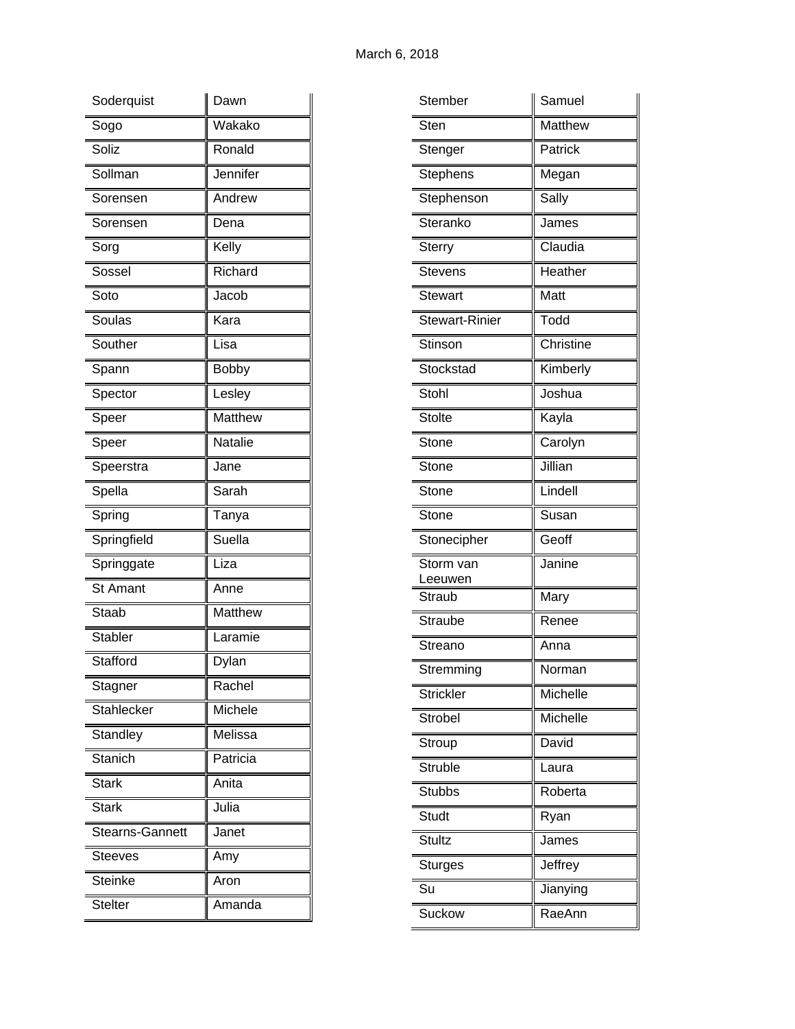| Soderquist             | Dawn           |
|------------------------|----------------|
| Sogo                   | Wakako         |
| Soliz                  | Ronald         |
| Sollman                | Jennifer       |
| Sorensen               | Andrew         |
| Sorensen               | Dena           |
| Sorg                   | Kelly          |
| Sossel                 | Richard        |
| Soto                   | Jacob          |
| Soulas                 | Kara           |
| Souther                | Lisa           |
| Spann                  | <b>Bobby</b>   |
| Spector                | Lesley         |
| Speer                  | Matthew        |
| Speer                  | Natalie        |
| Speerstra              | Jane           |
| Spella                 | Sarah          |
|                        |                |
| Spring                 | Tanya          |
| Springfield            | Suella         |
| Springgate             | Liza           |
| <b>St Amant</b>        | Anne           |
| <b>Staab</b>           | <b>Matthew</b> |
| <b>Stabler</b>         | Laramie        |
| Stafford               | Dylan          |
| Stagner                | Rachel         |
| <b>Stahlecker</b>      | Michele        |
| Standley               | Melissa        |
| Stanich                | Patricia       |
| <b>Stark</b>           | Anita          |
| <b>Stark</b>           | Julia          |
| <b>Stearns-Gannett</b> | Janet          |
| <b>Steeves</b>         | Amy            |
| <b>Steinke</b>         | Aron           |

| Matthew<br>Sten<br>Patrick<br>Stenger<br><b>Stephens</b><br>Megan<br>Stephenson<br>Sally<br>Steranko<br>James<br>Claudia<br><b>Sterry</b><br>Heather<br><b>Stevens</b><br>Matt<br><b>Stewart</b><br>Todd<br><b>Stewart-Rinier</b><br>Christine<br>Stinson<br>Stockstad<br>Kimberly<br>Joshua<br>Stohl<br><b>Stolte</b><br>Kayla<br>Carolyn<br>Stone<br>Jillian<br>Stone<br>Lindell<br>Stone<br>Susan<br>Stone<br>Geoff<br>Stonecipher<br>Janine<br>Storm van<br>Leeuwen<br>Mary<br>Straub<br><b>Straube</b><br>Renee<br>Streano<br>Anna<br>Stremming<br>Norman<br>Michelle<br><b>Strickler</b><br>Michelle<br>Strobel<br>Stroup<br>David<br><b>Struble</b><br>Laura<br>Roberta<br><b>Stubbs</b><br><b>Studt</b><br>Ryan<br><b>Stultz</b><br>James<br><b>Sturges</b><br>Jeffrey<br>Su<br>Jianying<br>RaeAnn<br>Suckow | Stember | Samuel |
|----------------------------------------------------------------------------------------------------------------------------------------------------------------------------------------------------------------------------------------------------------------------------------------------------------------------------------------------------------------------------------------------------------------------------------------------------------------------------------------------------------------------------------------------------------------------------------------------------------------------------------------------------------------------------------------------------------------------------------------------------------------------------------------------------------------------|---------|--------|
|                                                                                                                                                                                                                                                                                                                                                                                                                                                                                                                                                                                                                                                                                                                                                                                                                      |         |        |
|                                                                                                                                                                                                                                                                                                                                                                                                                                                                                                                                                                                                                                                                                                                                                                                                                      |         |        |
|                                                                                                                                                                                                                                                                                                                                                                                                                                                                                                                                                                                                                                                                                                                                                                                                                      |         |        |
|                                                                                                                                                                                                                                                                                                                                                                                                                                                                                                                                                                                                                                                                                                                                                                                                                      |         |        |
|                                                                                                                                                                                                                                                                                                                                                                                                                                                                                                                                                                                                                                                                                                                                                                                                                      |         |        |
|                                                                                                                                                                                                                                                                                                                                                                                                                                                                                                                                                                                                                                                                                                                                                                                                                      |         |        |
|                                                                                                                                                                                                                                                                                                                                                                                                                                                                                                                                                                                                                                                                                                                                                                                                                      |         |        |
|                                                                                                                                                                                                                                                                                                                                                                                                                                                                                                                                                                                                                                                                                                                                                                                                                      |         |        |
|                                                                                                                                                                                                                                                                                                                                                                                                                                                                                                                                                                                                                                                                                                                                                                                                                      |         |        |
|                                                                                                                                                                                                                                                                                                                                                                                                                                                                                                                                                                                                                                                                                                                                                                                                                      |         |        |
|                                                                                                                                                                                                                                                                                                                                                                                                                                                                                                                                                                                                                                                                                                                                                                                                                      |         |        |
|                                                                                                                                                                                                                                                                                                                                                                                                                                                                                                                                                                                                                                                                                                                                                                                                                      |         |        |
|                                                                                                                                                                                                                                                                                                                                                                                                                                                                                                                                                                                                                                                                                                                                                                                                                      |         |        |
|                                                                                                                                                                                                                                                                                                                                                                                                                                                                                                                                                                                                                                                                                                                                                                                                                      |         |        |
|                                                                                                                                                                                                                                                                                                                                                                                                                                                                                                                                                                                                                                                                                                                                                                                                                      |         |        |
|                                                                                                                                                                                                                                                                                                                                                                                                                                                                                                                                                                                                                                                                                                                                                                                                                      |         |        |
|                                                                                                                                                                                                                                                                                                                                                                                                                                                                                                                                                                                                                                                                                                                                                                                                                      |         |        |
|                                                                                                                                                                                                                                                                                                                                                                                                                                                                                                                                                                                                                                                                                                                                                                                                                      |         |        |
|                                                                                                                                                                                                                                                                                                                                                                                                                                                                                                                                                                                                                                                                                                                                                                                                                      |         |        |
|                                                                                                                                                                                                                                                                                                                                                                                                                                                                                                                                                                                                                                                                                                                                                                                                                      |         |        |
|                                                                                                                                                                                                                                                                                                                                                                                                                                                                                                                                                                                                                                                                                                                                                                                                                      |         |        |
|                                                                                                                                                                                                                                                                                                                                                                                                                                                                                                                                                                                                                                                                                                                                                                                                                      |         |        |
|                                                                                                                                                                                                                                                                                                                                                                                                                                                                                                                                                                                                                                                                                                                                                                                                                      |         |        |
|                                                                                                                                                                                                                                                                                                                                                                                                                                                                                                                                                                                                                                                                                                                                                                                                                      |         |        |
|                                                                                                                                                                                                                                                                                                                                                                                                                                                                                                                                                                                                                                                                                                                                                                                                                      |         |        |
|                                                                                                                                                                                                                                                                                                                                                                                                                                                                                                                                                                                                                                                                                                                                                                                                                      |         |        |
|                                                                                                                                                                                                                                                                                                                                                                                                                                                                                                                                                                                                                                                                                                                                                                                                                      |         |        |
|                                                                                                                                                                                                                                                                                                                                                                                                                                                                                                                                                                                                                                                                                                                                                                                                                      |         |        |
|                                                                                                                                                                                                                                                                                                                                                                                                                                                                                                                                                                                                                                                                                                                                                                                                                      |         |        |
|                                                                                                                                                                                                                                                                                                                                                                                                                                                                                                                                                                                                                                                                                                                                                                                                                      |         |        |
|                                                                                                                                                                                                                                                                                                                                                                                                                                                                                                                                                                                                                                                                                                                                                                                                                      |         |        |
|                                                                                                                                                                                                                                                                                                                                                                                                                                                                                                                                                                                                                                                                                                                                                                                                                      |         |        |
|                                                                                                                                                                                                                                                                                                                                                                                                                                                                                                                                                                                                                                                                                                                                                                                                                      |         |        |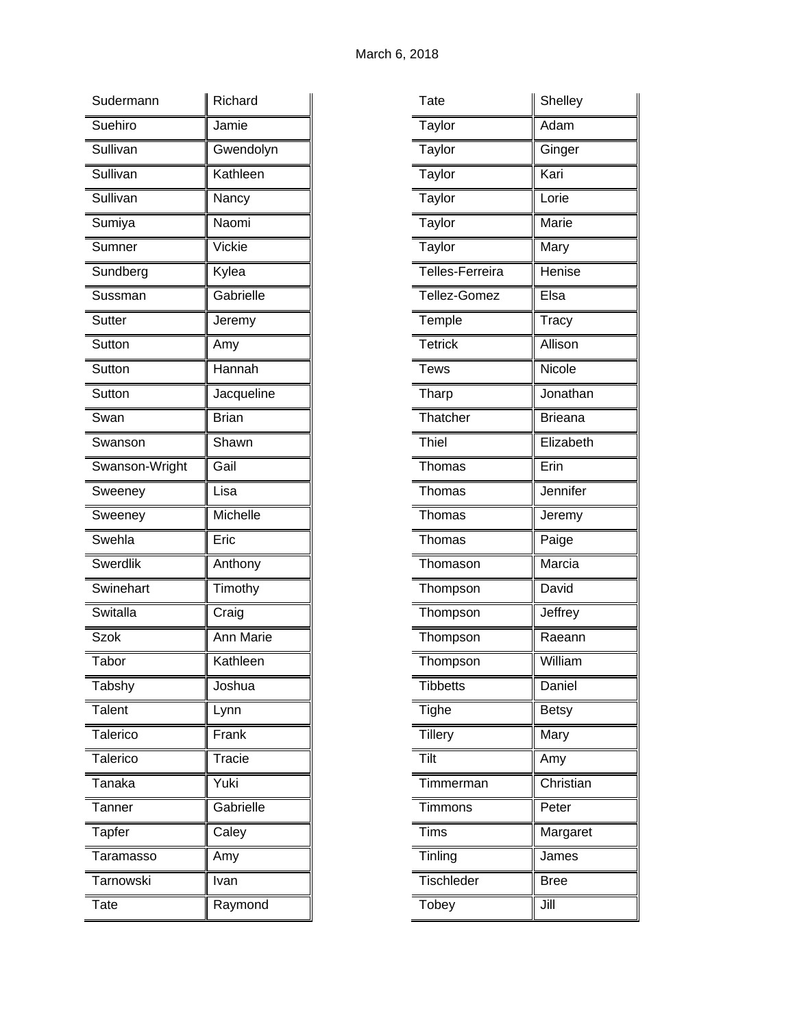| Sudermann                     | Richard      |
|-------------------------------|--------------|
| Suehiro                       | Jamie        |
| Sullivan                      | Gwendolyn    |
| Sullivan                      | Kathleen     |
| Sullivan                      | Nancy        |
| Sumiya                        | Naomi        |
| Sumner                        | Vickie       |
| Sundberg                      | Kylea        |
| Sussman                       | Gabrielle    |
| <b>Sutter</b>                 | Jeremy       |
| Sutton                        | Amy          |
| Sutton                        | Hannah       |
| Sutton                        | Jacqueline   |
| Swan                          | <b>Brian</b> |
| Swanson                       | Shawn        |
| Swanson-Wright                | Gail         |
| Sweeney                       | Lisa         |
| Sweeney                       | Michelle     |
| Swehla                        | Eric         |
| <b>Swerdlik</b>               | Anthony      |
| Swinehart                     | Timothy      |
| Switalla                      | Craig        |
| <b>Szok</b>                   | Ann Marie    |
| Tabor                         | Kathleen     |
| Tabshy                        | Joshua       |
| Talent                        | Lynn         |
| Talerico                      | Frank        |
| Talerico                      | Tracie       |
| $\overline{\mathsf{T}}$ anaka | Yuki         |
| Tanner                        | Gabrielle    |
| Tapfer                        | Caley        |
| Taramasso                     | Amy          |
|                               |              |
| Tarnowski                     | Ivan         |

| Tate                          | Shelley        |
|-------------------------------|----------------|
| Taylor                        | Adam           |
| Taylor                        | Ginger         |
| Taylor                        | Kari           |
| Taylor                        | Lorie          |
| Taylor                        | <b>Marie</b>   |
| Taylor                        | Mary           |
| Telles-Ferreira               | Henise         |
| Tellez-Gomez                  | Elsa           |
| Temple                        | Tracy          |
| <b>Tetrick</b>                | Allison        |
| <b>Tews</b>                   | Nicole         |
| Tharp                         | Jonathan       |
| Thatcher                      | <b>Brieana</b> |
| Thiel                         | Elizabeth      |
| $\overline{\mathsf{T}}$ homas | Erin           |
| Thomas                        | Jennifer       |
| Thomas                        | Jeremy         |
| Thomas                        | Paige          |
| Thomason                      | Marcia         |
| Thompson                      | David          |
| _<br>Thompson                 | Jeffrey        |
| Thompson                      | Raeann         |
| Thompson                      | William        |
| <b>Tibbetts</b>               | Daniel         |
| Tighe                         | <b>Betsy</b>   |
| <b>Tillery</b>                | Mary           |
| Tilt                          | Amy            |
| Timmerman                     | Christian      |
| Timmons                       | Peter          |
| <b>Tims</b>                   | Margaret       |
| Tinling                       | James          |
| Tischleder                    | <b>Bree</b>    |
| Tobey                         | Jill           |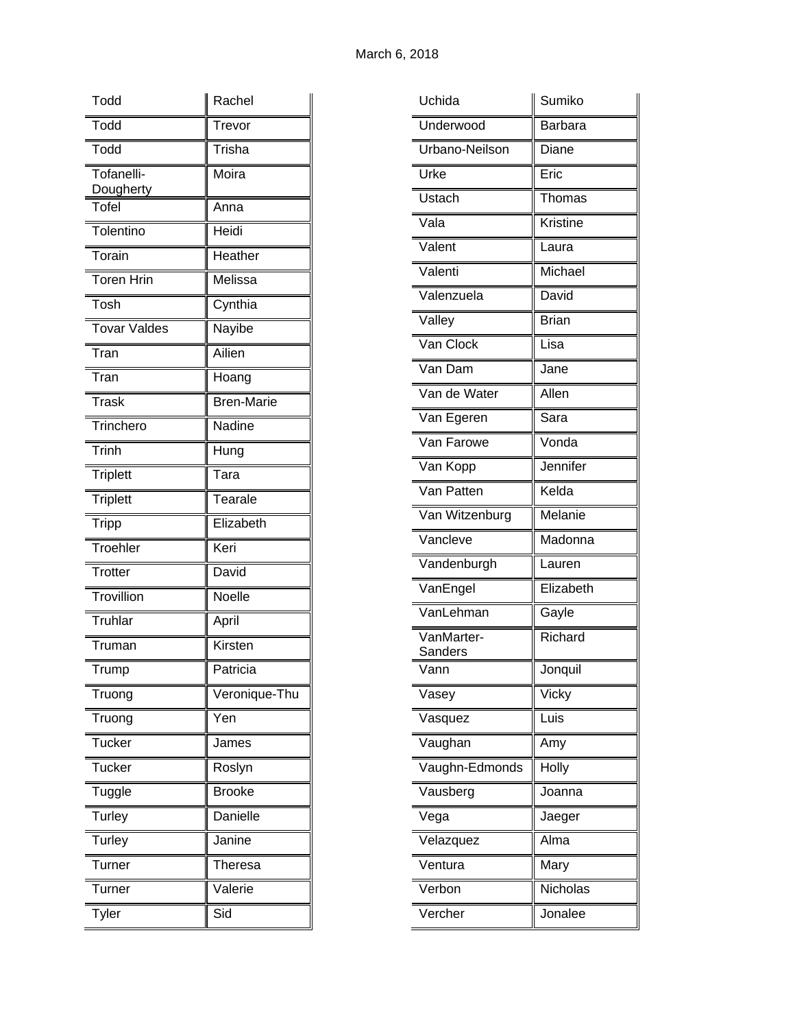| Todd                    | Rachel            |
|-------------------------|-------------------|
| Todd                    | Trevor            |
| Todd                    | Trisha            |
| Tofanelli-<br>Dougherty | Moira             |
| Tofel                   | Anna              |
| Tolentino               | Heidi             |
| Torain                  | Heather           |
| <b>Toren Hrin</b>       | Melissa           |
| Tosh                    | Cynthia           |
| <b>Tovar Valdes</b>     | Nayibe            |
| Tran                    | Ailien            |
| Tran                    | Hoang             |
| <b>Trask</b>            | <b>Bren-Marie</b> |
| Trinchero               | Nadine            |
| <b>Trinh</b>            | Hung              |
| <b>Triplett</b>         | Tara              |
| <b>Triplett</b>         | Tearale           |
| <b>Tripp</b>            | Elizabeth         |
| Troehler                | Keri              |
| <b>Trotter</b>          | David             |
| Trovillion              | Noelle            |
| <b>Truhlar</b>          | April             |
| Truman                  | Kirsten           |
| 1 rump                  | Patricia          |
| Truong                  | Veronique-Thu     |
| Truong                  | Yen               |
| <b>Tucker</b>           | James             |
| <b>Tucker</b>           | Roslyn            |
| Tuggle                  | <b>Brooke</b>     |
| Turley                  | Danielle          |
| Turley                  | Janine            |
| Turner                  | <b>Theresa</b>    |
| <b>Turner</b>           | Valerie           |
| <b>Tyler</b>            | Sid               |

| Uchida                             | Sumiko         |
|------------------------------------|----------------|
| Underwood                          | <b>Barbara</b> |
| Urbano-Neilson                     | Diane          |
| Urke                               | Eric           |
| Ustach                             | Thomas         |
| Vala                               | Kristine       |
| Valent                             | Laura          |
| Valenti                            | Michael        |
| Valenzuela                         | David          |
| Valley                             | <b>Brian</b>   |
| Van Clock                          | Lisa           |
| Van Dam                            | Jane           |
| $\overline{\mathsf{Van}}$ de Water | Allen          |
| Van Egeren                         | Sara           |
| Van Farowe                         | Vonda          |
| Van Kopp                           | Jennifer       |
| Van Patten                         | Kelda          |
| Van Witzenburg                     | Melanie        |
| Vancleve                           | Madonna        |
| Vandenburgh                        | Lauren         |
| VanEngel                           | Elizabeth      |
| VanLehman                          | Gayle          |
| VanMarter-<br>Sanders              | Richard        |
| Vann                               | Jonquil        |
| Vasey                              | Vicky          |
| Vasquez                            | Luis           |
| Vaughan                            | Amy            |
| Vaughn-Edmonds                     | Holly          |
| Vausberg                           | Joanna         |
| Vega                               | Jaeger         |
| Velazquez                          | Alma           |
| Ventura                            | Mary           |
| Verbon                             | Nicholas       |
| Vercher                            | Jonalee        |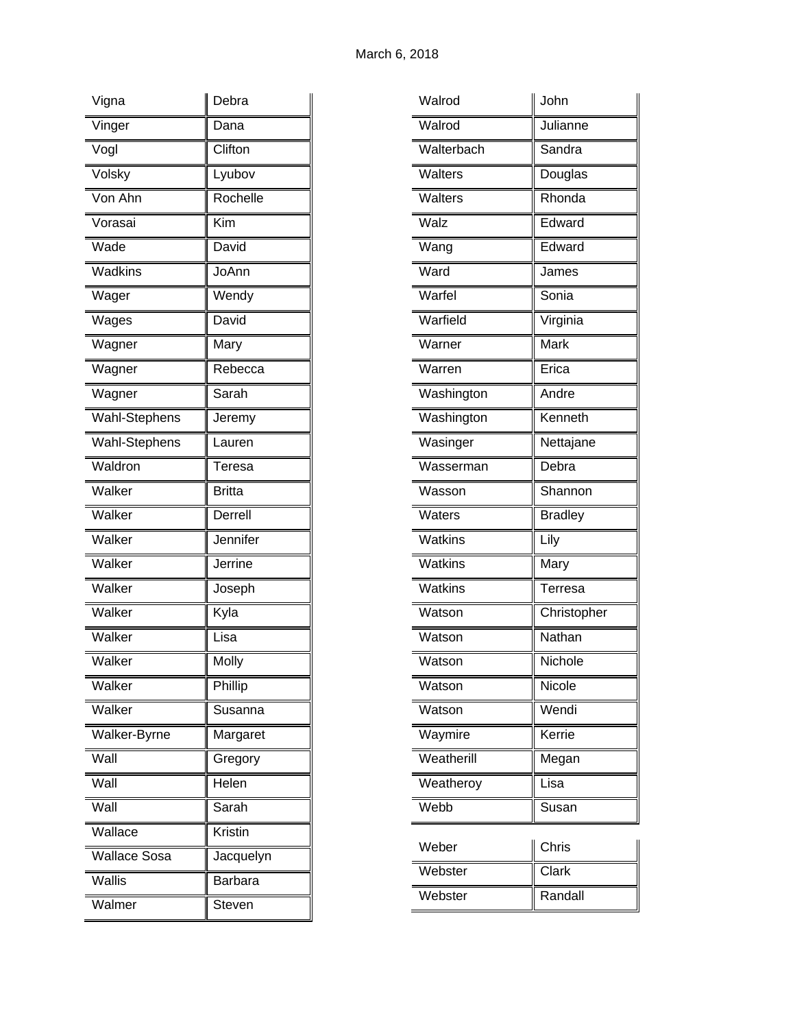| Vigna                      | Debra          |
|----------------------------|----------------|
| Vinger                     | Dana           |
| Vogl                       | Clifton        |
| Volsky                     | Lyubov         |
| Von Ahn                    | Rochelle       |
| Vorasai                    | Kim            |
| Wade                       | David          |
| Wadkins                    | JoAnn          |
| Wager                      | Wendy          |
| Wages                      | David          |
| Wagner                     | Mary           |
| Wagner                     | Rebecca        |
| Wagner                     | Sarah          |
| Wahl-Stephens              | Jeremy         |
| Wahl-Stephens              | Lauren         |
| Waldron                    | Teresa         |
| Walker                     | <b>Britta</b>  |
| Walker                     | Derrell        |
| Walker                     | Jennifer       |
| Walker                     | Jerrine        |
| Walker                     | Joseph         |
| Walker                     | Kyla           |
| Walker                     | Lisa           |
| Walker                     | Molly          |
| Walker                     | Phillip        |
| Walker                     | Susanna        |
| Walker-Byrne               | Margaret       |
| Wall                       | Gregory        |
| $\overline{\mathsf{Wall}}$ | Helen          |
| Wall                       | Sarah          |
| Wallace                    | Kristin        |
| Wallace Sosa               | Jacquelyn      |
| Wallis                     | <b>Barbara</b> |
| Walmer                     | Steven         |

| Julianne<br>Walrod<br>Walterbach<br>Sandra<br>Walters<br>Douglas<br>Walters<br>Rhonda<br>Edward<br>Walz<br>Edward<br>Wang<br>Ward<br>James<br>Warfel<br>Sonia<br>Warfield<br>Virginia<br>Mark<br>Warner<br>Warren<br>Erica<br>Andre<br>Washington<br>Washington<br>Kenneth<br>Wasinger<br>Nettajane<br>Debra<br>Wasserman<br>Shannon<br>Wasson<br><b>Bradley</b><br>Waters<br>Watkins<br>Lily<br>Watkins<br>Mary |  |
|------------------------------------------------------------------------------------------------------------------------------------------------------------------------------------------------------------------------------------------------------------------------------------------------------------------------------------------------------------------------------------------------------------------|--|
|                                                                                                                                                                                                                                                                                                                                                                                                                  |  |
|                                                                                                                                                                                                                                                                                                                                                                                                                  |  |
|                                                                                                                                                                                                                                                                                                                                                                                                                  |  |
|                                                                                                                                                                                                                                                                                                                                                                                                                  |  |
|                                                                                                                                                                                                                                                                                                                                                                                                                  |  |
|                                                                                                                                                                                                                                                                                                                                                                                                                  |  |
|                                                                                                                                                                                                                                                                                                                                                                                                                  |  |
|                                                                                                                                                                                                                                                                                                                                                                                                                  |  |
|                                                                                                                                                                                                                                                                                                                                                                                                                  |  |
|                                                                                                                                                                                                                                                                                                                                                                                                                  |  |
|                                                                                                                                                                                                                                                                                                                                                                                                                  |  |
|                                                                                                                                                                                                                                                                                                                                                                                                                  |  |
|                                                                                                                                                                                                                                                                                                                                                                                                                  |  |
|                                                                                                                                                                                                                                                                                                                                                                                                                  |  |
|                                                                                                                                                                                                                                                                                                                                                                                                                  |  |
|                                                                                                                                                                                                                                                                                                                                                                                                                  |  |
|                                                                                                                                                                                                                                                                                                                                                                                                                  |  |
|                                                                                                                                                                                                                                                                                                                                                                                                                  |  |
|                                                                                                                                                                                                                                                                                                                                                                                                                  |  |
| Watkins<br>Terresa                                                                                                                                                                                                                                                                                                                                                                                               |  |
| Christopher<br>Watson                                                                                                                                                                                                                                                                                                                                                                                            |  |
| Nathan<br>Watson                                                                                                                                                                                                                                                                                                                                                                                                 |  |
| Nichole<br>Watson                                                                                                                                                                                                                                                                                                                                                                                                |  |
| Nicole<br>Watson                                                                                                                                                                                                                                                                                                                                                                                                 |  |
| Wendi<br>Watson                                                                                                                                                                                                                                                                                                                                                                                                  |  |
| Kerrie<br>Waymire                                                                                                                                                                                                                                                                                                                                                                                                |  |
| Weatherill<br>Megan                                                                                                                                                                                                                                                                                                                                                                                              |  |
| Weatheroy<br>Lisa                                                                                                                                                                                                                                                                                                                                                                                                |  |
| Webb<br>Susan                                                                                                                                                                                                                                                                                                                                                                                                    |  |
| Chris<br>Weber                                                                                                                                                                                                                                                                                                                                                                                                   |  |
| Clark<br>Webster                                                                                                                                                                                                                                                                                                                                                                                                 |  |
| Randall<br>Webster                                                                                                                                                                                                                                                                                                                                                                                               |  |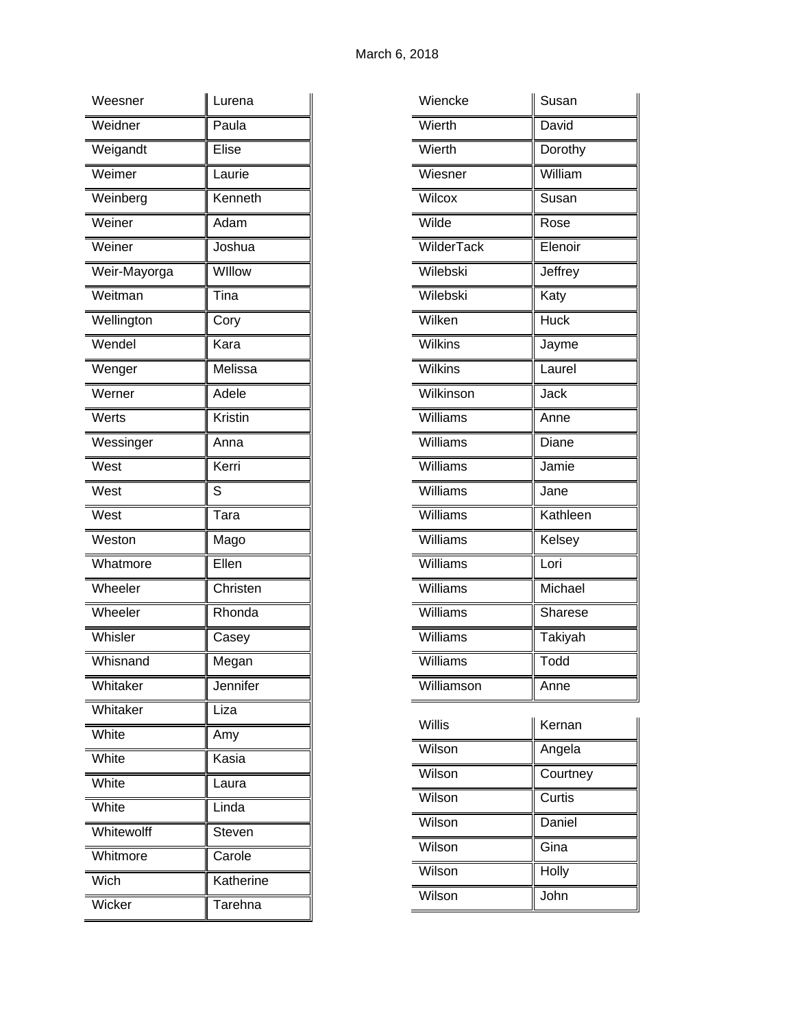| Weesner                        | Lurena    |
|--------------------------------|-----------|
| Weidner                        | Paula     |
| Weigandt                       | Elise     |
| Weimer                         | Laurie    |
| Weinberg                       | Kenneth   |
| Weiner                         | Adam      |
| Weiner                         | Joshua    |
| Weir-Mayorga                   | WIllow    |
| $\overline{\mathsf{W}}$ eitman | Tina      |
| Wellington                     | Cory      |
| Wendel                         | Kara      |
| Wenger                         | Melissa   |
| Werner                         | Adele     |
| Werts                          | Kristin   |
| Wessinger                      | Anna      |
| West                           | Kerri     |
| West                           | S         |
|                                |           |
| West                           | Tara      |
| Weston                         | Mago      |
| Whatmore                       | Ellen     |
| Wheeler                        | Christen  |
| Wheeler                        | Rhonda    |
| Whisler                        | Casey     |
| Whisnand                       | Megan     |
| Whitaker                       | Jennifer  |
| Whitaker                       | Liza      |
| White                          | Amy       |
| White                          | Kasia     |
| White                          | Laura     |
| White                          | Linda     |
| Whitewolff                     | Steven    |
| Whitmore                       | Carole    |
| Wich                           | Katherine |

| Wiencke    | Susan       |
|------------|-------------|
| Wierth     | David       |
| Wierth     | Dorothy     |
| Wiesner    | William     |
| Wilcox     | Susan       |
| Wilde      | Rose        |
| WilderTack | Elenoir     |
| Wilebski   | Jeffrey     |
| Wilebski   | Katy        |
| Wilken     | <b>Huck</b> |
| Wilkins    | Jayme       |
| Wilkins    | Laurel      |
| Wilkinson  | Jack        |
| Williams   | Anne        |
| Williams   | Diane       |
| Williams   | Jamie       |
| Williams   | Jane        |
| Williams   | Kathleen    |
| Williams   | Kelsey      |
| Williams   | Lori        |
| Williams   | Michael     |
| Williams   | Sharese     |
| Williams   | Takiyah     |
| Williams   | Todd        |
| Williamson | Anne        |
| Willis     | Kernan      |

| Willis | Kernan   |
|--------|----------|
| Wilson | Angela   |
| Wilson | Courtney |
| Wilson | Curtis   |
| Wilson | Daniel   |
| Wilson | Gina     |
| Wilson | Holly    |
| Wilson | John     |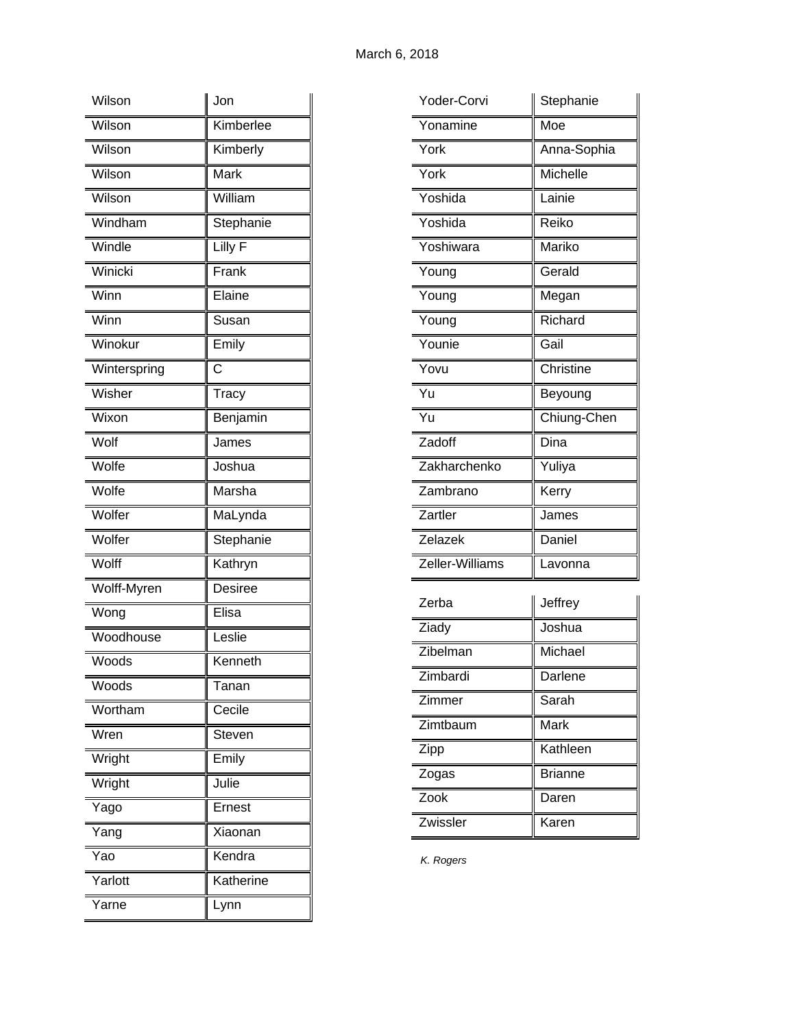| Wilson       | Jon            |
|--------------|----------------|
| Wilson       | Kimberlee      |
| Wilson       | Kimberly       |
| Wilson       | Mark           |
| Wilson       | William        |
| Windham      | Stephanie      |
| Windle       | Lilly F        |
| Winicki      | Frank          |
| Winn         | Elaine         |
| Winn         | Susan          |
| Winokur      | Emily          |
| Winterspring | С              |
| Wisher       | Tracy          |
| Wixon        | Benjamin       |
| Wolf         | James          |
| Wolfe        | Joshua         |
| Wolfe        | Marsha         |
| Wolfer       | MaLynda        |
| Wolfer       | Stephanie      |
| Wolff        | Kathryn        |
| Wolff-Myren  | <b>Desiree</b> |
| Wong         | Elisa          |
| Woodhouse    | Leslie         |
| Woods        | Kenneth        |
| Woods        | Tanan          |
| Wortham      | Cecile         |
| Wren         | Steven         |
| Wright       | Emily          |
| Wright       | Julie          |
| Yago         | Ernest         |
| Yang         | Xiaonan        |
| Yao          | Kendra         |
| Yarlott      | Katherine      |
| Yarne        | Lynn           |

| Yoder-Corvi     | Stephanie   |
|-----------------|-------------|
| Yonamine        | Moe         |
| York            | Anna-Sophia |
| York            | Michelle    |
| Yoshida         | Lainie      |
| Yoshida         | Reiko       |
| Yoshiwara       | Mariko      |
| Young           | Gerald      |
| Young           | Megan       |
| Young           | Richard     |
| Younie          | Gail        |
| Yovu            | Christine   |
| Yu              | Beyoung     |
| $\overline{Yu}$ | Chiung-Chen |
| Zadoff          | Dina        |
| Zakharchenko    | Yuliya      |
| Zambrano        | Kerry       |
| Zartler         | James       |
| Zelazek         | Daniel      |
| Zeller-Williams | Lavonna     |
| Zerba           | Jeffrey     |
| Ziady           | Joshua      |
| 7ihalman        | Michael     |

| Ziady    | Joshua         |
|----------|----------------|
| Zibelman | Michael        |
| Zimbardi | Darlene        |
| Zimmer   | Sarah          |
| Zimtbaum | Mark           |
| Zipp     | Kathleen       |
| Zogas    | <b>Brianne</b> |
| Zook     | Daren          |
| Zwissler | Karen          |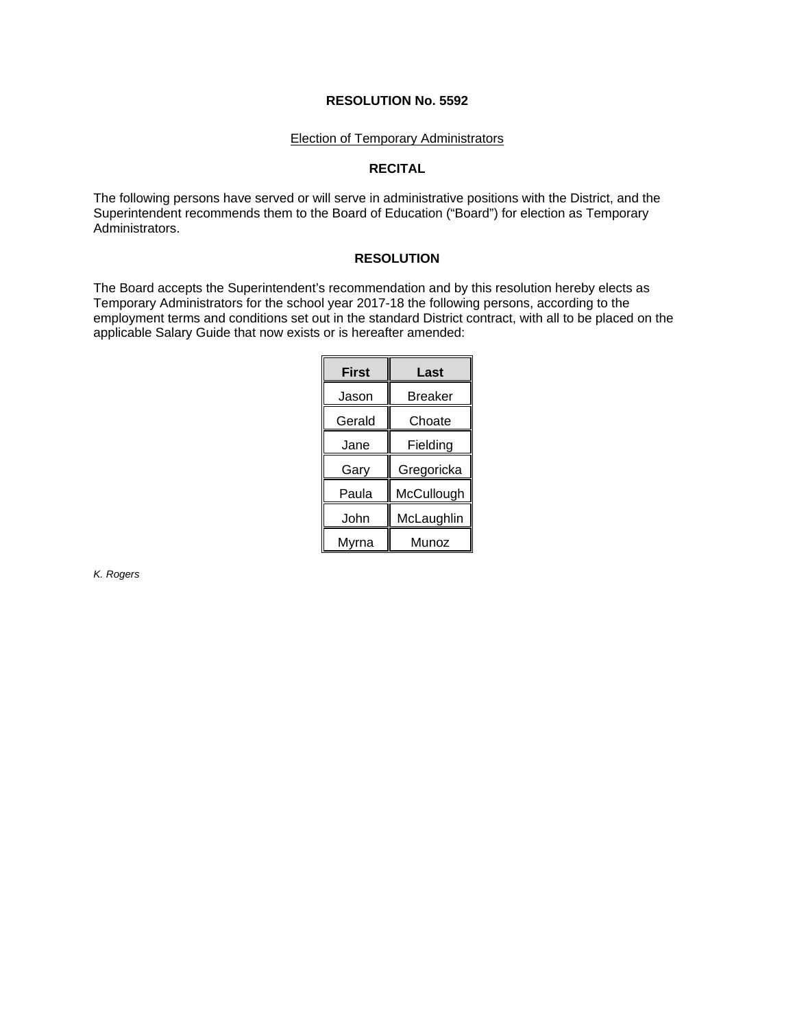#### **RESOLUTION No. 5592**

#### Election of Temporary Administrators

# **RECITAL**

The following persons have served or will serve in administrative positions with the District, and the Superintendent recommends them to the Board of Education ("Board") for election as Temporary Administrators.

# **RESOLUTION**

The Board accepts the Superintendent's recommendation and by this resolution hereby elects as Temporary Administrators for the school year 2017-18 the following persons, according to the employment terms and conditions set out in the standard District contract, with all to be placed on the applicable Salary Guide that now exists or is hereafter amended:

| <b>First</b> | Last       |
|--------------|------------|
|              |            |
| Jason        | Breaker    |
| Gerald       | Choate     |
| Jane         | Fielding   |
| Gary         | Gregoricka |
| Paula        | McCullough |
| John         | McLaughlin |
| Myrna        | Munoz      |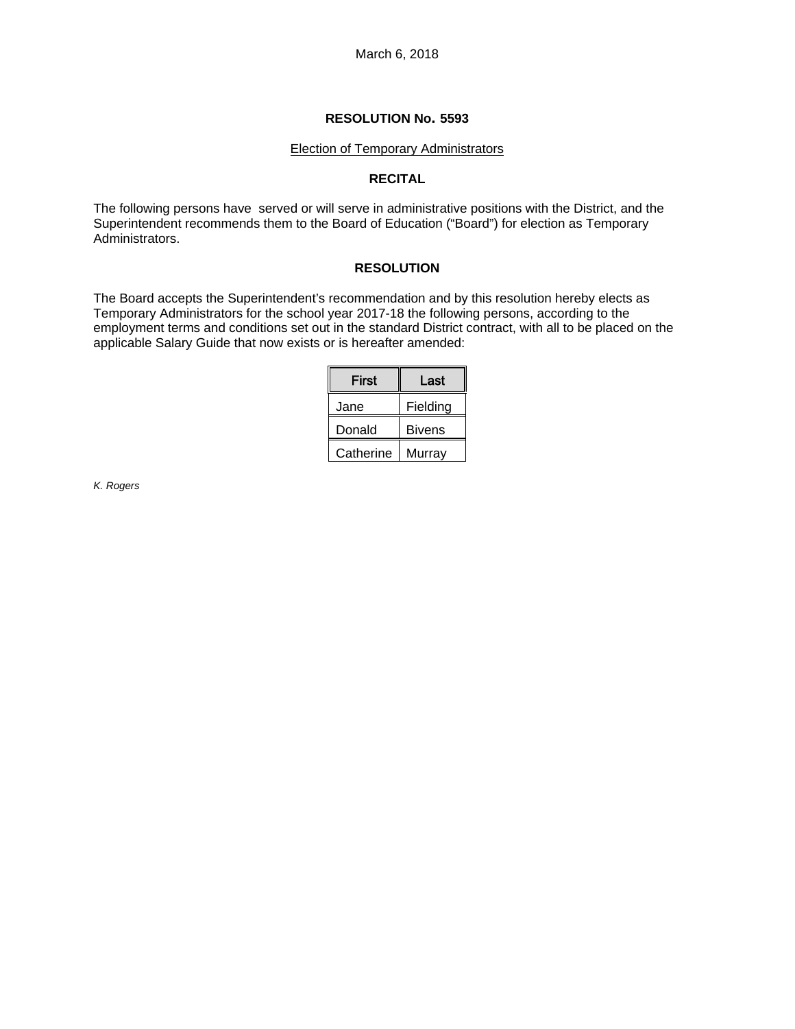#### **RESOLUTION No. 5593**

#### Election of Temporary Administrators

# **RECITAL**

The following persons have served or will serve in administrative positions with the District, and the Superintendent recommends them to the Board of Education ("Board") for election as Temporary Administrators.

# **RESOLUTION**

The Board accepts the Superintendent's recommendation and by this resolution hereby elects as Temporary Administrators for the school year 2017-18 the following persons, according to the employment terms and conditions set out in the standard District contract, with all to be placed on the applicable Salary Guide that now exists or is hereafter amended:

| First     | Last          |
|-----------|---------------|
| Jane      | Fielding      |
| Donald    | <b>Bivens</b> |
| Catherine | Murrav        |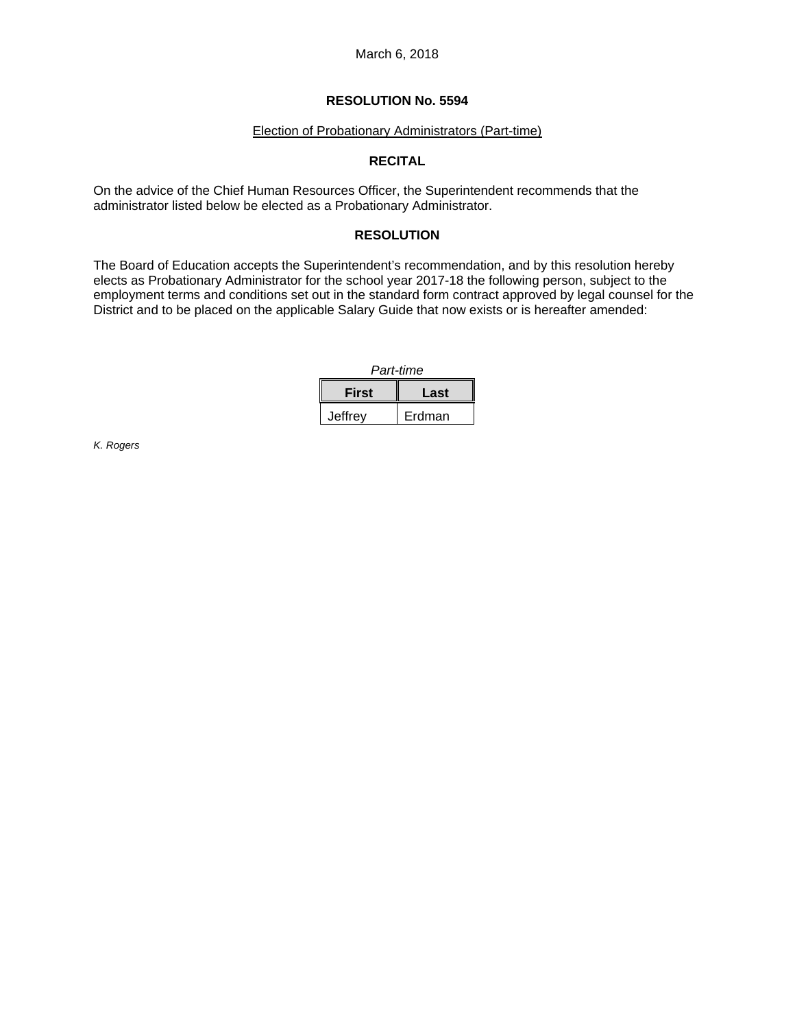March 6, 2018

# **RESOLUTION No. 5594**

#### Election of Probationary Administrators (Part-time)

# **RECITAL**

On the advice of the Chief Human Resources Officer, the Superintendent recommends that the administrator listed below be elected as a Probationary Administrator.

# **RESOLUTION**

The Board of Education accepts the Superintendent's recommendation, and by this resolution hereby elects as Probationary Administrator for the school year 2017-18 the following person, subject to the employment terms and conditions set out in the standard form contract approved by legal counsel for the District and to be placed on the applicable Salary Guide that now exists or is hereafter amended:

| Part-time |        |
|-----------|--------|
| First     | Last   |
| Jeffrev   | Erdman |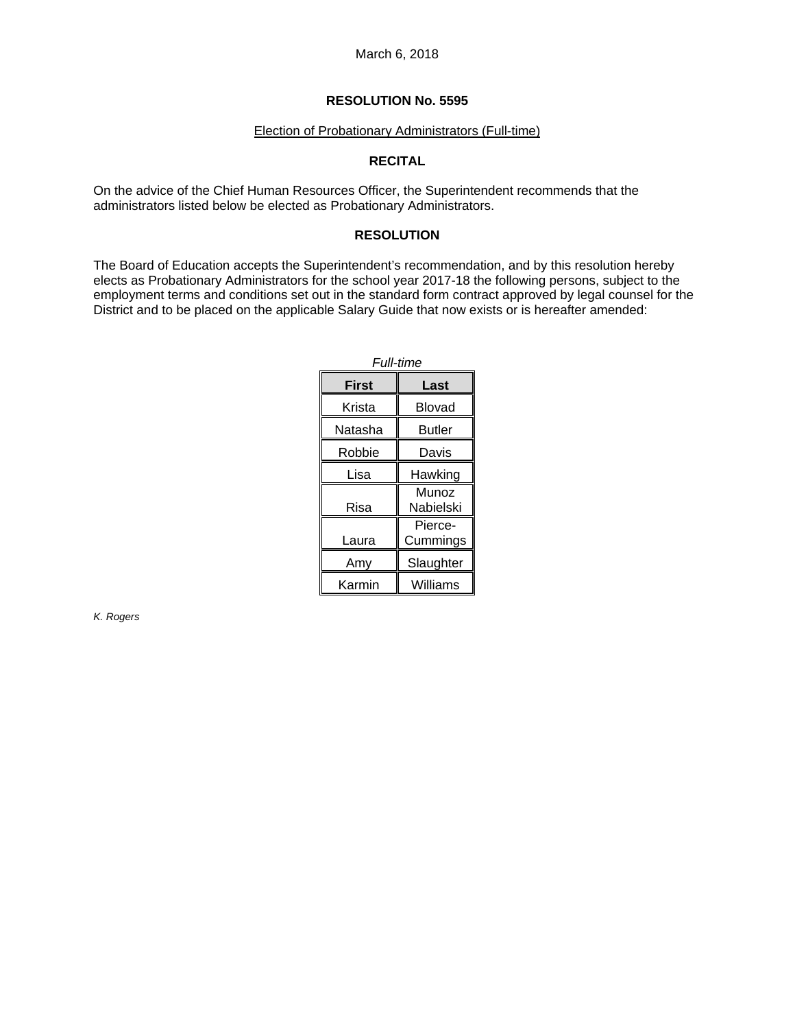#### Election of Probationary Administrators (Full-time)

## **RECITAL**

On the advice of the Chief Human Resources Officer, the Superintendent recommends that the administrators listed below be elected as Probationary Administrators.

#### **RESOLUTION**

The Board of Education accepts the Superintendent's recommendation, and by this resolution hereby elects as Probationary Administrators for the school year 2017-18 the following persons, subject to the employment terms and conditions set out in the standard form contract approved by legal counsel for the District and to be placed on the applicable Salary Guide that now exists or is hereafter amended:

| <b>Full-time</b> |                     |
|------------------|---------------------|
| First            | Last                |
| Krista           | Blovad              |
| Natasha          | Butler              |
| Robbie           | Davis               |
| Lisa             | Hawking             |
| Risa             | Munoz<br>Nabielski  |
| Laura            | Pierce-<br>Cummings |
| Amy              | Slaughter           |
| Karmin           | Williams            |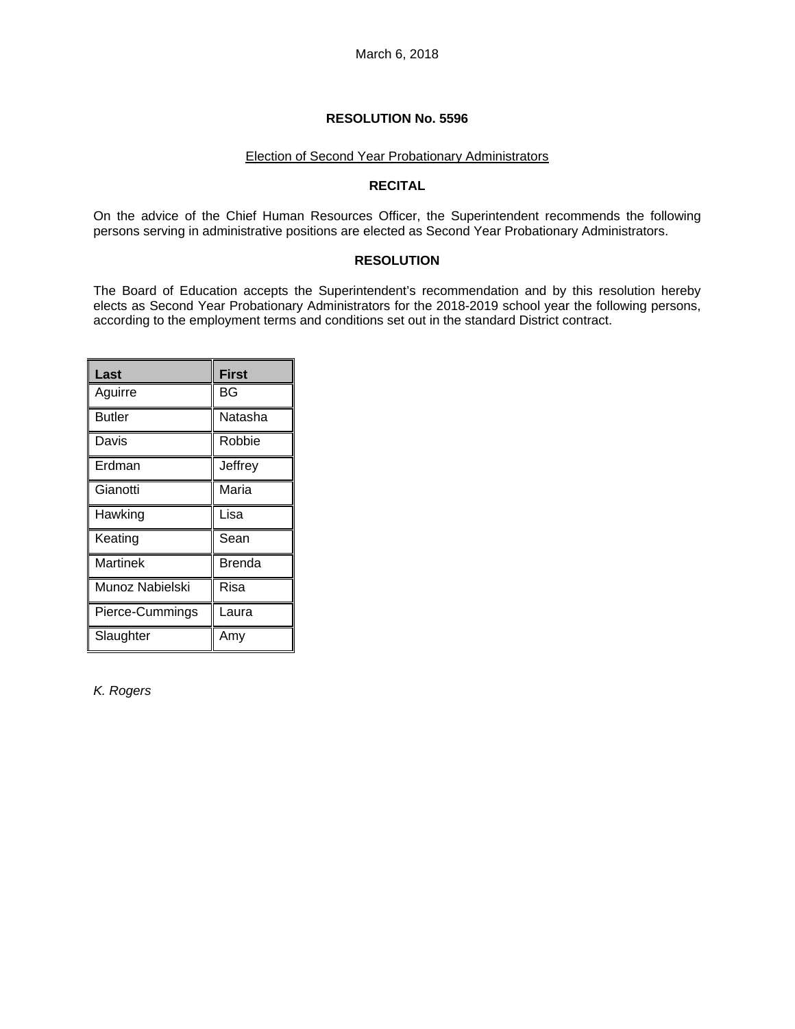#### Election of Second Year Probationary Administrators

#### **RECITAL**

On the advice of the Chief Human Resources Officer, the Superintendent recommends the following persons serving in administrative positions are elected as Second Year Probationary Administrators.

## **RESOLUTION**

The Board of Education accepts the Superintendent's recommendation and by this resolution hereby elects as Second Year Probationary Administrators for the 2018-2019 school year the following persons, according to the employment terms and conditions set out in the standard District contract.

| Last            | <b>First</b> |
|-----------------|--------------|
| Aguirre         | BG           |
| <b>Butler</b>   | Natasha      |
| Davis           | Robbie       |
| Erdman          | Jeffrey      |
| Gianotti        | Maria        |
| Hawking         | Lisa         |
| Keating         | Sean         |
| <b>Martinek</b> | Brenda       |
| Munoz Nabielski | Risa         |
| Pierce-Cummings | Laura        |
| Slaughter       | Amy          |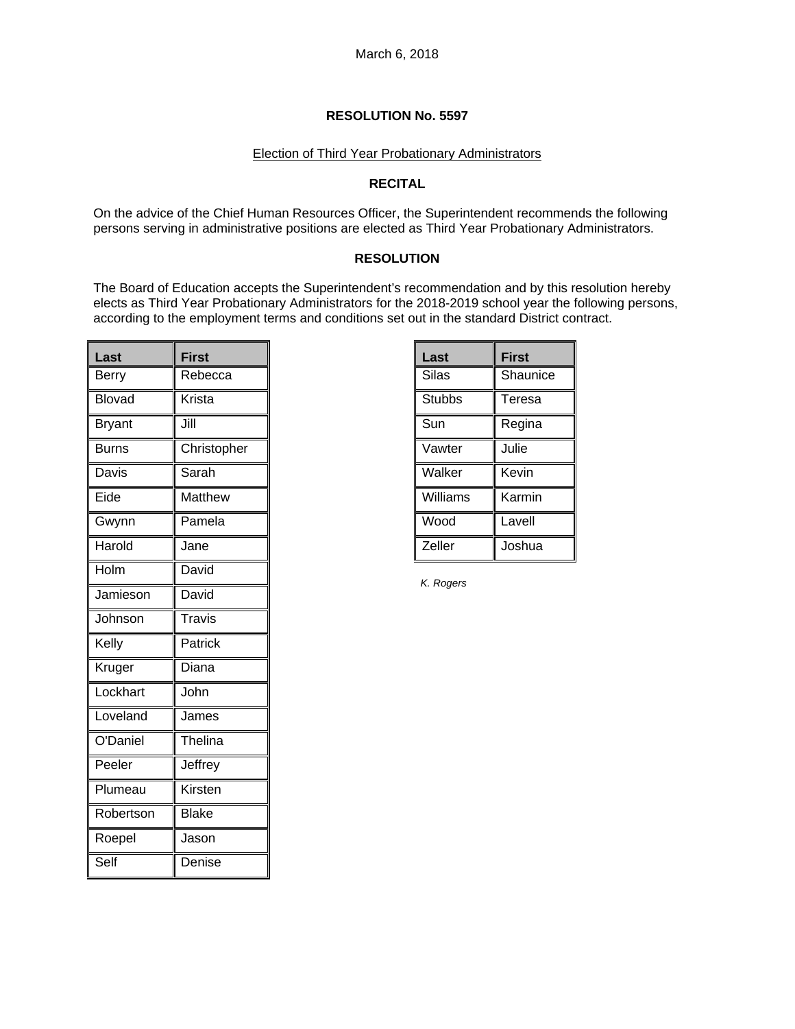#### Election of Third Year Probationary Administrators

## **RECITAL**

On the advice of the Chief Human Resources Officer, the Superintendent recommends the following persons serving in administrative positions are elected as Third Year Probationary Administrators.

## **RESOLUTION**

The Board of Education accepts the Superintendent's recommendation and by this resolution hereby elects as Third Year Probationary Administrators for the 2018-2019 school year the following persons, according to the employment terms and conditions set out in the standard District contract.

| Last         | <b>First</b>   |
|--------------|----------------|
| Berry        | Rebecca        |
| Blovad       | Krista         |
| Bryant       | Jill           |
| <b>Burns</b> | Christopher    |
| Davis        | Sarah          |
| Eide         | <b>Matthew</b> |
| Gwynn        | Pamela         |
| Harold       | Jane           |
| Holm         | David          |
| Jamieson     | David          |
| Johnson      | Travis         |
| Kelly        | Patrick        |
| Kruger       | Diana          |
| Lockhart     | John           |
| Loveland     | James          |
| O'Daniel     | Thelina        |
| Peeler       | Jeffrey        |
| Plumeau      | Kirsten        |
| Robertson    | <b>Blake</b>   |
| Roepel       | Jason          |
| Self         | Denise         |

| Last          | <b>First</b> |
|---------------|--------------|
| Silas         | Shaunice     |
| <b>Stubbs</b> | Teresa       |
| Sun           | Regina       |
| Vawter        | Julie        |
| Walker        | Kevin        |
| Williams      | Karmin       |
| Wood          | Lavell       |
| Zeller        | Joshua       |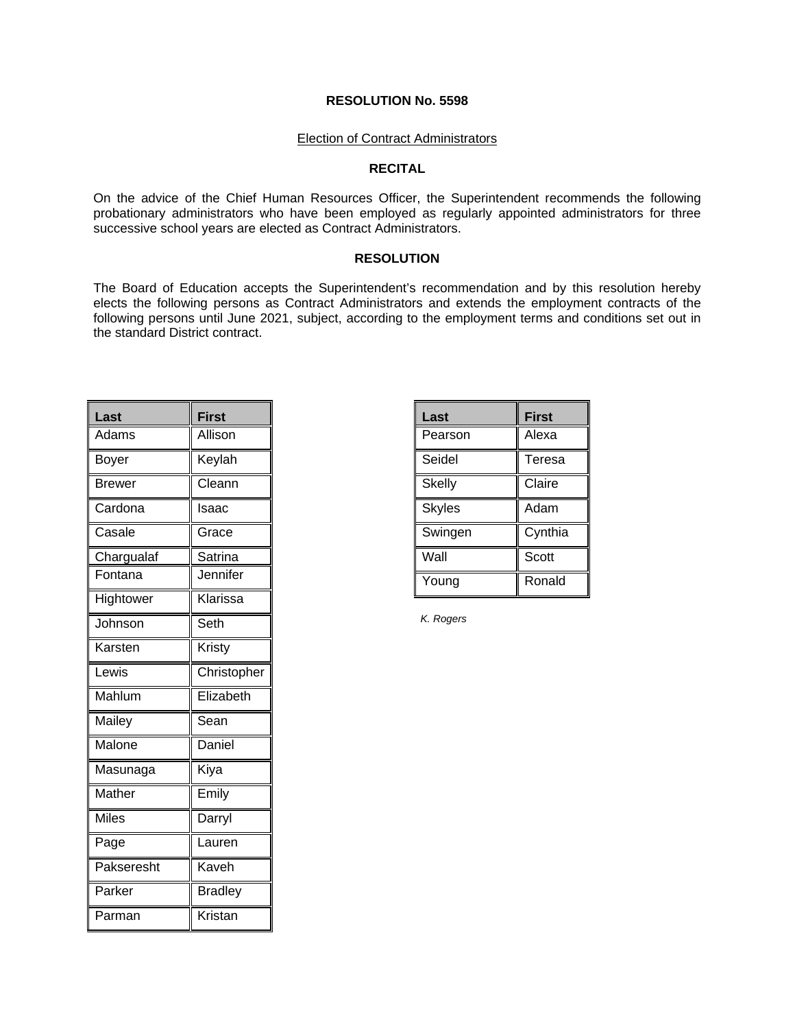#### Election of Contract Administrators

#### **RECITAL**

On the advice of the Chief Human Resources Officer, the Superintendent recommends the following probationary administrators who have been employed as regularly appointed administrators for three successive school years are elected as Contract Administrators.

#### **RESOLUTION**

The Board of Education accepts the Superintendent's recommendation and by this resolution hereby elects the following persons as Contract Administrators and extends the employment contracts of the following persons until June 2021, subject, according to the employment terms and conditions set out in the standard District contract.

| Last         | <b>First</b>   |
|--------------|----------------|
| Adams        | Allison        |
| Boyer        | Keylah         |
| Brewer       | Cleann         |
| Cardona      | Isaac          |
| Casale       | Grace          |
| Chargualaf   | Satrina        |
| Fontana      | Jennifer       |
| Hightower    | Klarissa       |
| Johnson      | Seth           |
| Karsten      | Kristy         |
| Lewis        | Christopher    |
| Mahlum       | Elizabeth      |
| Mailey       | Sean           |
| Malone       | Daniel         |
| Masunaga     | Kiya           |
| Mather       | Emily          |
| <b>Miles</b> | Darryl         |
| Page         | Lauren         |
| Pakseresht   | Kaveh          |
| Parker       | <b>Bradley</b> |
| Parman       | Kristan        |

| <b>First</b> |
|--------------|
| Alexa        |
| Teresa       |
| Claire       |
| Adam         |
| Cynthia      |
| Scott        |
| Ronald       |
|              |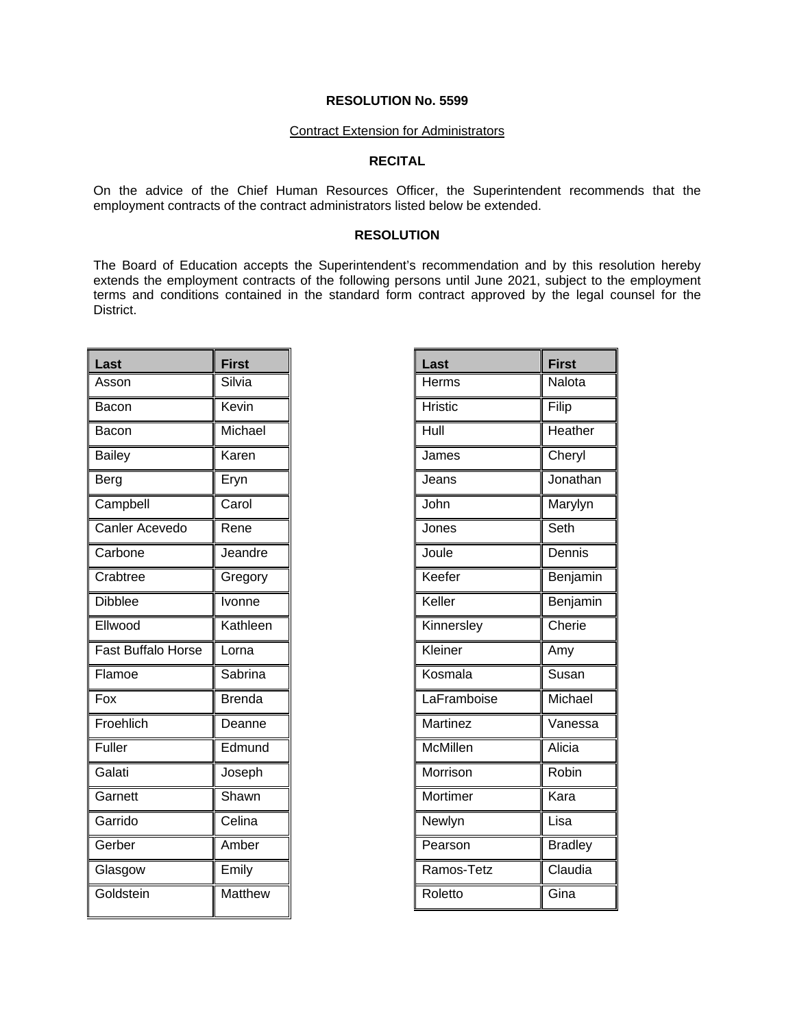#### Contract Extension for Administrators

# **RECITAL**

On the advice of the Chief Human Resources Officer, the Superintendent recommends that the employment contracts of the contract administrators listed below be extended.

#### **RESOLUTION**

The Board of Education accepts the Superintendent's recommendation and by this resolution hereby extends the employment contracts of the following persons until June 2021, subject to the employment terms and conditions contained in the standard form contract approved by the legal counsel for the District.

| Last                      | <b>First</b>   |
|---------------------------|----------------|
| Asson                     | Silvia         |
| Bacon                     | Kevin          |
| Bacon                     | Michael        |
| <b>Bailey</b>             | Karen          |
| Berg                      | Eryn           |
| Campbell                  | Carol          |
| Canler Acevedo            | Rene           |
| Carbone                   | Jeandre        |
| Crabtree                  | Gregory        |
| <b>Dibblee</b>            | Ivonne         |
| Ellwood                   | Kathleen       |
| <b>Fast Buffalo Horse</b> | Lorna          |
| Flamoe                    | Sabrina        |
| Fox                       | <b>Brenda</b>  |
| Froehlich                 | Deanne         |
| Fuller                    | Edmund         |
| Galati                    | Joseph         |
| Garnett                   | Shawn          |
| Garrido                   | Celina         |
| Gerber                    | Amber          |
| Glasgow                   | Emily          |
| Goldstein                 | <b>Matthew</b> |

| Last            | <b>First</b>    |
|-----------------|-----------------|
| Herms           | Nalota          |
| <b>Hristic</b>  | Filip           |
| Hull            | Heather         |
| James           | Cheryl          |
| Jeans           | Jonathan        |
| John            | Marylyn         |
| Jones           | Seth            |
| Joule           | Dennis          |
| Keefer          | <b>Benjamin</b> |
| Keller          | Benjamin        |
| Kinnersley      | Cherie          |
| Kleiner         | Amy             |
| Kosmala         | Susan           |
| LaFramboise     | Michael         |
| <b>Martinez</b> | Vanessa         |
| McMillen        | Alicia          |
| Morrison        | Robin           |
| Mortimer        | Kara            |
| Newlyn          | Lisa            |
| Pearson         | <b>Bradley</b>  |
| Ramos-Tetz      | Claudia         |
| Roletto         | Gina            |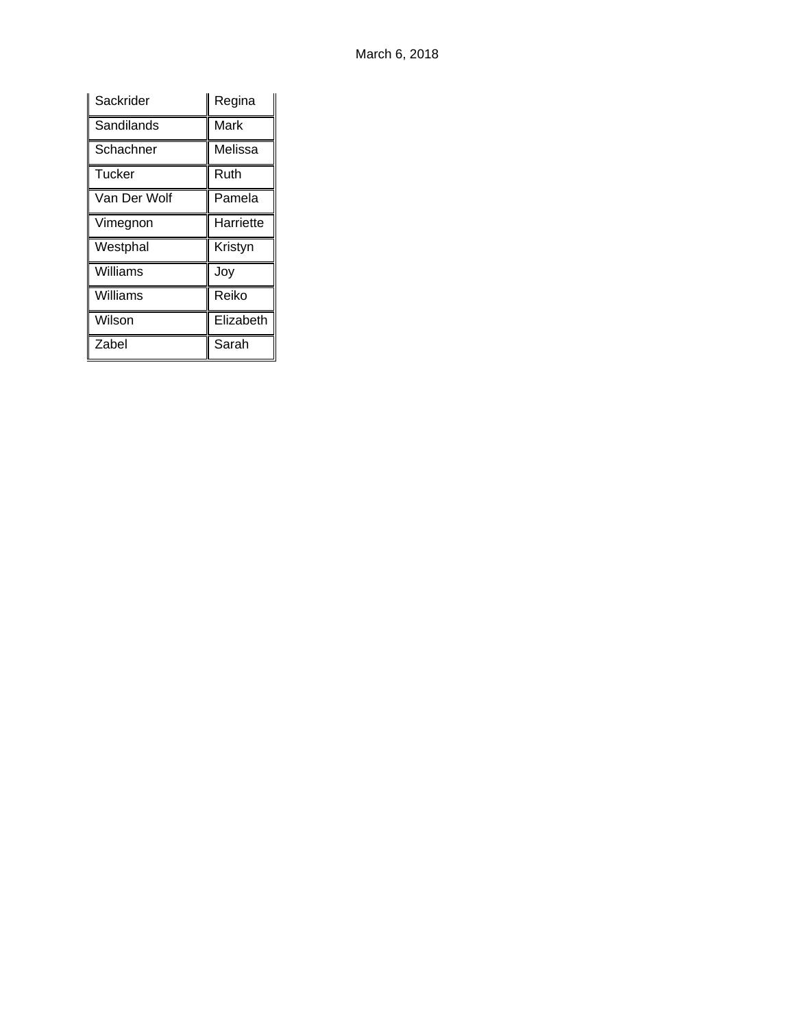| Sackrider     | Regina    |
|---------------|-----------|
| Sandilands    | Mark      |
| Schachner     | Melissa   |
| <b>Tucker</b> | Ruth      |
| Van Der Wolf  | Pamela    |
| Vimegnon      | Harriette |
| Westphal      | Kristyn   |
| Williams      | Joy       |
| Williams      | Reiko     |
| Wilson        | Elizabeth |
| Zabel         | Sarah     |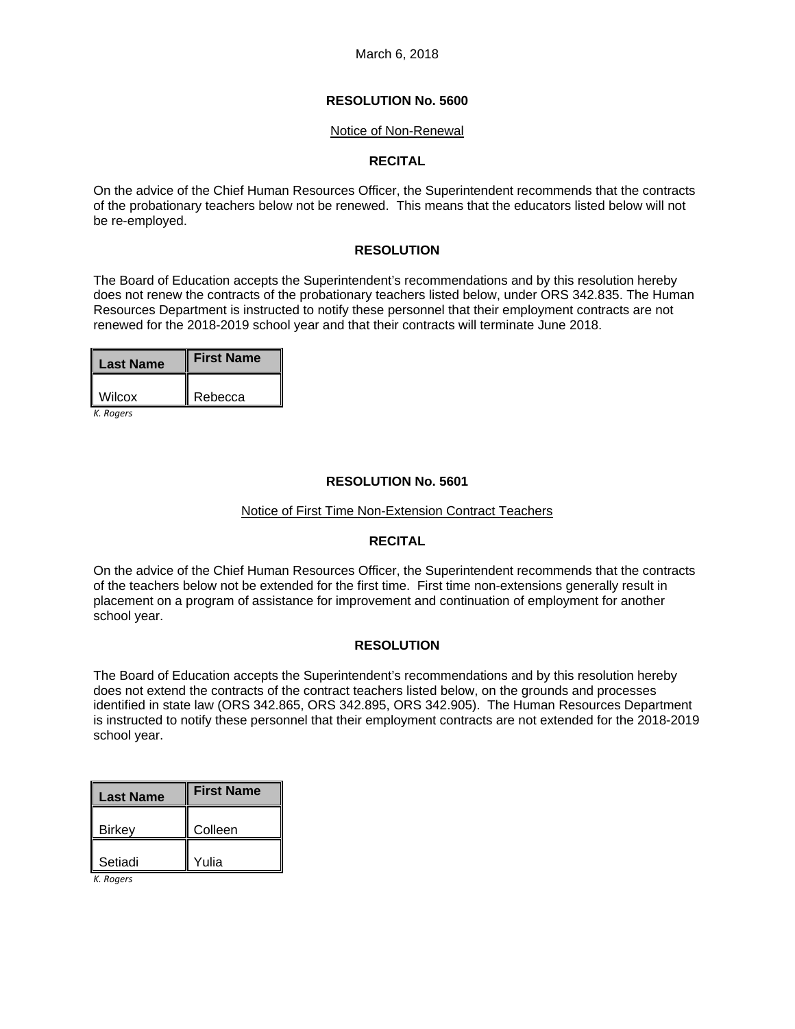#### Notice of Non-Renewal

## **RECITAL**

On the advice of the Chief Human Resources Officer, the Superintendent recommends that the contracts of the probationary teachers below not be renewed. This means that the educators listed below will not be re-employed.

## **RESOLUTION**

The Board of Education accepts the Superintendent's recommendations and by this resolution hereby does not renew the contracts of the probationary teachers listed below, under ORS 342.835. The Human Resources Department is instructed to notify these personnel that their employment contracts are not renewed for the 2018-2019 school year and that their contracts will terminate June 2018.

| <b>First Name</b> |
|-------------------|
| Rebecca           |
|                   |

*K. Rogers*

## **RESOLUTION No. 5601**

#### Notice of First Time Non-Extension Contract Teachers

#### **RECITAL**

On the advice of the Chief Human Resources Officer, the Superintendent recommends that the contracts of the teachers below not be extended for the first time. First time non-extensions generally result in placement on a program of assistance for improvement and continuation of employment for another school year.

## **RESOLUTION**

The Board of Education accepts the Superintendent's recommendations and by this resolution hereby does not extend the contracts of the contract teachers listed below, on the grounds and processes identified in state law (ORS 342.865, ORS 342.895, ORS 342.905). The Human Resources Department is instructed to notify these personnel that their employment contracts are not extended for the 2018-2019 school year.

| <b>Last Name</b> | <b>First Name</b> |
|------------------|-------------------|
| <b>Birkey</b>    | Colleen           |
| Setiadi          | Yulia             |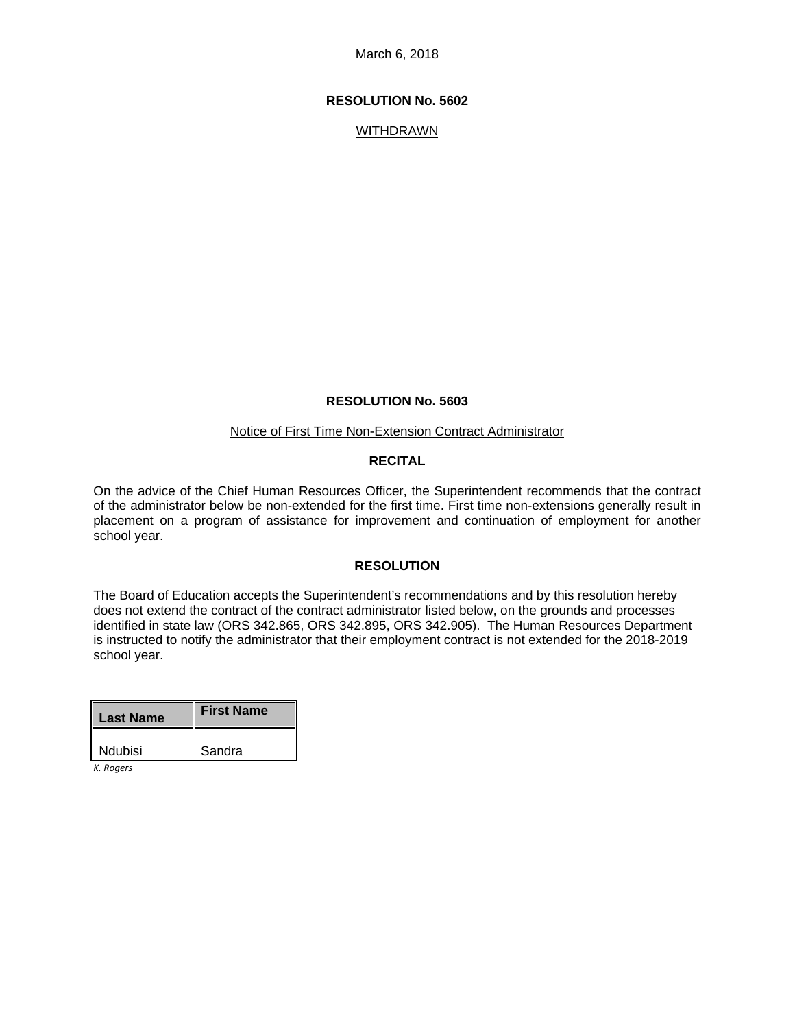## **RESOLUTION No. 5602**

WITHDRAWN

#### **RESOLUTION No. 5603**

#### Notice of First Time Non-Extension Contract Administrator

#### **RECITAL**

On the advice of the Chief Human Resources Officer, the Superintendent recommends that the contract of the administrator below be non-extended for the first time. First time non-extensions generally result in placement on a program of assistance for improvement and continuation of employment for another school year.

#### **RESOLUTION**

The Board of Education accepts the Superintendent's recommendations and by this resolution hereby does not extend the contract of the contract administrator listed below, on the grounds and processes identified in state law (ORS 342.865, ORS 342.895, ORS 342.905). The Human Resources Department is instructed to notify the administrator that their employment contract is not extended for the 2018-2019 school year.

| <b>Last Name</b> | <b>First Name</b> |
|------------------|-------------------|
| <b>Ndubisi</b>   | Sandra            |

*K. Rogers*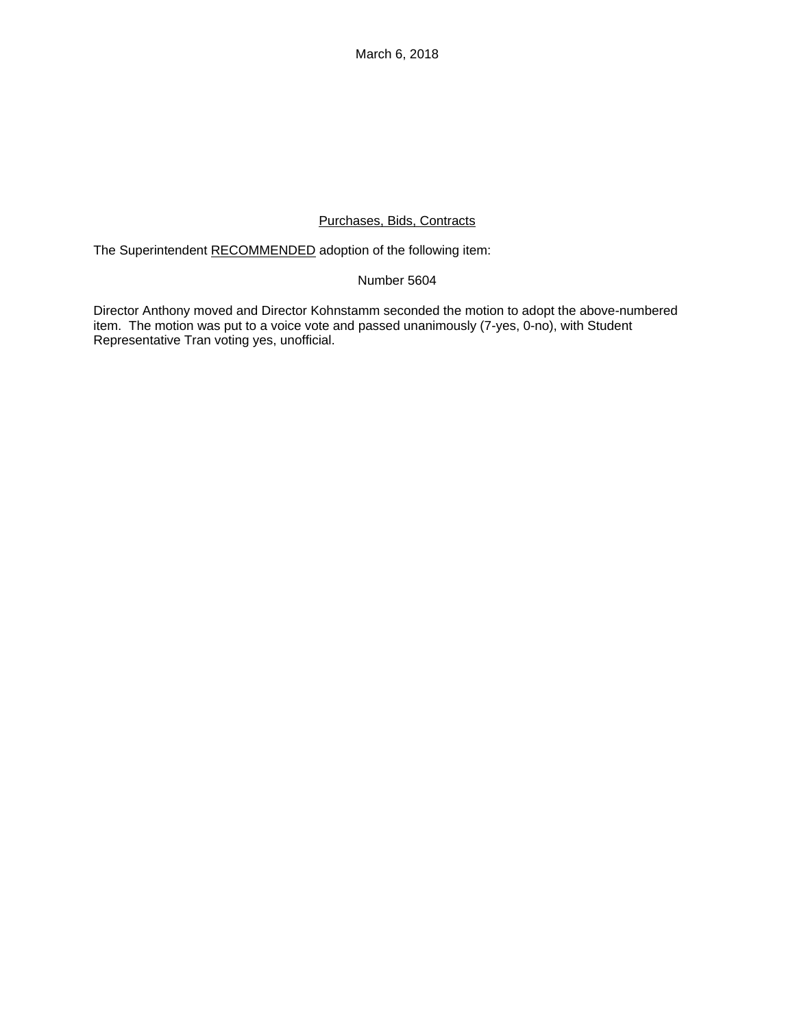# Purchases, Bids, Contracts

The Superintendent RECOMMENDED adoption of the following item:

# Number 5604

Director Anthony moved and Director Kohnstamm seconded the motion to adopt the above-numbered item. The motion was put to a voice vote and passed unanimously (7-yes, 0-no), with Student Representative Tran voting yes, unofficial.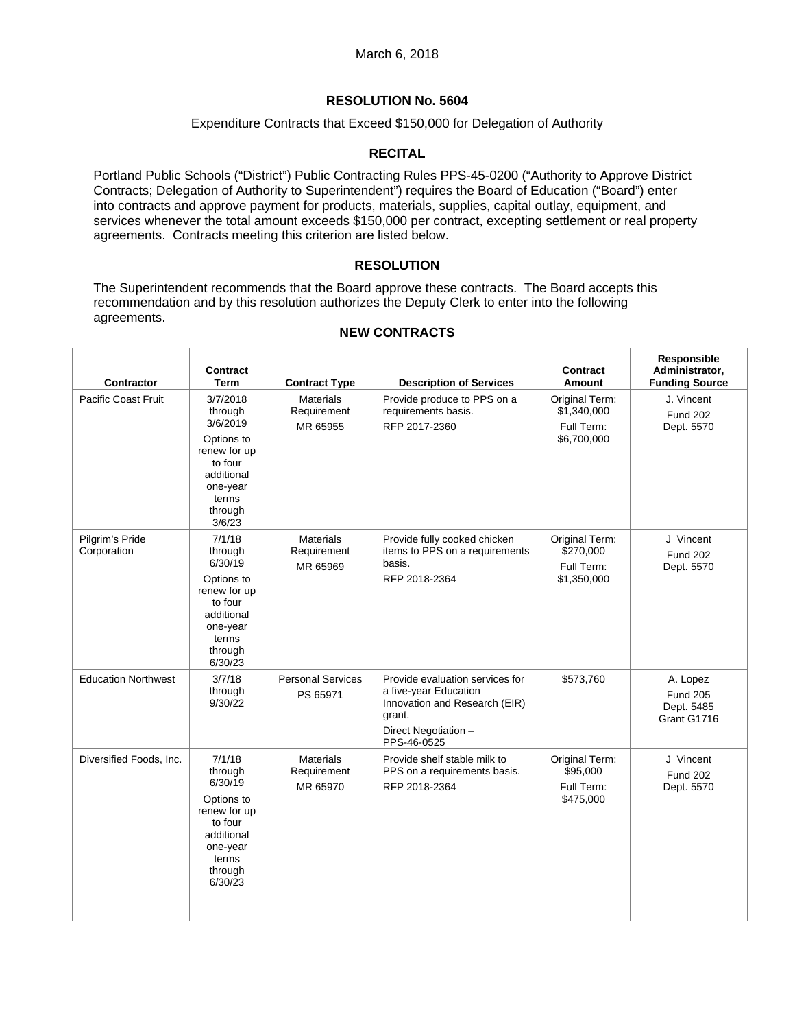## Expenditure Contracts that Exceed \$150,000 for Delegation of Authority

# **RECITAL**

Portland Public Schools ("District") Public Contracting Rules PPS-45-0200 ("Authority to Approve District Contracts; Delegation of Authority to Superintendent") requires the Board of Education ("Board") enter into contracts and approve payment for products, materials, supplies, capital outlay, equipment, and services whenever the total amount exceeds \$150,000 per contract, excepting settlement or real property agreements. Contracts meeting this criterion are listed below.

# **RESOLUTION**

The Superintendent recommends that the Board approve these contracts. The Board accepts this recommendation and by this resolution authorizes the Deputy Clerk to enter into the following agreements.

| Contractor                     | <b>Contract</b><br>Term                                                                                                          | <b>Contract Type</b>                        | <b>Description of Services</b>                                                                                                             | <b>Contract</b><br>Amount                                  | Responsible<br>Administrator,<br><b>Funding Source</b>   |
|--------------------------------|----------------------------------------------------------------------------------------------------------------------------------|---------------------------------------------|--------------------------------------------------------------------------------------------------------------------------------------------|------------------------------------------------------------|----------------------------------------------------------|
| <b>Pacific Coast Fruit</b>     | 3/7/2018<br>through<br>3/6/2019<br>Options to<br>renew for up<br>to four<br>additional<br>one-year<br>terms<br>through<br>3/6/23 | <b>Materials</b><br>Requirement<br>MR 65955 | Provide produce to PPS on a<br>requirements basis.<br>RFP 2017-2360                                                                        | Original Term:<br>\$1,340,000<br>Full Term:<br>\$6,700,000 | J. Vincent<br><b>Fund 202</b><br>Dept. 5570              |
| Pilgrim's Pride<br>Corporation | 7/1/18<br>through<br>6/30/19<br>Options to<br>renew for up<br>to four<br>additional<br>one-year<br>terms<br>through<br>6/30/23   | <b>Materials</b><br>Requirement<br>MR 65969 | Provide fully cooked chicken<br>items to PPS on a requirements<br>basis.<br>RFP 2018-2364                                                  | Original Term:<br>\$270,000<br>Full Term:<br>\$1,350,000   | J Vincent<br><b>Fund 202</b><br>Dept. 5570               |
| <b>Education Northwest</b>     | 3/7/18<br>through<br>9/30/22                                                                                                     | <b>Personal Services</b><br>PS 65971        | Provide evaluation services for<br>a five-year Education<br>Innovation and Research (EIR)<br>grant.<br>Direct Negotiation -<br>PPS-46-0525 | \$573,760                                                  | A. Lopez<br><b>Fund 205</b><br>Dept. 5485<br>Grant G1716 |
| Diversified Foods, Inc.        | 7/1/18<br>through<br>6/30/19<br>Options to<br>renew for up<br>to four<br>additional<br>one-year<br>terms<br>through<br>6/30/23   | <b>Materials</b><br>Requirement<br>MR 65970 | Provide shelf stable milk to<br>PPS on a requirements basis.<br>RFP 2018-2364                                                              | Original Term:<br>\$95,000<br>Full Term:<br>\$475,000      | J Vincent<br><b>Fund 202</b><br>Dept. 5570               |

## **NEW CONTRACTS**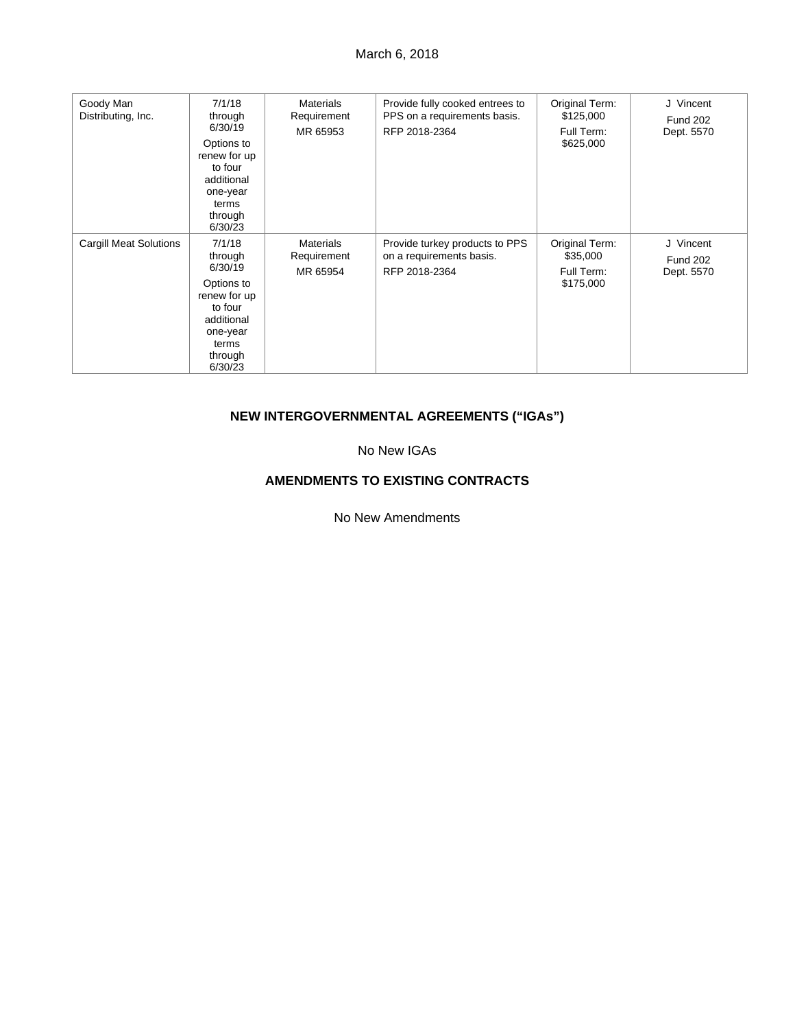| Goody Man<br>Distributing, Inc. | 7/1/18<br>through<br>6/30/19<br>Options to<br>renew for up<br>to four<br>additional<br>one-year<br>terms<br>through<br>6/30/23 | <b>Materials</b><br>Requirement<br>MR 65953 | Provide fully cooked entrees to<br>PPS on a requirements basis.<br>RFP 2018-2364 | Original Term:<br>\$125,000<br>Full Term:<br>\$625,000 | J Vincent<br><b>Fund 202</b><br>Dept. 5570 |
|---------------------------------|--------------------------------------------------------------------------------------------------------------------------------|---------------------------------------------|----------------------------------------------------------------------------------|--------------------------------------------------------|--------------------------------------------|
| <b>Cargill Meat Solutions</b>   | 7/1/18<br>through<br>6/30/19<br>Options to<br>renew for up<br>to four<br>additional<br>one-year<br>terms<br>through<br>6/30/23 | <b>Materials</b><br>Requirement<br>MR 65954 | Provide turkey products to PPS<br>on a requirements basis.<br>RFP 2018-2364      | Original Term:<br>\$35,000<br>Full Term:<br>\$175,000  | J Vincent<br><b>Fund 202</b><br>Dept. 5570 |

# **NEW INTERGOVERNMENTAL AGREEMENTS ("IGAs")**

No New IGAs

# **AMENDMENTS TO EXISTING CONTRACTS**

No New Amendments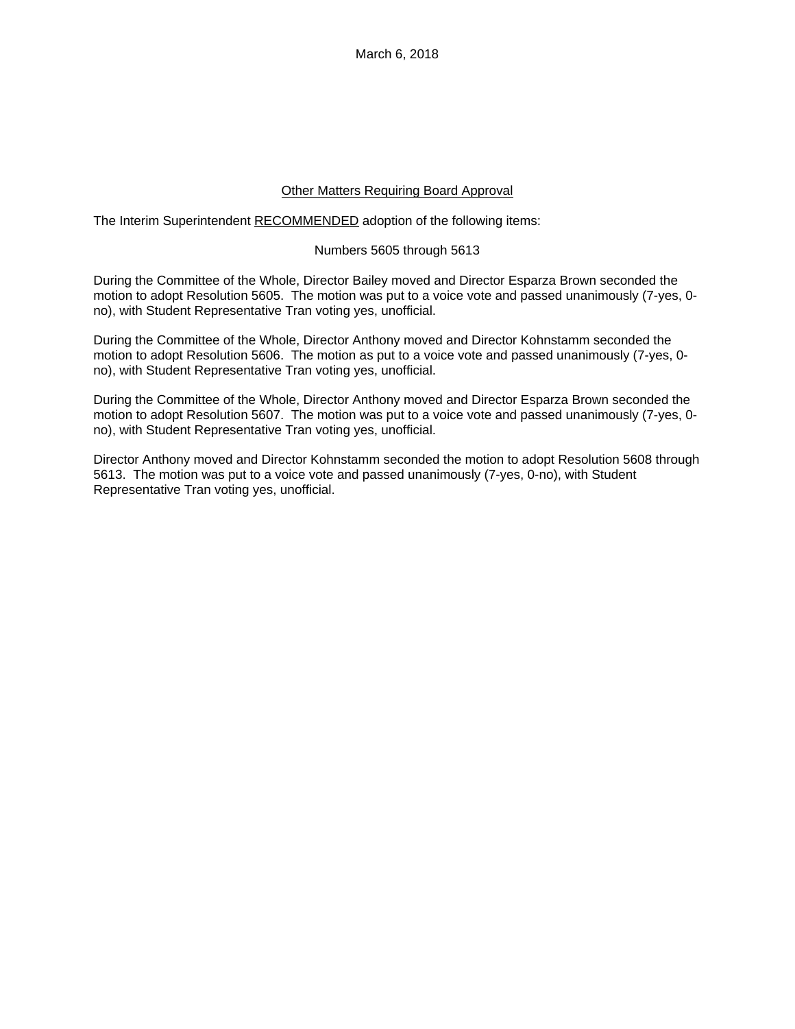## Other Matters Requiring Board Approval

The Interim Superintendent RECOMMENDED adoption of the following items:

#### Numbers 5605 through 5613

During the Committee of the Whole, Director Bailey moved and Director Esparza Brown seconded the motion to adopt Resolution 5605. The motion was put to a voice vote and passed unanimously (7-yes, 0 no), with Student Representative Tran voting yes, unofficial.

During the Committee of the Whole, Director Anthony moved and Director Kohnstamm seconded the motion to adopt Resolution 5606. The motion as put to a voice vote and passed unanimously (7-yes, 0 no), with Student Representative Tran voting yes, unofficial.

During the Committee of the Whole, Director Anthony moved and Director Esparza Brown seconded the motion to adopt Resolution 5607. The motion was put to a voice vote and passed unanimously (7-yes, 0 no), with Student Representative Tran voting yes, unofficial.

Director Anthony moved and Director Kohnstamm seconded the motion to adopt Resolution 5608 through 5613. The motion was put to a voice vote and passed unanimously (7-yes, 0-no), with Student Representative Tran voting yes, unofficial.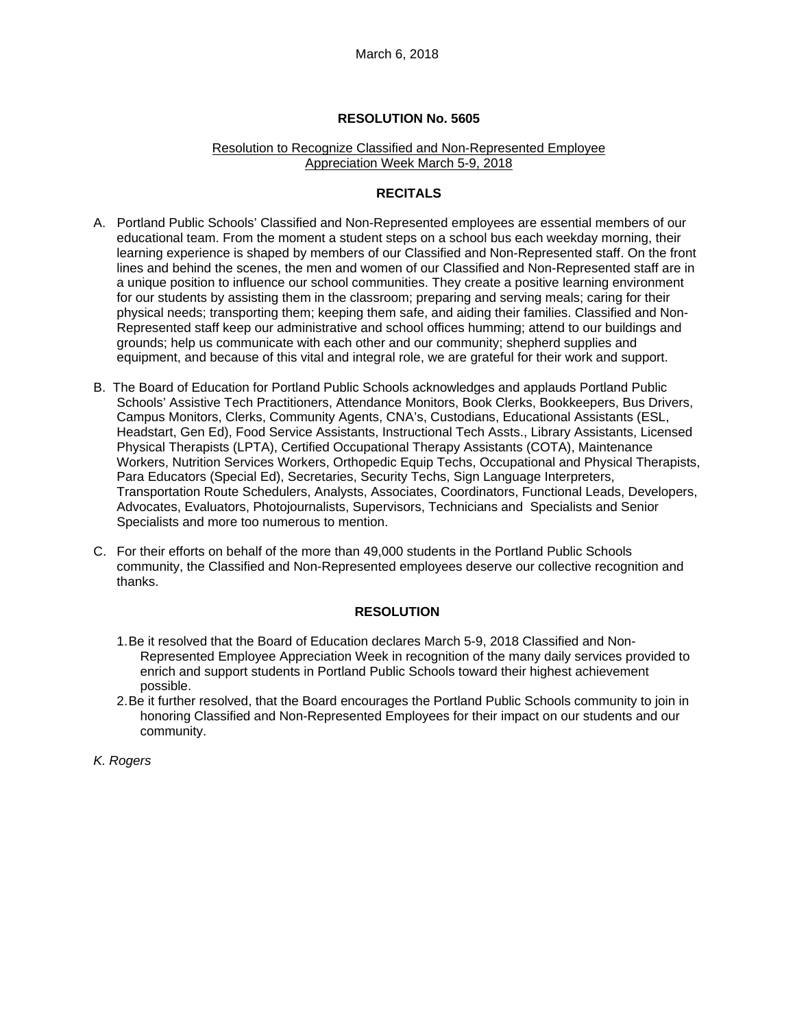#### Resolution to Recognize Classified and Non-Represented Employee Appreciation Week March 5-9, 2018

## **RECITALS**

- A. Portland Public Schools' Classified and Non-Represented employees are essential members of our educational team. From the moment a student steps on a school bus each weekday morning, their learning experience is shaped by members of our Classified and Non-Represented staff. On the front lines and behind the scenes, the men and women of our Classified and Non-Represented staff are in a unique position to influence our school communities. They create a positive learning environment for our students by assisting them in the classroom; preparing and serving meals; caring for their physical needs; transporting them; keeping them safe, and aiding their families. Classified and Non-Represented staff keep our administrative and school offices humming; attend to our buildings and grounds; help us communicate with each other and our community; shepherd supplies and equipment, and because of this vital and integral role, we are grateful for their work and support.
- B. The Board of Education for Portland Public Schools acknowledges and applauds Portland Public Schools' Assistive Tech Practitioners, Attendance Monitors, Book Clerks, Bookkeepers, Bus Drivers, Campus Monitors, Clerks, Community Agents, CNA's, Custodians, Educational Assistants (ESL, Headstart, Gen Ed), Food Service Assistants, Instructional Tech Assts., Library Assistants, Licensed Physical Therapists (LPTA), Certified Occupational Therapy Assistants (COTA), Maintenance Workers, Nutrition Services Workers, Orthopedic Equip Techs, Occupational and Physical Therapists, Para Educators (Special Ed), Secretaries, Security Techs, Sign Language Interpreters, Transportation Route Schedulers, Analysts, Associates, Coordinators, Functional Leads, Developers, Advocates, Evaluators, Photojournalists, Supervisors, Technicians and Specialists and Senior Specialists and more too numerous to mention.
- C. For their efforts on behalf of the more than 49,000 students in the Portland Public Schools community, the Classified and Non-Represented employees deserve our collective recognition and thanks.

#### **RESOLUTION**

- 1. Be it resolved that the Board of Education declares March 5-9, 2018 Classified and Non-Represented Employee Appreciation Week in recognition of the many daily services provided to enrich and support students in Portland Public Schools toward their highest achievement possible.
- 2. Be it further resolved, that the Board encourages the Portland Public Schools community to join in honoring Classified and Non-Represented Employees for their impact on our students and our community.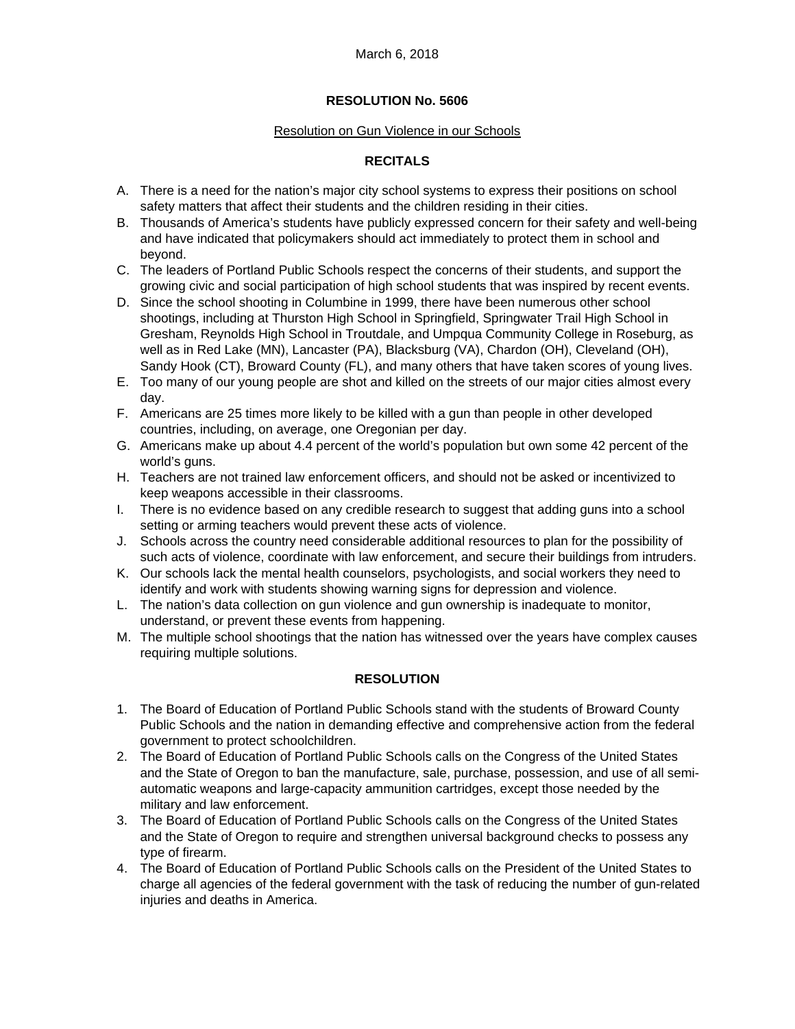## Resolution on Gun Violence in our Schools

# **RECITALS**

- A. There is a need for the nation's major city school systems to express their positions on school safety matters that affect their students and the children residing in their cities.
- B. Thousands of America's students have publicly expressed concern for their safety and well-being and have indicated that policymakers should act immediately to protect them in school and beyond.
- C. The leaders of Portland Public Schools respect the concerns of their students, and support the growing civic and social participation of high school students that was inspired by recent events.
- D. Since the school shooting in Columbine in 1999, there have been numerous other school shootings, including at Thurston High School in Springfield, Springwater Trail High School in Gresham, Reynolds High School in Troutdale, and Umpqua Community College in Roseburg, as well as in Red Lake (MN), Lancaster (PA), Blacksburg (VA), Chardon (OH), Cleveland (OH), Sandy Hook (CT), Broward County (FL), and many others that have taken scores of young lives.
- E. Too many of our young people are shot and killed on the streets of our major cities almost every day.
- F. Americans are 25 times more likely to be killed with a gun than people in other developed countries, including, on average, one Oregonian per day.
- G. Americans make up about 4.4 percent of the world's population but own some 42 percent of the world's guns.
- H. Teachers are not trained law enforcement officers, and should not be asked or incentivized to keep weapons accessible in their classrooms.
- I. There is no evidence based on any credible research to suggest that adding guns into a school setting or arming teachers would prevent these acts of violence.
- J. Schools across the country need considerable additional resources to plan for the possibility of such acts of violence, coordinate with law enforcement, and secure their buildings from intruders.
- K. Our schools lack the mental health counselors, psychologists, and social workers they need to identify and work with students showing warning signs for depression and violence.
- L. The nation's data collection on gun violence and gun ownership is inadequate to monitor, understand, or prevent these events from happening.
- M. The multiple school shootings that the nation has witnessed over the years have complex causes requiring multiple solutions.

## **RESOLUTION**

- 1. The Board of Education of Portland Public Schools stand with the students of Broward County Public Schools and the nation in demanding effective and comprehensive action from the federal government to protect schoolchildren.
- 2. The Board of Education of Portland Public Schools calls on the Congress of the United States and the State of Oregon to ban the manufacture, sale, purchase, possession, and use of all semiautomatic weapons and large-capacity ammunition cartridges, except those needed by the military and law enforcement.
- 3. The Board of Education of Portland Public Schools calls on the Congress of the United States and the State of Oregon to require and strengthen universal background checks to possess any type of firearm.
- 4. The Board of Education of Portland Public Schools calls on the President of the United States to charge all agencies of the federal government with the task of reducing the number of gun-related injuries and deaths in America.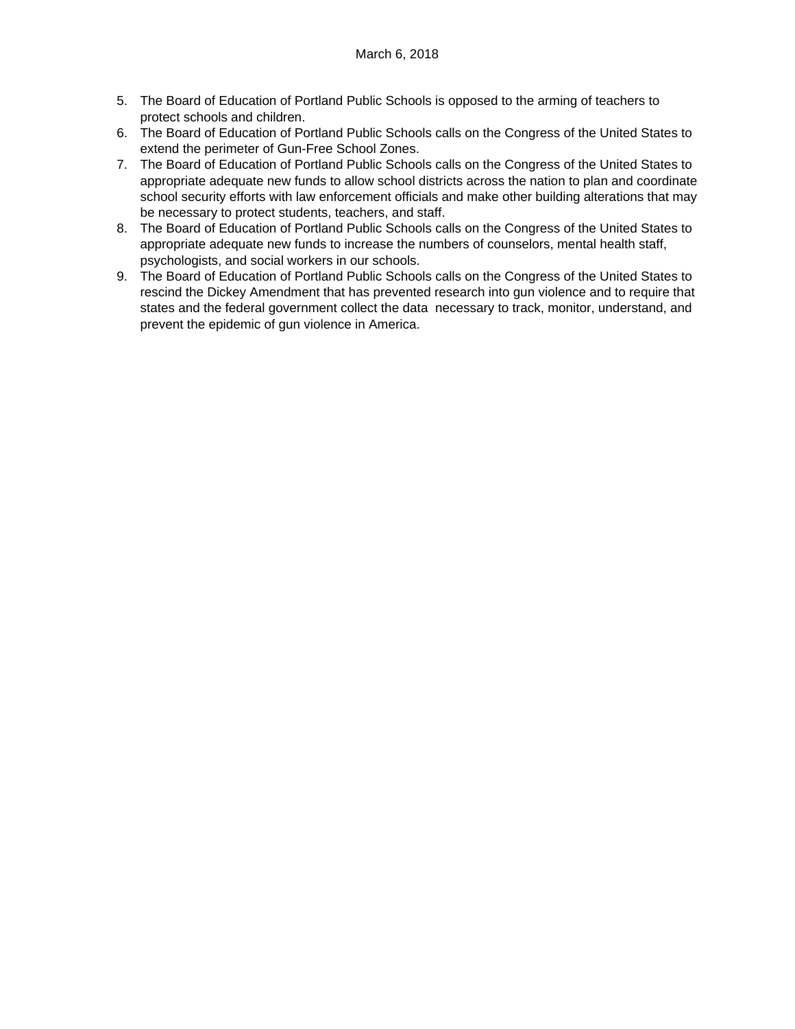- 5. The Board of Education of Portland Public Schools is opposed to the arming of teachers to protect schools and children.
- 6. The Board of Education of Portland Public Schools calls on the Congress of the United States to extend the perimeter of Gun-Free School Zones.
- 7. The Board of Education of Portland Public Schools calls on the Congress of the United States to appropriate adequate new funds to allow school districts across the nation to plan and coordinate school security efforts with law enforcement officials and make other building alterations that may be necessary to protect students, teachers, and staff.
- 8. The Board of Education of Portland Public Schools calls on the Congress of the United States to appropriate adequate new funds to increase the numbers of counselors, mental health staff, psychologists, and social workers in our schools.
- 9. The Board of Education of Portland Public Schools calls on the Congress of the United States to rescind the Dickey Amendment that has prevented research into gun violence and to require that states and the federal government collect the data necessary to track, monitor, understand, and prevent the epidemic of gun violence in America.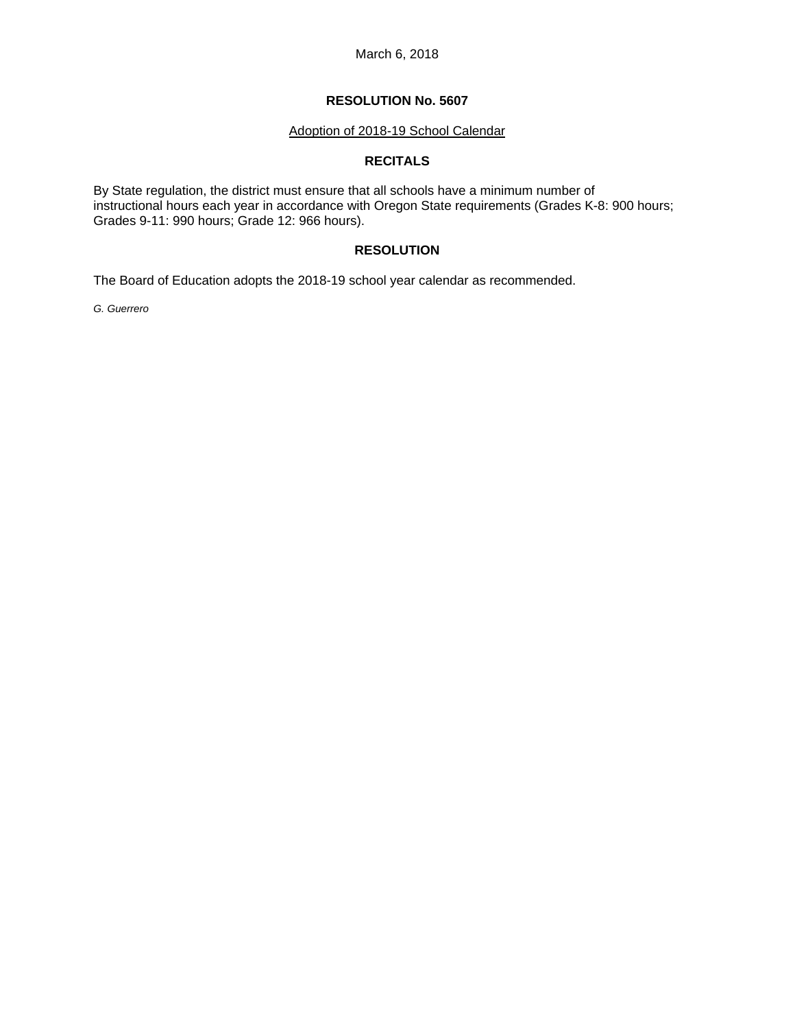## **RESOLUTION No. 5607**

#### Adoption of 2018-19 School Calendar

## **RECITALS**

By State regulation, the district must ensure that all schools have a minimum number of instructional hours each year in accordance with Oregon State requirements (Grades K-8: 900 hours; Grades 9-11: 990 hours; Grade 12: 966 hours).

# **RESOLUTION**

The Board of Education adopts the 2018-19 school year calendar as recommended.

*G. Guerrero*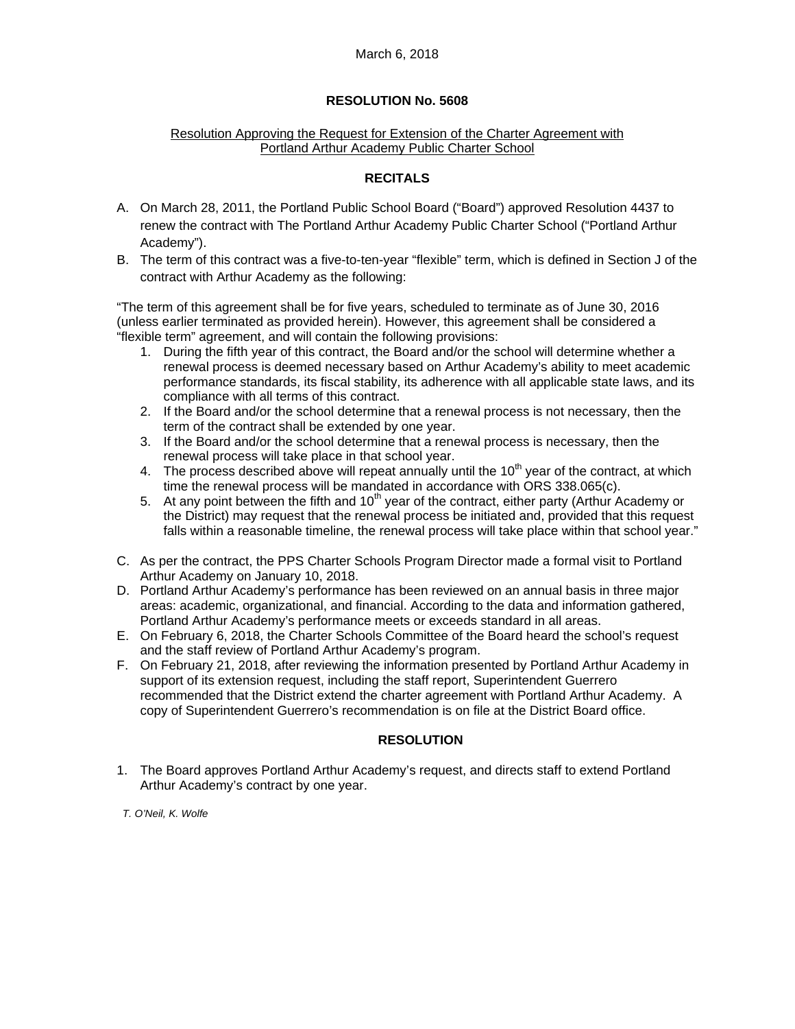## Resolution Approving the Request for Extension of the Charter Agreement with Portland Arthur Academy Public Charter School

# **RECITALS**

- A. On March 28, 2011, the Portland Public School Board ("Board") approved Resolution 4437 to renew the contract with The Portland Arthur Academy Public Charter School ("Portland Arthur Academy").
- B. The term of this contract was a five-to-ten-year "flexible" term, which is defined in Section J of the contract with Arthur Academy as the following:

"The term of this agreement shall be for five years, scheduled to terminate as of June 30, 2016 (unless earlier terminated as provided herein). However, this agreement shall be considered a "flexible term" agreement, and will contain the following provisions:

- 1. During the fifth year of this contract, the Board and/or the school will determine whether a renewal process is deemed necessary based on Arthur Academy's ability to meet academic performance standards, its fiscal stability, its adherence with all applicable state laws, and its compliance with all terms of this contract.
- 2. If the Board and/or the school determine that a renewal process is not necessary, then the term of the contract shall be extended by one year.
- 3. If the Board and/or the school determine that a renewal process is necessary, then the renewal process will take place in that school year.
- 4. The process described above will repeat annually until the  $10<sup>th</sup>$  year of the contract, at which time the renewal process will be mandated in accordance with ORS 338.065(c).
- 5. At any point between the fifth and  $10^{th}$  year of the contract, either party (Arthur Academy or the District) may request that the renewal process be initiated and, provided that this request falls within a reasonable timeline, the renewal process will take place within that school year."
- C. As per the contract, the PPS Charter Schools Program Director made a formal visit to Portland Arthur Academy on January 10, 2018.
- D. Portland Arthur Academy's performance has been reviewed on an annual basis in three major areas: academic, organizational, and financial. According to the data and information gathered, Portland Arthur Academy's performance meets or exceeds standard in all areas.
- E. On February 6, 2018, the Charter Schools Committee of the Board heard the school's request and the staff review of Portland Arthur Academy's program.
- F. On February 21, 2018, after reviewing the information presented by Portland Arthur Academy in support of its extension request, including the staff report, Superintendent Guerrero recommended that the District extend the charter agreement with Portland Arthur Academy. A copy of Superintendent Guerrero's recommendation is on file at the District Board office.

# **RESOLUTION**

1. The Board approves Portland Arthur Academy's request, and directs staff to extend Portland Arthur Academy's contract by one year.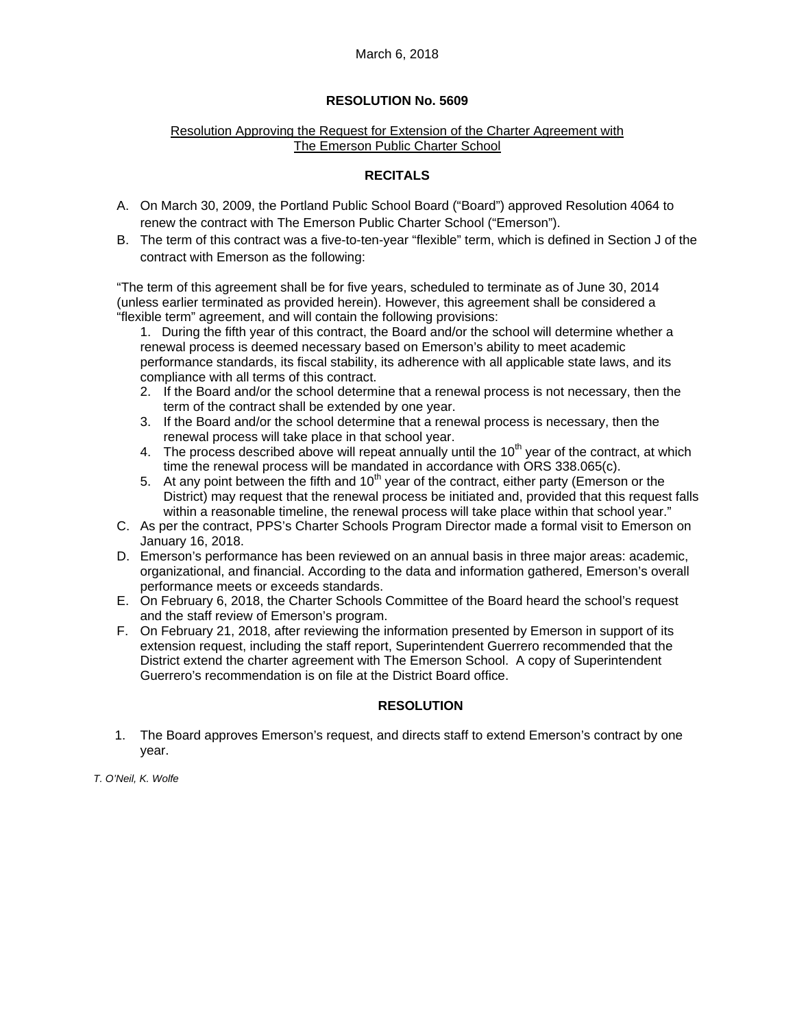## Resolution Approving the Request for Extension of the Charter Agreement with The Emerson Public Charter School

# **RECITALS**

- A. On March 30, 2009, the Portland Public School Board ("Board") approved Resolution 4064 to renew the contract with The Emerson Public Charter School ("Emerson").
- B. The term of this contract was a five-to-ten-year "flexible" term, which is defined in Section J of the contract with Emerson as the following:

"The term of this agreement shall be for five years, scheduled to terminate as of June 30, 2014 (unless earlier terminated as provided herein). However, this agreement shall be considered a "flexible term" agreement, and will contain the following provisions:

- 1. During the fifth year of this contract, the Board and/or the school will determine whether a renewal process is deemed necessary based on Emerson's ability to meet academic performance standards, its fiscal stability, its adherence with all applicable state laws, and its compliance with all terms of this contract.
- 2. If the Board and/or the school determine that a renewal process is not necessary, then the term of the contract shall be extended by one year.
- 3. If the Board and/or the school determine that a renewal process is necessary, then the renewal process will take place in that school year.
- 4. The process described above will repeat annually until the  $10<sup>th</sup>$  year of the contract, at which time the renewal process will be mandated in accordance with ORS 338.065(c).
- 5. At any point between the fifth and  $10<sup>th</sup>$  year of the contract, either party (Emerson or the District) may request that the renewal process be initiated and, provided that this request falls within a reasonable timeline, the renewal process will take place within that school year."
- C. As per the contract, PPS's Charter Schools Program Director made a formal visit to Emerson on January 16, 2018.
- D. Emerson's performance has been reviewed on an annual basis in three major areas: academic, organizational, and financial. According to the data and information gathered, Emerson's overall performance meets or exceeds standards.
- E. On February 6, 2018, the Charter Schools Committee of the Board heard the school's request and the staff review of Emerson's program.
- F. On February 21, 2018, after reviewing the information presented by Emerson in support of its extension request, including the staff report, Superintendent Guerrero recommended that the District extend the charter agreement with The Emerson School. A copy of Superintendent Guerrero's recommendation is on file at the District Board office.

## **RESOLUTION**

1. The Board approves Emerson's request, and directs staff to extend Emerson's contract by one year.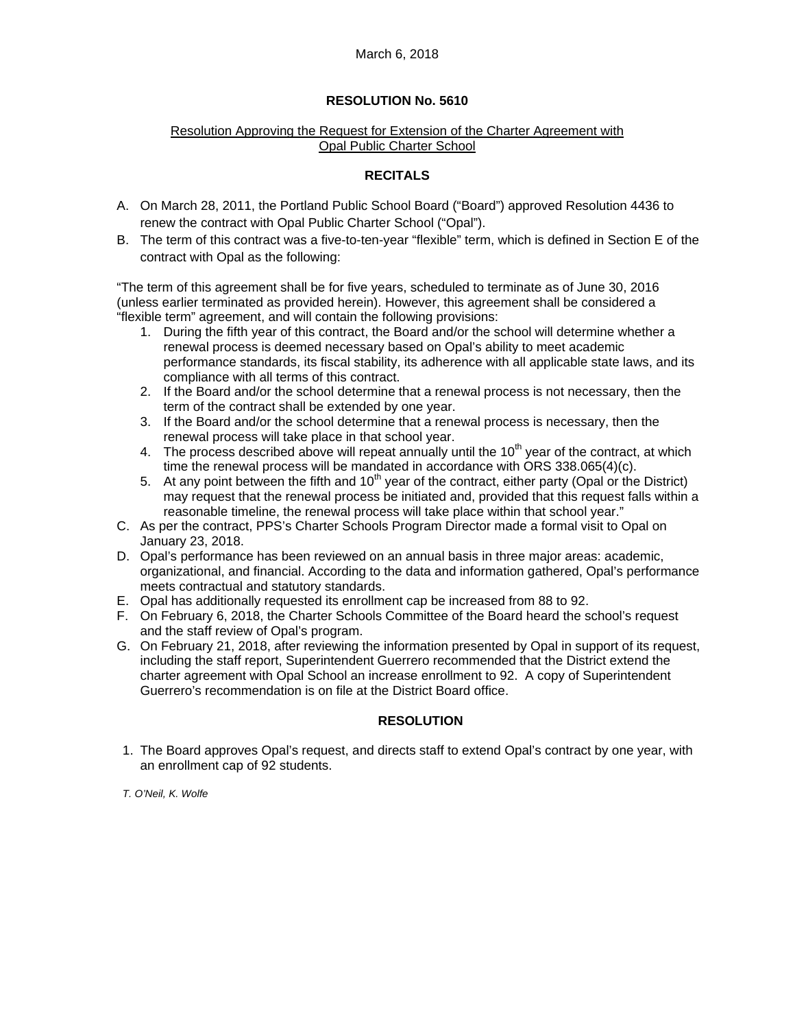# Resolution Approving the Request for Extension of the Charter Agreement with Opal Public Charter School

# **RECITALS**

- A. On March 28, 2011, the Portland Public School Board ("Board") approved Resolution 4436 to renew the contract with Opal Public Charter School ("Opal").
- B. The term of this contract was a five-to-ten-year "flexible" term, which is defined in Section E of the contract with Opal as the following:

"The term of this agreement shall be for five years, scheduled to terminate as of June 30, 2016 (unless earlier terminated as provided herein). However, this agreement shall be considered a "flexible term" agreement, and will contain the following provisions:

- 1. During the fifth year of this contract, the Board and/or the school will determine whether a renewal process is deemed necessary based on Opal's ability to meet academic performance standards, its fiscal stability, its adherence with all applicable state laws, and its compliance with all terms of this contract.
- 2. If the Board and/or the school determine that a renewal process is not necessary, then the term of the contract shall be extended by one year.
- 3. If the Board and/or the school determine that a renewal process is necessary, then the renewal process will take place in that school year.
- 4. The process described above will repeat annually until the  $10<sup>th</sup>$  year of the contract, at which time the renewal process will be mandated in accordance with ORS 338.065(4)(c).
- 5. At any point between the fifth and  $10<sup>th</sup>$  year of the contract, either party (Opal or the District) may request that the renewal process be initiated and, provided that this request falls within a reasonable timeline, the renewal process will take place within that school year."
- C. As per the contract, PPS's Charter Schools Program Director made a formal visit to Opal on January 23, 2018.
- D. Opal's performance has been reviewed on an annual basis in three major areas: academic, organizational, and financial. According to the data and information gathered, Opal's performance meets contractual and statutory standards.
- E. Opal has additionally requested its enrollment cap be increased from 88 to 92.
- F. On February 6, 2018, the Charter Schools Committee of the Board heard the school's request and the staff review of Opal's program.
- G. On February 21, 2018, after reviewing the information presented by Opal in support of its request, including the staff report, Superintendent Guerrero recommended that the District extend the charter agreement with Opal School an increase enrollment to 92. A copy of Superintendent Guerrero's recommendation is on file at the District Board office.

## **RESOLUTION**

1. The Board approves Opal's request, and directs staff to extend Opal's contract by one year, with an enrollment cap of 92 students.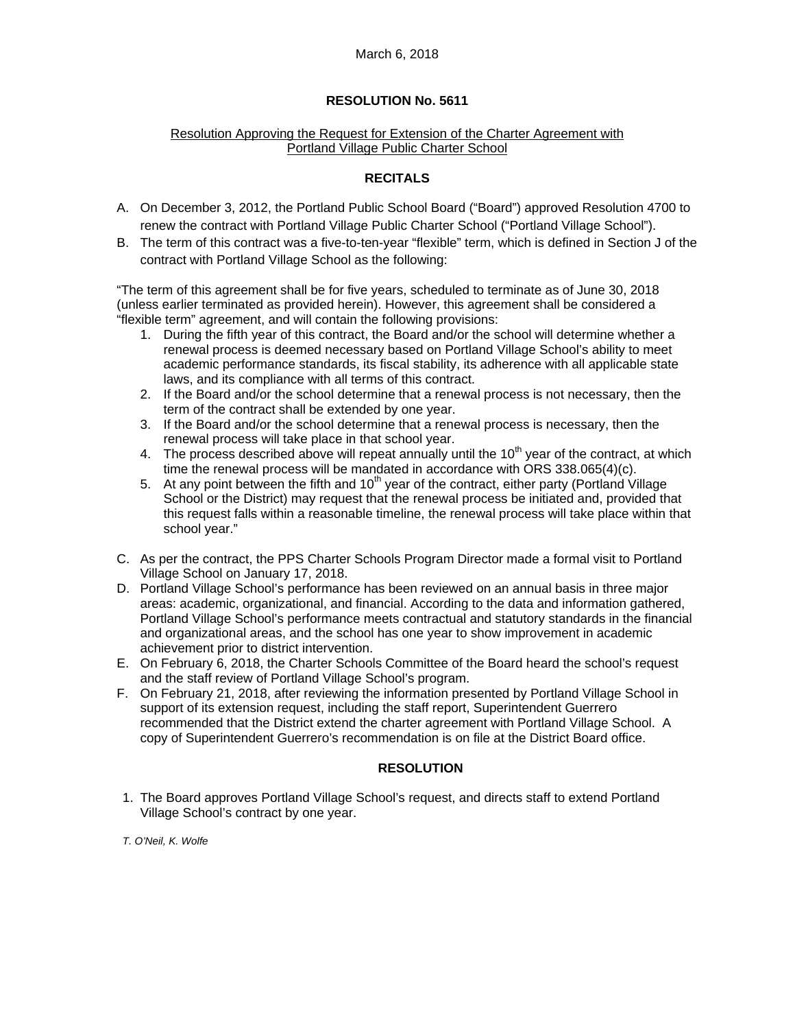## Resolution Approving the Request for Extension of the Charter Agreement with Portland Village Public Charter School

# **RECITALS**

- A. On December 3, 2012, the Portland Public School Board ("Board") approved Resolution 4700 to renew the contract with Portland Village Public Charter School ("Portland Village School").
- B. The term of this contract was a five-to-ten-year "flexible" term, which is defined in Section J of the contract with Portland Village School as the following:

"The term of this agreement shall be for five years, scheduled to terminate as of June 30, 2018 (unless earlier terminated as provided herein). However, this agreement shall be considered a "flexible term" agreement, and will contain the following provisions:

- 1. During the fifth year of this contract, the Board and/or the school will determine whether a renewal process is deemed necessary based on Portland Village School's ability to meet academic performance standards, its fiscal stability, its adherence with all applicable state laws, and its compliance with all terms of this contract.
- 2. If the Board and/or the school determine that a renewal process is not necessary, then the term of the contract shall be extended by one year.
- 3. If the Board and/or the school determine that a renewal process is necessary, then the renewal process will take place in that school year.
- 4. The process described above will repeat annually until the  $10<sup>th</sup>$  year of the contract, at which time the renewal process will be mandated in accordance with ORS 338.065(4)(c).
- 5. At any point between the fifth and  $10<sup>th</sup>$  year of the contract, either party (Portland Village School or the District) may request that the renewal process be initiated and, provided that this request falls within a reasonable timeline, the renewal process will take place within that school year."
- C. As per the contract, the PPS Charter Schools Program Director made a formal visit to Portland Village School on January 17, 2018.
- D. Portland Village School's performance has been reviewed on an annual basis in three major areas: academic, organizational, and financial. According to the data and information gathered, Portland Village School's performance meets contractual and statutory standards in the financial and organizational areas, and the school has one year to show improvement in academic achievement prior to district intervention.
- E. On February 6, 2018, the Charter Schools Committee of the Board heard the school's request and the staff review of Portland Village School's program.
- F. On February 21, 2018, after reviewing the information presented by Portland Village School in support of its extension request, including the staff report, Superintendent Guerrero recommended that the District extend the charter agreement with Portland Village School. A copy of Superintendent Guerrero's recommendation is on file at the District Board office.

## **RESOLUTION**

1. The Board approves Portland Village School's request, and directs staff to extend Portland Village School's contract by one year.